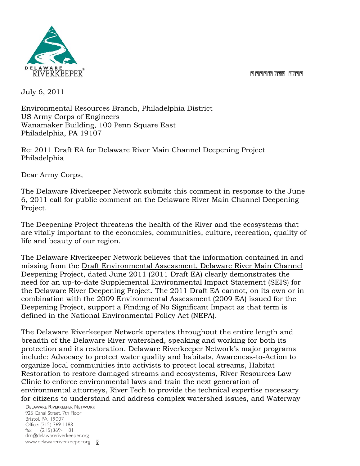

July 6, 2011

Environmental Resources Branch, Philadelphia District US Army Corps of Engineers Wanamaker Building, 100 Penn Square East Philadelphia, PA 19107

Re: 2011 Draft EA for Delaware River Main Channel Deepening Project Philadelphia

Dear Army Corps,

The Delaware Riverkeeper Network submits this comment in response to the June 6, 2011 call for public comment on the Delaware River Main Channel Deepening Project.

The Deepening Project threatens the health of the River and the ecosystems that are vitally important to the economies, communities, culture, recreation, quality of life and beauty of our region.

The Delaware Riverkeeper Network believes that the information contained in and missing from the Draft Environmental Assessment, Delaware River Main Channel Deepening Project, dated June 2011 (2011 Draft EA) clearly demonstrates the need for an up-to-date Supplemental Environmental Impact Statement (SEIS) for the Delaware River Deepening Project. The 2011 Draft EA cannot, on its own or in combination with the 2009 Environmental Assessment (2009 EA) issued for the Deepening Project, support a Finding of No Significant Impact as that term is defined in the National Environmental Policy Act (NEPA).

The Delaware Riverkeeper Network operates throughout the entire length and breadth of the Delaware River watershed, speaking and working for both its protection and its restoration. Delaware Riverkeeper Network's major programs include: Advocacy to protect water quality and habitats, Awareness-to-Action to organize local communities into activists to protect local streams, Habitat Restoration to restore damaged streams and ecosystems, River Resources Law Clinic to enforce environmental laws and train the next generation of environmental attorneys, River Tech to provide the technical expertise necessary for citizens to understand and address complex watershed issues, and Waterway

DELAWARE RIVERKEEPER NETWORK 925 Canal Street, 7th Floor Bristol, PA 19007 Office: (215) 369-1188 fax: (215)369-1181 drn@delawareriverkeeper.org www.delawareriverkeeper.org [7]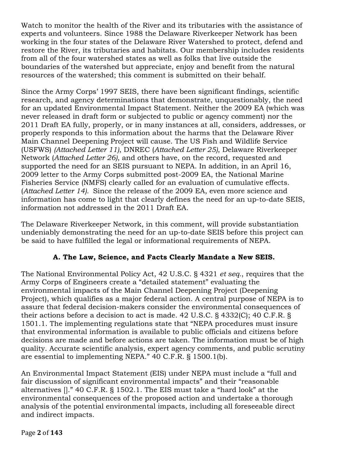Watch to monitor the health of the River and its tributaries with the assistance of experts and volunteers. Since 1988 the Delaware Riverkeeper Network has been working in the four states of the Delaware River Watershed to protect, defend and restore the River, its tributaries and habitats. Our membership includes residents from all of the four watershed states as well as folks that live outside the boundaries of the watershed but appreciate, enjoy and benefit from the natural resources of the watershed; this comment is submitted on their behalf.

Since the Army Corps' 1997 SEIS, there have been significant findings, scientific research, and agency determinations that demonstrate, unquestionably, the need for an updated Environmental Impact Statement. Neither the 2009 EA (which was never released in draft form or subjected to public or agency comment) nor the 2011 Draft EA fully, properly, or in many instances at all, considers, addresses, or properly responds to this information about the harms that the Delaware River Main Channel Deepening Project will cause. The US Fish and Wildlife Service (USFWS) *(Attached Letter 11)*, DNREC (*Attached Letter 25)*, Delaware Riverkeeper Network (*Attached Letter 26)*, and others have, on the record, requested and supported the need for an SEIS pursuant to NEPA. In addition, in an April 16, 2009 letter to the Army Corps submitted post-2009 EA, the National Marine Fisheries Service (NMFS) clearly called for an evaluation of cumulative effects. (*Attached Letter 14).* Since the release of the 2009 EA, even more science and information has come to light that clearly defines the need for an up-to-date SEIS, information not addressed in the 2011 Draft EA.

The Delaware Riverkeeper Network, in this comment, will provide substantiation undeniably demonstrating the need for an up-to-date SEIS before this project can be said to have fulfilled the legal or informational requirements of NEPA.

# **A. The Law, Science, and Facts Clearly Mandate a New SEIS.**

The National Environmental Policy Act, 42 U.S.C. § 4321 *et seq.*, requires that the Army Corps of Engineers create a "detailed statement" evaluating the environmental impacts of the Main Channel Deepening Project (Deepening Project), which qualifies as a major federal action. A central purpose of NEPA is to assure that federal decision-makers consider the environmental consequences of their actions before a decision to act is made. 42 U.S.C. § 4332(C); 40 C.F.R. § 1501.1. The implementing regulations state that "NEPA procedures must insure that environmental information is available to public officials and citizens before decisions are made and before actions are taken. The information must be of high quality. Accurate scientific analysis, expert agency comments, and public scrutiny are essential to implementing NEPA." 40 C.F.R. § 1500.1(b).

An Environmental Impact Statement (EIS) under NEPA must include a "full and fair discussion of significant environmental impacts" and their "reasonable alternatives []." 40 C.F.R. § 1502.1. The EIS must take a "hard look" at the environmental consequences of the proposed action and undertake a thorough analysis of the potential environmental impacts, including all foreseeable direct and indirect impacts.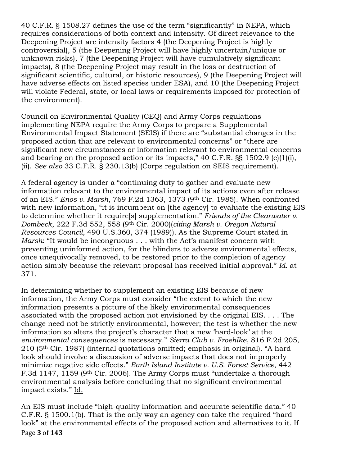40 C.F.R. § 1508.27 defines the use of the term "significantly" in NEPA, which requires considerations of both context and intensity. Of direct relevance to the Deepening Project are intensity factors 4 (the Deepening Project is highly controversial), 5 (the Deepening Project will have highly uncertain/unique or unknown risks), 7 (the Deepening Project will have cumulatively significant impacts), 8 (the Deepening Project may result in the loss or destruction of significant scientific, cultural, or historic resources), 9 (the Deepening Project will have adverse effects on listed species under ESA), and 10 (the Deepening Project will violate Federal, state, or local laws or requirements imposed for protection of the environment).

Council on Environmental Quality (CEQ) and Army Corps regulations implementing NEPA require the Army Corps to prepare a Supplemental Environmental Impact Statement (SEIS) if there are "substantial changes in the proposed action that are relevant to environmental concerns" or "there are significant new circumstances or information relevant to environmental concerns and bearing on the proposed action or its impacts," 40 C.F.R. §§ 1502.9 (c)(1)(i), (ii). *See also* 33 C.F.R. § 230.13(b) (Corps regulation on SEIS requirement).

A federal agency is under a "continuing duty to gather and evaluate new information relevant to the environmental impact of its actions even after release of an EIS." *Enos v. Marsh*, 769 F.2d 1363, 1373 (9th Cir. 1985). When confronted with new information, "it is incumbent on [the agency] to evaluate the existing EIS to determine whether it require[s] supplementation." *Friends of the Clearwater v. Dombeck*, 222 F.3d 552, 558 (9th Cir. 2000)(*citing Marsh v. Oregon Natural Resources Council*, 490 U.S.360, 374 (1989)). As the Supreme Court stated in *Marsh*: "It would be incongruous . . . with the Act's manifest concern with preventing uninformed action, for the blinders to adverse environmental effects, once unequivocally removed, to be restored prior to the completion of agency action simply because the relevant proposal has received initial approval." *Id.* at 371.

In determining whether to supplement an existing EIS because of new information, the Army Corps must consider "the extent to which the new information presents a picture of the likely environmental consequences associated with the proposed action not envisioned by the original EIS. . . . The change need not be strictly environmental, however; the test is whether the new information so alters the project's character that a new 'hard-look' at the *environmental consequences* is necessary." *Sierra Club v. Froehlke*, 816 F.2d 205, 210 (5th Cir. 1987) (internal quotations omitted; emphasis in original). "A hard look should involve a discussion of adverse impacts that does not improperly minimize negative side effects." *Earth Island Institute v. U.S. Forest Service*, 442 F.3d 1147, 1159 (9th Cir. 2006). The Army Corps must "undertake a thorough environmental analysis before concluding that no significant environmental impact exists." Id.

Page!**3** of!**143** An EIS must include "high-quality information and accurate scientific data." 40 C.F.R. § 1500.1(b). That is the only way an agency can take the required "hard look" at the environmental effects of the proposed action and alternatives to it. If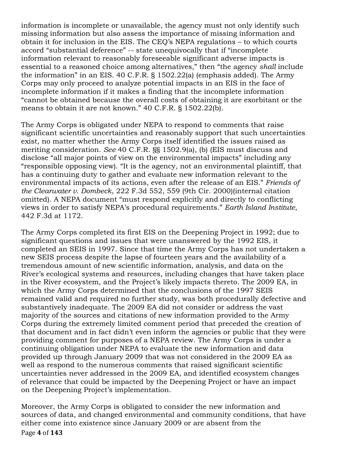information is incomplete or unavailable, the agency must not only identify such missing information but also assess the importance of missing information and obtain it for inclusion in the EIS. The CEQ's NEPA regulations – to which courts accord "substantial deference" -- state unequivocally that if "incomplete information relevant to reasonably foreseeable significant adverse impacts is essential to a reasoned choice among alternatives," then "the agency *shall* include the information" in an EIS. 40 C.F.R. § 1502.22(a) (emphasis added). The Army Corps may only proceed to analyze potential impacts in an EIS in the face of incomplete information if it makes a finding that the incomplete information "cannot be obtained because the overall costs of obtaining it are exorbitant or the means to obtain it are not known." 40 C.F.R. § 1502.22(b).

The Army Corps is obligated under NEPA to respond to comments that raise significant scientific uncertainties and reasonably support that such uncertainties exist, no matter whether the Army Corps itself identified the issues raised as meriting consideration. *See* 40 C.F.R. §§ 1502.9(a), (b) (EIS must discuss and disclose "all major points of view on the environmental impacts" including any "responsible opposing view). "It is the agency, not an environmental plaintiff, that has a continuing duty to gather and evaluate new information relevant to the environmental impacts of its actions, even after the release of an EIS." *Friends of the Clearwater v. Dombeck*, 222 F.3d 552, 559 (9th Cir. 2000)(internal citation omitted). A NEPA document "must respond explicitly and directly to conflicting views in order to satisfy NEPA's procedural requirements." *Earth Island Institute*, 442 F.3d at 1172.

The Army Corps completed its first EIS on the Deepening Project in 1992; due to significant questions and issues that were unanswered by the 1992 EIS, it completed an SEIS in 1997. Since that time the Army Corps has not undertaken a new SEIS process despite the lapse of fourteen years and the availability of a tremendous amount of new scientific information, analysis, and data on the River's ecological systems and resources, including changes that have taken place in the River ecosystem, and the Project's likely impacts thereto. The 2009 EA, in which the Army Corps determined that the conclusions of the 1997 SEIS remained valid and required no further study, was both procedurally defective and substantively inadequate. The 2009 EA did not consider or address the vast majority of the sources and citations of new information provided to the Army Corps during the extremely limited comment period that preceded the creation of that document and in fact didn't even inform the agencies or public that they were providing comment for purposes of a NEPA review. The Army Corps is under a continuing obligation under NEPA to evaluate the new information and data provided up through January 2009 that was not considered in the 2009 EA as well as respond to the numerous comments that raised significant scientific uncertainties never addressed in the 2009 EA, and identified ecosystem changes of relevance that could be impacted by the Deepening Project or have an impact on the Deepening Project's implementation.

Page!**4** of!**143** Moreover, the Army Corps is obligated to consider the new information and sources of data, and changed environmental and community conditions, that have either come into existence since January 2009 or are absent from the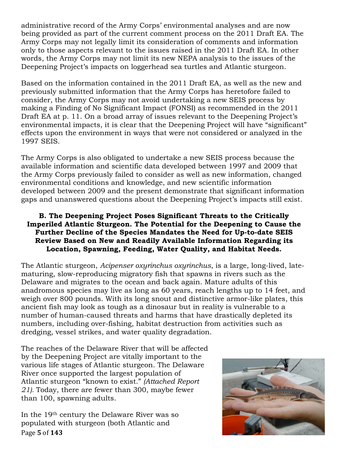administrative record of the Army Corps' environmental analyses and are now being provided as part of the current comment process on the 2011 Draft EA. The Army Corps may not legally limit its consideration of comments and information only to those aspects relevant to the issues raised in the 2011 Draft EA. In other words, the Army Corps may not limit its new NEPA analysis to the issues of the Deepening Project's impacts on loggerhead sea turtles and Atlantic sturgeon.

Based on the information contained in the 2011 Draft EA, as well as the new and previously submitted information that the Army Corps has heretofore failed to consider, the Army Corps may not avoid undertaking a new SEIS process by making a Finding of No Significant Impact (FONSI) as recommended in the 2011 Draft EA at p. 11. On a broad array of issues relevant to the Deepening Project's environmental impacts, it is clear that the Deepening Project will have "significant" effects upon the environment in ways that were not considered or analyzed in the 1997 SEIS.

The Army Corps is also obligated to undertake a new SEIS process because the available information and scientific data developed between 1997 and 2009 that the Army Corps previously failed to consider as well as new information, changed environmental conditions and knowledge, and new scientific information developed between 2009 and the present demonstrate that significant information gaps and unanswered questions about the Deepening Project's impacts still exist.

### **B. The Deepening Project Poses Significant Threats to the Critically Imperiled Atlantic Sturgeon. The Potential for the Deepening to Cause the Further Decline of the Species Mandates the Need for Up-to-date SEIS Review Based on New and Readily Available Information Regarding its Location, Spawning, Feeding, Water Quality, and Habitat Needs.**

The Atlantic sturgeon, *Acipenser oxyrinchus oxyrinchus*, is a large, long-lived, latematuring, slow-reproducing migratory fish that spawns in rivers such as the Delaware and migrates to the ocean and back again. Mature adults of this anadromous species may live as long as 60 years, reach lengths up to 14 feet, and weigh over 800 pounds. With its long snout and distinctive armor-like plates, this ancient fish may look as tough as a dinosaur but in reality is vulnerable to a number of human-caused threats and harms that have drastically depleted its numbers, including over-fishing, habitat destruction from activities such as dredging, vessel strikes, and water quality degradation.

The reaches of the Delaware River that will be affected by the Deepening Project are vitally important to the various life stages of Atlantic sturgeon. The Delaware River once supported the largest population of Atlantic sturgeon "known to exist." *(Attached Report 21).* Today, there are fewer than 300, maybe fewer than 100, spawning adults.

Page!**5** of!**143** In the 19th century the Delaware River was so populated with sturgeon (both Atlantic and

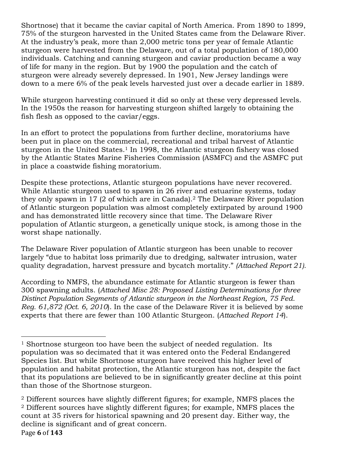Shortnose) that it became the caviar capital of North America. From 1890 to 1899, 75% of the sturgeon harvested in the United States came from the Delaware River. At the industry's peak, more than 2,000 metric tons per year of female Atlantic sturgeon were harvested from the Delaware, out of a total population of 180,000 individuals. Catching and canning sturgeon and caviar production became a way of life for many in the region. But by 1900 the population and the catch of sturgeon were already severely depressed. In 1901, New Jersey landings were down to a mere 6% of the peak levels harvested just over a decade earlier in 1889.

While sturgeon harvesting continued it did so only at these very depressed levels. In the 1950s the reason for harvesting sturgeon shifted largely to obtaining the fish flesh as opposed to the caviar/eggs.

In an effort to protect the populations from further decline, moratoriums have been put in place on the commercial, recreational and tribal harvest of Atlantic sturgeon in the United States.<sup>1</sup> In 1998, the Atlantic sturgeon fishery was closed by the Atlantic States Marine Fisheries Commission (ASMFC) and the ASMFC put in place a coastwide fishing moratorium.

Despite these protections, Atlantic sturgeon populations have never recovered. While Atlantic sturgeon used to spawn in 26 river and estuarine systems, today they only spawn in 17 (2 of which are in Canada).2 The Delaware River population of Atlantic sturgeon population was almost completely extirpated by around 1900 and has demonstrated little recovery since that time. The Delaware River population of Atlantic sturgeon, a genetically unique stock, is among those in the worst shape nationally.

The Delaware River population of Atlantic sturgeon has been unable to recover largely "due to habitat loss primarily due to dredging, saltwater intrusion, water quality degradation, harvest pressure and bycatch mortality." *(Attached Report 21).*

According to NMFS, the abundance estimate for Atlantic sturgeon is fewer than 300 spawning adults. (*Attached Misc 28: Proposed Listing Determinations for three Distinct Population Segments of Atlantic sturgeon in the Northeast Region, 75 Fed. Reg. 61,872 (Oct. 6, 2010*). In the case of the Delaware River it is believed by some experts that there are fewer than 100 Atlantic Sturgeon. (*Attached Report 14*).

!!!!!!!!!!!!!!!!!!!!!!!!!!!!!!!!!!!!!!!!!!!!!!!!!!!!!!!

<sup>&</sup>lt;sup>1</sup> Shortnose sturgeon too have been the subject of needed regulation. Its population was so decimated that it was entered onto the Federal Endangered Species list. But while Shortnose sturgeon have received this higher level of population and habitat protection, the Atlantic sturgeon has not, despite the fact that its populations are believed to be in significantly greater decline at this point than those of the Shortnose sturgeon.

Page!**6** of!**143** <sup>2</sup> Different sources have slightly different figures; for example, NMFS places the <sup>2</sup> Different sources have slightly different figures; for example, NMFS places the count at 35 rivers for historical spawning and 20 present day. Either way, the decline is significant and of great concern.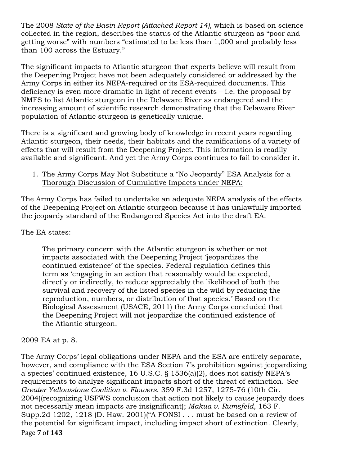The 2008 *State of the Basin Report (Attached Report 14),* which is based on science collected in the region, describes the status of the Atlantic sturgeon as "poor and getting worse" with numbers "estimated to be less than 1,000 and probably less than 100 across the Estuary."

The significant impacts to Atlantic sturgeon that experts believe will result from the Deepening Project have not been adequately considered or addressed by the Army Corps in either its NEPA-required or its ESA-required documents. This deficiency is even more dramatic in light of recent events – i.e. the proposal by NMFS to list Atlantic sturgeon in the Delaware River as endangered and the increasing amount of scientific research demonstrating that the Delaware River population of Atlantic sturgeon is genetically unique.

There is a significant and growing body of knowledge in recent years regarding Atlantic sturgeon, their needs, their habitats and the ramifications of a variety of effects that will result from the Deepening Project. This information is readily available and significant. And yet the Army Corps continues to fail to consider it.

# 1. The Army Corps May Not Substitute a "No Jeopardy" ESA Analysis for a Thorough Discussion of Cumulative Impacts under NEPA:

The Army Corps has failed to undertake an adequate NEPA analysis of the effects of the Deepening Project on Atlantic sturgeon because it has unlawfully imported the jeopardy standard of the Endangered Species Act into the draft EA.

The EA states:

The primary concern with the Atlantic sturgeon is whether or not impacts associated with the Deepening Project 'jeopardizes the continued existence' of the species. Federal regulation defines this term as 'engaging in an action that reasonably would be expected, directly or indirectly, to reduce appreciably the likelihood of both the survival and recovery of the listed species in the wild by reducing the reproduction, numbers, or distribution of that species.' Based on the Biological Assessment (USACE, 2011) the Army Corps concluded that the Deepening Project will not jeopardize the continued existence of the Atlantic sturgeon.

# 2009 EA at p. 8.

Page!**7** of!**143** The Army Corps' legal obligations under NEPA and the ESA are entirely separate, however, and compliance with the ESA Section 7's prohibition against jeopardizing a species' continued existence, 16 U.S.C. § 1536(a)(2), does not satisfy NEPA's requirements to analyze significant impacts short of the threat of extinction. *See Greater Yellowstone Coalition v. Flowers*, 359 F.3d 1257, 1275-76 (10th Cir. 2004)(recognizing USFWS conclusion that action not likely to cause jeopardy does not necessarily mean impacts are insignificant); *Makua v. Rumsfeld*, 163 F. Supp. 2d 1202, 1218 (D. Haw. 2001) ("A FONSI... must be based on a review of the potential for significant impact, including impact short of extinction. Clearly,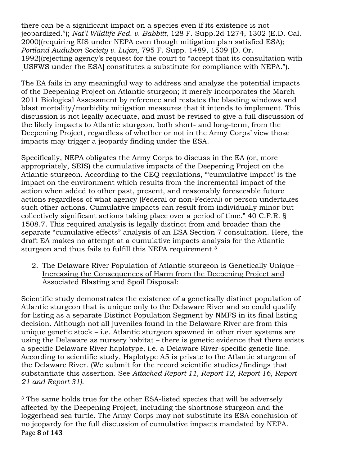there can be a significant impact on a species even if its existence is not jeopardized."); *Nat'l Wildlife Fed. v. Babbitt*, 128 F. Supp.2d 1274, 1302 (E.D. Cal. 2000)(requiring EIS under NEPA even though mitigation plan satisfied ESA); *Portland Audubon Society v. Lujan*, 795 F. Supp. 1489, 1509 (D. Or. 1992)(rejecting agency's request for the court to "accept that its consultation with [USFWS under the ESA] constitutes a substitute for compliance with NEPA.").

The EA fails in any meaningful way to address and analyze the potential impacts of the Deepening Project on Atlantic sturgeon; it merely incorporates the March 2011 Biological Assessment by reference and restates the blasting windows and blast mortality/morbidity mitigation measures that it intends to implement. This discussion is not legally adequate, and must be revised to give a full discussion of the likely impacts to Atlantic sturgeon, both short- and long-term, from the Deepening Project, regardless of whether or not in the Army Corps' view those impacts may trigger a jeopardy finding under the ESA.

Specifically, NEPA obligates the Army Corps to discuss in the EA (or, more appropriately, SEIS) the cumulative impacts of the Deepening Project on the Atlantic sturgeon. According to the CEQ regulations, "'cumulative impact' is the impact on the environment which results from the incremental impact of the action when added to other past, present, and reasonably foreseeable future actions regardless of what agency (Federal or non-Federal) or person undertakes such other actions. Cumulative impacts can result from individually minor but collectively significant actions taking place over a period of time." 40 C.F.R. § 1508.7. This required analysis is legally distinct from and broader than the separate "cumulative effects" analysis of an ESA Section 7 consultation. Here, the draft EA makes no attempt at a cumulative impacts analysis for the Atlantic sturgeon and thus fails to fulfill this NEPA requirement.<sup>3</sup>

2. The Delaware River Population of Atlantic sturgeon is Genetically Unique – Increasing the Consequences of Harm from the Deepening Project and Associated Blasting and Spoil Disposal:

Scientific study demonstrates the existence of a genetically distinct population of Atlantic sturgeon that is unique only to the Delaware River and so could qualify for listing as a separate Distinct Population Segment by NMFS in its final listing decision. Although not all juveniles found in the Delaware River are from this unique genetic stock – i.e. Atlantic sturgeon spawned in other river systems are using the Delaware as nursery habitat – there is genetic evidence that there exists a specific Delaware River haplotype, i.e. a Delaware River-specific genetic line. According to scientific study, Haplotype A5 is private to the Atlantic sturgeon of the Delaware River. (We submit for the record scientific studies/findings that substantiate this assertion. See *Attached Report 11, Report 12, Report 16, Report 21 and Report 31).*

!!!!!!!!!!!!!!!!!!!!!!!!!!!!!!!!!!!!!!!!!!!!!!!!!!!!!!!

Page!**8** of!**143** <sup>3</sup> The same holds true for the other ESA-listed species that will be adversely affected by the Deepening Project, including the shortnose sturgeon and the loggerhead sea turtle. The Army Corps may not substitute its ESA conclusion of no jeopardy for the full discussion of cumulative impacts mandated by NEPA.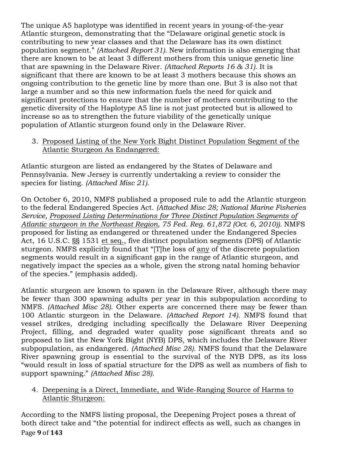The unique A5 haplotype was identified in recent years in young-of-the-year Atlantic sturgeon, demonstrating that the "Delaware original genetic stock is contributing to new year classes and that the Delaware has its own distinct population segment." *(Attached Report 31).* New information is also emerging that there are known to be at least 3 different mothers from this unique genetic line that are spawning in the Delaware River. *(Attached Reports 16 & 31).* It is significant that there are known to be at least 3 mothers because this shows an ongoing contribution to the genetic line by more than one. But 3 is also not that large a number and so this new information fuels the need for quick and significant protections to ensure that the number of mothers contributing to the genetic diversity of the Haplotype A5 line is not just protected but is allowed to increase so as to strengthen the future viability of the genetically unique population of Atlantic sturgeon found only in the Delaware River.

3. Proposed Listing of the New York Bight Distinct Population Segment of the Atlantic Sturgeon As Endangered:

Atlantic sturgeon are listed as endangered by the States of Delaware and Pennsylvania. New Jersey is currently undertaking a review to consider the species for listing. *(Attached Misc 21).*

On October 6, 2010, NMFS published a proposed rule to add the Atlantic sturgeon to the federal Endangered Species Act. *(Attached Misc 28; National Marine Fisheries Service, Proposed Listing Determinations for Three Distinct Population Segments of Atlantic sturgeon in the Northeast Region, 75 Fed. Reg. 61,872 (Oct. 6, 2010)).* NMFS proposed for listing as endangered or threatened under the Endangered Species Act, 16 U.S.C. §§ 1531 et seq., five distinct population segments (DPS) of Atlantic sturgeon. NMFS explicitly found that "[T]he loss of any of the discrete population segments would result in a significant gap in the range of Atlantic sturgeon, and negatively impact the species as a whole, given the strong natal homing behavior of the species." (emphasis added).

Atlantic sturgeon are known to spawn in the Delaware River, although there may be fewer than 300 spawning adults per year in this subpopulation according to NMFS. *(Attached Misc 28).* Other experts are concerned there may be fewer than 100 Atlantic sturgeon in the Delaware. *(Attached Report 14).* NMFS found that vessel strikes, dredging including specifically the Delaware River Deepening Project, filling, and degraded water quality pose significant threats and so proposed to list the New York Bight (NYB) DPS, which includes the Delaware River subpopulation, as endangered. *(Attached Misc 28).* NMFS found that the Delaware River spawning group is essential to the survival of the NYB DPS, as its loss "would result in loss of spatial structure for the DPS as well as numbers of fish to support spawning." *(Attached Misc 28).*

4. Deepening is a Direct, Immediate, and Wide-Ranging Source of Harms to Atlantic Sturgeon:

Page!**9** of!**143** According to the NMFS listing proposal, the Deepening Project poses a threat of both direct take and "the potential for indirect effects as well, such as changes in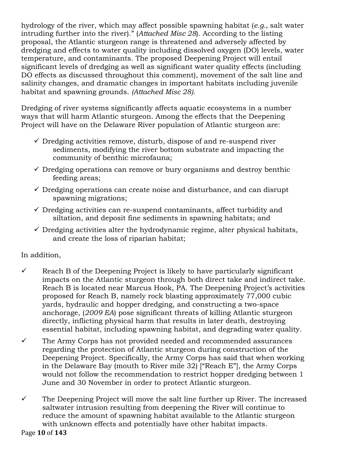hydrology of the river, which may affect possible spawning habitat (*e.g.,* salt water intruding further into the river)." (*Attached Misc 28*). According to the listing proposal, the Atlantic sturgeon range is threatened and adversely affected by dredging and effects to water quality including dissolved oxygen (DO) levels, water temperature, and contaminants. The proposed Deepening Project will entail significant levels of dredging as well as significant water quality effects (including DO effects as discussed throughout this comment), movement of the salt line and salinity changes, and dramatic changes in important habitats including juvenile habitat and spawning grounds. *(Attached Misc 28).*

Dredging of river systems significantly affects aquatic ecosystems in a number ways that will harm Atlantic sturgeon. Among the effects that the Deepening Project will have on the Delaware River population of Atlantic sturgeon are:

- $\checkmark$  Dredging activities remove, disturb, dispose of and re-suspend river sediments, modifying the river bottom substrate and impacting the community of benthic microfauna;
- $\checkmark$  Dredging operations can remove or bury organisms and destroy benthic feeding areas;
- $\checkmark$  Dredging operations can create noise and disturbance, and can disrupt spawning migrations;
- $\checkmark$  Dredging activities can re-suspend contaminants, affect turbidity and siltation, and deposit fine sediments in spawning habitats; and
- $\checkmark$  Dredging activities alter the hydrodynamic regime, alter physical habitats, and create the loss of riparian habitat;

In addition,

- $\checkmark$  Reach B of the Deepening Project is likely to have particularly significant impacts on the Atlantic sturgeon through both direct take and indirect take. Reach B is located near Marcus Hook, PA. The Deepening Project's activities proposed for Reach B, namely rock blasting approximately 77,000 cubic yards, hydraulic and hopper dredging, and constructing a two-space anchorage, (*2009 EA*) pose significant threats of killing Atlantic sturgeon directly, inflicting physical harm that results in later death, destroying essential habitat, including spawning habitat, and degrading water quality.
- $\checkmark$  The Army Corps has not provided needed and recommended assurances regarding the protection of Atlantic sturgeon during construction of the Deepening Project. Specifically, the Army Corps has said that when working in the Delaware Bay (mouth to River mile 32) ["Reach E"], the Army Corps would not follow the recommendation to restrict hopper dredging between 1 June and 30 November in order to protect Atlantic sturgeon.
- $\checkmark$  The Deepening Project will move the salt line further up River. The increased saltwater intrusion resulting from deepening the River will continue to reduce the amount of spawning habitat available to the Atlantic sturgeon with unknown effects and potentially have other habitat impacts.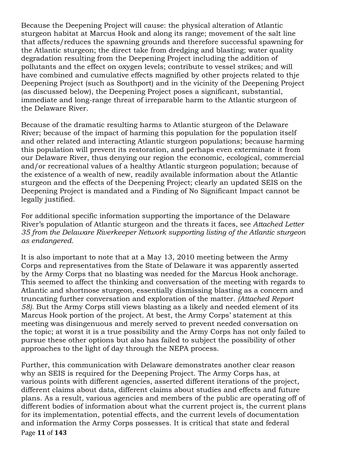Because the Deepening Project will cause: the physical alteration of Atlantic sturgeon habitat at Marcus Hook and along its range; movement of the salt line that affects/reduces the spawning grounds and therefore successful spawning for the Atlantic sturgeon; the direct take from dredging and blasting; water quality degradation resulting from the Deepening Project including the addition of pollutants and the effect on oxygen levels; contribute to vessel strikes; and will have combined and cumulative effects magnified by other projects related to thje Deepening Project (such as Southport) and in the vicinity of the Deepening Project (as discussed below), the Deepening Project poses a significant, substantial, immediate and long-range threat of irreparable harm to the Atlantic sturgeon of the Delaware River.

Because of the dramatic resulting harms to Atlantic sturgeon of the Delaware River; because of the impact of harming this population for the population itself and other related and interacting Atlantic sturgeon populations; because harming this population will prevent its restoration, and perhaps even exterminate it from our Delaware River, thus denying our region the economic, ecological, commercial and/or recreational values of a healthy Atlantic sturgeon population; because of the existence of a wealth of new, readily available information about the Atlantic sturgeon and the effects of the Deepening Project; clearly an updated SEIS on the Deepening Project is mandated and a Finding of No Significant Impact cannot be legally justified.

For additional specific information supporting the importance of the Delaware River's population of Atlantic sturgeon and the threats it faces, see *Attached Letter 35 from the Delaware Riverkeeper Network supporting listing of the Atlantic sturgeon as endangered.*

It is also important to note that at a May 13, 2010 meeting between the Army Corps and representatives from the State of Delaware it was apparently asserted by the Army Corps that no blasting was needed for the Marcus Hook anchorage. This seemed to affect the thinking and conversation of the meeting with regards to Atlantic and shortnose sturgeon, essentially dismissing blasting as a concern and truncating further conversation and exploration of the matter. *(Attached Report 58).* But the Army Corps still views blasting as a likely and needed element of its Marcus Hook portion of the project. At best, the Army Corps' statement at this meeting was disingenuous and merely served to prevent needed conversation on the topic; at worst it is a true possibility and the Army Corps has not only failed to pursue these other options but also has failed to subject the possibility of other approaches to the light of day through the NEPA process.

Page **11** of **143** Further, this communication with Delaware demonstrates another clear reason why an SEIS is required for the Deepening Project. The Army Corps has, at various points with different agencies, asserted different iterations of the project, different claims about data, different claims about studies and effects and future plans. As a result, various agencies and members of the public are operating off of different bodies of information about what the current project is, the current plans for its implementation, potential effects, and the current levels of documentation and information the Army Corps possesses. It is critical that state and federal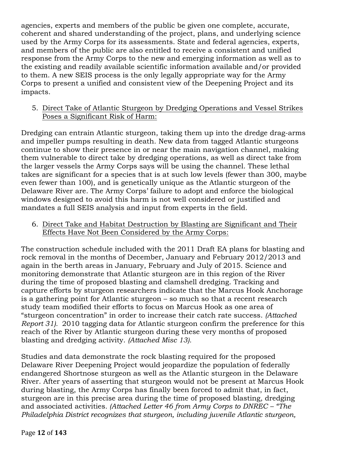agencies, experts and members of the public be given one complete, accurate, coherent and shared understanding of the project, plans, and underlying science used by the Army Corps for its assessments. State and federal agencies, experts, and members of the public are also entitled to receive a consistent and unified response from the Army Corps to the new and emerging information as well as to the existing and readily available scientific information available and/or provided to them. A new SEIS process is the only legally appropriate way for the Army Corps to present a unified and consistent view of the Deepening Project and its impacts.

5. Direct Take of Atlantic Sturgeon by Dredging Operations and Vessel Strikes Poses a Significant Risk of Harm:

Dredging can entrain Atlantic sturgeon, taking them up into the dredge drag-arms and impeller pumps resulting in death. New data from tagged Atlantic sturgeons continue to show their presence in or near the main navigation channel, making them vulnerable to direct take by dredging operations, as well as direct take from the larger vessels the Army Corps says will be using the channel. These lethal takes are significant for a species that is at such low levels (fewer than 300, maybe even fewer than 100), and is genetically unique as the Atlantic sturgeon of the Delaware River are. The Army Corps' failure to adopt and enforce the biological windows designed to avoid this harm is not well considered or justified and mandates a full SEIS analysis and input from experts in the field.

6. Direct Take and Habitat Destruction by Blasting are Significant and Their Effects Have Not Been Considered by the Army Corps:

The construction schedule included with the 2011 Draft EA plans for blasting and rock removal in the months of December, January and February 2012/2013 and again in the berth areas in January, February and July of 2015. Science and monitoring demonstrate that Atlantic sturgeon are in this region of the River during the time of proposed blasting and clamshell dredging. Tracking and capture efforts by sturgeon researchers indicate that the Marcus Hook Anchorage is a gathering point for Atlantic sturgeon – so much so that a recent research study team modified their efforts to focus on Marcus Hook as one area of "sturgeon concentration" in order to increase their catch rate success. *(Attached Report 31).* 2010 tagging data for Atlantic sturgeon confirm the preference for this reach of the River by Atlantic sturgeon during these very months of proposed blasting and dredging activity. *(Attached Misc 13).*

Studies and data demonstrate the rock blasting required for the proposed Delaware River Deepening Project would jeopardize the population of federally endangered Shortnose sturgeon as well as the Atlantic sturgeon in the Delaware River. After years of asserting that sturgeon would not be present at Marcus Hook during blasting, the Army Corps has finally been forced to admit that, in fact, sturgeon are in this precise area during the time of proposed blasting, dredging and associated activities*. (Attached Letter 46 from Army Corps to DNREC – "The Philadelphia District recognizes that sturgeon, including juvenile Atlantic sturgeon,*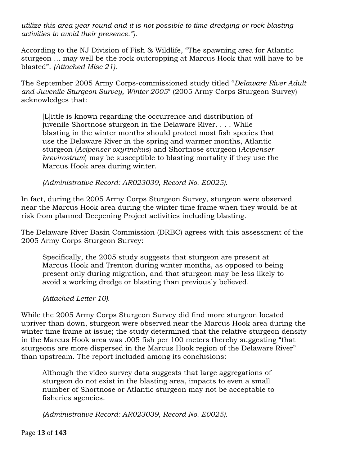*utilize this area year round and it is not possible to time dredging or rock blasting activities to avoid their presence.").*

According to the NJ Division of Fish & Wildlife, "The spawning area for Atlantic sturgeon … may well be the rock outcropping at Marcus Hook that will have to be blasted". *(Attached Misc 21).*

The September 2005 Army Corps-commissioned study titled "*Delaware River Adult and Juvenile Sturgeon Survey, Winter 2005*" (2005 Army Corps Sturgeon Survey) acknowledges that:

[L]ittle is known regarding the occurrence and distribution of juvenile Shortnose sturgeon in the Delaware River. . . . While blasting in the winter months should protect most fish species that use the Delaware River in the spring and warmer months, Atlantic sturgeon (*Acipenser oxyrinchus*) and Shortnose sturgeon (*Acipenser brevirostrum*) may be susceptible to blasting mortality if they use the Marcus Hook area during winter.

*(Administrative Record: AR023039, Record No. E0025).*

In fact, during the 2005 Army Corps Sturgeon Survey, sturgeon were observed near the Marcus Hook area during the winter time frame when they would be at risk from planned Deepening Project activities including blasting.

The Delaware River Basin Commission (DRBC) agrees with this assessment of the 2005 Army Corps Sturgeon Survey:

Specifically, the 2005 study suggests that sturgeon are present at Marcus Hook and Trenton during winter months, as opposed to being present only during migration, and that sturgeon may be less likely to avoid a working dredge or blasting than previously believed.

*(Attached Letter 10).*

While the 2005 Army Corps Sturgeon Survey did find more sturgeon located upriver than down, sturgeon were observed near the Marcus Hook area during the winter time frame at issue; the study determined that the relative sturgeon density in the Marcus Hook area was .005 fish per 100 meters thereby suggesting "that sturgeons are more dispersed in the Marcus Hook region of the Delaware River" than upstream. The report included among its conclusions:

Although the video survey data suggests that large aggregations of sturgeon do not exist in the blasting area, impacts to even a small number of Shortnose or Atlantic sturgeon may not be acceptable to fisheries agencies.

*(Administrative Record: AR023039, Record No. E0025).*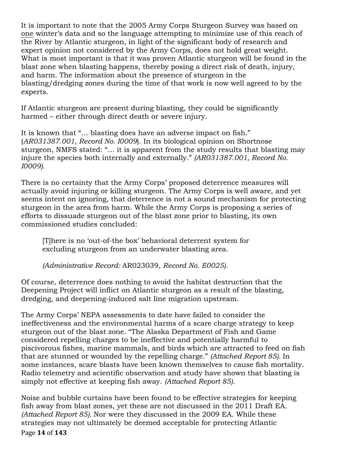It is important to note that the 2005 Army Corps Sturgeon Survey was based on one winter's data and so the language attempting to minimize use of this reach of the River by Atlantic sturgeon, in light of the significant body of research and expert opinion not considered by the Army Corps, does not hold great weight. What is most important is that it was proven Atlantic sturgeon will be found in the blast zone when blasting happens, thereby posing a direct risk of death, injury, and harm. The information about the presence of sturgeon in the blasting/dredging zones during the time of that work is now well agreed to by the experts.

If Atlantic sturgeon are present during blasting, they could be significantly harmed – either through direct death or severe injury.

It is known that "… blasting does have an adverse impact on fish." (*AR031387.001, Record No. I0009*). In its biological opinion on Shortnose sturgeon, NMFS stated: "… it is apparent from the study results that blasting may injure the species both internally and externally." *(AR031387.001, Record No. I0009).*

There is no certainty that the Army Corps' proposed deterrence measures will actually avoid injuring or killing sturgeon. The Army Corps is well aware, and yet seems intent on ignoring, that deterrence is not a sound mechanism for protecting sturgeon in the area from harm. While the Army Corps is proposing a series of efforts to dissuade sturgeon out of the blast zone prior to blasting, its own commissioned studies concluded:

[T]here is no 'out-of-the box' behavioral deterrent system for excluding sturgeon from an underwater blasting area.

*(Administrative Record:* AR023039, *Record No. E0025).*

Of course, deterrence does nothing to avoid the habitat destruction that the Deepening Project will inflict on Atlantic sturgeon as a result of the blasting, dredging, and deepening-induced salt line migration upstream.

The Army Corps' NEPA assessments to date have failed to consider the ineffectiveness and the environmental harms of a scare charge strategy to keep sturgeon out of the blast zone. "The Alaska Department of Fish and Game considered repelling charges to be ineffective and potentially harmful to piscivorous fishes, marine mammals, and birds which are attracted to feed on fish that are stunned or wounded by the repelling charge." *(Attached Report 85).* In some instances, scare blasts have been known themselves to cause fish mortality. Radio telemetry and scientific observation and study have shown that blasting is simply not effective at keeping fish away. *(Attached Report 85).*

Page **14** of **143** Noise and bubble curtains have been found to be effective strategies for keeping fish away from blast zones, yet these are not discussed in the 2011 Draft EA. *(Attached Report 85).* Nor were they discussed in the 2009 EA. While these strategies may not ultimately be deemed acceptable for protecting Atlantic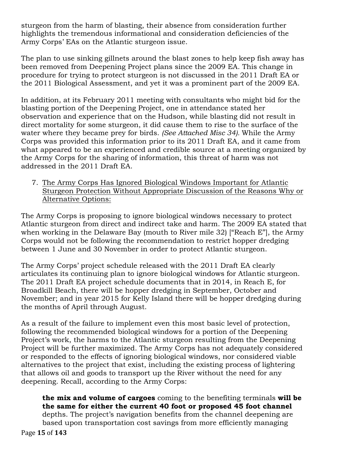sturgeon from the harm of blasting, their absence from consideration further highlights the tremendous informational and consideration deficiencies of the Army Corps' EAs on the Atlantic sturgeon issue.

The plan to use sinking gillnets around the blast zones to help keep fish away has been removed from Deepening Project plans since the 2009 EA. This change in procedure for trying to protect sturgeon is not discussed in the 2011 Draft EA or the 2011 Biological Assessment, and yet it was a prominent part of the 2009 EA.

In addition, at its February 2011 meeting with consultants who might bid for the blasting portion of the Deepening Project, one in attendance stated her observation and experience that on the Hudson, while blasting did not result in direct mortality for some sturgeon, it did cause them to rise to the surface of the water where they became prey for birds. *(See Attached Misc 34).* While the Army Corps was provided this information prior to its 2011 Draft EA, and it came from what appeared to be an experienced and credible source at a meeting organized by the Army Corps for the sharing of information, this threat of harm was not addressed in the 2011 Draft EA.

7. The Army Corps Has Ignored Biological Windows Important for Atlantic Sturgeon Protection Without Appropriate Discussion of the Reasons Why or Alternative Options:

The Army Corps is proposing to ignore biological windows necessary to protect Atlantic sturgeon from direct and indirect take and harm. The 2009 EA stated that when working in the Delaware Bay (mouth to River mile 32) ["Reach E"], the Army Corps would not be following the recommendation to restrict hopper dredging between 1 June and 30 November in order to protect Atlantic sturgeon.

The Army Corps' project schedule released with the 2011 Draft EA clearly articulates its continuing plan to ignore biological windows for Atlantic sturgeon. The 2011 Draft EA project schedule documents that in 2014, in Reach E, for Broadkill Beach, there will be hopper dredging in September, October and November; and in year 2015 for Kelly Island there will be hopper dredging during the months of April through August.

As a result of the failure to implement even this most basic level of protection, following the recommended biological windows for a portion of the Deepening Project's work, the harms to the Atlantic sturgeon resulting from the Deepening Project will be further maximized. The Army Corps has not adequately considered or responded to the effects of ignoring biological windows, nor considered viable alternatives to the project that exist, including the existing process of lightering that allows oil and goods to transport up the River without the need for any deepening. Recall, according to the Army Corps:

Page!**15** of!**143 the mix and volume of cargoes** coming to the benefiting terminals **will be the same for either the current 40 foot or proposed 45 foot channel** depths. The project's navigation benefits from the channel deepening are based upon transportation cost savings from more efficiently managing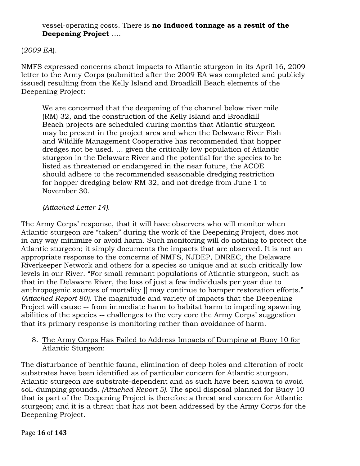### vessel-operating costs. There is **no induced tonnage as a result of the Deepening Project** ….

### (*2009 EA*).

NMFS expressed concerns about impacts to Atlantic sturgeon in its April 16, 2009 letter to the Army Corps (submitted after the 2009 EA was completed and publicly issued) resulting from the Kelly Island and Broadkill Beach elements of the Deepening Project:

We are concerned that the deepening of the channel below river mile (RM) 32, and the construction of the Kelly Island and Broadkill Beach projects are scheduled during months that Atlantic sturgeon may be present in the project area and when the Delaware River Fish and Wildlife Management Cooperative has recommended that hopper dredges not be used. … given the critically low population of Atlantic sturgeon in the Delaware River and the potential for the species to be listed as threatened or endangered in the near future, the ACOE should adhere to the recommended seasonable dredging restriction for hopper dredging below RM 32, and not dredge from June 1 to November 30.

#### *(Attached Letter 14).*

The Army Corps' response, that it will have observers who will monitor when Atlantic sturgeon are "taken" during the work of the Deepening Project, does not in any way minimize or avoid harm. Such monitoring will do nothing to protect the Atlantic sturgeon; it simply documents the impacts that are observed. It is not an appropriate response to the concerns of NMFS, NJDEP, DNREC, the Delaware Riverkeeper Network and others for a species so unique and at such critically low levels in our River. "For small remnant populations of Atlantic sturgeon, such as that in the Delaware River, the loss of just a few individuals per year due to anthropogenic sources of mortality [] may continue to hamper restoration efforts." *(Attached Report 80).* The magnitude and variety of impacts that the Deepening Project will cause -- from immediate harm to habitat harm to impeding spawning abilities of the species -- challenges to the very core the Army Corps' suggestion that its primary response is monitoring rather than avoidance of harm.

8. The Army Corps Has Failed to Address Impacts of Dumping at Buoy 10 for Atlantic Sturgeon:

The disturbance of benthic fauna, elimination of deep holes and alteration of rock substrates have been identified as of particular concern for Atlantic sturgeon. Atlantic sturgeon are substrate-dependent and as such have been shown to avoid soil-dumping grounds. *(Attached Report 5).* The spoil disposal planned for Buoy 10 that is part of the Deepening Project is therefore a threat and concern for Atlantic sturgeon; and it is a threat that has not been addressed by the Army Corps for the Deepening Project.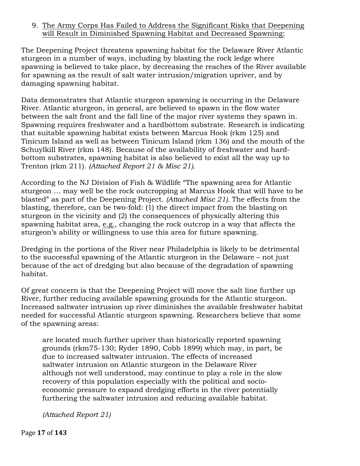### 9. The Army Corps Has Failed to Address the Significant Risks that Deepening will Result in Diminished Spawning Habitat and Decreased Spawning:

The Deepening Project threatens spawning habitat for the Delaware River Atlantic sturgeon in a number of ways, including by blasting the rock ledge where spawning is believed to take place, by decreasing the reaches of the River available for spawning as the result of salt water intrusion/migration upriver, and by damaging spawning habitat.

Data demonstrates that Atlantic sturgeon spawning is occurring in the Delaware River. Atlantic sturgeon, in general, are believed to spawn in the flow water between the salt front and the fall line of the major river systems they spawn in. Spawning requires freshwater and a hardbottom substrate. Research is indicating that suitable spawning habitat exists between Marcus Hook (rkm 125) and Tinicum Island as well as between Tinicum Island (rkm 136) and the mouth of the Schuylkill River (rkm 148). Because of the availability of freshwater and hardbottom substrates, spawning habitat is also believed to exist all the way up to Trenton (rkm 211). *(Attached Report 21 & Misc 21).*

According to the NJ Division of Fish & Wildlife "The spawning area for Atlantic sturgeon … may well be the rock outcropping at Marcus Hook that will have to be blasted" as part of the Deepening Project. *(Attached Misc 21).* The effects from the blasting, therefore, can be two-fold: (1) the direct impact from the blasting on sturgeon in the vicinity and (2) the consequences of physically altering this spawning habitat area, e.g., changing the rock outcrop in a way that affects the sturgeon's ability or willingness to use this area for future spawning.

Dredging in the portions of the River near Philadelphia is likely to be detrimental to the successful spawning of the Atlantic sturgeon in the Delaware – not just because of the act of dredging but also because of the degradation of spawning habitat.

Of great concern is that the Deepening Project will move the salt line further up River, further reducing available spawning grounds for the Atlantic sturgeon. Increased saltwater intrusion up river diminishes the available freshwater habitat needed for successful Atlantic sturgeon spawning. Researchers believe that some of the spawning areas:

are located much further upriver than historically reported spawning grounds (rkm75-130; Ryder 1890, Cobb 1899) which may, in part, be due to increased saltwater intrusion. The effects of increased saltwater intrusion on Atlantic sturgeon in the Delaware River although not well understood, may continue to play a role in the slow recovery of this population especially with the political and socioeconomic pressure to expand dredging efforts in the river potentially furthering the saltwater intrusion and reducing available habitat.

*(Attached Report 21)*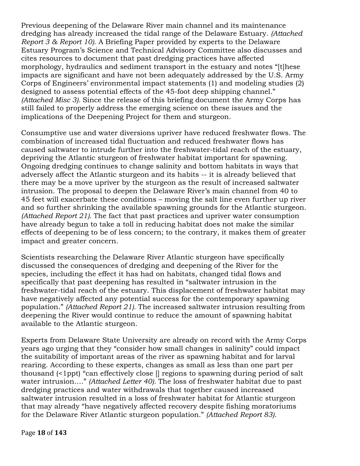Previous deepening of the Delaware River main channel and its maintenance dredging has already increased the tidal range of the Delaware Estuary. *(Attached Report 3 & Report 10).* A Briefing Paper provided by experts to the Delaware Estuary Program's Science and Technical Advisory Committee also discusses and cites resources to document that past dredging practices have affected morphology, hydraulics and sediment transport in the estuary and notes "[t]hese impacts are significant and have not been adequately addressed by the U.S. Army Corps of Engineers' environmental impact statements (1) and modeling studies (2) designed to assess potential effects of the 45-foot deep shipping channel." *(Attached Misc 3).* Since the release of this briefing document the Army Corps has still failed to properly address the emerging science on these issues and the implications of the Deepening Project for them and sturgeon.

Consumptive use and water diversions upriver have reduced freshwater flows. The combination of increased tidal fluctuation and reduced freshwater flows has caused saltwater to intrude further into the freshwater-tidal reach of the estuary, depriving the Atlantic sturgeon of freshwater habitat important for spawning. Ongoing dredging continues to change salinity and bottom habitats in ways that adversely affect the Atlantic sturgeon and its habits -- it is already believed that there may be a move upriver by the sturgeon as the result of increased saltwater intrusion. The proposal to deepen the Delaware River's main channel from 40 to 45 feet will exacerbate these conditions – moving the salt line even further up river and so further shrinking the available spawning grounds for the Atlantic sturgeon. *(Attached Report 21).* The fact that past practices and upriver water consumption have already begun to take a toll in reducing habitat does not make the similar effects of deepening to be of less concern; to the contrary, it makes them of greater impact and greater concern.

Scientists researching the Delaware River Atlantic sturgeon have specifically discussed the consequences of dredging and deepening of the River for the species, including the effect it has had on habitats, changed tidal flows and specifically that past deepening has resulted in "saltwater intrusion in the freshwater-tidal reach of the estuary. This displacement of freshwater habitat may have negatively affected any potential success for the contemporary spawning population." *(Attached Report 21).* The increased saltwater intrusion resulting from deepening the River would continue to reduce the amount of spawning habitat available to the Atlantic sturgeon.

Experts from Delaware State University are already on record with the Army Corps years ago urging that they "consider how small changes in salinity" could impact the suitability of important areas of the river as spawning habitat and for larval rearing. According to these experts, changes as small as less than one part per thousand (<1ppt) "can effectively close [] regions to spawning during period of salt water intrusion…." *(Attached Letter 40).* The loss of freshwater habitat due to past dredging practices and water withdrawals that together caused increased saltwater intrusion resulted in a loss of freshwater habitat for Atlantic sturgeon that may already "have negatively affected recovery despite fishing moratoriums for the Delaware River Atlantic sturgeon population." *(Attached Report 83).*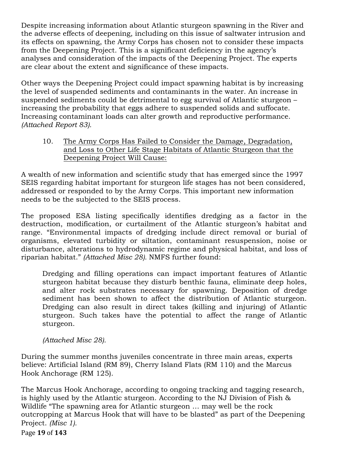Despite increasing information about Atlantic sturgeon spawning in the River and the adverse effects of deepening, including on this issue of saltwater intrusion and its effects on spawning, the Army Corps has chosen not to consider these impacts from the Deepening Project. This is a significant deficiency in the agency's analyses and consideration of the impacts of the Deepening Project. The experts are clear about the extent and significance of these impacts.

Other ways the Deepening Project could impact spawning habitat is by increasing the level of suspended sediments and contaminants in the water. An increase in suspended sediments could be detrimental to egg survival of Atlantic sturgeon – increasing the probability that eggs adhere to suspended solids and suffocate. Increasing contaminant loads can alter growth and reproductive performance. *(Attached Report 83).*

10. The Army Corps Has Failed to Consider the Damage, Degradation, and Loss to Other Life Stage Habitats of Atlantic Sturgeon that the Deepening Project Will Cause:

A wealth of new information and scientific study that has emerged since the 1997 SEIS regarding habitat important for sturgeon life stages has not been considered, addressed or responded to by the Army Corps. This important new information needs to be the subjected to the SEIS process.

The proposed ESA listing specifically identifies dredging as a factor in the destruction, modification, or curtailment of the Atlantic sturgeon's habitat and range. "Environmental impacts of dredging include direct removal or burial of organisms, elevated turbidity or siltation, contaminant resuspension, noise or disturbance, alterations to hydrodynamic regime and physical habitat, and loss of riparian habitat." *(Attached Misc 28).* NMFS further found:

Dredging and filling operations can impact important features of Atlantic sturgeon habitat because they disturb benthic fauna, eliminate deep holes, and alter rock substrates necessary for spawning. Deposition of dredge sediment has been shown to affect the distribution of Atlantic sturgeon. Dredging can also result in direct takes (killing and injuring) of Atlantic sturgeon. Such takes have the potential to affect the range of Atlantic sturgeon.

*(Attached Misc 28).*

During the summer months juveniles concentrate in three main areas, experts believe: Artificial Island (RM 89), Cherry Island Flats (RM 110) and the Marcus Hook Anchorage (RM 125).

The Marcus Hook Anchorage, according to ongoing tracking and tagging research, is highly used by the Atlantic sturgeon. According to the NJ Division of Fish & Wildlife "The spawning area for Atlantic sturgeon … may well be the rock outcropping at Marcus Hook that will have to be blasted" as part of the Deepening Project. *(Misc 1).*

Page **19** of **143**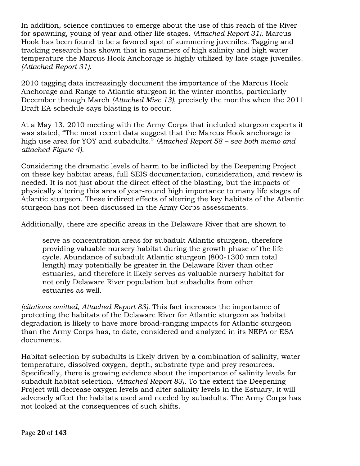In addition, science continues to emerge about the use of this reach of the River for spawning, young of year and other life stages. *(Attached Report 31).* Marcus Hook has been found to be a favored spot of summering juveniles. Tagging and tracking research has shown that in summers of high salinity and high water temperature the Marcus Hook Anchorage is highly utilized by late stage juveniles. *(Attached Report 31).*

2010 tagging data increasingly document the importance of the Marcus Hook Anchorage and Range to Atlantic sturgeon in the winter months, particularly December through March *(Attached Misc 13)*, precisely the months when the 2011 Draft EA schedule says blasting is to occur.

At a May 13, 2010 meeting with the Army Corps that included sturgeon experts it was stated, "The most recent data suggest that the Marcus Hook anchorage is high use area for YOY and subadults." *(Attached Report 58 – see both memo and attached Figure 4).*

Considering the dramatic levels of harm to be inflicted by the Deepening Project on these key habitat areas, full SEIS documentation, consideration, and review is needed. It is not just about the direct effect of the blasting, but the impacts of physically altering this area of year-round high importance to many life stages of Atlantic sturgeon. These indirect effects of altering the key habitats of the Atlantic sturgeon has not been discussed in the Army Corps assessments.

Additionally, there are specific areas in the Delaware River that are shown to

serve as concentration areas for subadult Atlantic sturgeon, therefore providing valuable nursery habitat during the growth phase of the life cycle. Abundance of subadult Atlantic sturgeon (800-1300 mm total length) may potentially be greater in the Delaware River than other estuaries, and therefore it likely serves as valuable nursery habitat for not only Delaware River population but subadults from other estuaries as well.

*(citations omitted, Attached Report 83).* This fact increases the importance of protecting the habitats of the Delaware River for Atlantic sturgeon as habitat degradation is likely to have more broad-ranging impacts for Atlantic sturgeon than the Army Corps has, to date, considered and analyzed in its NEPA or ESA documents.

Habitat selection by subadults is likely driven by a combination of salinity, water temperature, dissolved oxygen, depth, substrate type and prey resources. Specifically, there is growing evidence about the importance of salinity levels for subadult habitat selection. *(Attached Report 83).* To the extent the Deepening Project will decrease oxygen levels and alter salinity levels in the Estuary, it will adversely affect the habitats used and needed by subadults. The Army Corps has not looked at the consequences of such shifts.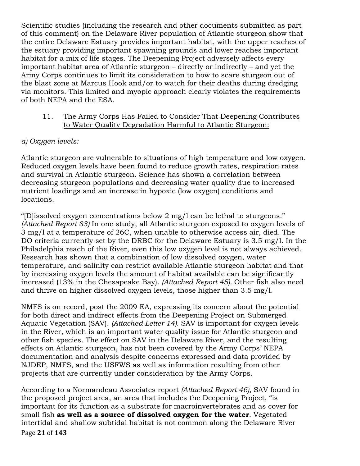Scientific studies (including the research and other documents submitted as part of this comment) on the Delaware River population of Atlantic sturgeon show that the entire Delaware Estuary provides important habitat, with the upper reaches of the estuary providing important spawning grounds and lower reaches important habitat for a mix of life stages. The Deepening Project adversely affects every important habitat area of Atlantic sturgeon – directly or indirectly – and yet the Army Corps continues to limit its consideration to how to scare sturgeon out of the blast zone at Marcus Hook and/or to watch for their deaths during dredging via monitors. This limited and myopic approach clearly violates the requirements of both NEPA and the ESA.

### 11. The Army Corps Has Failed to Consider That Deepening Contributes to Water Quality Degradation Harmful to Atlantic Sturgeon:

# *a) Oxygen levels:*

Atlantic sturgeon are vulnerable to situations of high temperature and low oxygen. Reduced oxygen levels have been found to reduce growth rates, respiration rates and survival in Atlantic sturgeon. Science has shown a correlation between decreasing sturgeon populations and decreasing water quality due to increased nutrient loadings and an increase in hypoxic (low oxygen) conditions and locations.

"[D]issolved oxygen concentrations below 2 mg/l can be lethal to sturgeons." *(Attached Report 83)* In one study, all Atlantic sturgeon exposed to oxygen levels of 3 mg/l at a temperature of 26C, when unable to otherwise access air, died. The DO criteria currently set by the DRBC for the Delaware Estuary is 3.5 mg/l. In the Philadelphia reach of the River, even this low oxygen level is not always achieved. Research has shown that a combination of low dissolved oxygen, water temperature, and salinity can restrict available Atlantic sturgeon habitat and that by increasing oxygen levels the amount of habitat available can be significantly increased (13% in the Chesapeake Bay). *(Attached Report 45).* Other fish also need and thrive on higher dissolved oxygen levels, those higher than 3.5 mg/l.

NMFS is on record, post the 2009 EA, expressing its concern about the potential for both direct and indirect effects from the Deepening Project on Submerged Aquatic Vegetation (SAV). *(Attached Letter 14).* SAV is important for oxygen levels in the River, which is an important water quality issue for Atlantic sturgeon and other fish species. The effect on SAV in the Delaware River, and the resulting effects on Atlantic sturgeon, has not been covered by the Army Corps' NEPA documentation and analysis despite concerns expressed and data provided by NJDEP, NMFS, and the USFWS as well as information resulting from other projects that are currently under consideration by the Army Corps.

Page!**21** of!**143** According to a Normandeau Associates report *(Attached Report 46),* SAV found in the proposed project area, an area that includes the Deepening Project, "is important for its function as a substrate for macroinvertebrates and as cover for small fish **as well as a source of dissolved oxygen for the water**. Vegetated intertidal and shallow subtidal habitat is not common along the Delaware River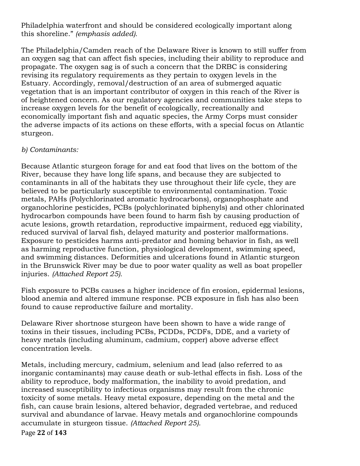Philadelphia waterfront and should be considered ecologically important along this shoreline." *(emphasis added).*

The Philadelphia/Camden reach of the Delaware River is known to still suffer from an oxygen sag that can affect fish species, including their ability to reproduce and propagate. The oxygen sag is of such a concern that the DRBC is considering revising its regulatory requirements as they pertain to oxygen levels in the Estuary. Accordingly, removal/destruction of an area of submerged aquatic vegetation that is an important contributor of oxygen in this reach of the River is of heightened concern. As our regulatory agencies and communities take steps to increase oxygen levels for the benefit of ecologically, recreationally and economically important fish and aquatic species, the Army Corps must consider the adverse impacts of its actions on these efforts, with a special focus on Atlantic sturgeon.

### *b) Contaminants:*

Because Atlantic sturgeon forage for and eat food that lives on the bottom of the River, because they have long life spans, and because they are subjected to contaminants in all of the habitats they use throughout their life cycle, they are believed to be particularly susceptible to environmental contamination. Toxic metals, PAHs (Polychlorinated aromatic hydrocarbons), organophosphate and organochlorine pesticides, PCBs (polychlorinated biphenyls) and other chlorinated hydrocarbon compounds have been found to harm fish by causing production of acute lesions, growth retardation, reproductive impairment, reduced egg viability, reduced survival of larval fish, delayed maturity and posterior malformations. Exposure to pesticides harms anti-predator and homing behavior in fish, as well as harming reproductive function, physiological development, swimming speed, and swimming distances. Deformities and ulcerations found in Atlantic sturgeon in the Brunswick River may be due to poor water quality as well as boat propeller injuries. *(Attached Report 25).*

Fish exposure to PCBs causes a higher incidence of fin erosion, epidermal lesions, blood anemia and altered immune response. PCB exposure in fish has also been found to cause reproductive failure and mortality.

Delaware River shortnose sturgeon have been shown to have a wide range of toxins in their tissues, including PCBs, PCDDs, PCDFs, DDE, and a variety of heavy metals (including aluminum, cadmium, copper) above adverse effect concentration levels.

Metals, including mercury, cadmium, selenium and lead (also referred to as inorganic contaminants) may cause death or sub-lethal effects in fish. Loss of the ability to reproduce, body malformation, the inability to avoid predation, and increased susceptibility to infectious organisms may result from the chronic toxicity of some metals. Heavy metal exposure, depending on the metal and the fish, can cause brain lesions, altered behavior, degraded vertebrae, and reduced survival and abundance of larvae. Heavy metals and organochlorine compounds accumulate in sturgeon tissue. *(Attached Report 25).*

Page!**22** of!**143**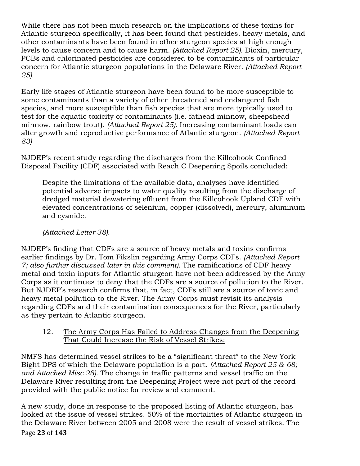While there has not been much research on the implications of these toxins for Atlantic sturgeon specifically, it has been found that pesticides, heavy metals, and other contaminants have been found in other sturgeon species at high enough levels to cause concern and to cause harm. *(Attached Report 25).* Dioxin, mercury, PCBs and chlorinated pesticides are considered to be contaminants of particular concern for Atlantic sturgeon populations in the Delaware River. *(Attached Report 25).*

Early life stages of Atlantic sturgeon have been found to be more susceptible to some contaminants than a variety of other threatened and endangered fish species, and more susceptible than fish species that are more typically used to test for the aquatic toxicity of contaminants (i.e. fathead minnow, sheepshead minnow, rainbow trout). *(Attached Report 25).* Increasing contaminant loads can alter growth and reproductive performance of Atlantic sturgeon. *(Attached Report 83)*

NJDEP's recent study regarding the discharges from the Killcohook Confined Disposal Facility (CDF) associated with Reach C Deepening Spoils concluded:

Despite the limitations of the available data, analyses have identified potential adverse impacts to water quality resulting from the discharge of dredged material dewatering effluent from the Killcohook Upland CDF with elevated concentrations of selenium, copper (dissolved), mercury, aluminum and cyanide.

# *(Attached Letter 38).*

NJDEP's finding that CDFs are a source of heavy metals and toxins confirms earlier findings by Dr. Tom Fikslin regarding Army Corps CDFs. *(Attached Report 7; also further discussed later in this comment).* The ramifications of CDF heavy metal and toxin inputs for Atlantic sturgeon have not been addressed by the Army Corps as it continues to deny that the CDFs are a source of pollution to the River. But NJDEP's research confirms that, in fact, CDFs still are a source of toxic and heavy metal pollution to the River. The Army Corps must revisit its analysis regarding CDFs and their contamination consequences for the River, particularly as they pertain to Atlantic sturgeon.

12. The Army Corps Has Failed to Address Changes from the Deepening That Could Increase the Risk of Vessel Strikes:

NMFS has determined vessel strikes to be a "significant threat" to the New York Bight DPS of which the Delaware population is a part. *(Attached Report 25 & 68; and Attached Misc 28).* The change in traffic patterns and vessel traffic on the Delaware River resulting from the Deepening Project were not part of the record provided with the public notice for review and comment.

Page 23 of 143 A new study, done in response to the proposed listing of Atlantic sturgeon, has looked at the issue of vessel strikes. 50% of the mortalities of Atlantic sturgeon in the Delaware River between 2005 and 2008 were the result of vessel strikes. The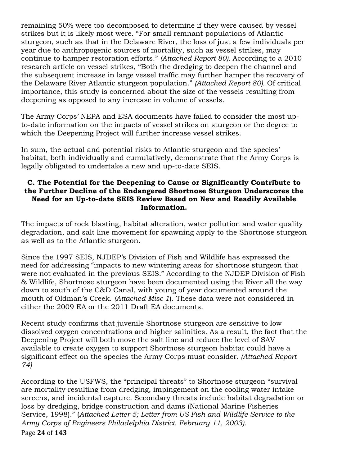remaining 50% were too decomposed to determine if they were caused by vessel strikes but it is likely most were. "For small remnant populations of Atlantic sturgeon, such as that in the Delaware River, the loss of just a few individuals per year due to anthropogenic sources of mortality, such as vessel strikes, may continue to hamper restoration efforts." *(Attached Report 80).* According to a 2010 research article on vessel strikes, "Both the dredging to deepen the channel and the subsequent increase in large vessel traffic may further hamper the recovery of the Delaware River Atlantic sturgeon population." *(Attached Report 80).* Of critical importance, this study is concerned about the size of the vessels resulting from deepening as opposed to any increase in volume of vessels.

The Army Corps' NEPA and ESA documents have failed to consider the most upto-date information on the impacts of vessel strikes on sturgeon or the degree to which the Deepening Project will further increase vessel strikes.

In sum, the actual and potential risks to Atlantic sturgeon and the species' habitat, both individually and cumulatively, demonstrate that the Army Corps is legally obligated to undertake a new and up-to-date SEIS.

### **C. The Potential for the Deepening to Cause or Significantly Contribute to the Further Decline of the Endangered Shortnose Sturgeon Underscores the Need for an Up-to-date SEIS Review Based on New and Readily Available Information.**

The impacts of rock blasting, habitat alteration, water pollution and water quality degradation, and salt line movement for spawning apply to the Shortnose sturgeon as well as to the Atlantic sturgeon.

Since the 1997 SEIS, NJDEP's Division of Fish and Wildlife has expressed the need for addressing "impacts to new wintering areas for shortnose sturgeon that were not evaluated in the previous SEIS." According to the NJDEP Division of Fish & Wildlife, Shortnose sturgeon have been documented using the River all the way down to south of the C&D Canal, with young of year documented around the mouth of Oldman's Creek. *(Attached Misc 1*). These data were not considered in either the 2009 EA or the 2011 Draft EA documents.

Recent study confirms that juvenile Shortnose sturgeon are sensitive to low dissolved oxygen concentrations and higher salinities. As a result, the fact that the Deepening Project will both move the salt line and reduce the level of SAV available to create oxygen to support Shortnose sturgeon habitat could have a significant effect on the species the Army Corps must consider*. (Attached Report 74)*

Page!**24** of!**143** According to the USFWS, the "principal threats" to Shortnose sturgeon "survival are mortality resulting from dredging, impingement on the cooling water intake screens, and incidental capture. Secondary threats include habitat degradation or loss by dredging, bridge construction and dams (National Marine Fisheries Service, 1998)." (*Attached Letter 5; Letter from US Fish and Wildlife Service to the Army Corps of Engineers Philadelphia District, February 11, 2003).*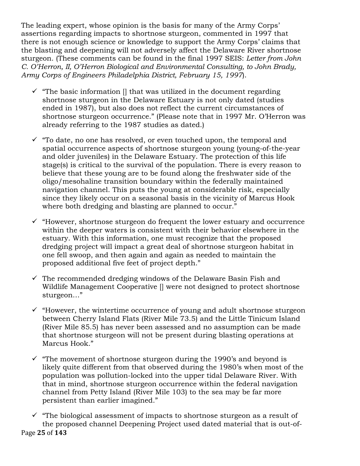The leading expert, whose opinion is the basis for many of the Army Corps' assertions regarding impacts to shortnose sturgeon, commented in 1997 that there is not enough science or knowledge to support the Army Corps' claims that the blasting and deepening will not adversely affect the Delaware River shortnose sturgeon. (These comments can be found in the final 1997 SEIS: *Letter from John C. O'Herron, II, O'Herron Biological and Environmental Consulting, to John Brady, Army Corps of Engineers Philadelphia District, February 15, 1997*).

- $\checkmark$  "The basic information  $\checkmark$  that was utilized in the document regarding shortnose sturgeon in the Delaware Estuary is not only dated (studies ended in 1987), but also does not reflect the current circumstances of shortnose sturgeon occurrence." (Please note that in 1997 Mr. O'Herron was already referring to the 1987 studies as dated.)
- $\checkmark$  "To date, no one has resolved, or even touched upon, the temporal and spatial occurrence aspects of shortnose sturgeon young (young-of-the-year and older juveniles) in the Delaware Estuary. The protection of this life stage(s) is critical to the survival of the population. There is every reason to believe that these young are to be found along the freshwater side of the oligo/mesohaline transition boundary within the federally maintained navigation channel. This puts the young at considerable risk, especially since they likely occur on a seasonal basis in the vicinity of Marcus Hook where both dredging and blasting are planned to occur."
- $\checkmark$  "However, shortnose sturgeon do frequent the lower estuary and occurrence within the deeper waters is consistent with their behavior elsewhere in the estuary. With this information, one must recognize that the proposed dredging project will impact a great deal of shortnose sturgeon habitat in one fell swoop, and then again and again as needed to maintain the proposed additional five feet of project depth."
- $\checkmark$  The recommended dredging windows of the Delaware Basin Fish and Wildlife Management Cooperative [] were not designed to protect shortnose sturgeon…"
- $\checkmark$  "However, the wintertime occurrence of young and adult shortnose sturgeon between Cherry Island Flats (River Mile 73.5) and the Little Tinicum Island (River Mile 85.5) has never been assessed and no assumption can be made that shortnose sturgeon will not be present during blasting operations at Marcus Hook."
- $\checkmark$  "The movement of shortnose sturgeon during the 1990's and beyond is likely quite different from that observed during the 1980's when most of the population was pollution-locked into the upper tidal Delaware River. With that in mind, shortnose sturgeon occurrence within the federal navigation channel from Petty Island (River Mile 103) to the sea may be far more persistent than earlier imagined."
- Page!**25** of!**143**  $\checkmark$  "The biological assessment of impacts to shortnose sturgeon as a result of the proposed channel Deepening Project used dated material that is out-of-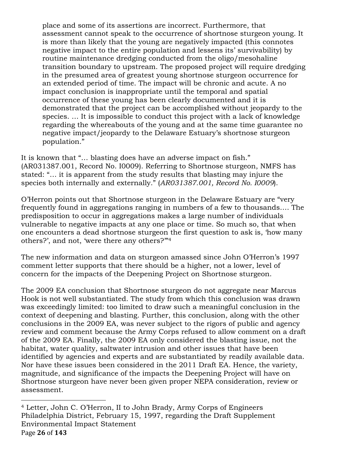place and some of its assertions are incorrect. Furthermore, that assessment cannot speak to the occurrence of shortnose sturgeon young. It is more than likely that the young are negatively impacted (this connotes negative impact to the entire population and lessens its' survivability) by routine maintenance dredging conducted from the oligo/mesohaline transition boundary to upstream. The proposed project will require dredging in the presumed area of greatest young shortnose sturgeon occurrence for an extended period of time. The impact will be chronic and acute. A no impact conclusion is inappropriate until the temporal and spatial occurrence of these young has been clearly documented and it is demonstrated that the project can be accomplished without jeopardy to the species. … It is impossible to conduct this project with a lack of knowledge regarding the whereabouts of the young and at the same time guarantee no negative impact/jeopardy to the Delaware Estuary's shortnose sturgeon population."

It is known that "… blasting does have an adverse impact on fish." (AR031387.001, Record No. I0009). Referring to Shortnose sturgeon, NMFS has stated: "… it is apparent from the study results that blasting may injure the species both internally and externally." (*AR031387.001, Record No. I0009*).

O'Herron points out that Shortnose sturgeon in the Delaware Estuary are "very frequently found in aggregations ranging in numbers of a few to thousands…. The predisposition to occur in aggregations makes a large number of individuals vulnerable to negative impacts at any one place or time. So much so, that when one encounters a dead shortnose sturgeon the first question to ask is, 'how many others?', and not, 'were there any others?'"4

The new information and data on sturgeon amassed since John O'Herron's 1997 comment letter supports that there should be a higher, not a lower, level of concern for the impacts of the Deepening Project on Shortnose sturgeon.

The 2009 EA conclusion that Shortnose sturgeon do not aggregate near Marcus Hook is not well substantiated. The study from which this conclusion was drawn was exceedingly limited: too limited to draw such a meaningful conclusion in the context of deepening and blasting. Further, this conclusion, along with the other conclusions in the 2009 EA, was never subject to the rigors of public and agency review and comment because the Army Corps refused to allow comment on a draft of the 2009 EA. Finally, the 2009 EA only considered the blasting issue, not the habitat, water quality, saltwater intrusion and other issues that have been identified by agencies and experts and are substantiated by readily available data. Nor have these issues been considered in the 2011 Draft EA. Hence, the variety, magnitude, and significance of the impacts the Deepening Project will have on Shortnose sturgeon have never been given proper NEPA consideration, review or assessment.

Page!**26** of!**143** !!!!!!!!!!!!!!!!!!!!!!!!!!!!!!!!!!!!!!!!!!!!!!!!!!!!!!! <sup>4</sup> Letter, John C. O'Herron, II to John Brady, Army Corps of Engineers Philadelphia District, February 15, 1997, regarding the Draft Supplement Environmental Impact Statement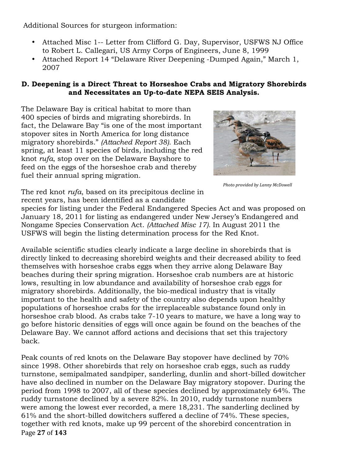Additional Sources for sturgeon information:

- Attached Misc 1-- Letter from Clifford G. Day, Supervisor, USFWS NJ Office to Robert L. Callegari, US Army Corps of Engineers, June 8, 1999
- Attached Report 14 "Delaware River Deepening -Dumped Again," March 1, 2007

### **D. Deepening is a Direct Threat to Horseshoe Crabs and Migratory Shorebirds and Necessitates an Up-to-date NEPA SEIS Analysis.**

The Delaware Bay is critical habitat to more than 400 species of birds and migrating shorebirds. In fact, the Delaware Bay "is one of the most important stopover sites in North America for long distance migratory shorebirds." *(Attached Report 38).* Each spring, at least 11 species of birds, including the red knot *rufa*, stop over on the Delaware Bayshore to feed on the eggs of the horseshoe crab and thereby fuel their annual spring migration.



**Photo provided by Lanny McDowell** 

The red knot *rufa*, based on its precipitous decline in recent years, has been identified as a candidate

species for listing under the Federal Endangered Species Act and was proposed on January 18, 2011 for listing as endangered under New Jersey's Endangered and Nongame Species Conservation Act. *(Attached Misc 17).* In August 2011 the USFWS will begin the listing determination process for the Red Knot.

Available scientific studies clearly indicate a large decline in shorebirds that is directly linked to decreasing shorebird weights and their decreased ability to feed themselves with horseshoe crabs eggs when they arrive along Delaware Bay beaches during their spring migration. Horseshoe crab numbers are at historic lows, resulting in low abundance and availability of horseshoe crab eggs for migratory shorebirds. Additionally, the bio-medical industry that is vitally important to the health and safety of the country also depends upon healthy populations of horseshoe crabs for the irreplaceable substance found only in horseshoe crab blood. As crabs take 7-10 years to mature, we have a long way to go before historic densities of eggs will once again be found on the beaches of the Delaware Bay. We cannot afford actions and decisions that set this trajectory back.

Page!**27** of!**143** Peak counts of red knots on the Delaware Bay stopover have declined by 70% since 1998. Other shorebirds that rely on horseshoe crab eggs, such as ruddy turnstone, semipalmated sandpiper, sanderling, dunlin and short-billed dowitcher have also declined in number on the Delaware Bay migratory stopover. During the period from 1998 to 2007, all of these species declined by approximately 64%. The ruddy turnstone declined by a severe 82%. In 2010, ruddy turnstone numbers were among the lowest ever recorded, a mere 18,231. The sanderling declined by 61% and the short-billed dowitchers suffered a decline of 74%. These species, together with red knots, make up 99 percent of the shorebird concentration in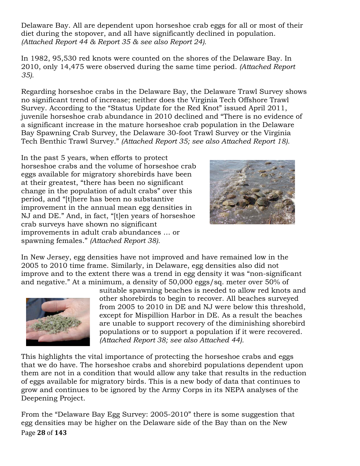Delaware Bay. All are dependent upon horseshoe crab eggs for all or most of their diet during the stopover, and all have significantly declined in population. *(Attached Report 44 & Report 35 & see also Report 24).*

In 1982, 95,530 red knots were counted on the shores of the Delaware Bay. In 2010, only 14,475 were observed during the same time period. *(Attached Report 35).*

Regarding horseshoe crabs in the Delaware Bay, the Delaware Trawl Survey shows no significant trend of increase; neither does the Virginia Tech Offshore Trawl Survey. According to the "Status Update for the Red Knot" issued April 2011, juvenile horseshoe crab abundance in 2010 declined and "There is no evidence of a significant increase in the mature horseshoe crab population in the Delaware Bay Spawning Crab Survey, the Delaware 30-foot Trawl Survey or the Virginia Tech Benthic Trawl Survey." *(Attached Report 35; see also Attached Report 18).*

In the past 5 years, when efforts to protect horseshoe crabs and the volume of horseshoe crab eggs available for migratory shorebirds have been at their greatest, "there has been no significant change in the population of adult crabs" over this period, and "[t]here has been no substantive improvement in the annual mean egg densities in NJ and DE." And, in fact, "[t]en years of horseshoe crab surveys have shown no significant improvements in adult crab abundances … or spawning females." *(Attached Report 38).*



In New Jersey, egg densities have not improved and have remained low in the 2005 to 2010 time frame. Similarly, in Delaware, egg densities also did not improve and to the extent there was a trend in egg density it was "non-significant and negative." At a minimum, a density of 50,000 eggs/sq. meter over 50% of



suitable spawning beaches is needed to allow red knots and other shorebirds to begin to recover. All beaches surveyed from 2005 to 2010 in DE and NJ were below this threshold, except for Mispillion Harbor in DE. As a result the beaches are unable to support recovery of the diminishing shorebird populations or to support a population if it were recovered. *(Attached Report 38; see also Attached 44).*

This highlights the vital importance of protecting the horseshoe crabs and eggs that we do have. The horseshoe crabs and shorebird populations dependent upon them are not in a condition that would allow any take that results in the reduction of eggs available for migratory birds. This is a new body of data that continues to grow and continues to be ignored by the Army Corps in its NEPA analyses of the Deepening Project.

Page!**28** of!**143** From the "Delaware Bay Egg Survey: 2005-2010" there is some suggestion that egg densities may be higher on the Delaware side of the Bay than on the New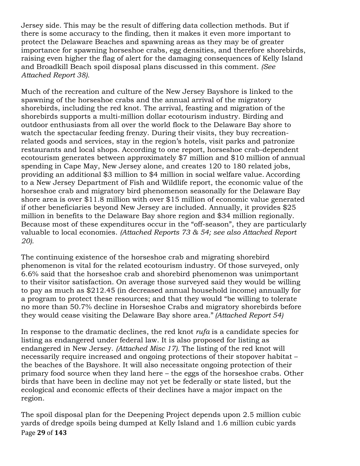Jersey side. This may be the result of differing data collection methods. But if there is some accuracy to the finding, then it makes it even more important to protect the Delaware Beaches and spawning areas as they may be of greater importance for spawning horseshoe crabs, egg densities, and therefore shorebirds, raising even higher the flag of alert for the damaging consequences of Kelly Island and Broadkill Beach spoil disposal plans discussed in this comment. *(See Attached Report 38).*

Much of the recreation and culture of the New Jersey Bayshore is linked to the spawning of the horseshoe crabs and the annual arrival of the migratory shorebirds, including the red knot. The arrival, feasting and migration of the shorebirds supports a multi-million dollar ecotourism industry. Birding and outdoor enthusiasts from all over the world flock to the Delaware Bay shore to watch the spectacular feeding frenzy. During their visits, they buy recreationrelated goods and services, stay in the region's hotels, visit parks and patronize restaurants and local shops. According to one report, horseshoe crab-dependent ecotourism generates between approximately \$7 million and \$10 million of annual spending in Cape May, New Jersey alone, and creates 120 to 180 related jobs, providing an additional \$3 million to \$4 million in social welfare value. According to a New Jersey Department of Fish and Wildlife report, the economic value of the horseshoe crab and migratory bird phenomenon seasonally for the Delaware Bay shore area is over \$11.8 million with over \$15 million of economic value generated if other beneficiaries beyond New Jersey are included. Annually, it provides \$25 million in benefits to the Delaware Bay shore region and \$34 million regionally. Because most of these expenditures occur in the "off-season", they are particularly valuable to local economies. *(Attached Reports 73 & 54; see also Attached Report 20).*

The continuing existence of the horseshoe crab and migrating shorebird phenomenon is vital for the related ecotourism industry. Of those surveyed, only 6.6% said that the horseshoe crab and shorebird phenomenon was unimportant to their visitor satisfaction. On average those surveyed said they would be willing to pay as much as \$212.45 (in decreased annual household income) annually for a program to protect these resources; and that they would "be willing to tolerate no more than 50.7% decline in Horseshoe Crabs and migratory shorebirds before they would cease visiting the Delaware Bay shore area." *(Attached Report 54)*

In response to the dramatic declines, the red knot *rufa* is a candidate species for listing as endangered under federal law. It is also proposed for listing as endangered in New Jersey. *(Attached Misc 17).* The listing of the red knot will necessarily require increased and ongoing protections of their stopover habitat – the beaches of the Bayshore. It will also necessitate ongoing protection of their primary food source when they land here – the eggs of the horseshoe crabs. Other birds that have been in decline may not yet be federally or state listed, but the ecological and economic effects of their declines have a major impact on the region.

Page!**29** of!**143** The spoil disposal plan for the Deepening Project depends upon 2.5 million cubic yards of dredge spoils being dumped at Kelly Island and 1.6 million cubic yards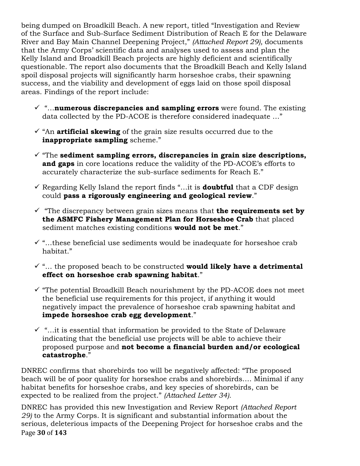being dumped on Broadkill Beach. A new report, titled "Investigation and Review of the Surface and Sub-Surface Sediment Distribution of Reach E for the Delaware River and Bay Main Channel Deepening Project," *(Attached Report 29),* documents that the Army Corps' scientific data and analyses used to assess and plan the Kelly Island and Broadkill Beach projects are highly deficient and scientifically questionable. The report also documents that the Broadkill Beach and Kelly Island spoil disposal projects will significantly harm horseshoe crabs, their spawning success, and the viability and development of eggs laid on those spoil disposal areas. Findings of the report include:

- $\checkmark$  "...**numerous discrepancies and sampling errors** were found. The existing data collected by the PD-ACOE is therefore considered inadequate …"
- $\checkmark$  "An **artificial skewing** of the grain size results occurred due to the **inappropriate sampling** scheme."
- $\checkmark$  "The **sediment sampling errors, discrepancies in grain size descriptions, and gaps** in core locations reduce the validity of the PD-ACOE's efforts to accurately characterize the sub-surface sediments for Reach E."
- ! Regarding Kelly Island the report finds "…it is **doubtful** that a CDF design could **pass a rigorously engineering and geological review**."
- $\checkmark$  "The discrepancy between grain sizes means that **the requirements set by the ASMFC Fishery Management Plan for Horseshoe Crab** that placed sediment matches existing conditions **would not be met**."
- $\checkmark$  "...these beneficial use sediments would be inadequate for horseshoe crab habitat."
- $\checkmark$  "... the proposed beach to be constructed **would likely have a detrimental effect on horseshoe crab spawning habitat**."
- $\checkmark$  "The potential Broadkill Beach nourishment by the PD-ACOE does not meet the beneficial use requirements for this project, if anything it would negatively impact the prevalence of horseshoe crab spawning habitat and **impede horseshoe crab egg development**."
- $\checkmark$  "...it is essential that information be provided to the State of Delaware indicating that the beneficial use projects will be able to achieve their proposed purpose and **not become a financial burden and/or ecological catastrophe**."

DNREC confirms that shorebirds too will be negatively affected: "The proposed beach will be of poor quality for horseshoe crabs and shorebirds…. Minimal if any habitat benefits for horseshoe crabs, and key species of shorebirds, can be expected to be realized from the project." *(Attached Letter 34).*

Page **30** of **143** DNREC has provided this new Investigation and Review Report *(Attached Report 29)* to the Army Corps. It is significant and substantial information about the serious, deleterious impacts of the Deepening Project for horseshoe crabs and the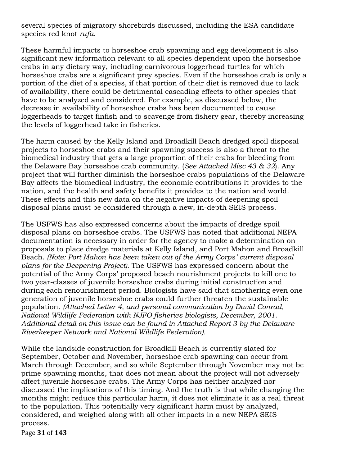several species of migratory shorebirds discussed, including the ESA candidate species red knot *rufa*.

These harmful impacts to horseshoe crab spawning and egg development is also significant new information relevant to all species dependent upon the horseshoe crabs in any dietary way, including carnivorous loggerhead turtles for which horseshoe crabs are a significant prey species. Even if the horseshoe crab is only a portion of the diet of a species, if that portion of their diet is removed due to lack of availability, there could be detrimental cascading effects to other species that have to be analyzed and considered. For example, as discussed below, the decrease in availability of horseshoe crabs has been documented to cause loggerheads to target finfish and to scavenge from fishery gear, thereby increasing the levels of loggerhead take in fisheries.

The harm caused by the Kelly Island and Broadkill Beach dredged spoil disposal projects to horseshoe crabs and their spawning success is also a threat to the biomedical industry that gets a large proportion of their crabs for bleeding from the Delaware Bay horseshoe crab community. (*See Attached Misc 43 & 32*). Any project that will further diminish the horseshoe crabs populations of the Delaware Bay affects the biomedical industry, the economic contributions it provides to the nation, and the health and safety benefits it provides to the nation and world. These effects and this new data on the negative impacts of deepening spoil disposal plans must be considered through a new, in-depth SEIS process.

The USFWS has also expressed concerns about the impacts of dredge spoil disposal plans on horseshoe crabs. The USFWS has noted that additional NEPA documentation is necessary in order for the agency to make a determination on proposals to place dredge materials at Kelly Island, and Port Mahon and Broadkill Beach. *(Note: Port Mahon has been taken out of the Army Corps' current disposal plans for the Deepening Project).* The USFWS has expressed concern about the potential of the Army Corps' proposed beach nourishment projects to kill one to two year-classes of juvenile horseshoe crabs during initial construction and during each renourishment period. Biologists have said that smothering even one generation of juvenile horseshoe crabs could further threaten the sustainable population. *(Attached Letter 4, and personal communication by David Conrad, National Wildlife Federation with NJFO fisheries biologists, December, 2001. Additional detail on this issue can be found in Attached Report 3 by the Delaware Riverkeeper Network and National Wildlife Federation).*

While the landside construction for Broadkill Beach is currently slated for September, October and November, horseshoe crab spawning can occur from March through December, and so while September through November may not be prime spawning months, that does not mean about the project will not adversely affect juvenile horseshoe crabs. The Army Corps has neither analyzed nor discussed the implications of this timing. And the truth is that while changing the months might reduce this particular harm, it does not eliminate it as a real threat to the population. This potentially very significant harm must by analyzed, considered, and weighed along with all other impacts in a new NEPA SEIS process.

Page!**31** of!**143**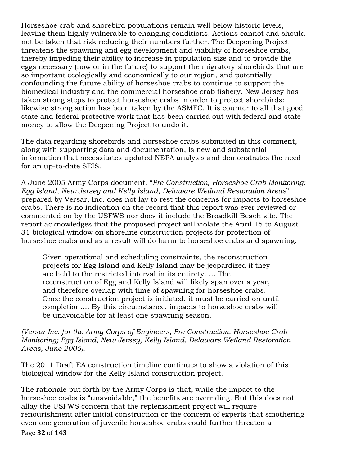Horseshoe crab and shorebird populations remain well below historic levels, leaving them highly vulnerable to changing conditions. Actions cannot and should not be taken that risk reducing their numbers further. The Deepening Project threatens the spawning and egg development and viability of horseshoe crabs, thereby impeding their ability to increase in population size and to provide the eggs necessary (now or in the future) to support the migratory shorebirds that are so important ecologically and economically to our region, and potentially confounding the future ability of horseshoe crabs to continue to support the biomedical industry and the commercial horseshoe crab fishery. New Jersey has taken strong steps to protect horseshoe crabs in order to protect shorebirds; likewise strong action has been taken by the ASMFC. It is counter to all that good state and federal protective work that has been carried out with federal and state money to allow the Deepening Project to undo it.

The data regarding shorebirds and horseshoe crabs submitted in this comment, along with supporting data and documentation, is new and substantial information that necessitates updated NEPA analysis and demonstrates the need for an up-to-date SEIS.

A June 2005 Army Corps document, "*Pre-Construction, Horseshoe Crab Monitoring; Egg Island, New Jersey and Kelly Island, Delaware Wetland Restoration Areas*" prepared by Versar, Inc. does not lay to rest the concerns for impacts to horseshoe crabs. There is no indication on the record that this report was ever reviewed or commented on by the USFWS nor does it include the Broadkill Beach site. The report acknowledges that the proposed project will violate the April 15 to August 31 biological window on shoreline construction projects for protection of horseshoe crabs and as a result will do harm to horseshoe crabs and spawning:

Given operational and scheduling constraints, the reconstruction projects for Egg Island and Kelly Island may be jeopardized if they are held to the restricted interval in its entirety. … The reconstruction of Egg and Kelly Island will likely span over a year, and therefore overlap with time of spawning for horseshoe crabs. Once the construction project is initiated, it must be carried on until completion…. By this circumstance, impacts to horseshoe crabs will be unavoidable for at least one spawning season.

*(Versar Inc. for the Army Corps of Engineers, Pre-Construction, Horseshoe Crab Monitoring; Egg Island, New Jersey, Kelly Island, Delaware Wetland Restoration Areas, June 2005).*

The 2011 Draft EA construction timeline continues to show a violation of this biological window for the Kelly Island construction project.

Page **32** of **143** The rationale put forth by the Army Corps is that, while the impact to the horseshoe crabs is "unavoidable," the benefits are overriding. But this does not allay the USFWS concern that the replenishment project will require renourishment after initial construction or the concern of experts that smothering even one generation of juvenile horseshoe crabs could further threaten a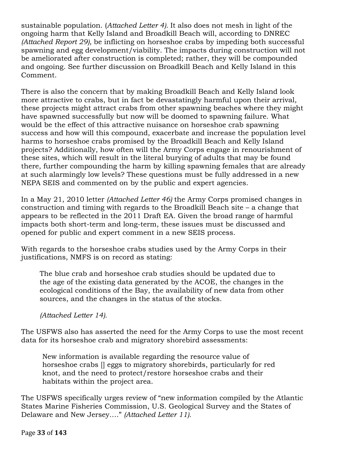sustainable population. (*Attached Letter 4).* It also does not mesh in light of the ongoing harm that Kelly Island and Broadkill Beach will, according to DNREC *(Attached Report 29),* be inflicting on horseshoe crabs by impeding both successful spawning and egg development/viability. The impacts during construction will not be ameliorated after construction is completed; rather, they will be compounded and ongoing. See further discussion on Broadkill Beach and Kelly Island in this Comment.

There is also the concern that by making Broadkill Beach and Kelly Island look more attractive to crabs, but in fact be devastatingly harmful upon their arrival, these projects might attract crabs from other spawning beaches where they might have spawned successfully but now will be doomed to spawning failure. What would be the effect of this attractive nuisance on horseshoe crab spawning success and how will this compound, exacerbate and increase the population level harms to horseshoe crabs promised by the Broadkill Beach and Kelly Island projects? Additionally, how often will the Army Corps engage in renourishment of these sites, which will result in the literal burying of adults that may be found there, further compounding the harm by killing spawning females that are already at such alarmingly low levels? These questions must be fully addressed in a new NEPA SEIS and commented on by the public and expert agencies.

In a May 21, 2010 letter *(Attached Letter 46)* the Army Corps promised changes in construction and timing with regards to the Broadkill Beach site – a change that appears to be reflected in the 2011 Draft EA. Given the broad range of harmful impacts both short-term and long-term, these issues must be discussed and opened for public and expert comment in a new SEIS process.

With regards to the horseshoe crabs studies used by the Army Corps in their justifications, NMFS is on record as stating:

The blue crab and horseshoe crab studies should be updated due to the age of the existing data generated by the ACOE, the changes in the ecological conditions of the Bay, the availability of new data from other sources, and the changes in the status of the stocks.

*(Attached Letter 14).*

The USFWS also has asserted the need for the Army Corps to use the most recent data for its horseshoe crab and migratory shorebird assessments:

New information is available regarding the resource value of horseshoe crabs [] eggs to migratory shorebirds, particularly for red knot, and the need to protect/restore horseshoe crabs and their habitats within the project area.

The USFWS specifically urges review of "new information compiled by the Atlantic States Marine Fisheries Commission, U.S. Geological Survey and the States of Delaware and New Jersey…." *(Attached Letter 11).*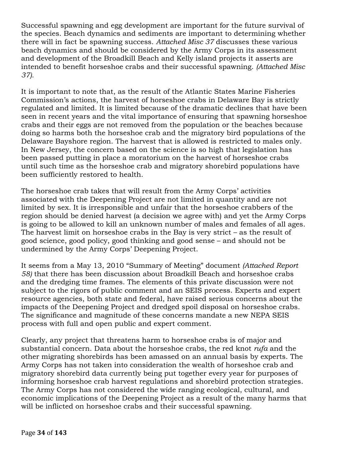Successful spawning and egg development are important for the future survival of the species. Beach dynamics and sediments are important to determining whether there will in fact be spawning success. *Attached Misc 37* discusses these various beach dynamics and should be considered by the Army Corps in its assessment and development of the Broadkill Beach and Kelly island projects it asserts are intended to benefit horseshoe crabs and their successful spawning. *(Attached Misc 37).*

It is important to note that, as the result of the Atlantic States Marine Fisheries Commission's actions, the harvest of horseshoe crabs in Delaware Bay is strictly regulated and limited. It is limited because of the dramatic declines that have been seen in recent years and the vital importance of ensuring that spawning horseshoe crabs and their eggs are not removed from the population or the beaches because doing so harms both the horseshoe crab and the migratory bird populations of the Delaware Bayshore region. The harvest that is allowed is restricted to males only. In New Jersey, the concern based on the science is so high that legislation has been passed putting in place a moratorium on the harvest of horseshoe crabs until such time as the horseshoe crab and migratory shorebird populations have been sufficiently restored to health.

The horseshoe crab takes that will result from the Army Corps' activities associated with the Deepening Project are not limited in quantity and are not limited by sex. It is irresponsible and unfair that the horseshoe crabbers of the region should be denied harvest (a decision we agree with) and yet the Army Corps is going to be allowed to kill an unknown number of males and females of all ages. The harvest limit on horseshoe crabs in the Bay is very strict – as the result of good science, good policy, good thinking and good sense – and should not be undermined by the Army Corps' Deepening Project.

It seems from a May 13, 2010 "Summary of Meeting" document *(Attached Report 58)* that there has been discussion about Broadkill Beach and horseshoe crabs and the dredging time frames. The elements of this private discussion were not subject to the rigors of public comment and an SEIS process. Experts and expert resource agencies, both state and federal, have raised serious concerns about the impacts of the Deepening Project and dredged spoil disposal on horseshoe crabs. The significance and magnitude of these concerns mandate a new NEPA SEIS process with full and open public and expert comment.

Clearly, any project that threatens harm to horseshoe crabs is of major and substantial concern. Data about the horseshoe crabs, the red knot *rufa* and the other migrating shorebirds has been amassed on an annual basis by experts. The Army Corps has not taken into consideration the wealth of horseshoe crab and migratory shorebird data currently being put together every year for purposes of informing horseshoe crab harvest regulations and shorebird protection strategies. The Army Corps has not considered the wide ranging ecological, cultural, and economic implications of the Deepening Project as a result of the many harms that will be inflicted on horseshoe crabs and their successful spawning.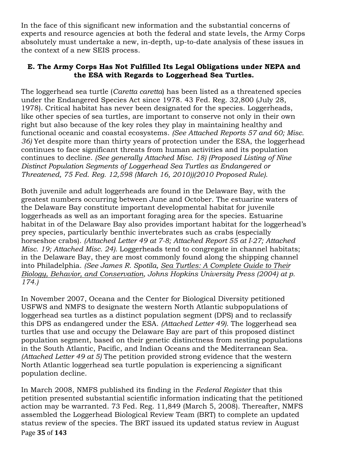In the face of this significant new information and the substantial concerns of experts and resource agencies at both the federal and state levels, the Army Corps absolutely must undertake a new, in-depth, up-to-date analysis of these issues in the context of a new SEIS process.

# **E. The Army Corps Has Not Fulfilled Its Legal Obligations under NEPA and the ESA with Regards to Loggerhead Sea Turtles.**

The loggerhead sea turtle (*Caretta caretta*) has been listed as a threatened species under the Endangered Species Act since 1978. 43 Fed. Reg. 32,800 (July 28, 1978). Critical habitat has never been designated for the species. Loggerheads, like other species of sea turtles, are important to conserve not only in their own right but also because of the key roles they play in maintaining healthy and functional oceanic and coastal ecosystems. *(See Attached Reports 57 and 60; Misc. 36)* Yet despite more than thirty years of protection under the ESA, the loggerhead continues to face significant threats from human activities and its population continues to decline. *(See generally Attached Misc. 18) (Proposed Listing of Nine Distinct Population Segments of Loggerhead Sea Turtles as Endangered or Threatened, 75 Fed. Reg. 12,598 (March 16, 2010))(2010 Proposed Rule).*

Both juvenile and adult loggerheads are found in the Delaware Bay, with the greatest numbers occurring between June and October. The estuarine waters of the Delaware Bay constitute important developmental habitat for juvenile loggerheads as well as an important foraging area for the species. Estuarine habitat in of the Delaware Bay also provides important habitat for the loggerhead's prey species, particularly benthic invertebrates such as crabs (especially horseshoe crabs). *(Attached Letter 49 at 7-8; Attached Report 55 at I-27; Attached Misc. 19; Attached Misc. 24).* Loggerheads tend to congregate in channel habitats; in the Delaware Bay, they are most commonly found along the shipping channel into Philadelphia. *(See James R. Spotila, Sea Turtles: A Complete Guide to Their Biology, Behavior, and Conservation, Johns Hopkins University Press (2004) at p. 174.)*

In November 2007, Oceana and the Center for Biological Diversity petitioned USFWS and NMFS to designate the western North Atlantic subpopulations of loggerhead sea turtles as a distinct population segment (DPS) and to reclassify this DPS as endangered under the ESA. *(Attached Letter 49).* The loggerhead sea turtles that use and occupy the Delaware Bay are part of this proposed distinct population segment, based on their genetic distinctness from nesting populations in the South Atlantic, Pacific, and Indian Oceans and the Mediterranean Sea. *(Attached Letter 49 at 5)* The petition provided strong evidence that the western North Atlantic loggerhead sea turtle population is experiencing a significant population decline.

Page!**35** of!**143** In March 2008, NMFS published its finding in the *Federal Register* that this petition presented substantial scientific information indicating that the petitioned action may be warranted. 73 Fed. Reg. 11,849 (March 5, 2008). Thereafter, NMFS assembled the Loggerhead Biological Review Team (BRT) to complete an updated status review of the species. The BRT issued its updated status review in August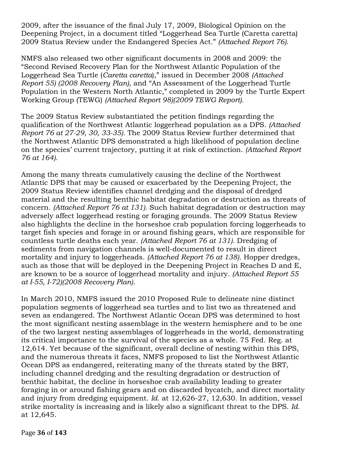2009, after the issuance of the final July 17, 2009, Biological Opinion on the Deepening Project, in a document titled "Loggerhead Sea Turtle (Caretta caretta) 2009 Status Review under the Endangered Species Act." *(Attached Report 76).*

NMFS also released two other significant documents in 2008 and 2009: the "Second Revised Recovery Plan for the Northwest Atlantic Population of the Loggerhead Sea Turtle (*Caretta caretta*)," issued in December 2008 *(Attached Report 55) (2008 Recovery Plan)*, and "An Assessment of the Loggerhead Turtle Population in the Western North Atlantic," completed in 2009 by the Turtle Expert Working Group (TEWG) *(Attached Report 98)(2009 TEWG Report).*

The 2009 Status Review substantiated the petition findings regarding the qualification of the Northwest Atlantic loggerhead population as a DPS. *(Attached Report 76 at 27-29, 30, 33-35).* The 2009 Status Review further determined that the Northwest Atlantic DPS demonstrated a high likelihood of population decline on the species' current trajectory, putting it at risk of extinction. *(Attached Report 76 at 164).*

Among the many threats cumulatively causing the decline of the Northwest Atlantic DPS that may be caused or exacerbated by the Deepening Project, the 2009 Status Review identifies channel dredging and the disposal of dredged material and the resulting benthic habitat degradation or destruction as threats of concern. *(Attached Report 76 at 131).* Such habitat degradation or destruction may adversely affect loggerhead resting or foraging grounds. The 2009 Status Review also highlights the decline in the horseshoe crab population forcing loggerheads to target fish species and forage in or around fishing gears, which are responsible for countless turtle deaths each year. *(Attached Report 76 at 131).* Dredging of sediments from navigation channels is well-documented to result in direct mortality and injury to loggerheads. *(Attached Report 76 at 138)*. Hopper dredges, such as those that will be deployed in the Deepening Project in Reaches D and E, are known to be a source of loggerhead mortality and injury. *(Attached Report 55 at I-55, I-72)(2008 Recovery Plan).*

In March 2010, NMFS issued the 2010 Proposed Rule to delineate nine distinct population segments of loggerhead sea turtles and to list two as threatened and seven as endangered. The Northwest Atlantic Ocean DPS was determined to host the most significant nesting assemblage in the western hemisphere and to be one of the two largest nesting assemblages of loggerheads in the world, demonstrating its critical importance to the survival of the species as a whole. 75 Fed. Reg. at 12,614. Yet because of the significant, overall decline of nesting within this DPS, and the numerous threats it faces, NMFS proposed to list the Northwest Atlantic Ocean DPS as endangered, reiterating many of the threats stated by the BRT, including channel dredging and the resulting degradation or destruction of benthic habitat, the decline in horseshoe crab availability leading to greater foraging in or around fishing gears and on discarded bycatch, and direct mortality and injury from dredging equipment. *Id.* at 12,626-27, 12,630. In addition, vessel strike mortality is increasing and is likely also a significant threat to the DPS. *Id.* at 12,645.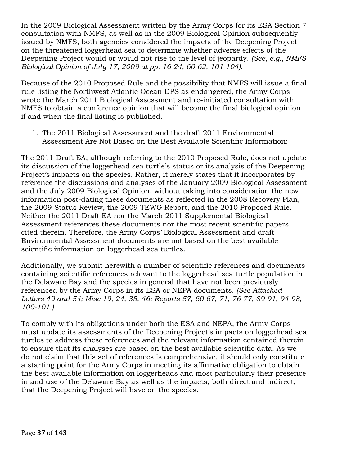In the 2009 Biological Assessment written by the Army Corps for its ESA Section 7 consultation with NMFS, as well as in the 2009 Biological Opinion subsequently issued by NMFS, both agencies considered the impacts of the Deepening Project on the threatened loggerhead sea to determine whether adverse effects of the Deepening Project would or would not rise to the level of jeopardy. *(See, e.g., NMFS Biological Opinion of July 17, 2009 at pp. 16-24, 60-62, 101-104).* 

Because of the 2010 Proposed Rule and the possibility that NMFS will issue a final rule listing the Northwest Atlantic Ocean DPS as endangered, the Army Corps wrote the March 2011 Biological Assessment and re-initiated consultation with NMFS to obtain a conference opinion that will become the final biological opinion if and when the final listing is published.

### 1. The 2011 Biological Assessment and the draft 2011 Environmental Assessment Are Not Based on the Best Available Scientific Information:

The 2011 Draft EA, although referring to the 2010 Proposed Rule, does not update its discussion of the loggerhead sea turtle's status or its analysis of the Deepening Project's impacts on the species. Rather, it merely states that it incorporates by reference the discussions and analyses of the January 2009 Biological Assessment and the July 2009 Biological Opinion, without taking into consideration the new information post-dating these documents as reflected in the 2008 Recovery Plan, the 2009 Status Review, the 2009 TEWG Report, and the 2010 Proposed Rule. Neither the 2011 Draft EA nor the March 2011 Supplemental Biological Assessment references these documents nor the most recent scientific papers cited therein. Therefore, the Army Corps' Biological Assessment and draft Environmental Assessment documents are not based on the best available scientific information on loggerhead sea turtles.

Additionally, we submit herewith a number of scientific references and documents containing scientific references relevant to the loggerhead sea turtle population in the Delaware Bay and the species in general that have not been previously referenced by the Army Corps in its ESA or NEPA documents. *(See Attached Letters 49 and 54; Misc 19, 24, 35, 46; Reports 57, 60-67, 71, 76-77, 89-91, 94-98, 100-101.)*

To comply with its obligations under both the ESA and NEPA, the Army Corps must update its assessments of the Deepening Project's impacts on loggerhead sea turtles to address these references and the relevant information contained therein to ensure that its analyses are based on the best available scientific data. As we do not claim that this set of references is comprehensive, it should only constitute a starting point for the Army Corps in meeting its affirmative obligation to obtain the best available information on loggerheads and most particularly their presence in and use of the Delaware Bay as well as the impacts, both direct and indirect, that the Deepening Project will have on the species.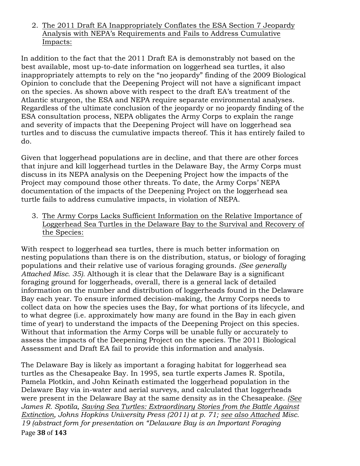### 2. The 2011 Draft EA Inappropriately Conflates the ESA Section 7 Jeopardy Analysis with NEPA's Requirements and Fails to Address Cumulative Impacts:

In addition to the fact that the 2011 Draft EA is demonstrably not based on the best available, most up-to-date information on loggerhead sea turtles, it also inappropriately attempts to rely on the "no jeopardy" finding of the 2009 Biological Opinion to conclude that the Deepening Project will not have a significant impact on the species. As shown above with respect to the draft EA's treatment of the Atlantic sturgeon, the ESA and NEPA require separate environmental analyses. Regardless of the ultimate conclusion of the jeopardy or no jeopardy finding of the ESA consultation process, NEPA obligates the Army Corps to explain the range and severity of impacts that the Deepening Project will have on loggerhead sea turtles and to discuss the cumulative impacts thereof. This it has entirely failed to do.

Given that loggerhead populations are in decline, and that there are other forces that injure and kill loggerhead turtles in the Delaware Bay, the Army Corps must discuss in its NEPA analysis on the Deepening Project how the impacts of the Project may compound those other threats. To date, the Army Corps' NEPA documentation of the impacts of the Deepening Project on the loggerhead sea turtle fails to address cumulative impacts, in violation of NEPA.

3. The Army Corps Lacks Sufficient Information on the Relative Importance of Loggerhead Sea Turtles in the Delaware Bay to the Survival and Recovery of the Species:

With respect to loggerhead sea turtles, there is much better information on nesting populations than there is on the distribution, status, or biology of foraging populations and their relative use of various foraging grounds. *(See generally Attached Misc. 35).* Although it is clear that the Delaware Bay is a significant foraging ground for loggerheads, overall, there is a general lack of detailed information on the number and distribution of loggerheads found in the Delaware Bay each year. To ensure informed decision-making, the Army Corps needs to collect data on how the species uses the Bay, for what portions of its lifecycle, and to what degree (i.e. approximately how many are found in the Bay in each given time of year) to understand the impacts of the Deepening Project on this species. Without that information the Army Corps will be unable fully or accurately to assess the impacts of the Deepening Project on the species. The 2011 Biological Assessment and Draft EA fail to provide this information and analysis.

Page!**38** of!**143** The Delaware Bay is likely as important a foraging habitat for loggerhead sea turtles as the Chesapeake Bay. In 1995, sea turtle experts James R. Spotila, Pamela Plotkin, and John Keinath estimated the loggerhead population in the Delaware Bay via in-water and aerial surveys, and calculated that loggerheads were present in the Delaware Bay at the same density as in the Chesapeake. *(See James R. Spotila, Saving Sea Turtles: Extraordinary Stories from the Battle Against Extinction, Johns Hopkins University Press (2011) at p. 71; see also Attached Misc. 19 (abstract form for presentation on "Delaware Bay is an Important Foraging*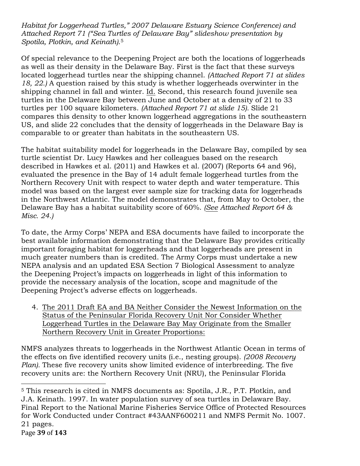*Habitat for Loggerhead Turtles," 2007 Delaware Estuary Science Conference) and Attached Report 71 ("Sea Turtles of Delaware Bay" slideshow presentation by Spotila, Plotkin, and Keinath)*.5

Of special relevance to the Deepening Project are both the locations of loggerheads as well as their density in the Delaware Bay. First is the fact that these surveys located loggerhead turtles near the shipping channel. *(Attached Report 71 at slides 18, 22.)* A question raised by this study is whether loggerheads overwinter in the shipping channel in fall and winter. Id. Second, this research found juvenile sea turtles in the Delaware Bay between June and October at a density of 21 to 33 turtles per 100 square kilometers. *(Attached Report 71 at slide 15).* Slide 21 compares this density to other known loggerhead aggregations in the southeastern US, and slide 22 concludes that the density of loggerheads in the Delaware Bay is comparable to or greater than habitats in the southeastern US.

The habitat suitability model for loggerheads in the Delaware Bay, compiled by sea turtle scientist Dr. Lucy Hawkes and her colleagues based on the research described in Hawkes et al. (2011) and Hawkes et al. (2007) (Reports 64 and 96), evaluated the presence in the Bay of 14 adult female loggerhead turtles from the Northern Recovery Unit with respect to water depth and water temperature. This model was based on the largest ever sample size for tracking data for loggerheads in the Northwest Atlantic. The model demonstrates that, from May to October, the Delaware Bay has a habitat suitability score of 60%. *(See Attached Report 64 & Misc. 24.)*

To date, the Army Corps' NEPA and ESA documents have failed to incorporate the best available information demonstrating that the Delaware Bay provides critically important foraging habitat for loggerheads and that loggerheads are present in much greater numbers than is credited. The Army Corps must undertake a new NEPA analysis and an updated ESA Section 7 Biological Assessment to analyze the Deepening Project's impacts on loggerheads in light of this information to provide the necessary analysis of the location, scope and magnitude of the Deepening Project's adverse effects on loggerheads.

4. The 2011 Draft EA and BA Neither Consider the Newest Information on the Status of the Peninsular Florida Recovery Unit Nor Consider Whether Loggerhead Turtles in the Delaware Bay May Originate from the Smaller Northern Recovery Unit in Greater Proportions:

NMFS analyzes threats to loggerheads in the Northwest Atlantic Ocean in terms of the effects on five identified recovery units (i.e., nesting groups). *(2008 Recovery Plan).* These five recovery units show limited evidence of interbreeding. The five recovery units are: the Northern Recovery Unit (NRU), the Peninsular Florida

!!!!!!!!!!!!!!!!!!!!!!!!!!!!!!!!!!!!!!!!!!!!!!!!!!!!!!!

Page!**39** of!**143** <sup>5</sup> This research is cited in NMFS documents as: Spotila, J.R., P.T. Plotkin, and J.A. Keinath. 1997. In water population survey of sea turtles in Delaware Bay. Final Report to the National Marine Fisheries Service Office of Protected Resources for Work Conducted under Contract #43AANF600211 and NMFS Permit No. 1007. 21 pages.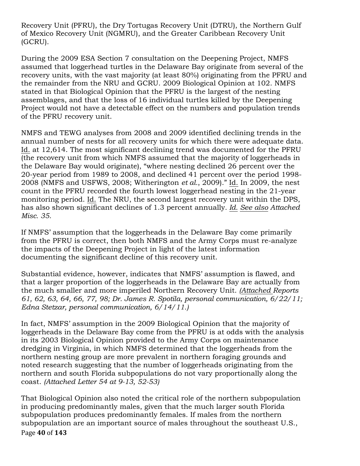Recovery Unit (PFRU), the Dry Tortugas Recovery Unit (DTRU), the Northern Gulf of Mexico Recovery Unit (NGMRU), and the Greater Caribbean Recovery Unit (GCRU).

During the 2009 ESA Section 7 consultation on the Deepening Project, NMFS assumed that loggerhead turtles in the Delaware Bay originate from several of the recovery units, with the vast majority (at least 80%) originating from the PFRU and the remainder from the NRU and GCRU. 2009 Biological Opinion at 102. NMFS stated in that Biological Opinion that the PFRU is the largest of the nesting assemblages, and that the loss of 16 individual turtles killed by the Deepening Project would not have a detectable effect on the numbers and population trends of the PFRU recovery unit.

NMFS and TEWG analyses from 2008 and 2009 identified declining trends in the annual number of nests for all recovery units for which there were adequate data. Id. at 12,614. The most significant declining trend was documented for the PFRU (the recovery unit from which NMFS assumed that the majority of loggerheads in the Delaware Bay would originate), "where nesting declined 26 percent over the 20-year period from 1989 to 2008, and declined 41 percent over the period 1998- 2008 (NMFS and USFWS, 2008; Witherington *et al.*, 2009)." Id. In 2009, the nest count in the PFRU recorded the fourth lowest loggerhead nesting in the 21-year monitoring period. Id. The NRU, the second largest recovery unit within the DPS, has also shown significant declines of 1.3 percent annually*. Id. See also Attached Misc. 35.*

If NMFS' assumption that the loggerheads in the Delaware Bay come primarily from the PFRU is correct, then both NMFS and the Army Corps must re-analyze the impacts of the Deepening Project in light of the latest information documenting the significant decline of this recovery unit.

Substantial evidence, however, indicates that NMFS' assumption is flawed, and that a larger proportion of the loggerheads in the Delaware Bay are actually from the much smaller and more imperiled Northern Recovery Unit. *(Attached Reports 61, 62, 63, 64, 66, 77, 98; Dr. James R. Spotila, personal communication, 6/22/11; Edna Stetzar, personal communication, 6/14/11.)*

In fact, NMFS' assumption in the 2009 Biological Opinion that the majority of loggerheads in the Delaware Bay come from the PFRU is at odds with the analysis in its 2003 Biological Opinion provided to the Army Corps on maintenance dredging in Virginia, in which NMFS determined that the loggerheads from the northern nesting group are more prevalent in northern foraging grounds and noted research suggesting that the number of loggerheads originating from the northern and south Florida subpopulations do not vary proportionally along the coast. *(Attached Letter 54 at 9-13, 52-53)*

Page 40 of 143 That Biological Opinion also noted the critical role of the northern subpopulation in producing predominantly males, given that the much larger south Florida subpopulation produces predominantly females. If males from the northern subpopulation are an important source of males throughout the southeast U.S.,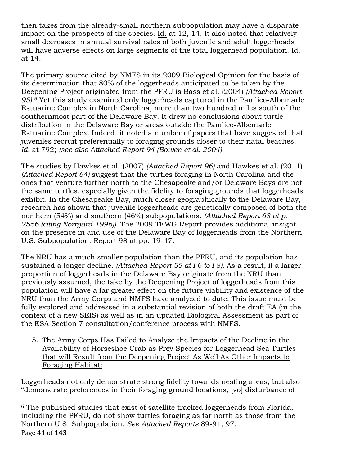then takes from the already-small northern subpopulation may have a disparate impact on the prospects of the species. Id. at 12, 14. It also noted that relatively small decreases in annual survival rates of both juvenile and adult loggerheads will have adverse effects on large segments of the total loggerhead population. Id. at 14.

The primary source cited by NMFS in its 2009 Biological Opinion for the basis of its determination that 80% of the loggerheads anticipated to be taken by the Deepening Project originated from the PFRU is Bass et al. (2004) *(Attached Report 95).6* Yet this study examined only loggerheads captured in the Pamlico-Albemarle Estuarine Complex in North Carolina, more than two hundred miles south of the southernmost part of the Delaware Bay. It drew no conclusions about turtle distribution in the Delaware Bay or areas outside the Pamlico-Albemarle Estuarine Complex. Indeed, it noted a number of papers that have suggested that juveniles recruit preferentially to foraging grounds closer to their natal beaches. *Id.* at 792; *(see also Attached Report 94 (Bowen et al. 2004).*

The studies by Hawkes et al. (2007) *(Attached Report 96)* and Hawkes et al. (2011) *(Attached Report 64)* suggest that the turtles foraging in North Carolina and the ones that venture further north to the Chesapeake and/or Delaware Bays are not the same turtles, especially given the fidelity to foraging grounds that loggerheads exhibit. In the Chesapeake Bay, much closer geographically to the Delaware Bay, research has shown that juvenile loggerheads are genetically composed of both the northern (54%) and southern (46%) subpopulations. *(Attached Report 63 at p. 2556 (citing Norrgard 1996)).* The 2009 TEWG Report provides additional insight on the presence in and use of the Delaware Bay of loggerheads from the Northern U.S. Subpopulation. Report 98 at pp. 19-47.

The NRU has a much smaller population than the PFRU, and its population has sustained a longer decline. *(Attached Report 55 at I-6 to I-8).* As a result, if a larger proportion of loggerheads in the Delaware Bay originate from the NRU than previously assumed, the take by the Deepening Project of loggerheads from this population will have a far greater effect on the future viability and existence of the NRU than the Army Corps and NMFS have analyzed to date. This issue must be fully explored and addressed in a substantial revision of both the draft EA (in the context of a new SEIS) as well as in an updated Biological Assessment as part of the ESA Section 7 consultation/conference process with NMFS.

5. The Army Corps Has Failed to Analyze the Impacts of the Decline in the Availability of Horseshoe Crab as Prey Species for Loggerhead Sea Turtles that will Result from the Deepening Project As Well As Other Impacts to Foraging Habitat:

Loggerheads not only demonstrate strong fidelity towards nesting areas, but also "demonstrate preferences in their foraging ground locations, [so] disturbance of

Page!**41** of!**143** !!!!!!!!!!!!!!!!!!!!!!!!!!!!!!!!!!!!!!!!!!!!!!!!!!!!!!! <sup>6</sup> The published studies that exist of satellite tracked loggerheads from Florida, including the PFRU, do not show turtles foraging as far north as those from the Northern U.S. Subpopulation. *See Attached Reports* 89-91, 97.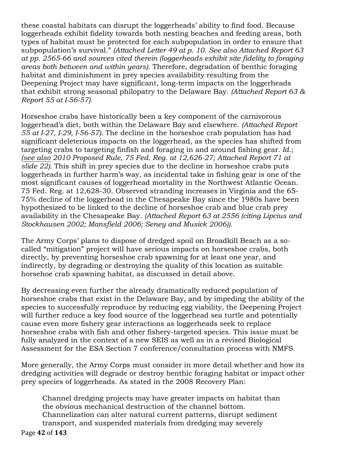these coastal habitats can disrupt the loggerheads' ability to find food. Because loggerheads exhibit fidelity towards both nesting beaches and feeding areas, both types of habitat must be protected for each subpopulation in order to ensure that subpopulation's survival." *(Attached Letter 49 at p. 10. See also Attached Report 63 at pp. 2565-66 and sources cited therein (loggerheads exhibit site fidelity to foraging areas both between and within years)*. Therefore, degradation of benthic foraging habitat and diminishment in prey species availability resulting from the Deepening Project may have significant, long-term impacts on the loggerheads that exhibit strong seasonal philopatry to the Delaware Bay. *(Attached Report 63 & Report 55 at I-56-57).*

Horseshoe crabs have historically been a key component of the carnivorous loggerhead's diet, both within the Delaware Bay and elsewhere. *(Attached Report 55 at I-27, I-29, I-56-57).* The decline in the horseshoe crab population has had significant deleterious impacts on the loggerhead, as the species has shifted from targeting crabs to targeting finfish and foraging in and around fishing gear*. Id.*; *(see also 2010 Proposed Rule, 75 Fed. Reg. at 12,626-27; Attached Report 71 at slide 22).* This shift in prey species due to the decline in horseshoe crabs puts loggerheads in further harm's way, as incidental take in fishing gear is one of the most significant causes of loggerhead mortality in the Northwest Atlantic Ocean. 75 Fed. Reg. at 12,628-30. Observed stranding increases in Virginia and the 65- 75% decline of the loggerhead in the Chesapeake Bay since the 1980s have been hypothesized to be linked to the decline of horseshoe crab and blue crab prey availability in the Chesapeake Bay. *(Attached Report 63 at 2556 (citing Lipcius and Stockhausen 2002; Mansfield 2006; Seney and Musick 2006)).*

The Army Corps' plans to dispose of dredged spoil on Broadkill Beach as a socalled "mitigation" project will have serious impacts on horseshoe crabs, both directly, by preventing horseshoe crab spawning for at least one year, and indirectly, by degrading or destroying the quality of this location as suitable horsehoe crab spawning habitat, as discussed in detail above.

By decreasing even further the already dramatically reduced population of horseshoe crabs that exist in the Delaware Bay, and by impeding the ability of the species to successfully reproduce by reducing egg viability, the Deepening Project will further reduce a key food source of the loggerhead sea turtle and potentially cause even more fishery gear interactions as loggerheads seek to replace horseshoe crabs with fish and other fishery-targeted species. This issue must be fully analyzed in the context of a new SEIS as well as in a revised Biological Assessment for the ESA Section 7 conference/consultation process with NMFS.

More generally, the Army Corps must consider in more detail whether and how its dredging activities will degrade or destroy benthic foraging habitat or impact other prey species of loggerheads. As stated in the 2008 Recovery Plan:

Channel dredging projects may have greater impacts on habitat than the obvious mechanical destruction of the channel bottom. Channelization can alter natural current patterns, disrupt sediment transport, and suspended materials from dredging may severely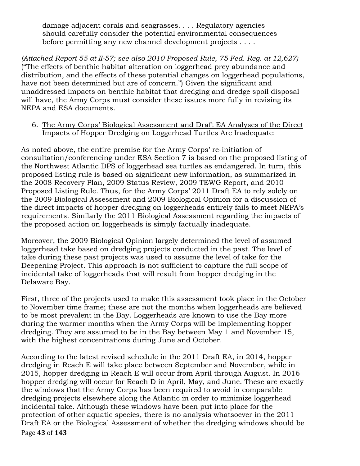damage adjacent corals and seagrasses. . . . Regulatory agencies should carefully consider the potential environmental consequences before permitting any new channel development projects . . . .

*(Attached Report 55 at II-57; see also 2010 Proposed Rule, 75 Fed. Reg. at 12,627)* ("The effects of benthic habitat alteration on loggerhead prey abundance and distribution, and the effects of these potential changes on loggerhead populations, have not been determined but are of concern.") Given the significant and unaddressed impacts on benthic habitat that dredging and dredge spoil disposal will have, the Army Corps must consider these issues more fully in revising its NEPA and ESA documents.

6. The Army Corps' Biological Assessment and Draft EA Analyses of the Direct Impacts of Hopper Dredging on Loggerhead Turtles Are Inadequate:

As noted above, the entire premise for the Army Corps' re-initiation of consultation/conferencing under ESA Section 7 is based on the proposed listing of the Northwest Atlantic DPS of loggerhead sea turtles as endangered. In turn, this proposed listing rule is based on significant new information, as summarized in the 2008 Recovery Plan, 2009 Status Review, 2009 TEWG Report, and 2010 Proposed Listing Rule. Thus, for the Army Corps' 2011 Draft EA to rely solely on the 2009 Biological Assessment and 2009 Biological Opinion for a discussion of the direct impacts of hopper dredging on loggerheads entirely fails to meet NEPA's requirements. Similarly the 2011 Biological Assessment regarding the impacts of the proposed action on loggerheads is simply factually inadequate.

Moreover, the 2009 Biological Opinion largely determined the level of assumed loggerhead take based on dredging projects conducted in the past. The level of take during these past projects was used to assume the level of take for the Deepening Project. This approach is not sufficient to capture the full scope of incidental take of loggerheads that will result from hopper dredging in the Delaware Bay.

First, three of the projects used to make this assessment took place in the October to November time frame; these are not the months when loggerheads are believed to be most prevalent in the Bay. Loggerheads are known to use the Bay more during the warmer months when the Army Corps will be implementing hopper dredging. They are assumed to be in the Bay between May 1 and November 15, with the highest concentrations during June and October.

Page 43 of 143 According to the latest revised schedule in the 2011 Draft EA, in 2014, hopper dredging in Reach E will take place between September and November, while in 2015, hopper dredging in Reach E will occur from April through August. In 2016 hopper dredging will occur for Reach D in April, May, and June. These are exactly the windows that the Army Corps has been required to avoid in comparable dredging projects elsewhere along the Atlantic in order to minimize loggerhead incidental take. Although these windows have been put into place for the protection of other aquatic species, there is no analysis whatsoever in the 2011 Draft EA or the Biological Assessment of whether the dredging windows should be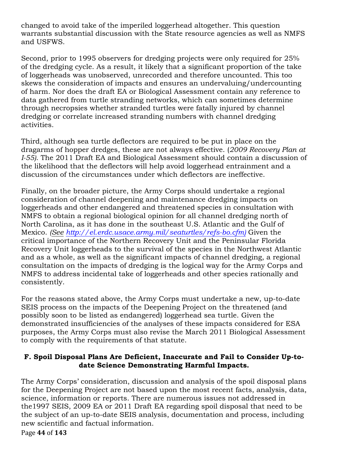changed to avoid take of the imperiled loggerhead altogether. This question warrants substantial discussion with the State resource agencies as well as NMFS and USFWS.

Second, prior to 1995 observers for dredging projects were only required for 25% of the dredging cycle. As a result, it likely that a significant proportion of the take of loggerheads was unobserved, unrecorded and therefore uncounted. This too skews the consideration of impacts and ensures an undervaluing/undercounting of harm. Nor does the draft EA or Biological Assessment contain any reference to data gathered from turtle stranding networks, which can sometimes determine through necropsies whether stranded turtles were fatally injured by channel dredging or correlate increased stranding numbers with channel dredging activities.

Third, although sea turtle deflectors are required to be put in place on the dragarms of hopper dredges, these are not always effective. (*2009 Recovery Plan at I-55)*. The 2011 Draft EA and Biological Assessment should contain a discussion of the likelihood that the deflectors will help avoid loggerhead entrainment and a discussion of the circumstances under which deflectors are ineffective.

Finally, on the broader picture, the Army Corps should undertake a regional consideration of channel deepening and maintenance dredging impacts on loggerheads and other endangered and threatened species in consultation with NMFS to obtain a regional biological opinion for all channel dredging north of North Carolina, as it has done in the southeast U.S. Atlantic and the Gulf of Mexico. *(See http://el.erdc.usace.army.mil/seaturtles/refs-bo.cfm)* Given the critical importance of the Northern Recovery Unit and the Peninsular Florida Recovery Unit loggerheads to the survival of the species in the Northwest Atlantic and as a whole, as well as the significant impacts of channel dredging, a regional consultation on the impacts of dredging is the logical way for the Army Corps and NMFS to address incidental take of loggerheads and other species rationally and consistently.

For the reasons stated above, the Army Corps must undertake a new, up-to-date SEIS process on the impacts of the Deepening Project on the threatened (and possibly soon to be listed as endangered) loggerhead sea turtle. Given the demonstrated insufficiencies of the analyses of these impacts considered for ESA purposes, the Army Corps must also revise the March 2011 Biological Assessment to comply with the requirements of that statute.

## **F. Spoil Disposal Plans Are Deficient, Inaccurate and Fail to Consider Up-todate Science Demonstrating Harmful Impacts.**

The Army Corps' consideration, discussion and analysis of the spoil disposal plans for the Deepening Project are not based upon the most recent facts, analysis, data, science, information or reports. There are numerous issues not addressed in the1997 SEIS, 2009 EA or 2011 Draft EA regarding spoil disposal that need to be the subject of an up-to-date SEIS analysis, documentation and process, including new scientific and factual information.

Page!**44** of!**143**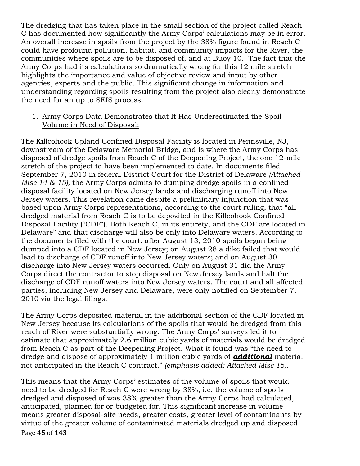The dredging that has taken place in the small section of the project called Reach C has documented how significantly the Army Corps' calculations may be in error. An overall increase in spoils from the project by the 38% figure found in Reach C could have profound pollution, habitat, and community impacts for the River, the communities where spoils are to be disposed of, and at Buoy 10. The fact that the Army Corps had its calculations so dramatically wrong for this 12 mile stretch highlights the importance and value of objective review and input by other agencies, experts and the public. This significant change in information and understanding regarding spoils resulting from the project also clearly demonstrate the need for an up to SEIS process.

#### 1. Army Corps Data Demonstrates that It Has Underestimated the Spoil Volume in Need of Disposal:

The Killcohook Upland Confined Disposal Facility is located in Pennsville, NJ, downstream of the Delaware Memorial Bridge, and is where the Army Corps has disposed of dredge spoils from Reach C of the Deepening Project, the one 12-mile stretch of the project to have been implemented to date. In documents filed September 7, 2010 in federal District Court for the District of Delaware *(Attached Misc 14 & 15),* the Army Corps admits to dumping dredge spoils in a confined disposal facility located on New Jersey lands and discharging runoff into New Jersey waters. This revelation came despite a preliminary injunction that was based upon Army Corps representations, according to the court ruling, that "all dredged material from Reach C is to be deposited in the Killcohook Confined Disposal Facility ("CDF"). Both Reach C, in its entirety, and the CDF are located in Delaware" and that discharge will also be only into Delaware waters. According to the documents filed with the court: after August 13, 2010 spoils began being dumped into a CDF located in New Jersey; on August 28 a dike failed that would lead to discharge of CDF runoff into New Jersey waters; and on August 30 discharge into New Jersey waters occurred. Only on August 31 did the Army Corps direct the contractor to stop disposal on New Jersey lands and halt the discharge of CDF runoff waters into New Jersey waters. The court and all affected parties, including New Jersey and Delaware, were only notified on September 7, 2010 via the legal filings.

The Army Corps deposited material in the additional section of the CDF located in New Jersey because its calculations of the spoils that would be dredged from this reach of River were substantially wrong. The Army Corps' surveys led it to estimate that approximately 2.6 million cubic yards of materials would be dredged from Reach C as part of the Deepening Project. What it found was "the need to dredge and dispose of approximately 1 million cubic yards of *additional* material not anticipated in the Reach C contract." *(emphasis added; Attached Misc 15).*

Page 45 of 143 This means that the Army Corps' estimates of the volume of spoils that would need to be dredged for Reach C were wrong by 38%, i.e. the volume of spoils dredged and disposed of was 38% greater than the Army Corps had calculated, anticipated, planned for or budgeted for. This significant increase in volume means greater disposal-site needs, greater costs, greater level of contaminants by virtue of the greater volume of contaminated materials dredged up and disposed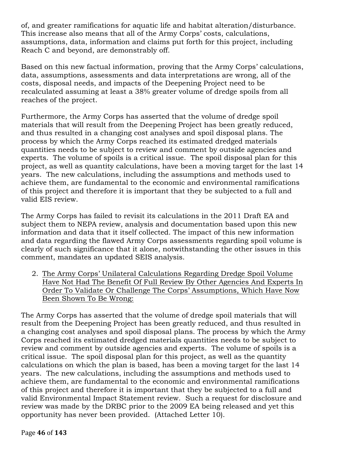of, and greater ramifications for aquatic life and habitat alteration/disturbance. This increase also means that all of the Army Corps' costs, calculations, assumptions, data, information and claims put forth for this project, including Reach C and beyond, are demonstrably off.

Based on this new factual information, proving that the Army Corps' calculations, data, assumptions, assessments and data interpretations are wrong, all of the costs, disposal needs, and impacts of the Deepening Project need to be recalculated assuming at least a 38% greater volume of dredge spoils from all reaches of the project.

Furthermore, the Army Corps has asserted that the volume of dredge spoil materials that will result from the Deepening Project has been greatly reduced, and thus resulted in a changing cost analyses and spoil disposal plans. The process by which the Army Corps reached its estimated dredged materials quantities needs to be subject to review and comment by outside agencies and experts. The volume of spoils is a critical issue. The spoil disposal plan for this project, as well as quantity calculations, have been a moving target for the last 14 years. The new calculations, including the assumptions and methods used to achieve them, are fundamental to the economic and environmental ramifications of this project and therefore it is important that they be subjected to a full and valid EIS review.

The Army Corps has failed to revisit its calculations in the 2011 Draft EA and subject them to NEPA review, analysis and documentation based upon this new information and data that it itself collected. The impact of this new information and data regarding the flawed Army Corps assessments regarding spoil volume is clearly of such significance that it alone, notwithstanding the other issues in this comment, mandates an updated SEIS analysis.

2. The Army Corps' Unilateral Calculations Regarding Dredge Spoil Volume Have Not Had The Benefit Of Full Review By Other Agencies And Experts In Order To Validate Or Challenge The Corps' Assumptions, Which Have Now Been Shown To Be Wrong:

The Army Corps has asserted that the volume of dredge spoil materials that will result from the Deepening Project has been greatly reduced, and thus resulted in a changing cost analyses and spoil disposal plans. The process by which the Army Corps reached its estimated dredged materials quantities needs to be subject to review and comment by outside agencies and experts. The volume of spoils is a critical issue. The spoil disposal plan for this project, as well as the quantity calculations on which the plan is based, has been a moving target for the last 14 years. The new calculations, including the assumptions and methods used to achieve them, are fundamental to the economic and environmental ramifications of this project and therefore it is important that they be subjected to a full and valid Environmental Impact Statement review. Such a request for disclosure and review was made by the DRBC prior to the 2009 EA being released and yet this opportunity has never been provided. (Attached Letter 10).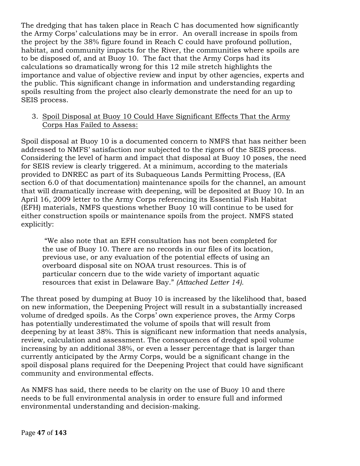The dredging that has taken place in Reach C has documented how significantly the Army Corps' calculations may be in error. An overall increase in spoils from the project by the 38% figure found in Reach C could have profound pollution, habitat, and community impacts for the River, the communities where spoils are to be disposed of, and at Buoy 10. The fact that the Army Corps had its calculations so dramatically wrong for this 12 mile stretch highlights the importance and value of objective review and input by other agencies, experts and the public. This significant change in information and understanding regarding spoils resulting from the project also clearly demonstrate the need for an up to SEIS process.

#### 3. Spoil Disposal at Buoy 10 Could Have Significant Effects That the Army Corps Has Failed to Assess:

Spoil disposal at Buoy 10 is a documented concern to NMFS that has neither been addressed to NMFS' satisfaction nor subjected to the rigors of the SEIS process. Considering the level of harm and impact that disposal at Buoy 10 poses, the need for SEIS review is clearly triggered. At a minimum, according to the materials provided to DNREC as part of its Subaqueous Lands Permitting Process, (EA section 6.0 of that documentation) maintenance spoils for the channel, an amount that will dramatically increase with deepening, will be deposited at Buoy 10. In an April 16, 2009 letter to the Army Corps referencing its Essential Fish Habitat (EFH) materials, NMFS questions whether Buoy 10 will continue to be used for either construction spoils or maintenance spoils from the project. NMFS stated explicitly:

"We also note that an EFH consultation has not been completed for the use of Buoy 10. There are no records in our files of its location, previous use, or any evaluation of the potential effects of using an overboard disposal site on NOAA trust resources. This is of particular concern due to the wide variety of important aquatic resources that exist in Delaware Bay." *(Attached Letter 14).*

The threat posed by dumping at Buoy 10 is increased by the likelihood that, based on new information, the Deepening Project will result in a substantially increased volume of dredged spoils. As the Corps' own experience proves, the Army Corps has potentially underestimated the volume of spoils that will result from deepening by at least 38%. This is significant new information that needs analysis, review, calculation and assessment. The consequences of dredged spoil volume increasing by an additional 38%, or even a lesser percentage that is larger than currently anticipated by the Army Corps, would be a significant change in the spoil disposal plans required for the Deepening Project that could have significant community and environmental effects.

As NMFS has said, there needs to be clarity on the use of Buoy 10 and there needs to be full environmental analysis in order to ensure full and informed environmental understanding and decision-making.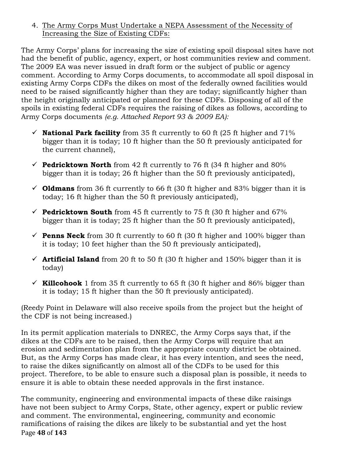4. The Army Corps Must Undertake a NEPA Assessment of the Necessity of Increasing the Size of Existing CDFs:

The Army Corps' plans for increasing the size of existing spoil disposal sites have not had the benefit of public, agency, expert, or host communities review and comment. The 2009 EA was never issued in draft form or the subject of public or agency comment. According to Army Corps documents, to accommodate all spoil disposal in existing Army Corps CDFs the dikes on most of the federally owned facilities would need to be raised significantly higher than they are today; significantly higher than the height originally anticipated or planned for these CDFs. Disposing of all of the spoils in existing federal CDFs requires the raising of dikes as follows, according to Army Corps documents *(e.g. Attached Report 93 & 2009 EA):*

- $\checkmark$  **National Park facility** from 35 ft currently to 60 ft (25 ft higher and 71%) bigger than it is today; 10 ft higher than the 50 ft previously anticipated for the current channel),
- **Pedricktown North** from 42 ft currently to 76 ft (34 ft higher and  $80\%$ ) bigger than it is today; 26 ft higher than the 50 ft previously anticipated),
- $\checkmark$  **Oldmans** from 36 ft currently to 66 ft (30 ft higher and 83% bigger than it is today; 16 ft higher than the 50 ft previously anticipated),
- **Pedricktown South** from 45 ft currently to 75 ft (30 ft higher and  $67\%$ bigger than it is today; 25 ft higher than the 50 ft previously anticipated),
- **Penns Neck** from 30 ft currently to 60 ft (30 ft higher and 100% bigger than it is today; 10 feet higher than the 50 ft previously anticipated),
- $\checkmark$  **Artificial Island** from 20 ft to 50 ft (30 ft higher and 150% bigger than it is today)
- $\checkmark$  **Killcohook** 1 from 35 ft currently to 65 ft (30 ft higher and 86% bigger than it is today; 15 ft higher than the 50 ft previously anticipated).

(Reedy Point in Delaware will also receive spoils from the project but the height of the CDF is not being increased.)

In its permit application materials to DNREC, the Army Corps says that, if the dikes at the CDFs are to be raised, then the Army Corps will require that an erosion and sedimentation plan from the appropriate county district be obtained. But, as the Army Corps has made clear, it has every intention, and sees the need, to raise the dikes significantly on almost all of the CDFs to be used for this project. Therefore, to be able to ensure such a disposal plan is possible, it needs to ensure it is able to obtain these needed approvals in the first instance.

Page!**48** of!**143** The community, engineering and environmental impacts of these dike raisings have not been subject to Army Corps, State, other agency, expert or public review and comment. The environmental, engineering, community and economic ramifications of raising the dikes are likely to be substantial and yet the host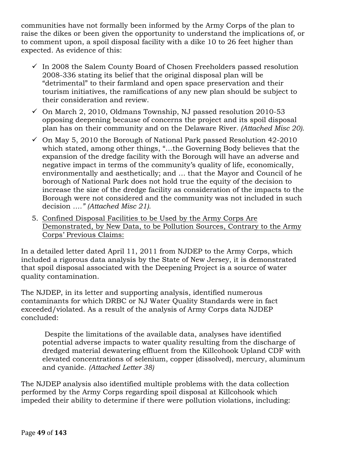communities have not formally been informed by the Army Corps of the plan to raise the dikes or been given the opportunity to understand the implications of, or to comment upon, a spoil disposal facility with a dike 10 to 26 feet higher than expected. As evidence of this:

- $\checkmark$  In 2008 the Salem County Board of Chosen Freeholders passed resolution 2008-336 stating its belief that the original disposal plan will be "detrimental" to their farmland and open space preservation and their tourism initiatives, the ramifications of any new plan should be subject to their consideration and review.
- $\sim$  On March 2, 2010, Oldmans Township, NJ passed resolution 2010-53 opposing deepening because of concerns the project and its spoil disposal plan has on their community and on the Delaware River*. (Attached Misc 20)*.
- $\checkmark$  On May 5, 2010 the Borough of National Park passed Resolution 42-2010 which stated, among other things, "…the Governing Body believes that the expansion of the dredge facility with the Borough will have an adverse and negative impact in terms of the community's quality of life, economically, environmentally and aesthetically; and … that the Mayor and Council of he borough of National Park does not hold true the equity of the decision to increase the size of the dredge facility as consideration of the impacts to the Borough were not considered and the community was not included in such decision *…." (Attached Misc 21).*
- 5. Confined Disposal Facilities to be Used by the Army Corps Are Demonstrated, by New Data, to be Pollution Sources, Contrary to the Army Corps' Previous Claims:

In a detailed letter dated April 11, 2011 from NJDEP to the Army Corps, which included a rigorous data analysis by the State of New Jersey, it is demonstrated that spoil disposal associated with the Deepening Project is a source of water quality contamination.

The NJDEP, in its letter and supporting analysis, identified numerous contaminants for which DRBC or NJ Water Quality Standards were in fact exceeded/violated. As a result of the analysis of Army Corps data NJDEP concluded:

Despite the limitations of the available data, analyses have identified potential adverse impacts to water quality resulting from the discharge of dredged material dewatering effluent from the Killcohook Upland CDF with elevated concentrations of selenium, copper (dissolved), mercury, aluminum and cyanide. *(Attached Letter 38)*

The NJDEP analysis also identified multiple problems with the data collection performed by the Army Corps regarding spoil disposal at Killcohook which impeded their ability to determine if there were pollution violations, including: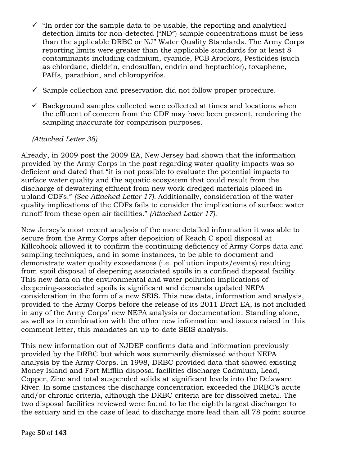- $\checkmark$  "In order for the sample data to be usable, the reporting and analytical detection limits for non-detected ("ND") sample concentrations must be less than the applicable DRBC or NJ" Water Quality Standards. The Army Corps reporting limits were greater than the applicable standards for at least 8 contaminants including cadmium, cyanide, PCB Aroclors, Pesticides (such as chlordane, dieldrin, endosulfan, endrin and heptachlor), toxaphene, PAHs, parathion, and chloropyrifos.
- $\checkmark$  Sample collection and preservation did not follow proper procedure.
- $\checkmark$  Background samples collected were collected at times and locations when the effluent of concern from the CDF may have been present, rendering the sampling inaccurate for comparison purposes.

### *(Attached Letter 38)*

Already, in 2009 post the 2009 EA, New Jersey had shown that the information provided by the Army Corps in the past regarding water quality impacts was so deficient and dated that "it is not possible to evaluate the potential impacts to surface water quality and the aquatic ecosystem that could result from the discharge of dewatering effluent from new work dredged materials placed in upland CDFs." *(See Attached Letter 17).* Additionally, consideration of the water quality implications of the CDFs fails to consider the implications of surface water runoff from these open air facilities." *(Attached Letter 17).*

New Jersey's most recent analysis of the more detailed information it was able to secure from the Army Corps after deposition of Reach C spoil disposal at Killcohook allowed it to confirm the continuing deficiency of Army Corps data and sampling techniques, and in some instances, to be able to document and demonstrate water quality exceedances (i.e. pollution inputs/events) resulting from spoil disposal of deepening associated spoils in a confined disposal facility. This new data on the environmental and water pollution implications of deepening-associated spoils is significant and demands updated NEPA consideration in the form of a new SEIS. This new data, information and analysis, provided to the Army Corps before the release of its 2011 Draft EA, is not included in any of the Army Corps' new NEPA analysis or documentation. Standing alone, as well as in combination with the other new information and issues raised in this comment letter, this mandates an up-to-date SEIS analysis.

This new information out of NJDEP confirms data and information previously provided by the DRBC but which was summarily dismissed without NEPA analysis by the Army Corps. In 1998, DRBC provided data that showed existing Money Island and Fort Mifflin disposal facilities discharge Cadmium, Lead, Copper, Zinc and total suspended solids at significant levels into the Delaware River. In some instances the discharge concentration exceeded the DRBC's acute and/or chronic criteria, although the DRBC criteria are for dissolved metal. The two disposal facilities reviewed were found to be the eighth largest discharger to the estuary and in the case of lead to discharge more lead than all 78 point source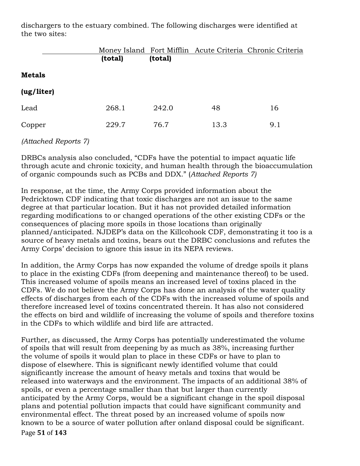dischargers to the estuary combined. The following discharges were identified at the two sites:

|               |         |         |      | Money Island Fort Mifflin Acute Criteria Chronic Criteria |
|---------------|---------|---------|------|-----------------------------------------------------------|
|               | (total) | (total) |      |                                                           |
| <b>Metals</b> |         |         |      |                                                           |
| (ug/liter)    |         |         |      |                                                           |
| Lead          | 268.1   | 242.0   | 48   | 16                                                        |
| Copper        | 229.7   | 76.7    | 13.3 | 9.1                                                       |

## *(Attached Reports 7)*

DRBCs analysis also concluded, "CDFs have the potential to impact aquatic life through acute and chronic toxicity, and human health through the bioaccumulation of organic compounds such as PCBs and DDX." (*Attached Reports 7)* 

In response, at the time, the Army Corps provided information about the Pedricktown CDF indicating that toxic discharges are not an issue to the same degree at that particular location. But it has not provided detailed information regarding modifications to or changed operations of the other existing CDFs or the consequences of placing more spoils in those locations than originally planned/anticipated. NJDEP's data on the Killcohook CDF, demonstrating it too is a source of heavy metals and toxins, bears out the DRBC conclusions and refutes the Army Corps' decision to ignore this issue in its NEPA reviews.

In addition, the Army Corps has now expanded the volume of dredge spoils it plans to place in the existing CDFs (from deepening and maintenance thereof) to be used. This increased volume of spoils means an increased level of toxins placed in the CDFs. We do not believe the Army Corps has done an analysis of the water quality effects of discharges from each of the CDFs with the increased volume of spoils and therefore increased level of toxins concentrated therein. It has also not considered the effects on bird and wildlife of increasing the volume of spoils and therefore toxins in the CDFs to which wildlife and bird life are attracted.

Page!**51** of!**143** Further, as discussed, the Army Corps has potentially underestimated the volume of spoils that will result from deepening by as much as 38%, increasing further the volume of spoils it would plan to place in these CDFs or have to plan to dispose of elsewhere. This is significant newly identified volume that could significantly increase the amount of heavy metals and toxins that would be released into waterways and the environment. The impacts of an additional 38% of spoils, or even a percentage smaller than that but larger than currently anticipated by the Army Corps, would be a significant change in the spoil disposal plans and potential pollution impacts that could have significant community and environmental effect. The threat posed by an increased volume of spoils now known to be a source of water pollution after onland disposal could be significant.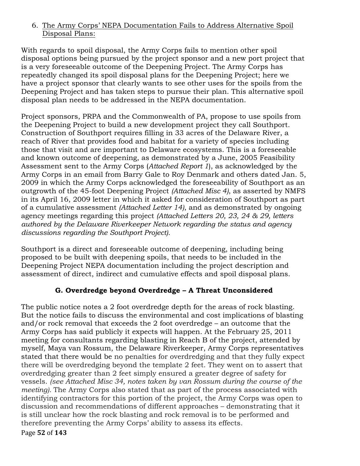### 6. The Army Corps' NEPA Documentation Fails to Address Alternative Spoil Disposal Plans:

With regards to spoil disposal, the Army Corps fails to mention other spoil disposal options being pursued by the project sponsor and a new port project that is a very foreseeable outcome of the Deepening Project. The Army Corps has repeatedly changed its spoil disposal plans for the Deepening Project; here we have a project sponsor that clearly wants to see other uses for the spoils from the Deepening Project and has taken steps to pursue their plan. This alternative spoil disposal plan needs to be addressed in the NEPA documentation.

Project sponsors, PRPA and the Commonwealth of PA, propose to use spoils from the Deepening Project to build a new development project they call Southport. Construction of Southport requires filling in 33 acres of the Delaware River, a reach of River that provides food and habitat for a variety of species including those that visit and are important to Delaware ecosystems. This is a foreseeable and known outcome of deepening, as demonstrated by a June, 2005 Feasibility Assessment sent to the Army Corps (*Attached Report 1*), as acknowledged by the Army Corps in an email from Barry Gale to Roy Denmark and others dated Jan. 5, 2009 in which the Army Corps acknowledged the foreseeability of Southport as an outgrowth of the 45-foot Deepening Project *(Attached Misc 4)*, as asserted by NMFS in its April 16, 2009 letter in which it asked for consideration of Southport as part of a cumulative assessment *(Attached Letter 14)*, and as demonstrated by ongoing agency meetings regarding this project *(Attached Letters 20, 23, 24 & 29, letters authored by the Delaware Riverkeeper Network regarding the status and agency discussions regarding the Southport Project).*

Southport is a direct and foreseeable outcome of deepening, including being proposed to be built with deepening spoils, that needs to be included in the Deepening Project NEPA documentation including the project description and assessment of direct, indirect and cumulative effects and spoil disposal plans.

# **G. Overdredge beyond Overdredge – A Threat Unconsidered**

The public notice notes a 2 foot overdredge depth for the areas of rock blasting. But the notice fails to discuss the environmental and cost implications of blasting and/or rock removal that exceeds the 2 foot overdredge – an outcome that the Army Corps has said publicly it expects will happen. At the February 25, 2011 meeting for consultants regarding blasting in Reach B of the project, attended by myself, Maya van Rossum, the Delaware Riverkeeper, Army Corps representatives stated that there would be no penalties for overdredging and that they fully expect there will be overdredging beyond the template 2 feet. They went on to assert that overdredging greater than 2 feet simply ensured a greater degree of safety for vessels. *(see Attached Misc 34, notes taken by van Rossum during the course of the meeting).* The Army Corps also stated that as part of the process associated with identifying contractors for this portion of the project, the Army Corps was open to discussion and recommendations of different approaches – demonstrating that it is still unclear how the rock blasting and rock removal is to be performed and therefore preventing the Army Corps' ability to assess its effects.

Page!**52** of!**143**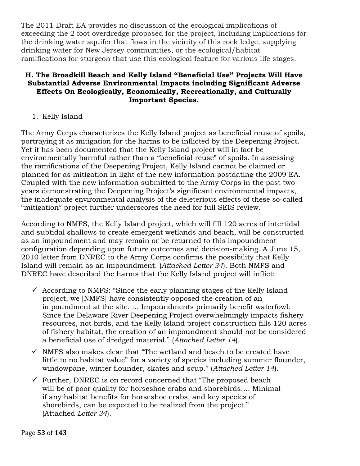The 2011 Draft EA provides no discussion of the ecological implications of exceeding the 2 foot overdredge proposed for the project, including implications for the drinking water aquifer that flows in the vicinity of this rock ledge, supplying drinking water for New Jersey communities, or the ecological/habitat ramifications for sturgeon that use this ecological feature for various life stages.

### **H. The Broadkill Beach and Kelly Island "Beneficial Use" Projects Will Have Substantial Adverse Environmental Impacts including Significant Adverse Effects On Ecologically, Economically, Recreationally, and Culturally Important Species.**

1. Kelly Island

The Army Corps characterizes the Kelly Island project as beneficial reuse of spoils, portraying it as mitigation for the harms to be inflicted by the Deepening Project. Yet it has been documented that the Kelly Island project will in fact be environmentally harmful rather than a "beneficial reuse" of spoils. In assessing the ramifications of the Deepening Project, Kelly Island cannot be claimed or planned for as mitigation in light of the new information postdating the 2009 EA. Coupled with the new information submitted to the Army Corps in the past two years demonstrating the Deepening Project's significant environmental impacts, the inadequate environmental analysis of the deleterious effects of these so-called "mitigation" project further underscores the need for full SEIS review.

According to NMFS, the Kelly Island project, which will fill 120 acres of intertidal and subtidal shallows to create emergent wetlands and beach, will be constructed as an impoundment and may remain or be returned to this impoundment configuration depending upon future outcomes and decision-making. A June 15, 2010 letter from DNREC to the Army Corps confirms the possibility that Kelly Island will remain as an impoundment. (*Attached Letter 34*). Both NMFS and DNREC have described the harms that the Kelly Island project will inflict:

- $\checkmark$  According to NMFS: "Since the early planning stages of the Kelly Island project, we [NMFS] have consistently opposed the creation of an impoundment at the site. … Impoundments primarily benefit waterfowl. Since the Delaware River Deepening Project overwhelmingly impacts fishery resources, not birds, and the Kelly Island project construction fills 120 acres of fishery habitat, the creation of an impoundment should not be considered a beneficial use of dredged material." (*Attached Letter 14*).
- $\checkmark$  NMFS also makes clear that "The wetland and beach to be created have little to no habitat value" for a variety of species including summer flounder, windowpane, winter flounder, skates and scup." (*Attached Letter 14*).
- $\checkmark$  Further, DNREC is on record concerned that "The proposed beach will be of poor quality for horseshoe crabs and shorebirds…. Minimal if any habitat benefits for horseshoe crabs, and key species of shorebirds, can be expected to be realized from the project." (Attached *Letter 34*).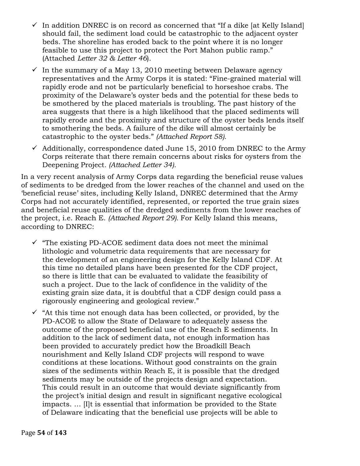- $\checkmark$  In addition DNREC is on record as concerned that "If a dike [at Kelly Island] should fail, the sediment load could be catastrophic to the adjacent oyster beds. The shoreline has eroded back to the point where it is no longer feasible to use this project to protect the Port Mahon public ramp." (Attached *Letter 32 & Letter 46*).
- $\checkmark$  In the summary of a May 13, 2010 meeting between Delaware agency representatives and the Army Corps it is stated: "Fine-grained material will rapidly erode and not be particularly beneficial to horseshoe crabs. The proximity of the Delaware's oyster beds and the potential for these beds to be smothered by the placed materials is troubling. The past history of the area suggests that there is a high likelihood that the placed sediments will rapidly erode and the proximity and structure of the oyster beds lends itself to smothering the beds. A failure of the dike will almost certainly be catastrophic to the oyster beds." *(Attached Report 58).*
- $\checkmark$  Additionally, correspondence dated June 15, 2010 from DNREC to the Army Corps reiterate that there remain concerns about risks for oysters from the Deepening Project*. (Attached Letter 34).*

In a very recent analysis of Army Corps data regarding the beneficial reuse values of sediments to be dredged from the lower reaches of the channel and used on the 'beneficial reuse' sites, including Kelly Island, DNREC determined that the Army Corps had not accurately identified, represented, or reported the true grain sizes and beneficial reuse qualities of the dredged sediments from the lower reaches of the project, i.e. Reach E. *(Attached Report 29).* For Kelly Island this means, according to DNREC:

- $\checkmark$  "The existing PD-ACOE sediment data does not meet the minimal lithologic and volumetric data requirements that are necessary for the development of an engineering design for the Kelly Island CDF. At this time no detailed plans have been presented for the CDF project, so there is little that can be evaluated to validate the feasibility of such a project. Due to the lack of confidence in the validity of the existing grain size data, it is doubtful that a CDF design could pass a rigorously engineering and geological review."
- $\checkmark$  "At this time not enough data has been collected, or provided, by the PD-ACOE to allow the State of Delaware to adequately assess the outcome of the proposed beneficial use of the Reach E sediments. In addition to the lack of sediment data, not enough information has been provided to accurately predict how the Broadkill Beach nourishment and Kelly Island CDF projects will respond to wave conditions at these locations. Without good constraints on the grain sizes of the sediments within Reach E, it is possible that the dredged sediments may be outside of the projects design and expectation. This could result in an outcome that would deviate significantly from the project's initial design and result in significant negative ecological impacts. … [I]t is essential that information be provided to the State of Delaware indicating that the beneficial use projects will be able to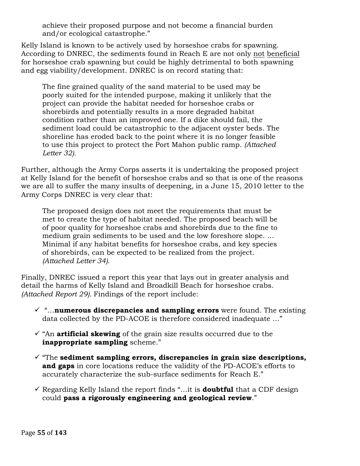achieve their proposed purpose and not become a financial burden and/or ecological catastrophe."

Kelly Island is known to be actively used by horseshoe crabs for spawning. According to DNREC, the sediments found in Reach E are not only not beneficial for horseshoe crab spawning but could be highly detrimental to both spawning and egg viability/development. DNREC is on record stating that:

The fine grained quality of the sand material to be used may be poorly suited for the intended purpose, making it unlikely that the project can provide the habitat needed for horseshoe crabs or shorebirds and potentially results in a more degraded habitat condition rather than an improved one. If a dike should fail, the sediment load could be catastrophic to the adjacent oyster beds. The shoreline has eroded back to the point where it is no longer feasible to use this project to protect the Port Mahon public ramp. *(Attached Letter 32).*

Further, although the Army Corps asserts it is undertaking the proposed project at Kelly Island for the benefit of horseshoe crabs and so that is one of the reasons we are all to suffer the many insults of deepening, in a June 15, 2010 letter to the Army Corps DNREC is very clear that:

The proposed design does not meet the requirements that must be met to create the type of habitat needed. The proposed beach will be of poor quality for horseshoe crabs and shorebirds due to the fine to medium grain sediments to be used and the low foreshore slope. … Minimal if any habitat benefits for horseshoe crabs, and key species of shorebirds, can be expected to be realized from the project. *(Attached Letter 34).*

Finally, DNREC issued a report this year that lays out in greater analysis and detail the harms of Kelly Island and Broadkill Beach for horseshoe crabs*. (Attached Report 29).* Findings of the report include:

- $\checkmark$  "...**numerous discrepancies and sampling errors** were found. The existing data collected by the PD-ACOE is therefore considered inadequate …"
- $\checkmark$  "An **artificial skewing** of the grain size results occurred due to the **inappropriate sampling** scheme."
- ! "The **sediment sampling errors, discrepancies in grain size descriptions, and gaps** in core locations reduce the validity of the PD-ACOE's efforts to accurately characterize the sub-surface sediments for Reach E."
- $\checkmark$  Regarding Kelly Island the report finds "...it is **doubtful** that a CDF design could **pass a rigorously engineering and geological review**."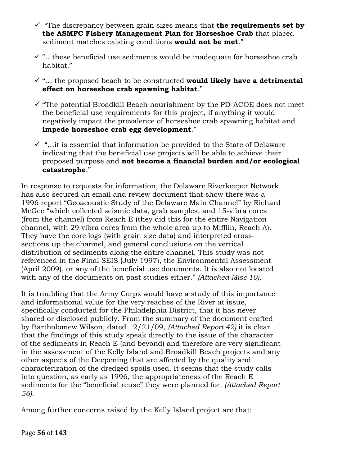- $\checkmark$  "The discrepancy between grain sizes means that **the requirements set by the ASMFC Fishery Management Plan for Horseshoe Crab** that placed sediment matches existing conditions **would not be met**."
- $\checkmark$  "...these beneficial use sediments would be inadequate for horseshoe crab habitat."
- $\checkmark$  "... the proposed beach to be constructed **would likely have a detrimental effect on horseshoe crab spawning habitat**."
- $\checkmark$  "The potential Broadkill Beach nourishment by the PD-ACOE does not meet the beneficial use requirements for this project, if anything it would negatively impact the prevalence of horseshoe crab spawning habitat and **impede horseshoe crab egg development**."
- $\checkmark$  "...it is essential that information be provided to the State of Delaware indicating that the beneficial use projects will be able to achieve their proposed purpose and **not become a financial burden and/or ecological catastrophe**."

In response to requests for information, the Delaware Riverkeeper Network has also secured an email and review document that show there was a 1996 report "Geoacoustic Study of the Delaware Main Channel" by Richard McGee "which collected seismic data, grab samples, and 15-vibra cores (from the channel) from Reach E (they did this for the entire Navigation channel, with 29 vibra cores from the whole area up to Mifflin, Reach A). They have the core logs (with grain size data) and interpreted crosssections up the channel, and general conclusions on the vertical distribution of sediments along the entire channel. This study was not referenced in the Final SEIS (July 1997), the Environmental Assessment (April 2009), or any of the beneficial use documents. It is also not located with any of the documents on past studies either." *(Attached Misc 10).*

It is troubling that the Army Corps would have a study of this importance and informational value for the very reaches of the River at issue, specifically conducted for the Philadelphia District, that it has never shared or disclosed publicly. From the summary of the document crafted by Bartholomew Wilson, dated 12/21/09, *(Attached Report 42)* it is clear that the findings of this study speak directly to the issue of the character of the sediments in Reach E (and beyond) and therefore are very significant in the assessment of the Kelly Island and Broadkill Beach projects and any other aspects of the Deepening that are affected by the quality and characterization of the dredged spoils used. It seems that the study calls into question, as early as 1996, the appropriateness of the Reach E sediments for the "beneficial reuse" they were planned for. *(Attached Report 56).*

Among further concerns raised by the Kelly Island project are that: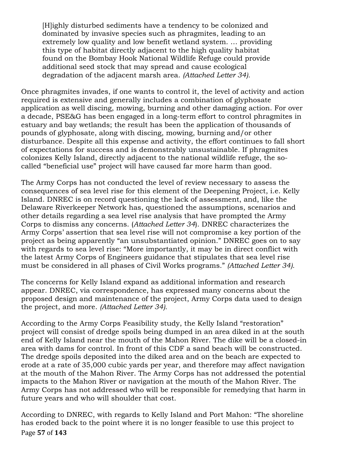[H]ighly disturbed sediments have a tendency to be colonized and dominated by invasive species such as phragmites, leading to an extremely low quality and low benefit wetland system. … providing this type of habitat directly adjacent to the high quality habitat found on the Bombay Hook National Wildlife Refuge could provide additional seed stock that may spread and cause ecological degradation of the adjacent marsh area. *(Attached Letter 34).*

Once phragmites invades, if one wants to control it, the level of activity and action required is extensive and generally includes a combination of glyphosate application as well discing, mowing, burning and other damaging action. For over a decade, PSE&G has been engaged in a long-term effort to control phragmites in estuary and bay wetlands; the result has been the application of thousands of pounds of glyphosate, along with discing, mowing, burning and/or other disturbance. Despite all this expense and activity, the effort continues to fall short of expectations for success and is demonstrably unsustainable. If phragmites colonizes Kelly Island, directly adjacent to the national wildlife refuge, the socalled "beneficial use" project will have caused far more harm than good.

The Army Corps has not conducted the level of review necessary to assess the consequences of sea level rise for this element of the Deepening Project, i.e. Kelly Island. DNREC is on record questioning the lack of assessment, and, like the Delaware Riverkeeper Network has, questioned the assumptions, scenarios and other details regarding a sea level rise analysis that have prompted the Army Corps to dismiss any concerns. (*Attached Letter 34*). DNREC characterizes the Army Corps' assertion that sea level rise will not compromise a key portion of the project as being apparently "an unsubstantiated opinion." DNREC goes on to say with regards to sea level rise: "More importantly, it may be in direct conflict with the latest Army Corps of Engineers guidance that stipulates that sea level rise must be considered in all phases of Civil Works programs." *(Attached Letter 34).*

The concerns for Kelly Island expand as additional information and research appear. DNREC, via correspondence, has expressed many concerns about the proposed design and maintenance of the project, Army Corps data used to design the project, and more. *(Attached Letter 34).*

According to the Army Corps Feasibility study, the Kelly Island "restoration" project will consist of dredge spoils being dumped in an area diked in at the south end of Kelly Island near the mouth of the Mahon River. The dike will be a closed-in area with dams for control. In front of this CDF a sand beach will be constructed. The dredge spoils deposited into the diked area and on the beach are expected to erode at a rate of 35,000 cubic yards per year, and therefore may affect navigation at the mouth of the Mahon River. The Army Corps has not addressed the potential impacts to the Mahon River or navigation at the mouth of the Mahon River. The Army Corps has not addressed who will be responsible for remedying that harm in future years and who will shoulder that cost.

Page!**57** of!**143** According to DNREC, with regards to Kelly Island and Port Mahon: "The shoreline has eroded back to the point where it is no longer feasible to use this project to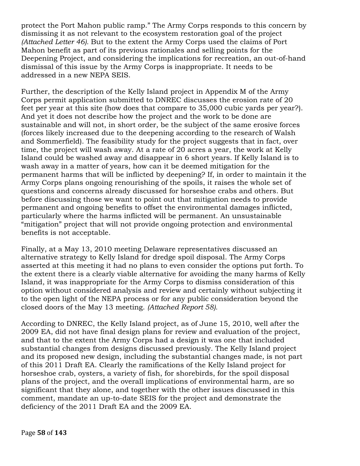protect the Port Mahon public ramp." The Army Corps responds to this concern by dismissing it as not relevant to the ecosystem restoration goal of the project *(Attached Letter 46).* But to the extent the Army Corps used the claims of Port Mahon benefit as part of its previous rationales and selling points for the Deepening Project, and considering the implications for recreation, an out-of-hand dismissal of this issue by the Army Corps is inappropriate. It needs to be addressed in a new NEPA SEIS.

Further, the description of the Kelly Island project in Appendix M of the Army Corps permit application submitted to DNREC discusses the erosion rate of 20 feet per year at this site (how does that compare to 35,000 cubic yards per year?). And yet it does not describe how the project and the work to be done are sustainable and will not, in short order, be the subject of the same erosive forces (forces likely increased due to the deepening according to the research of Walsh and Sommerfield). The feasibility study for the project suggests that in fact, over time, the project will wash away. At a rate of 20 acres a year, the work at Kelly Island could be washed away and disappear in 6 short years. If Kelly Island is to wash away in a matter of years, how can it be deemed mitigation for the permanent harms that will be inflicted by deepening? If, in order to maintain it the Army Corps plans ongoing renourishing of the spoils, it raises the whole set of questions and concerns already discussed for horseshoe crabs and others. But before discussing those we want to point out that mitigation needs to provide permanent and ongoing benefits to offset the environmental damages inflicted, particularly where the harms inflicted will be permanent. An unsustainable "mitigation" project that will not provide ongoing protection and environmental benefits is not acceptable.

Finally, at a May 13, 2010 meeting Delaware representatives discussed an alternative strategy to Kelly Island for dredge spoil disposal. The Army Corps asserted at this meeting it had no plans to even consider the options put forth. To the extent there is a clearly viable alternative for avoiding the many harms of Kelly Island, it was inappropriate for the Army Corps to dismiss consideration of this option without considered analysis and review and certainly without subjecting it to the open light of the NEPA process or for any public consideration beyond the closed doors of the May 13 meeting. *(Attached Report 58).*

According to DNREC, the Kelly Island project, as of June 15, 2010, well after the 2009 EA, did not have final design plans for review and evaluation of the project, and that to the extent the Army Corps had a design it was one that included substantial changes from designs discussed previously. The Kelly Island project and its proposed new design, including the substantial changes made, is not part of this 2011 Draft EA. Clearly the ramifications of the Kelly Island project for horseshoe crab, oysters, a variety of fish, for shorebirds, for the spoil disposal plans of the project, and the overall implications of environmental harm, are so significant that they alone, and together with the other issues discussed in this comment, mandate an up-to-date SEIS for the project and demonstrate the deficiency of the 2011 Draft EA and the 2009 EA.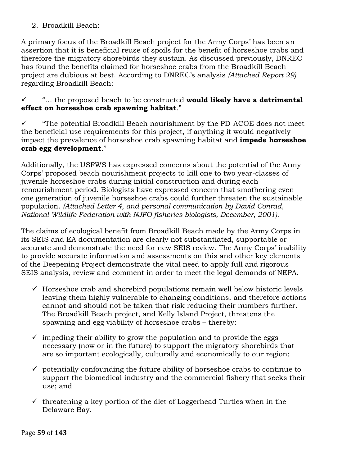## 2. Broadkill Beach:

A primary focus of the Broadkill Beach project for the Army Corps' has been an assertion that it is beneficial reuse of spoils for the benefit of horseshoe crabs and therefore the migratory shorebirds they sustain. As discussed previously, DNREC has found the benefits claimed for horseshoe crabs from the Broadkill Beach project are dubious at best. According to DNREC's analysis *(Attached Report 29)* regarding Broadkill Beach:

! "… the proposed beach to be constructed **would likely have a detrimental effect on horseshoe crab spawning habitat**."

! "The potential Broadkill Beach nourishment by the PD-ACOE does not meet the beneficial use requirements for this project, if anything it would negatively impact the prevalence of horseshoe crab spawning habitat and **impede horseshoe crab egg development**."

Additionally, the USFWS has expressed concerns about the potential of the Army Corps' proposed beach nourishment projects to kill one to two year-classes of juvenile horseshoe crabs during initial construction and during each renourishment period. Biologists have expressed concern that smothering even one generation of juvenile horseshoe crabs could further threaten the sustainable population. *(Attached Letter 4, and personal communication by David Conrad, National Wildlife Federation with NJFO fisheries biologists, December, 2001).*

The claims of ecological benefit from Broadkill Beach made by the Army Corps in its SEIS and EA documentation are clearly not substantiated, supportable or accurate and demonstrate the need for new SEIS review. The Army Corps' inability to provide accurate information and assessments on this and other key elements of the Deepening Project demonstrate the vital need to apply full and rigorous SEIS analysis, review and comment in order to meet the legal demands of NEPA.

- $\checkmark$  Horseshoe crab and shorebird populations remain well below historic levels leaving them highly vulnerable to changing conditions, and therefore actions cannot and should not be taken that risk reducing their numbers further. The Broadkill Beach project, and Kelly Island Project, threatens the spawning and egg viability of horseshoe crabs – thereby:
- $\checkmark$  impeding their ability to grow the population and to provide the eggs necessary (now or in the future) to support the migratory shorebirds that are so important ecologically, culturally and economically to our region;
- $\checkmark$  potentially confounding the future ability of horseshoe crabs to continue to support the biomedical industry and the commercial fishery that seeks their use; and
- $\checkmark$  threatening a key portion of the diet of Loggerhead Turtles when in the Delaware Bay.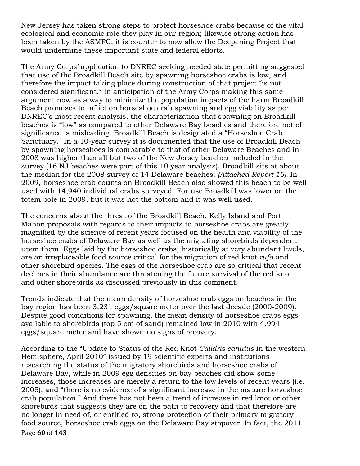New Jersey has taken strong steps to protect horseshoe crabs because of the vital ecological and economic role they play in our region; likewise strong action has been taken by the ASMFC; it is counter to now allow the Deepening Project that would undermine these important state and federal efforts.

The Army Corps' application to DNREC seeking needed state permitting suggested that use of the Broadkill Beach site by spawning horseshoe crabs is low, and therefore the impact taking place during construction of that project "is not considered significant." In anticipation of the Army Corps making this same argument now as a way to minimize the population impacts of the harm Broadkill Beach promises to inflict on horseshoe crab spawning and egg viability as per DNREC's most recent analysis, the characterization that spawning on Broadkill beaches is "low" as compared to other Delaware Bay beaches and therefore not of significance is misleading. Broadkill Beach is designated a "Horseshoe Crab Sanctuary." In a 10-year survey it is documented that the use of Broadkill Beach by spawning horseshoes is comparable to that of other Delaware Beaches and in 2008 was higher than all but two of the New Jersey beaches included in the survey (16 NJ beaches were part of this 10 year analysis). Broadkill sits at about the median for the 2008 survey of 14 Delaware beaches. *(Attached Report 15).* In 2009, horseshoe crab counts on Broadkill Beach also showed this beach to be well used with 14,940 individual crabs surveyed. For use Broadkill was lower on the totem pole in 2009, but it was not the bottom and it was well used.

The concerns about the threat of the Broadkill Beach, Kelly Island and Port Mahon proposals with regards to their impacts to horseshoe crabs are greatly magnified by the science of recent years focused on the health and viability of the horseshoe crabs of Delaware Bay as well as the migrating shorebirds dependent upon them. Eggs laid by the horseshoe crabs, historically at very abundant levels, are an irreplaceable food source critical for the migration of red knot *rufa* and other shorebird species. The eggs of the horseshoe crab are so critical that recent declines in their abundance are threatening the future survival of the red knot and other shorebirds as discussed previously in this comment.

Trends indicate that the mean density of horseshoe crab eggs on beaches in the bay region has been 3,231 eggs/square meter over the last decade (2000-2009). Despite good conditions for spawning, the mean density of horseshoe crabs eggs available to shorebirds (top 5 cm of sand) remained low in 2010 with 4,994 eggs/square meter and have shown no signs of recovery.

Page **60** of **143** According to the "Update to Status of the Red Knot *Calidris canutus* in the western Hemisphere, April 2010" issued by 19 scientific experts and institutions researching the status of the migratory shorebirds and horseshoe crabs of Delaware Bay, while in 2009 egg densities on bay beaches did show some increases, those increases are merely a return to the low levels of recent years (i.e. 2005), and "there is no evidence of a significant increase in the mature horseshoe crab population." And there has not been a trend of increase in red knot or other shorebirds that suggests they are on the path to recovery and that therefore are no longer in need of, or entitled to, strong protection of their primary migratory food source, horseshoe crab eggs on the Delaware Bay stopover. In fact, the 2011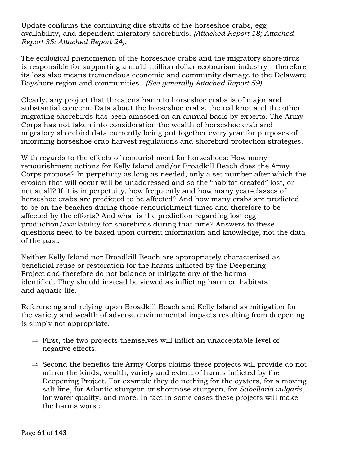Update confirms the continuing dire straits of the horseshoe crabs, egg availability, and dependent migratory shorebirds. *(Attached Report 18; Attached Report 35; Attached Report 24).*

The ecological phenomenon of the horseshoe crabs and the migratory shorebirds is responsible for supporting a multi-million dollar ecotourism industry – therefore its loss also means tremendous economic and community damage to the Delaware Bayshore region and communities. *(See generally Attached Report 59).*

Clearly, any project that threatens harm to horseshoe crabs is of major and substantial concern. Data about the horseshoe crabs, the red knot and the other migrating shorebirds has been amassed on an annual basis by experts. The Army Corps has not taken into consideration the wealth of horseshoe crab and migratory shorebird data currently being put together every year for purposes of informing horseshoe crab harvest regulations and shorebird protection strategies.

With regards to the effects of renourishment for horseshoes: How many renourishment actions for Kelly Island and/or Broadkill Beach does the Army Corps propose? In perpetuity as long as needed, only a set number after which the erosion that will occur will be unaddressed and so the "habitat created" lost, or not at all? If it is in perpetuity, how frequently and how many year-classes of horseshoe crabs are predicted to be affected? And how many crabs are predicted to be on the beaches during those renourishment times and therefore to be affected by the efforts? And what is the prediction regarding lost egg production/availability for shorebirds during that time? Answers to these questions need to be based upon current information and knowledge, not the data of the past.

Neither Kelly Island nor Broadkill Beach are appropriately characterized as beneficial reuse or restoration for the harms inflicted by the Deepening Project and therefore do not balance or mitigate any of the harms identified. They should instead be viewed as inflicting harm on habitats and aquatic life.

Referencing and relying upon Broadkill Beach and Kelly Island as mitigation for the variety and wealth of adverse environmental impacts resulting from deepening is simply not appropriate.

- $\Rightarrow$  First, the two projects themselves will inflict an unacceptable level of negative effects.
- ⇒ Second the benefits the Army Corps claims these projects will provide do not mirror the kinds, wealth, variety and extent of harms inflicted by the Deepening Project. For example they do nothing for the oysters, for a moving salt line, for Atlantic sturgeon or shortnose sturgeon, for *Sabellaria vulgaris*, for water quality, and more. In fact in some cases these projects will make the harms worse.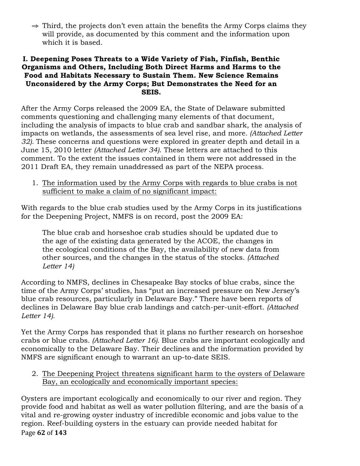⇒ Third, the projects don't even attain the benefits the Army Corps claims they will provide, as documented by this comment and the information upon which it is based.

### **I. Deepening Poses Threats to a Wide Variety of Fish, Finfish, Benthic Organisms and Others, Including Both Direct Harms and Harms to the Food and Habitats Necessary to Sustain Them. New Science Remains Unconsidered by the Army Corps; But Demonstrates the Need for an SEIS.**

After the Army Corps released the 2009 EA, the State of Delaware submitted comments questioning and challenging many elements of that document, including the analysis of impacts to blue crab and sandbar shark, the analysis of impacts on wetlands, the assessments of sea level rise, and more*. (Attached Letter 32).* These concerns and questions were explored in greater depth and detail in a June 15, 2010 letter *(Attached Letter 34)*. These letters are attached to this comment. To the extent the issues contained in them were not addressed in the 2011 Draft EA, they remain unaddressed as part of the NEPA process.

1. The information used by the Army Corps with regards to blue crabs is not sufficient to make a claim of no significant impact:

With regards to the blue crab studies used by the Army Corps in its justifications for the Deepening Project, NMFS is on record, post the 2009 EA:

The blue crab and horseshoe crab studies should be updated due to the age of the existing data generated by the ACOE, the changes in the ecological conditions of the Bay, the availability of new data from other sources, and the changes in the status of the stocks. *(Attached Letter 14)*

According to NMFS, declines in Chesapeake Bay stocks of blue crabs, since the time of the Army Corps' studies, has "put an increased pressure on New Jersey's blue crab resources, particularly in Delaware Bay." There have been reports of declines in Delaware Bay blue crab landings and catch-per-unit-effort. *(Attached Letter 14).*

Yet the Army Corps has responded that it plans no further research on horseshoe crabs or blue crabs*. (Attached Letter 16).* Blue crabs are important ecologically and economically to the Delaware Bay. Their declines and the information provided by NMFS are significant enough to warrant an up-to-date SEIS.

2. The Deepening Project threatens significant harm to the oysters of Delaware Bay, an ecologically and economically important species:

Page **62** of **143** Oysters are important ecologically and economically to our river and region. They provide food and habitat as well as water pollution filtering, and are the basis of a vital and re-growing oyster industry of incredible economic and jobs value to the region. Reef-building oysters in the estuary can provide needed habitat for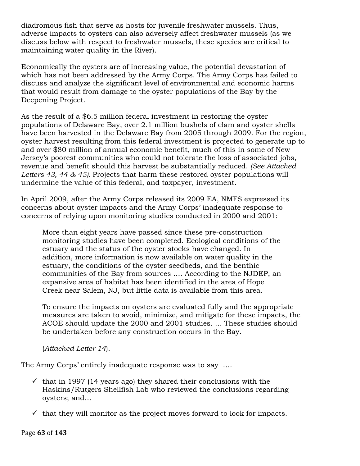diadromous fish that serve as hosts for juvenile freshwater mussels. Thus, adverse impacts to oysters can also adversely affect freshwater mussels (as we discuss below with respect to freshwater mussels, these species are critical to maintaining water quality in the River).

Economically the oysters are of increasing value, the potential devastation of which has not been addressed by the Army Corps. The Army Corps has failed to discuss and analyze the significant level of environmental and economic harms that would result from damage to the oyster populations of the Bay by the Deepening Project.

As the result of a \$6.5 million federal investment in restoring the oyster populations of Delaware Bay, over 2.1 million bushels of clam and oyster shells have been harvested in the Delaware Bay from 2005 through 2009. For the region, oyster harvest resulting from this federal investment is projected to generate up to and over \$80 million of annual economic benefit, much of this in some of New Jersey's poorest communities who could not tolerate the loss of associated jobs, revenue and benefit should this harvest be substantially reduced. *(See Attached Letters 43, 44 & 45).* Projects that harm these restored oyster populations will undermine the value of this federal, and taxpayer, investment.

In April 2009, after the Army Corps released its 2009 EA, NMFS expressed its concerns about oyster impacts and the Army Corps' inadequate response to concerns of relying upon monitoring studies conducted in 2000 and 2001:

More than eight years have passed since these pre-construction monitoring studies have been completed. Ecological conditions of the estuary and the status of the oyster stocks have changed. In addition, more information is now available on water quality in the estuary, the conditions of the oyster seedbeds, and the benthic communities of the Bay from sources …. According to the NJDEP, an expansive area of habitat has been identified in the area of Hope Creek near Salem, NJ, but little data is available from this area.

To ensure the impacts on oysters are evaluated fully and the appropriate measures are taken to avoid, minimize, and mitigate for these impacts, the ACOE should update the 2000 and 2001 studies. … These studies should be undertaken before any construction occurs in the Bay.

(*Attached Letter 14*).

The Army Corps' entirely inadequate response was to say ….

- $\checkmark$  that in 1997 (14 years ago) they shared their conclusions with the Haskins/Rutgers Shellfish Lab who reviewed the conclusions regarding oysters; and…
- $\checkmark$  that they will monitor as the project moves forward to look for impacts.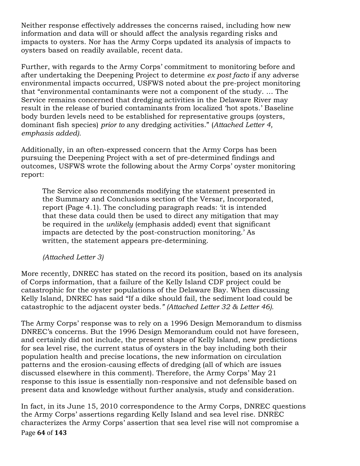Neither response effectively addresses the concerns raised, including how new information and data will or should affect the analysis regarding risks and impacts to oysters. Nor has the Army Corps updated its analysis of impacts to oysters based on readily available, recent data.

Further, with regards to the Army Corps' commitment to monitoring before and after undertaking the Deepening Project to determine *ex post facto* if any adverse environmental impacts occurred, USFWS noted about the pre-project monitoring that "environmental contaminants were not a component of the study. … The Service remains concerned that dredging activities in the Delaware River may result in the release of buried contaminants from localized 'hot spots.' Baseline body burden levels need to be established for representative groups (oysters, dominant fish species) *prior to* any dredging activities." (*Attached Letter 4, emphasis added).*

Additionally, in an often-expressed concern that the Army Corps has been pursuing the Deepening Project with a set of pre-determined findings and outcomes, USFWS wrote the following about the Army Corps' oyster monitoring report:

The Service also recommends modifying the statement presented in the Summary and Conclusions section of the Versar, Incorporated, report (Page 4.1). The concluding paragraph reads: 'it is intended that these data could then be used to direct any mitigation that may be required in the *unlikely* (emphasis added) event that significant impacts are detected by the post-construction monitoring.' As written, the statement appears pre-determining.

#### *(Attached Letter 3)*

More recently, DNREC has stated on the record its position, based on its analysis of Corps information, that a failure of the Kelly Island CDF project could be catastrophic for the oyster populations of the Delaware Bay. When discussing Kelly Island, DNREC has said "If a dike should fail, the sediment load could be catastrophic to the adjacent oyster beds*." (Attached Letter 32 & Letter 46).*

The Army Corps' response was to rely on a 1996 Design Memorandum to dismiss DNREC's concerns. But the 1996 Design Memorandum could not have foreseen, and certainly did not include, the present shape of Kelly Island, new predictions for sea level rise, the current status of oysters in the bay including both their population health and precise locations, the new information on circulation patterns and the erosion-causing effects of dredging (all of which are issues discussed elsewhere in this comment). Therefore, the Army Corps' May 21 response to this issue is essentially non-responsive and not defensible based on present data and knowledge without further analysis, study and consideration.

Page!**64** of!**143** In fact, in its June 15, 2010 correspondence to the Army Corps, DNREC questions the Army Corps' assertions regarding Kelly Island and sea level rise. DNREC characterizes the Army Corps' assertion that sea level rise will not compromise a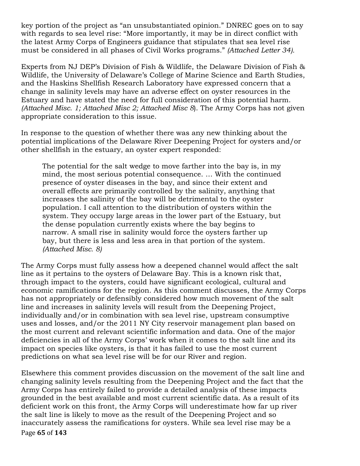key portion of the project as "an unsubstantiated opinion." DNREC goes on to say with regards to sea level rise: "More importantly, it may be in direct conflict with the latest Army Corps of Engineers guidance that stipulates that sea level rise must be considered in all phases of Civil Works programs." *(Attached Letter 34).*

Experts from NJ DEP's Division of Fish & Wildlife, the Delaware Division of Fish & Wildlife, the University of Delaware's College of Marine Science and Earth Studies, and the Haskins Shellfish Research Laboratory have expressed concern that a change in salinity levels may have an adverse effect on oyster resources in the Estuary and have stated the need for full consideration of this potential harm. *(Attached Misc. 1; Attached Misc 2; Attached Misc 8*). The Army Corps has not given appropriate consideration to this issue.

In response to the question of whether there was any new thinking about the potential implications of the Delaware River Deepening Project for oysters and/or other shellfish in the estuary, an oyster expert responded:

The potential for the salt wedge to move farther into the bay is, in my mind, the most serious potential consequence. … With the continued presence of oyster diseases in the bay, and since their extent and overall effects are primarily controlled by the salinity, anything that increases the salinity of the bay will be detrimental to the oyster population. I call attention to the distribution of oysters within the system. They occupy large areas in the lower part of the Estuary, but the dense population currently exists where the bay begins to narrow. A small rise in salinity would force the oysters farther up bay, but there is less and less area in that portion of the system. *(Attached Misc. 8)* 

The Army Corps must fully assess how a deepened channel would affect the salt line as it pertains to the oysters of Delaware Bay. This is a known risk that, through impact to the oysters, could have significant ecological, cultural and economic ramifications for the region. As this comment discusses, the Army Corps has not appropriately or defensibly considered how much movement of the salt line and increases in salinity levels will result from the Deepening Project, individually and/or in combination with sea level rise, upstream consumptive uses and losses, and/or the 2011 NY City reservoir management plan based on the most current and relevant scientific information and data. One of the major deficiencies in all of the Army Corps' work when it comes to the salt line and its impact on species like oysters, is that it has failed to use the most current predictions on what sea level rise will be for our River and region.

Page **65** of **143** Elsewhere this comment provides discussion on the movement of the salt line and changing salinity levels resulting from the Deepening Project and the fact that the Army Corps has entirely failed to provide a detailed analysis of these impacts grounded in the best available and most current scientific data. As a result of its deficient work on this front, the Army Corps will underestimate how far up river the salt line is likely to move as the result of the Deepening Project and so inaccurately assess the ramifications for oysters. While sea level rise may be a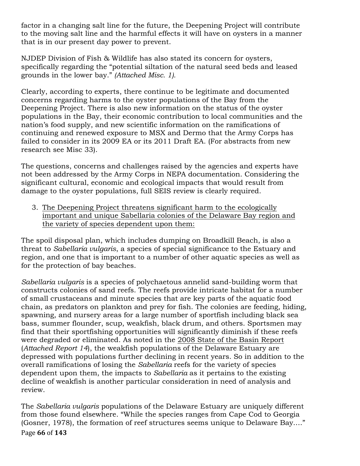factor in a changing salt line for the future, the Deepening Project will contribute to the moving salt line and the harmful effects it will have on oysters in a manner that is in our present day power to prevent.

NJDEP Division of Fish & Wildlife has also stated its concern for oysters, specifically regarding the "potential siltation of the natural seed beds and leased grounds in the lower bay." *(Attached Misc. 1).*

Clearly, according to experts, there continue to be legitimate and documented concerns regarding harms to the oyster populations of the Bay from the Deepening Project. There is also new information on the status of the oyster populations in the Bay, their economic contribution to local communities and the nation's food supply, and new scientific information on the ramifications of continuing and renewed exposure to MSX and Dermo that the Army Corps has failed to consider in its 2009 EA or its 2011 Draft EA. (For abstracts from new research see Misc 33).

The questions, concerns and challenges raised by the agencies and experts have not been addressed by the Army Corps in NEPA documentation. Considering the significant cultural, economic and ecological impacts that would result from damage to the oyster populations, full SEIS review is clearly required.

3. The Deepening Project threatens significant harm to the ecologically important and unique Sabellaria colonies of the Delaware Bay region and the variety of species dependent upon them:

The spoil disposal plan, which includes dumping on Broadkill Beach, is also a threat to *Sabellaria vulgaris*, a species of special significance to the Estuary and region, and one that is important to a number of other aquatic species as well as for the protection of bay beaches.

*Sabellaria vulgaris* is a species of polychaetous annelid sand-building worm that constructs colonies of sand reefs. The reefs provide intricate habitat for a number of small crustaceans and minute species that are key parts of the aquatic food chain, as predators on plankton and prey for fish. The colonies are feeding, hiding, spawning, and nursery areas for a large number of sportfish including black sea bass, summer flounder, scup, weakfish, black drum, and others. Sportsmen may find that their sportfishing opportunities will significantly diminish if these reefs were degraded or eliminated. As noted in the 2008 State of the Basin Report (*Attached Report 14*), the weakfish populations of the Delaware Estuary are depressed with populations further declining in recent years. So in addition to the overall ramifications of losing the *Sabellaria* reefs for the variety of species dependent upon them, the impacts to *Sabellaria* as it pertains to the existing decline of weakfish is another particular consideration in need of analysis and review.

Page **66** of **143** The *Sabellaria vulgaris* populations of the Delaware Estuary are uniquely different from those found elsewhere. "While the species ranges from Cape Cod to Georgia (Gosner, 1978), the formation of reef structures seems unique to Delaware Bay…."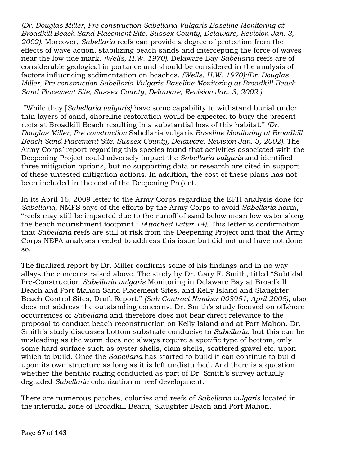*(Dr. Douglas Miller, Pre construction Sabellaria Vulgaris Baseline Monitoring at Broadkill Beach Sand Placement Site, Sussex County, Delaware, Revision Jan. 3, 2002).* Moreover, *Sabellaria* reefs can provide a degree of protection from the effects of wave action, stabilizing beach sands and intercepting the force of waves near the low tide mark. *(Wells, H.W. 1970).* Delaware Bay *Sabellaria* reefs are of considerable geological importance and should be considered in the analysis of factors influencing sedimentation on beaches. *(Wells, H.W. 1970);(Dr. Douglas Miller, Pre construction Sabellaria Vulgaris Baseline Monitoring at Broadkill Beach Sand Placement Site, Sussex County, Delaware, Revision Jan. 3, 2002.)*

"While they [*Sabellaria vulgaris]* have some capability to withstand burial under thin layers of sand, shoreline restoration would be expected to bury the present reefs at Broadkill Beach resulting in a substantial loss of this habitat." *(Dr. Douglas Miller, Pre construction* Sabellaria vulgaris *Baseline Monitoring at Broadkill Beach Sand Placement Site, Sussex County, Delaware, Revision Jan. 3, 2002).* The Army Corps' report regarding this species found that activities associated with the Deepening Project could adversely impact the *Sabellaria vulgaris* and identified three mitigation options, but no supporting data or research are cited in support of these untested mitigation actions. In addition, the cost of these plans has not been included in the cost of the Deepening Project.

In its April 16, 2009 letter to the Army Corps regarding the EFH analysis done for *Sabellaria,* NMFS says of the efforts by the Army Corps to avoid *Sabellaria* harm, "reefs may still be impacted due to the runoff of sand below mean low water along the beach nourishment footprint." *(Attached Letter 14).* This letter is confirmation that *Sabellaria* reefs are still at risk from the Deepening Project and that the Army Corps NEPA analyses needed to address this issue but did not and have not done so.

The finalized report by Dr. Miller confirms some of his findings and in no way allays the concerns raised above. The study by Dr. Gary F. Smith, titled "Subtidal Pre-Construction *Sabellaria vulgaris* Monitoring in Delaware Bay at Broadkill Beach and Port Mahon Sand Placement Sites, and Kelly Island and Slaughter Beach Control Sites, Draft Report," *(Sub-Contract Number 003951, April 2005),* also does not address the outstanding concerns. Dr. Smith's study focused on offshore occurrences of *Sabellaria* and therefore does not bear direct relevance to the proposal to conduct beach reconstruction on Kelly Island and at Port Mahon. Dr. Smith's study discusses bottom substrate conducive to *Sabellaria*; but this can be misleading as the worm does not always require a specific type of bottom, only some hard surface such as oyster shells, clam shells, scattered gravel etc. upon which to build. Once the *Sabellaria* has started to build it can continue to build upon its own structure as long as it is left undisturbed. And there is a question whether the benthic raking conducted as part of Dr. Smith's survey actually degraded *Sabellaria* colonization or reef development.

There are numerous patches, colonies and reefs of *Sabellaria vulgaris* located in the intertidal zone of Broadkill Beach, Slaughter Beach and Port Mahon.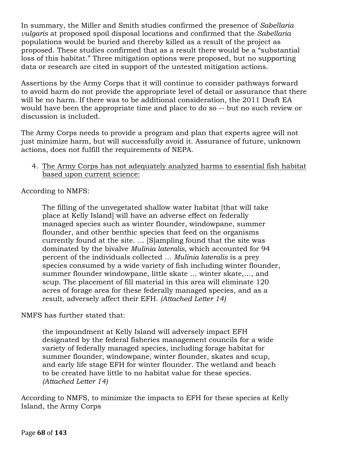In summary, the Miller and Smith studies confirmed the presence of *Sabellaria vulgaris* at proposed spoil disposal locations and confirmed that the *Sabellaria* populations would be buried and thereby killed as a result of the project as proposed. These studies confirmed that as a result there would be a "substantial loss of this habitat." Three mitigation options were proposed, but no supporting data or research are cited in support of the untested mitigation actions.

Assertions by the Army Corps that it will continue to consider pathways forward to avoid harm do not provide the appropriate level of detail or assurance that there will be no harm. If there was to be additional consideration, the 2011 Draft EA would have been the appropriate time and place to do so -- but no such review or discussion is included.

The Army Corps needs to provide a program and plan that experts agree will not just minimize harm, but will successfully avoid it. Assurance of future, unknown actions, does not fulfill the requirements of NEPA.

### 4. The Army Corps has not adequately analyzed harms to essential fish habitat based upon current science:

According to NMFS:

The filling of the unvegetated shallow water habitat [that will take place at Kelly Island] will have an adverse effect on federally managed species such as winter flounder, windowpane, summer flounder, and other benthic species that feed on the organisms currently found at the site. … [S]ampling found that the site was dominated by the bivalve *Mulinia lateralis*, which accounted for 94 percent of the individuals collected … *Mulinia lateralis* is a prey species consumed by a wide variety of fish including winter flounder, summer flounder windowpane, little skate … winter skate,…, and scup. The placement of fill material in this area will eliminate 120 acres of forage area for these federally managed species, and as a result, adversely affect their EFH. *(Attached Letter 14)*

NMFS has further stated that:

the impoundment at Kelly Island will adversely impact EFH designated by the federal fisheries management councils for a wide variety of federally managed species, including forage habitat for summer flounder, windowpane, winter flounder, skates and scup, and early life stage EFH for winter flounder. The wetland and beach to be created have little to no habitat value for these species. *(Attached Letter 14)*

According to NMFS, to minimize the impacts to EFH for these species at Kelly Island, the Army Corps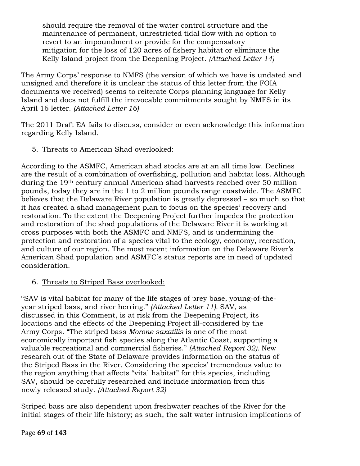should require the removal of the water control structure and the maintenance of permanent, unrestricted tidal flow with no option to revert to an impoundment or provide for the compensatory mitigation for the loss of 120 acres of fishery habitat or eliminate the Kelly Island project from the Deepening Project. *(Attached Letter 14)*

The Army Corps' response to NMFS (the version of which we have is undated and unsigned and therefore it is unclear the status of this letter from the FOIA documents we received) seems to reiterate Corps planning language for Kelly Island and does not fulfill the irrevocable commitments sought by NMFS in its April 16 letter. *(Attached Letter 16)*

The 2011 Draft EA fails to discuss, consider or even acknowledge this information regarding Kelly Island.

## 5. Threats to American Shad overlooked:

According to the ASMFC, American shad stocks are at an all time low. Declines are the result of a combination of overfishing, pollution and habitat loss. Although during the 19th century annual American shad harvests reached over 50 million pounds, today they are in the 1 to 2 million pounds range coastwide. The ASMFC believes that the Delaware River population is greatly depressed – so much so that it has created a shad management plan to focus on the species' recovery and restoration. To the extent the Deepening Project further impedes the protection and restoration of the shad populations of the Delaware River it is working at cross purposes with both the ASMFC and NMFS, and is undermining the protection and restoration of a species vital to the ecology, economy, recreation, and culture of our region. The most recent information on the Delaware River's American Shad population and ASMFC's status reports are in need of updated consideration.

# 6. Threats to Striped Bass overlooked:

"SAV is vital habitat for many of the life stages of prey base, young-of-theyear striped bass, and river herring." *(Attached Letter 11).* SAV, as discussed in this Comment, is at risk from the Deepening Project, its locations and the effects of the Deepening Project ill-considered by the Army Corps. "The striped bass *Morone saxatilis* is one of the most economically important fish species along the Atlantic Coast, supporting a valuable recreational and commercial fisheries." *(Attached Report 32).* New research out of the State of Delaware provides information on the status of the Striped Bass in the River. Considering the species' tremendous value to the region anything that affects "vital habitat" for this species, including SAV, should be carefully researched and include information from this newly released study. *(Attached Report 32)*

Striped bass are also dependent upon freshwater reaches of the River for the initial stages of their life history; as such, the salt water intrusion implications of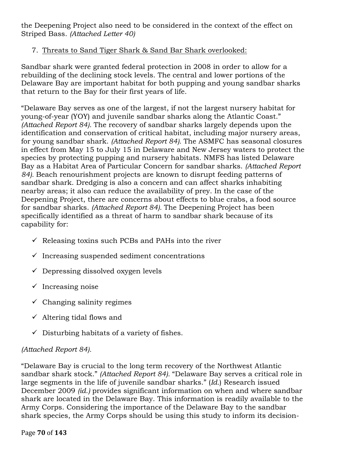the Deepening Project also need to be considered in the context of the effect on Striped Bass. *(Attached Letter 40)*

# 7. Threats to Sand Tiger Shark & Sand Bar Shark overlooked:

Sandbar shark were granted federal protection in 2008 in order to allow for a rebuilding of the declining stock levels. The central and lower portions of the Delaware Bay are important habitat for both pupping and young sandbar sharks that return to the Bay for their first years of life.

"Delaware Bay serves as one of the largest, if not the largest nursery habitat for young-of-year (YOY) and juvenile sandbar sharks along the Atlantic Coast." *(Attached Report 84).* The recovery of sandbar sharks largely depends upon the identification and conservation of critical habitat, including major nursery areas, for young sandbar shark. *(Attached Report 84).* The ASMFC has seasonal closures in effect from May 15 to July 15 in Delaware and New Jersey waters to protect the species by protecting pupping and nursery habitats. NMFS has listed Delaware Bay as a Habitat Area of Particular Concern for sandbar sharks. *(Attached Report 84).* Beach renourishment projects are known to disrupt feeding patterns of sandbar shark. Dredging is also a concern and can affect sharks inhabiting nearby areas; it also can reduce the availability of prey. In the case of the Deepening Project, there are concerns about effects to blue crabs, a food source for sandbar sharks. *(Attached Report 84).* The Deepening Project has been specifically identified as a threat of harm to sandbar shark because of its capability for:

- $\checkmark$  Releasing toxins such PCBs and PAHs into the river
- $\checkmark$  Increasing suspended sediment concentrations
- $\checkmark$  Depressing dissolved oxygen levels
- $\checkmark$  Increasing noise
- $\checkmark$  Changing salinity regimes
- $\checkmark$  Altering tidal flows and
- $\checkmark$  Disturbing habitats of a variety of fishes.

## *(Attached Report 84).*

"Delaware Bay is crucial to the long term recovery of the Northwest Atlantic sandbar shark stock." *(Attached Report 84).* "Delaware Bay serves a critical role in large segments in the life of juvenile sandbar sharks." (*Id.*) Research issued December 2009 *(id.)* provides significant information on when and where sandbar shark are located in the Delaware Bay. This information is readily available to the Army Corps. Considering the importance of the Delaware Bay to the sandbar shark species, the Army Corps should be using this study to inform its decision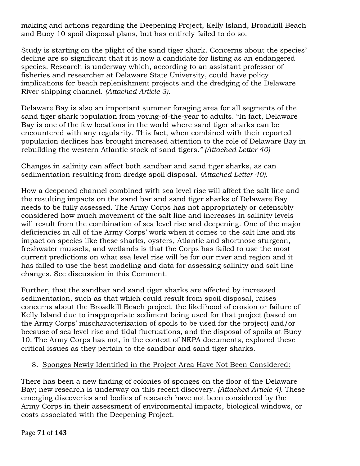making and actions regarding the Deepening Project, Kelly Island, Broadkill Beach and Buoy 10 spoil disposal plans, but has entirely failed to do so.

Study is starting on the plight of the sand tiger shark. Concerns about the species' decline are so significant that it is now a candidate for listing as an endangered species. Research is underway which, according to an assistant professor of fisheries and researcher at Delaware State University, could have policy implications for beach replenishment projects and the dredging of the Delaware River shipping channel. *(Attached Article 3)*.

Delaware Bay is also an important summer foraging area for all segments of the sand tiger shark population from young-of-the-year to adults. "In fact, Delaware Bay is one of the few locations in the world where sand tiger sharks can be encountered with any regularity. This fact, when combined with their reported population declines has brought increased attention to the role of Delaware Bay in rebuilding the western Atlantic stock of sand tigers*." (Attached Letter 40)*

Changes in salinity can affect both sandbar and sand tiger sharks, as can sedimentation resulting from dredge spoil disposal. *(Attached Letter 40).*

How a deepened channel combined with sea level rise will affect the salt line and the resulting impacts on the sand bar and sand tiger sharks of Delaware Bay needs to be fully assessed. The Army Corps has not appropriately or defensibly considered how much movement of the salt line and increases in salinity levels will result from the combination of sea level rise and deepening. One of the major deficiencies in all of the Army Corps' work when it comes to the salt line and its impact on species like these sharks, oysters, Atlantic and shortnose sturgeon, freshwater mussels, and wetlands is that the Corps has failed to use the most current predictions on what sea level rise will be for our river and region and it has failed to use the best modeling and data for assessing salinity and salt line changes. See discussion in this Comment.

Further, that the sandbar and sand tiger sharks are affected by increased sedimentation, such as that which could result from spoil disposal, raises concerns about the Broadkill Beach project, the likelihood of erosion or failure of Kelly Island due to inappropriate sediment being used for that project (based on the Army Corps' mischaracterization of spoils to be used for the project) and/or because of sea level rise and tidal fluctuations, and the disposal of spoils at Buoy 10. The Army Corps has not, in the context of NEPA documents, explored these critical issues as they pertain to the sandbar and sand tiger sharks.

## 8. Sponges Newly Identified in the Project Area Have Not Been Considered:

There has been a new finding of colonies of sponges on the floor of the Delaware Bay; new research is underway on this recent discovery. *(Attached Article 4).* These emerging discoveries and bodies of research have not been considered by the Army Corps in their assessment of environmental impacts, biological windows, or costs associated with the Deepening Project.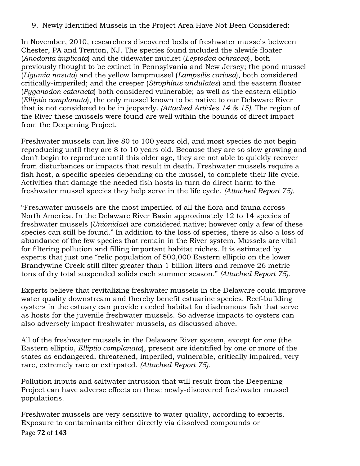## 9. Newly Identified Mussels in the Project Area Have Not Been Considered:

In November, 2010, researchers discovered beds of freshwater mussels between Chester, PA and Trenton, NJ. The species found included the alewife floater (*Anodonta implicata*) and the tidewater mucket (*Leptodea ochracea*), both previously thought to be extinct in Pennsylvania and New Jersey; the pond mussel (*Ligumia nasuta*) and the yellow lampmussel (*Lampsilis cariosa*), both considered critically-imperiled; and the creeper (*Strophitus undulates*) and the eastern floater (*Pyganodon cataracta*) both considered vulnerable; as well as the eastern elliptio (*Elliptio complanata*), the only mussel known to be native to our Delaware River that is not considered to be in jeopardy*. (Attached Articles 14 & 15).* The region of the River these mussels were found are well within the bounds of direct impact from the Deepening Project.

Freshwater mussels can live 80 to 100 years old, and most species do not begin reproducing until they are 8 to 10 years old. Because they are so slow growing and don't begin to reproduce until this older age, they are not able to quickly recover from disturbances or impacts that result in death. Freshwater mussels require a fish host, a specific species depending on the mussel, to complete their life cycle. Activities that damage the needed fish hosts in turn do direct harm to the freshwater mussel species they help serve in the life cycle. *(Attached Report 75).*

"Freshwater mussels are the most imperiled of all the flora and fauna across North America. In the Delaware River Basin approximately 12 to 14 species of freshwater mussels (*Unionidae*) are considered native; however only a few of these species can still be found." In addition to the loss of species, there is also a loss of abundance of the few species that remain in the River system. Mussels are vital for filtering pollution and filling important habitat niches. It is estimated by experts that just one "relic population of 500,000 Eastern elliptio on the lower Brandywine Creek still filter greater than 1 billion liters and remove 26 metric tons of dry total suspended solids each summer season." *(Attached Report 75).*

Experts believe that revitalizing freshwater mussels in the Delaware could improve water quality downstream and thereby benefit estuarine species. Reef-building oysters in the estuary can provide needed habitat for diadromous fish that serve as hosts for the juvenile freshwater mussels. So adverse impacts to oysters can also adversely impact freshwater mussels, as discussed above.

All of the freshwater mussels in the Delaware River system, except for one (the Eastern elliptio, *Elliptio complanata*), present are identified by one or more of the states as endangered, threatened, imperiled, vulnerable, critically impaired, very rare, extremely rare or extirpated. *(Attached Report 75).*

Pollution inputs and saltwater intrusion that will result from the Deepening Project can have adverse effects on these newly-discovered freshwater mussel populations.

Page!**72** of!**143** Freshwater mussels are very sensitive to water quality, according to experts. Exposure to contaminants either directly via dissolved compounds or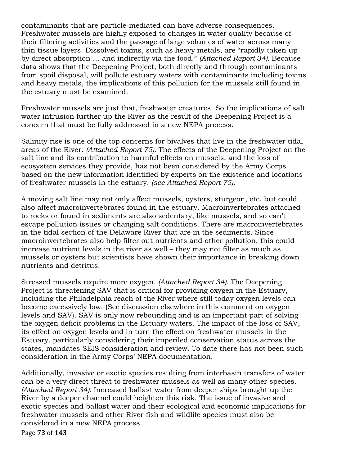contaminants that are particle-mediated can have adverse consequences. Freshwater mussels are highly exposed to changes in water quality because of their filtering activities and the passage of large volumes of water across many thin tissue layers. Dissolved toxins, such as heavy metals, are "rapidly taken up by direct absorption … and indirectly via the food." *(Attached Report 34).* Because data shows that the Deepening Project, both directly and through contaminants from spoil disposal, will pollute estuary waters with contaminants including toxins and heavy metals, the implications of this pollution for the mussels still found in the estuary must be examined.

Freshwater mussels are just that, freshwater creatures. So the implications of salt water intrusion further up the River as the result of the Deepening Project is a concern that must be fully addressed in a new NEPA process.

Salinity rise is one of the top concerns for bivalves that live in the freshwater tidal areas of the River. *(Attached Report 75).* The effects of the Deepening Project on the salt line and its contribution to harmful effects on mussels, and the loss of ecosystem services they provide, has not been considered by the Army Corps based on the new information identified by experts on the existence and locations of freshwater mussels in the estuary. *(see Attached Report 75).*

A moving salt line may not only affect mussels, oysters, sturgeon, etc. but could also affect macroinvertebrates found in the estuary. Macroinvertebrates attached to rocks or found in sediments are also sedentary, like mussels, and so can't escape pollution issues or changing salt conditions. There are macroinvertebrates in the tidal section of the Delaware River that are in the sediments. Since macroinvertebrates also help filter out nutrients and other pollution, this could increase nutrient levels in the river as well – they may not filter as much as mussels or oysters but scientists have shown their importance in breaking down nutrients and detritus.

Stressed mussels require more oxygen. *(Attached Report 34).* The Deepening Project is threatening SAV that is critical for providing oxygen in the Estuary, including the Philadelphia reach of the River where still today oxygen levels can become excessively low. (See discussion elsewhere in this comment on oxygen levels and SAV). SAV is only now rebounding and is an important part of solving the oxygen deficit problems in the Estuary waters. The impact of the loss of SAV, its effect on oxygen levels and in turn the effect on freshwater mussels in the Estuary, particularly considering their imperiled conservation status across the states, mandates SEIS consideration and review. To date there has not been such consideration in the Army Corps' NEPA documentation.

Additionally, invasive or exotic species resulting from interbasin transfers of water can be a very direct threat to freshwater mussels as well as many other species. *(Attached Report 34).* Increased ballast water from deeper ships brought up the River by a deeper channel could heighten this risk. The issue of invasive and exotic species and ballast water and their ecological and economic implications for freshwater mussels and other River fish and wildlife species must also be considered in a new NEPA process.

Page **73** of **143**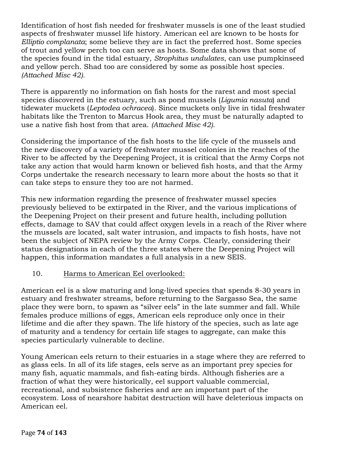Identification of host fish needed for freshwater mussels is one of the least studied aspects of freshwater mussel life history. American eel are known to be hosts for *Elliptio complanata*; some believe they are in fact the preferred host. Some species of trout and yellow perch too can serve as hosts. Some data shows that some of the species found in the tidal estuary, *Strophitus undulates*, can use pumpkinseed and yellow perch. Shad too are considered by some as possible host species*. (Attached Misc 42).*

There is apparently no information on fish hosts for the rarest and most special species discovered in the estuary, such as pond mussels (*Ligumia nasuta*) and tidewater muckets (*Leptodea ochracea*). Since muckets only live in tidal freshwater habitats like the Trenton to Marcus Hook area, they must be naturally adapted to use a native fish host from that area. *(Attached Misc 42).*

Considering the importance of the fish hosts to the life cycle of the mussels and the new discovery of a variety of freshwater mussel colonies in the reaches of the River to be affected by the Deepening Project, it is critical that the Army Corps not take any action that would harm known or believed fish hosts, and that the Army Corps undertake the research necessary to learn more about the hosts so that it can take steps to ensure they too are not harmed.

This new information regarding the presence of freshwater mussel species previously believed to be extirpated in the River, and the various implications of the Deepening Project on their present and future health, including pollution effects, damage to SAV that could affect oxygen levels in a reach of the River where the mussels are located, salt water intrusion, and impacts to fish hosts, have not been the subject of NEPA review by the Army Corps. Clearly, considering their status designations in each of the three states where the Deepening Project will happen, this information mandates a full analysis in a new SEIS.

# 10. Harms to American Eel overlooked:

American eel is a slow maturing and long-lived species that spends 8-30 years in estuary and freshwater streams, before returning to the Sargasso Sea, the same place they were born, to spawn as "silver eels" in the late summer and fall. While females produce millions of eggs, American eels reproduce only once in their lifetime and die after they spawn. The life history of the species, such as late age of maturity and a tendency for certain life stages to aggregate, can make this species particularly vulnerable to decline.

Young American eels return to their estuaries in a stage where they are referred to as glass eels. In all of its life stages, eels serve as an important prey species for many fish, aquatic mammals, and fish-eating birds. Although fisheries are a fraction of what they were historically, eel support valuable commercial, recreational, and subsistence fisheries and are an important part of the ecosystem. Loss of nearshore habitat destruction will have deleterious impacts on American eel.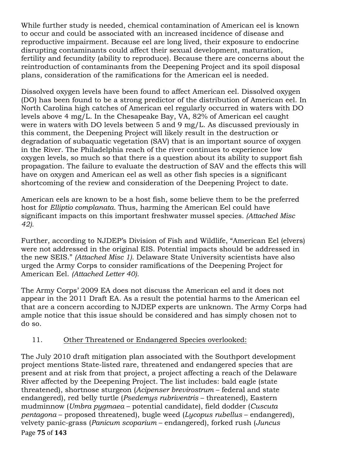While further study is needed, chemical contamination of American eel is known to occur and could be associated with an increased incidence of disease and reproductive impairment. Because eel are long lived, their exposure to endocrine disrupting contaminants could affect their sexual development, maturation, fertility and fecundity (ability to reproduce). Because there are concerns about the reintroduction of contaminants from the Deepening Project and its spoil disposal plans, consideration of the ramifications for the American eel is needed.

Dissolved oxygen levels have been found to affect American eel. Dissolved oxygen (DO) has been found to be a strong predictor of the distribution of American eel. In North Carolina high catches of American eel regularly occurred in waters with DO levels above 4 mg/L. In the Chesapeake Bay, VA, 82% of American eel caught were in waters with DO levels between 5 and 9 mg/L. As discussed previously in this comment, the Deepening Project will likely result in the destruction or degradation of subaquatic vegetation (SAV) that is an important source of oxygen in the River. The Philadelphia reach of the river continues to experience low oxygen levels, so much so that there is a question about its ability to support fish propagation. The failure to evaluate the destruction of SAV and the effects this will have on oxygen and American eel as well as other fish species is a significant shortcoming of the review and consideration of the Deepening Project to date.

American eels are known to be a host fish, some believe them to be the preferred host for *Elliptio complanata*. Thus, harming the American Eel could have significant impacts on this important freshwater mussel species*. (Attached Misc 42).*

Further, according to NJDEP's Division of Fish and Wildlife, "American Eel (elvers) were not addressed in the original EIS. Potential impacts should be addressed in the new SEIS." *(Attached Misc 1)*. Delaware State University scientists have also urged the Army Corps to consider ramifications of the Deepening Project for American Eel. *(Attached Letter 40).*

The Army Corps' 2009 EA does not discuss the American eel and it does not appear in the 2011 Draft EA. As a result the potential harms to the American eel that are a concern according to NJDEP experts are unknown. The Army Corps had ample notice that this issue should be considered and has simply chosen not to do so.

# 11. Other Threatened or Endangered Species overlooked:

Page!**75** of!**143** The July 2010 draft mitigation plan associated with the Southport development project mentions State-listed rare, threatened and endangered species that are present and at risk from that project, a project affecting a reach of the Delaware River affected by the Deepening Project. The list includes: bald eagle (state threatened), shortnose sturgeon (*Acipenser brevirostrum* – federal and state endangered), red belly turtle (*Psedemys rubriventris* – threatened), Eastern mudminnow (*Umbra pygmaea* – potential candidate), field dodder (*Cuscuta pentagona* – proposed threatened), bugle weed (*Lycopus rubellus* – endangered), velvety panic-grass (*Panicum scoparium* – endangered), forked rush (*Juncus*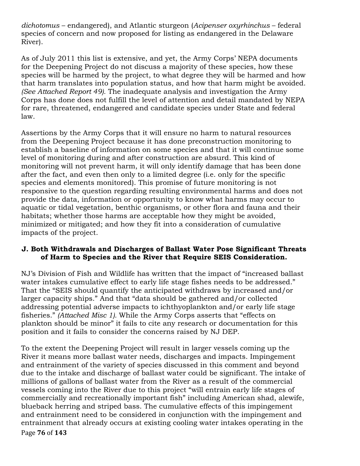*dichotomus* – endangered), and Atlantic sturgeon (*Acipenser oxyrhinchus* – federal species of concern and now proposed for listing as endangered in the Delaware River).

As of July 2011 this list is extensive, and yet, the Army Corps' NEPA documents for the Deepening Project do not discuss a majority of these species, how these species will be harmed by the project, to what degree they will be harmed and how that harm translates into population status, and how that harm might be avoided. *(See Attached Report 49).* The inadequate analysis and investigation the Army Corps has done does not fulfill the level of attention and detail mandated by NEPA for rare, threatened, endangered and candidate species under State and federal law.

Assertions by the Army Corps that it will ensure no harm to natural resources from the Deepening Project because it has done preconstruction monitoring to establish a baseline of information on some species and that it will continue some level of monitoring during and after construction are absurd. This kind of monitoring will not prevent harm, it will only identify damage that has been done after the fact, and even then only to a limited degree (i.e. only for the specific species and elements monitored). This promise of future monitoring is not responsive to the question regarding resulting environmental harms and does not provide the data, information or opportunity to know what harms may occur to aquatic or tidal vegetation, benthic organisms, or other flora and fauna and their habitats; whether those harms are acceptable how they might be avoided, minimized or mitigated; and how they fit into a consideration of cumulative impacts of the project.

### **J. Both Withdrawals and Discharges of Ballast Water Pose Significant Threats of Harm to Species and the River that Require SEIS Consideration.**

NJ's Division of Fish and Wildlife has written that the impact of "increased ballast water intakes cumulative effect to early life stage fishes needs to be addressed." That the "SEIS should quantify the anticipated withdraws by increased and/or larger capacity ships." And that "data should be gathered and/or collected addressing potential adverse impacts to ichthyoplankton and/or early life stage fisheries." *(Attached Misc 1).* While the Army Corps asserts that "effects on plankton should be minor" it fails to cite any research or documentation for this position and it fails to consider the concerns raised by NJ DEP.

Page!**76** of!**143** To the extent the Deepening Project will result in larger vessels coming up the River it means more ballast water needs, discharges and impacts. Impingement and entrainment of the variety of species discussed in this comment and beyond due to the intake and discharge of ballast water could be significant. The intake of millions of gallons of ballast water from the River as a result of the commercial vessels coming into the River due to this project "will entrain early life stages of commercially and recreationally important fish" including American shad, alewife, blueback herring and striped bass. The cumulative effects of this impingement and entrainment need to be considered in conjunction with the impingement and entrainment that already occurs at existing cooling water intakes operating in the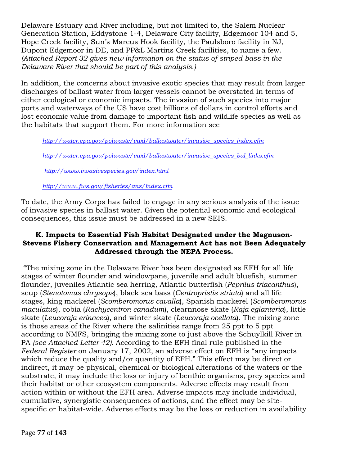Delaware Estuary and River including, but not limited to, the Salem Nuclear Generation Station, Eddystone 1-4, Delaware City facility, Edgemoor 104 and 5, Hope Creek facility, Sun's Marcus Hook facility, the Paulsboro facility in NJ, Dupont Edgemoor in DE, and PP&L Martins Creek facilities, to name a few. *(Attached Report 32 gives new information on the status of striped bass in the Delaware River that should be part of this analysis.)*

In addition, the concerns about invasive exotic species that may result from larger discharges of ballast water from larger vessels cannot be overstated in terms of either ecological or economic impacts. The invasion of such species into major ports and waterways of the US have cost billions of dollars in control efforts and lost economic value from damage to important fish and wildlife species as well as the habitats that support them. For more information see

*http://water.epa.gov/polwaste/vwd/ballastwater/invasive\_species\_index.cfm*

*http://water.epa.gov/polwaste/vwd/ballastwater/invasive\_species\_bal\_links.cfm*

*http://www.invasivespecies.gov/index.html*

*http://www.fws.gov/fisheries/ans/Index.cfm*

To date, the Army Corps has failed to engage in any serious analysis of the issue of invasive species in ballast water. Given the potential economic and ecological consequences, this issue must be addressed in a new SEIS.

## **K. Impacts to Essential Fish Habitat Designated under the Magnuson-Stevens Fishery Conservation and Management Act has not Been Adequately Addressed through the NEPA Process.**

"The mixing zone in the Delaware River has been designated as EFH for all life stages of winter flounder and windowpane, juvenile and adult bluefish, summer flounder, juveniles Atlantic sea herring, Atlantic butterfish (*Peprilus triacanthus*), scup (*Stenotomus chrysops*), black sea bass (*Centropristis striata*) and all life stages, king mackerel (*Scomberomorus cavalla*), Spanish mackerel (*Scomberomorus maculatus*), cobia (*Rachycentron canadum*), clearnnose skate (*Raja eglanteria*), little skate (*Leucoraja erinacea*), and winter skate (*Leucoraja ocellata*). The mixing zone is those areas of the River where the salinities range from 25 ppt to 5 ppt according to NMFS, bringing the mixing zone to just above the Schuylkill River in PA *(see Attached Letter 42).* According to the EFH final rule published in the *Federal Register* on January 17, 2002, an adverse effect on EFH is "any impacts which reduce the quality and/or quantity of EFH." This effect may be direct or indirect, it may be physical, chemical or biological alterations of the waters or the substrate, it may include the loss or injury of benthic organisms, prey species and their habitat or other ecosystem components. Adverse effects may result from action within or without the EFH area. Adverse impacts may include individual, cumulative, synergistic consequences of actions, and the effect may be sitespecific or habitat-wide. Adverse effects may be the loss or reduction in availability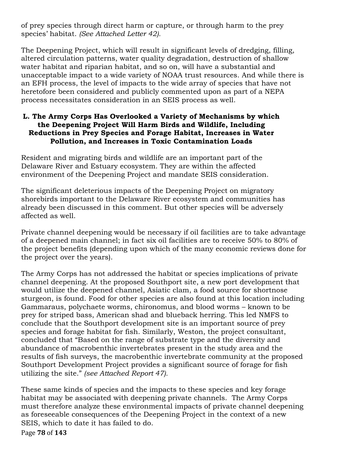of prey species through direct harm or capture, or through harm to the prey species' habitat. *(See Attached Letter 42).*

The Deepening Project, which will result in significant levels of dredging, filling, altered circulation patterns, water quality degradation, destruction of shallow water habitat and riparian habitat, and so on, will have a substantial and unacceptable impact to a wide variety of NOAA trust resources. And while there is an EFH process, the level of impacts to the wide array of species that have not heretofore been considered and publicly commented upon as part of a NEPA process necessitates consideration in an SEIS process as well.

### **L. The Army Corps Has Overlooked a Variety of Mechanisms by which the Deepening Project Will Harm Birds and Wildlife, Including Reductions in Prey Species and Forage Habitat, Increases in Water Pollution, and Increases in Toxic Contamination Loads**

Resident and migrating birds and wildlife are an important part of the Delaware River and Estuary ecosystem. They are within the affected environment of the Deepening Project and mandate SEIS consideration.

The significant deleterious impacts of the Deepening Project on migratory shorebirds important to the Delaware River ecosystem and communities has already been discussed in this comment. But other species will be adversely affected as well.

Private channel deepening would be necessary if oil facilities are to take advantage of a deepened main channel; in fact six oil facilities are to receive 50% to 80% of the project benefits (depending upon which of the many economic reviews done for the project over the years).

The Army Corps has not addressed the habitat or species implications of private channel deepening. At the proposed Southport site, a new port development that would utilize the deepened channel, Asiatic clam, a food source for shortnose sturgeon, is found. Food for other species are also found at this location including Gammaraus, polychaete worms, chironomus, and blood worms – known to be prey for striped bass, American shad and blueback herring. This led NMFS to conclude that the Southport development site is an important source of prey species and forage habitat for fish. Similarly, Weston, the project consultant, concluded that "Based on the range of substrate type and the diversity and abundance of macrobenthic invertebrates present in the study area and the results of fish surveys, the macrobenthic invertebrate community at the proposed Southport Development Project provides a significant source of forage for fish utilizing the site." *(see Attached Report 47).*

These same kinds of species and the impacts to these species and key forage habitat may be associated with deepening private channels. The Army Corps must therefore analyze these environmental impacts of private channel deepening as foreseeable consequences of the Deepening Project in the context of a new SEIS, which to date it has failed to do.

Page!**78** of!**143**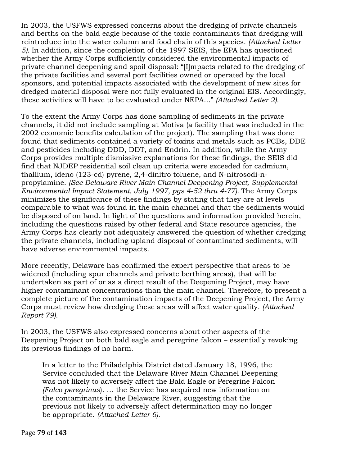In 2003, the USFWS expressed concerns about the dredging of private channels and berths on the bald eagle because of the toxic contaminants that dredging will reintroduce into the water column and food chain of this species. *(Attached Letter 5).* In addition, since the completion of the 1997 SEIS, the EPA has questioned whether the Army Corps sufficiently considered the environmental impacts of private channel deepening and spoil disposal: "[I]mpacts related to the dredging of the private facilities and several port facilities owned or operated by the local sponsors, and potential impacts associated with the development of new sites for dredged material disposal were not fully evaluated in the original EIS. Accordingly, these activities will have to be evaluated under NEPA..." *(Attached Letter 2).*

To the extent the Army Corps has done sampling of sediments in the private channels, it did not include sampling at Motiva (a facility that was included in the 2002 economic benefits calculation of the project). The sampling that was done found that sediments contained a variety of toxins and metals such as PCBs, DDE and pesticides including DDD, DDT, and Endrin. In addition, while the Army Corps provides multiple dismissive explanations for these findings, the SEIS did find that NJDEP residential soil clean up criteria were exceeded for cadmium, thallium, ideno (123-cd) pyrene, 2,4-dinitro toluene, and N-nitrosodi-npropylamine. *(See Delaware River Main Channel Deepening Project, Supplemental Environmental Impact Statement, July 1997, pgs 4-52 thru 4-77).* The Army Corps minimizes the significance of these findings by stating that they are at levels comparable to what was found in the main channel and that the sediments would be disposed of on land. In light of the questions and information provided herein, including the questions raised by other federal and State resource agencies, the Army Corps has clearly not adequately answered the question of whether dredging the private channels, including upland disposal of contaminated sediments, will have adverse environmental impacts.

More recently, Delaware has confirmed the expert perspective that areas to be widened (including spur channels and private berthing areas), that will be undertaken as part of or as a direct result of the Deepening Project, may have higher contaminant concentrations than the main channel. Therefore, to present a complete picture of the contamination impacts of the Deepening Project, the Army Corps must review how dredging these areas will affect water quality. *(Attached Report 79).*

In 2003, the USFWS also expressed concerns about other aspects of the Deepening Project on both bald eagle and peregrine falcon – essentially revoking its previous findings of no harm.

In a letter to the Philadelphia District dated January 18, 1996, the Service concluded that the Delaware River Main Channel Deepening was not likely to adversely affect the Bald Eagle or Peregrine Falcon *(Falco peregrinus*). … the Service has acquired new information on the contaminants in the Delaware River, suggesting that the previous not likely to adversely affect determination may no longer be appropriate. *(Attached Letter 6).*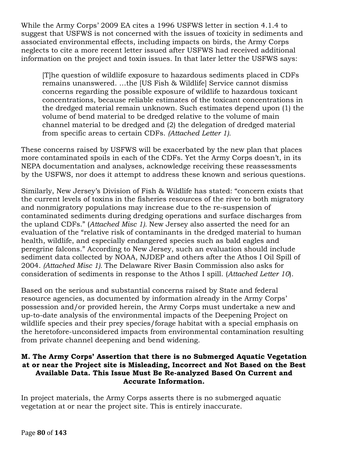While the Army Corps' 2009 EA cites a 1996 USFWS letter in section 4.1.4 to suggest that USFWS is not concerned with the issues of toxicity in sediments and associated environmental effects, including impacts on birds, the Army Corps neglects to cite a more recent letter issued after USFWS had received additional information on the project and toxin issues. In that later letter the USFWS says:

[T]he question of wildlife exposure to hazardous sediments placed in CDFs remains unanswered. …the [US Fish & Wildlife] Service cannot dismiss concerns regarding the possible exposure of wildlife to hazardous toxicant concentrations, because reliable estimates of the toxicant concentrations in the dredged material remain unknown. Such estimates depend upon (1) the volume of bend material to be dredged relative to the volume of main channel material to be dredged and (2) the delegation of dredged material from specific areas to certain CDFs. *(Attached Letter 1).*

These concerns raised by USFWS will be exacerbated by the new plan that places more contaminated spoils in each of the CDFs. Yet the Army Corps doesn't, in its NEPA documentation and analyses, acknowledge receiving these reassessments by the USFWS, nor does it attempt to address these known and serious questions.

Similarly, New Jersey's Division of Fish & Wildlife has stated: "concern exists that the current levels of toxins in the fisheries resources of the river to both migratory and nonmigratory populations may increase due to the re-suspension of contaminated sediments during dredging operations and surface discharges from the upland CDFs." (*Attached Misc 1).* New Jersey also asserted the need for an evaluation of the "relative risk of contaminants in the dredged material to human health, wildlife, and especially endangered species such as bald eagles and peregrine falcons." According to New Jersey, such an evaluation should include sediment data collected by NOAA, NJDEP and others after the Athos I Oil Spill of 2004. *(Attached Misc 1).* The Delaware River Basin Commission also asks for consideration of sediments in response to the Athos I spill. (*Attached Letter 10*).

Based on the serious and substantial concerns raised by State and federal resource agencies, as documented by information already in the Army Corps' possession and/or provided herein, the Army Corps must undertake a new and up-to-date analysis of the environmental impacts of the Deepening Project on wildlife species and their prey species/forage habitat with a special emphasis on the heretofore-unconsidered impacts from environmental contamination resulting from private channel deepening and bend widening.

#### **M. The Army Corps' Assertion that there is no Submerged Aquatic Vegetation at or near the Project site is Misleading, Incorrect and Not Based on the Best Available Data. This Issue Must Be Re-analyzed Based On Current and Accurate Information.**

In project materials, the Army Corps asserts there is no submerged aquatic vegetation at or near the project site. This is entirely inaccurate.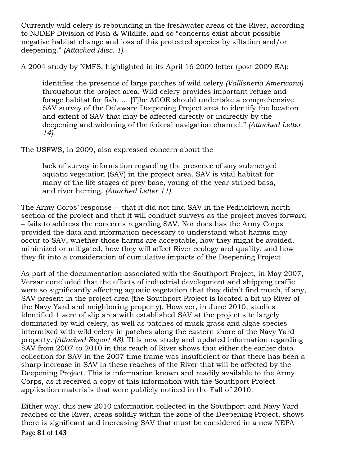Currently wild celery is rebounding in the freshwater areas of the River, according to NJDEP Division of Fish & Wildlife, and so "concerns exist about possible negative habitat change and loss of this protected species by siltation and/or deepening." *(Attached Misc. 1).*

A 2004 study by NMFS, highlighted in its April 16 2009 letter (post 2009 EA):

identifies the presence of large patches of wild celery *(Vallisneria Americana)*  throughout the project area. Wild celery provides important refuge and forage habitat for fish. … [T]he ACOE should undertake a comprehensive SAV survey of the Delaware Deepening Project area to identify the location and extent of SAV that may be affected directly or indirectly by the deepening and widening of the federal navigation channel." *(Attached Letter 14)*.

The USFWS, in 2009, also expressed concern about the

lack of survey information regarding the presence of any submerged aquatic vegetation (SAV) in the project area. SAV is vital habitat for many of the life stages of prey base, young-of-the-year striped bass, and river herring. *(Attached Letter 11).*

The Army Corps' response -- that it did not find SAV in the Pedricktown north section of the project and that it will conduct surveys as the project moves forward – fails to address the concerns regarding SAV. Nor does has the Army Corps provided the data and information necessary to understand what harms may occur to SAV, whether those harms are acceptable, how they might be avoided, minimized or mitigated, how they will affect River ecology and quality, and how they fit into a consideration of cumulative impacts of the Deepening Project.

As part of the documentation associated with the Southport Project, in May 2007, Versar concluded that the effects of industrial development and shipping traffic were so significantly affecting aquatic vegetation that they didn't find much, if any, SAV present in the project area (the Southport Project is located a bit up River of the Navy Yard and neighboring property). However, in June 2010, studies identified 1 acre of slip area with established SAV at the project site largely dominated by wild celery, as well as patches of musk grass and algae species intermixed with wild celery in patches along the eastern shore of the Navy Yard property*. (Attached Report 48).* This new study and updated information regarding SAV from 2007 to 2010 in this reach of River shows that either the earlier data collection for SAV in the 2007 time frame was insufficient or that there has been a sharp increase in SAV in these reaches of the River that will be affected by the Deepening Project. This is information known and readily available to the Army Corps, as it received a copy of this information with the Southport Project application materials that were publicly noticed in the Fall of 2010.

Page **81** of 143 Either way, this new 2010 information collected in the Southport and Navy Yard reaches of the River, areas solidly within the zone of the Deepening Project, shows there is significant and increasing SAV that must be considered in a new NEPA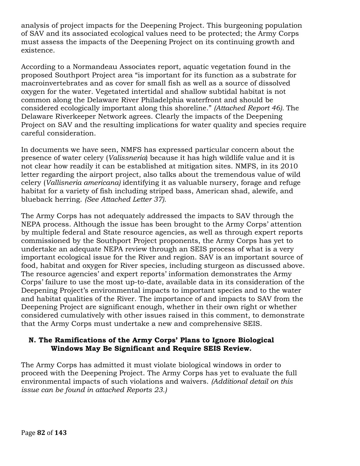analysis of project impacts for the Deepening Project. This burgeoning population of SAV and its associated ecological values need to be protected; the Army Corps must assess the impacts of the Deepening Project on its continuing growth and existence.

According to a Normandeau Associates report, aquatic vegetation found in the proposed Southport Project area "is important for its function as a substrate for macroinvertebrates and as cover for small fish as well as a source of dissolved oxygen for the water. Vegetated intertidal and shallow subtidal habitat is not common along the Delaware River Philadelphia waterfront and should be considered ecologically important along this shoreline." *(Attached Report 46).* The Delaware Riverkeeper Network agrees. Clearly the impacts of the Deepening Project on SAV and the resulting implications for water quality and species require careful consideration.

In documents we have seen, NMFS has expressed particular concern about the presence of water celery (*Valissneria*) because it has high wildlife value and it is not clear how readily it can be established at mitigation sites. NMFS, in its 2010 letter regarding the airport project, also talks about the tremendous value of wild celery (*Vallisneria americana)* identifying it as valuable nursery, forage and refuge habitat for a variety of fish including striped bass, American shad, alewife, and blueback herring. *(See Attached Letter 37).*

The Army Corps has not adequately addressed the impacts to SAV through the NEPA process. Although the issue has been brought to the Army Corps' attention by multiple federal and State resource agencies, as well as through expert reports commissioned by the Southport Project proponents, the Army Corps has yet to undertake an adequate NEPA review through an SEIS process of what is a very important ecological issue for the River and region. SAV is an important source of food, habitat and oxygen for River species, including sturgeon as discussed above. The resource agencies' and expert reports' information demonstrates the Army Corps' failure to use the most up-to-date, available data in its consideration of the Deepening Project's environmental impacts to important species and to the water and habitat qualities of the River. The importance of and impacts to SAV from the Deepening Project are significant enough, whether in their own right or whether considered cumulatively with other issues raised in this comment, to demonstrate that the Army Corps must undertake a new and comprehensive SEIS.

### **N. The Ramifications of the Army Corps' Plans to Ignore Biological Windows May Be Significant and Require SEIS Review.**

The Army Corps has admitted it must violate biological windows in order to proceed with the Deepening Project. The Army Corps has yet to evaluate the full environmental impacts of such violations and waivers. *(Additional detail on this issue can be found in attached Reports 23.)*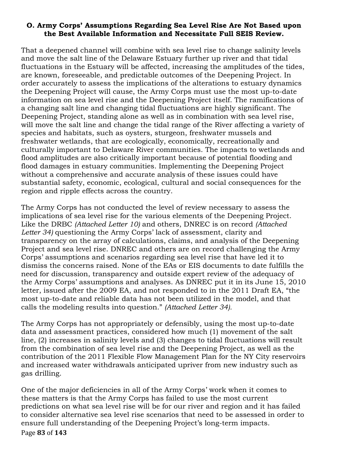#### **O. Army Corps' Assumptions Regarding Sea Level Rise Are Not Based upon the Best Available Information and Necessitate Full SEIS Review.**

That a deepened channel will combine with sea level rise to change salinity levels and move the salt line of the Delaware Estuary further up river and that tidal fluctuations in the Estuary will be affected, increasing the amplitudes of the tides, are known, foreseeable, and predictable outcomes of the Deepening Project. In order accurately to assess the implications of the alterations to estuary dynamics the Deepening Project will cause, the Army Corps must use the most up-to-date information on sea level rise and the Deepening Project itself. The ramifications of a changing salt line and changing tidal fluctuations are highly significant. The Deepening Project, standing alone as well as in combination with sea level rise, will move the salt line and change the tidal range of the River affecting a variety of species and habitats, such as oysters, sturgeon, freshwater mussels and freshwater wetlands, that are ecologically, economically, recreationally and culturally important to Delaware River communities. The impacts to wetlands and flood amplitudes are also critically important because of potential flooding and flood damages in estuary communities. Implementing the Deepening Project without a comprehensive and accurate analysis of these issues could have substantial safety, economic, ecological, cultural and social consequences for the region and ripple effects across the country.

The Army Corps has not conducted the level of review necessary to assess the implications of sea level rise for the various elements of the Deepening Project. Like the DRBC *(Attached Letter 10)* and others, DNREC is on record *(Attached Letter 34)* questioning the Army Corps' lack of assessment, clarity and transparency on the array of calculations, claims, and analysis of the Deepening Project and sea level rise. DNREC and others are on record challenging the Army Corps' assumptions and scenarios regarding sea level rise that have led it to dismiss the concerns raised. None of the EAs or EIS documents to date fulfills the need for discussion, transparency and outside expert review of the adequacy of the Army Corps' assumptions and analyses. As DNREC put it in its June 15, 2010 letter, issued after the 2009 EA, and not responded to in the 2011 Draft EA, "the most up-to-date and reliable data has not been utilized in the model, and that calls the modeling results into question." *(Attached Letter 34).*

The Army Corps has not appropriately or defensibly, using the most up-to-date data and assessment practices, considered how much (1) movement of the salt line, (2) increases in salinity levels and (3) changes to tidal fluctuations will result from the combination of sea level rise and the Deepening Project, as well as the contribution of the 2011 Flexible Flow Management Plan for the NY City reservoirs and increased water withdrawals anticipated upriver from new industry such as gas drilling.

Page 83 of 143 One of the major deficiencies in all of the Army Corps' work when it comes to these matters is that the Army Corps has failed to use the most current predictions on what sea level rise will be for our river and region and it has failed to consider alternative sea level rise scenarios that need to be assessed in order to ensure full understanding of the Deepening Project's long-term impacts.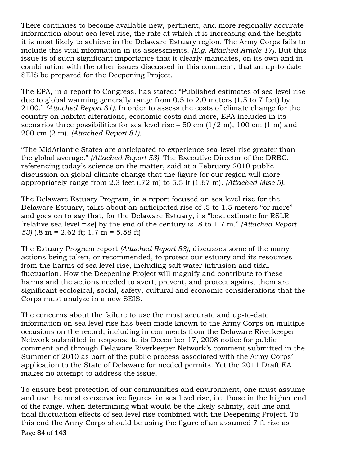There continues to become available new, pertinent, and more regionally accurate information about sea level rise, the rate at which it is increasing and the heights it is most likely to achieve in the Delaware Estuary region. The Army Corps fails to include this vital information in its assessments. *(E.g. Attached Article 17).* But this issue is of such significant importance that it clearly mandates, on its own and in combination with the other issues discussed in this comment, that an up-to-date SEIS be prepared for the Deepening Project.

The EPA, in a report to Congress, has stated: "Published estimates of sea level rise due to global warming generally range from 0.5 to 2.0 meters (1.5 to 7 feet) by 2100." *(Attached Report 81).* In order to assess the costs of climate change for the country on habitat alterations, economic costs and more, EPA includes in its scenarios three possibilities for sea level rise  $-50$  cm  $(1/2 \text{ m})$ , 100 cm  $(1 \text{ m})$  and 200 cm (2 m). *(Attached Report 81).*

"The MidAtlantic States are anticipated to experience sea-level rise greater than the global average." *(Attached Report 53).* The Executive Director of the DRBC, referencing today's science on the matter, said at a February 2010 public discussion on global climate change that the figure for our region will more appropriately range from 2.3 feet (.72 m) to 5.5 ft (1.67 m). *(Attached Misc 5).*

The Delaware Estuary Program, in a report focused on sea level rise for the Delaware Estuary, talks about an anticipated rise of .5 to 1.5 meters "or more" and goes on to say that, for the Delaware Estuary, its "best estimate for RSLR [relative sea level rise] by the end of the century is .8 to 1.7 m." *(Attached Report 53)* (.8 m = 2.62 ft; 1.7 m = 5.58 ft)

The Estuary Program report *(Attached Report 53),* discusses some of the many actions being taken, or recommended, to protect our estuary and its resources from the harms of sea level rise, including salt water intrusion and tidal fluctuation. How the Deepening Project will magnify and contribute to these harms and the actions needed to avert, prevent, and protect against them are significant ecological, social, safety, cultural and economic considerations that the Corps must analyze in a new SEIS.

The concerns about the failure to use the most accurate and up-to-date information on sea level rise has been made known to the Army Corps on multiple occasions on the record, including in comments from the Delaware Riverkeeper Network submitted in response to its December 17, 2008 notice for public comment and through Delaware Riverkeeper Network's comment submitted in the Summer of 2010 as part of the public process associated with the Army Corps' application to the State of Delaware for needed permits. Yet the 2011 Draft EA makes no attempt to address the issue.

Page!**84** of!**143** To ensure best protection of our communities and environment, one must assume and use the most conservative figures for sea level rise, i.e. those in the higher end of the range, when determining what would be the likely salinity, salt line and tidal fluctuation effects of sea level rise combined with the Deepening Project. To this end the Army Corps should be using the figure of an assumed 7 ft rise as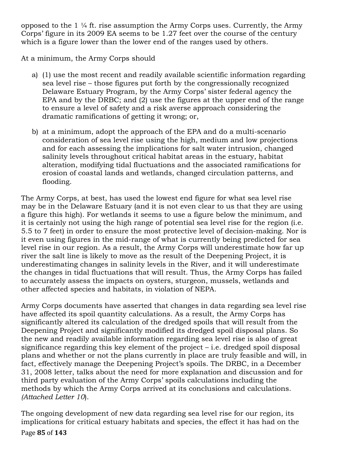opposed to the 1 ¼ ft. rise assumption the Army Corps uses. Currently, the Army Corps' figure in its 2009 EA seems to be 1.27 feet over the course of the century which is a figure lower than the lower end of the ranges used by others.

At a minimum, the Army Corps should

- a) (1) use the most recent and readily available scientific information regarding sea level rise – those figures put forth by the congressionally recognized Delaware Estuary Program, by the Army Corps' sister federal agency the EPA and by the DRBC; and (2) use the figures at the upper end of the range to ensure a level of safety and a risk averse approach considering the dramatic ramifications of getting it wrong; or,
- b) at a minimum, adopt the approach of the EPA and do a multi-scenario consideration of sea level rise using the high, medium and low projections and for each assessing the implications for salt water intrusion, changed salinity levels throughout critical habitat areas in the estuary, habitat alteration, modifying tidal fluctuations and the associated ramifications for erosion of coastal lands and wetlands, changed circulation patterns, and flooding.

The Army Corps, at best, has used the lowest end figure for what sea level rise may be in the Delaware Estuary (and it is not even clear to us that they are using a figure this high). For wetlands it seems to use a figure below the minimum, and it is certainly not using the high range of potential sea level rise for the region (i.e. 5.5 to 7 feet) in order to ensure the most protective level of decision-making. Nor is it even using figures in the mid-range of what is currently being predicted for sea level rise in our region. As a result, the Army Corps will underestimate how far up river the salt line is likely to move as the result of the Deepening Project, it is underestimating changes in salinity levels in the River, and it will underestimate the changes in tidal fluctuations that will result. Thus, the Army Corps has failed to accurately assess the impacts on oysters, sturgeon, mussels, wetlands and other affected species and habitats, in violation of NEPA.

Army Corps documents have asserted that changes in data regarding sea level rise have affected its spoil quantity calculations. As a result, the Army Corps has significantly altered its calculation of the dredged spoils that will result from the Deepening Project and significantly modified its dredged spoil disposal plans. So the new and readily available information regarding sea level rise is also of great significance regarding this key element of the project – i.e. dredged spoil disposal plans and whether or not the plans currently in place are truly feasible and will, in fact, effectively manage the Deepening Project's spoils. The DRBC, in a December 31, 2008 letter, talks about the need for more explanation and discussion and for third party evaluation of the Army Corps' spoils calculations including the methods by which the Army Corps arrived at its conclusions and calculations. *(Attached Letter 10*).

The ongoing development of new data regarding sea level rise for our region, its implications for critical estuary habitats and species, the effect it has had on the

Page!**85** of!**143**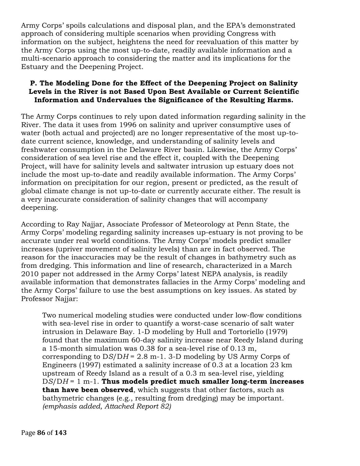Army Corps' spoils calculations and disposal plan, and the EPA's demonstrated approach of considering multiple scenarios when providing Congress with information on the subject, heightens the need for reevaluation of this matter by the Army Corps using the most up-to-date, readily available information and a multi-scenario approach to considering the matter and its implications for the Estuary and the Deepening Project.

## **P. The Modeling Done for the Effect of the Deepening Project on Salinity Levels in the River is not Based Upon Best Available or Current Scientific Information and Undervalues the Significance of the Resulting Harms.**

The Army Corps continues to rely upon dated information regarding salinity in the River. The data it uses from 1996 on salinity and upriver consumptive uses of water (both actual and projected) are no longer representative of the most up-todate current science, knowledge, and understanding of salinity levels and freshwater consumption in the Delaware River basin. Likewise, the Army Corps' consideration of sea level rise and the effect it, coupled with the Deepening Project, will have for salinity levels and saltwater intrusion up estuary does not include the most up-to-date and readily available information. The Army Corps' information on precipitation for our region, present or predicted, as the result of global climate change is not up-to-date or currently accurate either. The result is a very inaccurate consideration of salinity changes that will accompany deepening.

According to Ray Najjar, Associate Professor of Meteorology at Penn State, the Army Corps' modeling regarding salinity increases up-estuary is not proving to be accurate under real world conditions. The Army Corps' models predict smaller increases (upriver movement of salinity levels) than are in fact observed. The reason for the inaccuracies may be the result of changes in bathymetry such as from dredging. This information and line of research, characterized in a March 2010 paper not addressed in the Army Corps' latest NEPA analysis, is readily available information that demonstrates fallacies in the Army Corps' modeling and the Army Corps' failure to use the best assumptions on key issues. As stated by Professor Najjar:

Two numerical modeling studies were conducted under low-flow conditions with sea-level rise in order to quantify a worst-case scenario of salt water intrusion in Delaware Bay. 1-D modeling by Hull and Tortoriello (1979) found that the maximum 60-day salinity increase near Reedy Island during a 15-month simulation was 0.38 for a sea-level rise of 0.13 m, corresponding to D*S*/D*H* = 2.8 m-1. 3-D modeling by US Army Corps of Engineers (1997) estimated a salinity increase of 0.3 at a location 23 km upstream of Reedy Island as a result of a 0.3 m sea-level rise, yielding D*S*/D*H* = 1 m-1. **Thus models predict much smaller long-term increases than have been observed**, which suggests that other factors, such as bathymetric changes (e.g., resulting from dredging) may be important. *(emphasis added, Attached Report 82)*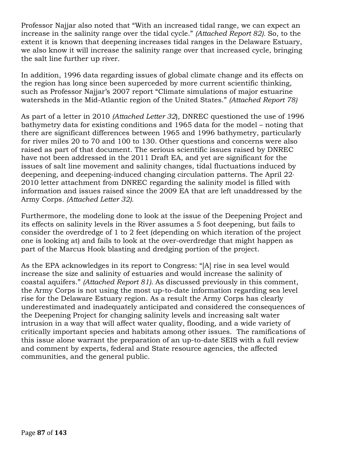Professor Najjar also noted that "With an increased tidal range, we can expect an increase in the salinity range over the tidal cycle." *(Attached Report 82).* So, to the extent it is known that deepening increases tidal ranges in the Delaware Estuary, we also know it will increase the salinity range over that increased cycle, bringing the salt line further up river.

In addition, 1996 data regarding issues of global climate change and its effects on the region has long since been superceded by more current scientific thinking, such as Professor Najjar's 2007 report "Climate simulations of major estuarine watersheds in the Mid-Atlantic region of the United States." *(Attached Report 78)*

As part of a letter in 2010 *(Attached Letter 32*), DNREC questioned the use of 1996 bathymetry data for existing conditions and 1965 data for the model – noting that there are significant differences between 1965 and 1996 bathymetry, particularly for river miles 20 to 70 and 100 to 130. Other questions and concerns were also raised as part of that document. The serious scientific issues raised by DNREC have not been addressed in the 2011 Draft EA, and yet are significant for the issues of salt line movement and salinity changes, tidal fluctuations induced by deepening, and deepening-induced changing circulation patterns. The April 22, 2010 letter attachment from DNREC regarding the salinity model is filled with information and issues raised since the 2009 EA that are left unaddressed by the Army Corps*. (Attached Letter 32).*

Furthermore, the modeling done to look at the issue of the Deepening Project and its effects on salinity levels in the River assumes a 5 foot deepening, but fails to consider the overdredge of 1 to 2 feet (depending on which iteration of the project one is looking at) and fails to look at the over-overdredge that might happen as part of the Marcus Hook blasting and dredging portion of the project.

As the EPA acknowledges in its report to Congress: "[A] rise in sea level would increase the size and salinity of estuaries and would increase the salinity of coastal aquifers." *(Attached Report 81).* As discussed previously in this comment, the Army Corps is not using the most up-to-date information regarding sea level rise for the Delaware Estuary region. As a result the Army Corps has clearly underestimated and inadequately anticipated and considered the consequences of the Deepening Project for changing salinity levels and increasing salt water intrusion in a way that will affect water quality, flooding, and a wide variety of critically important species and habitats among other issues. The ramifications of this issue alone warrant the preparation of an up-to-date SEIS with a full review and comment by experts, federal and State resource agencies, the affected communities, and the general public.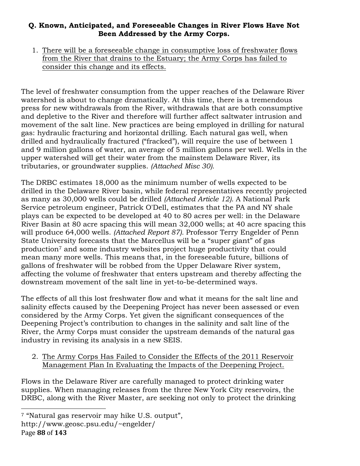# **Q. Known, Anticipated, and Foreseeable Changes in River Flows Have Not Been Addressed by the Army Corps.**

1. There will be a foreseeable change in consumptive loss of freshwater flows from the River that drains to the Estuary; the Army Corps has failed to consider this change and its effects.

The level of freshwater consumption from the upper reaches of the Delaware River watershed is about to change dramatically. At this time, there is a tremendous press for new withdrawals from the River, withdrawals that are both consumptive and depletive to the River and therefore will further affect saltwater intrusion and movement of the salt line. New practices are being employed in drilling for natural gas: hydraulic fracturing and horizontal drilling. Each natural gas well, when drilled and hydraulically fractured ("fracked"), will require the use of between 1 and 9 million gallons of water, an average of 5 million gallons per well. Wells in the upper watershed will get their water from the mainstem Delaware River, its tributaries, or groundwater supplies. *(Attached Misc 30).*

The DRBC estimates 18,000 as the minimum number of wells expected to be drilled in the Delaware River basin, while federal representatives recently projected as many as 30,000 wells could be drilled *(Attached Article 12).* A National Park Service petroleum engineer, Patrick O'Dell, estimates that the PA and NY shale plays can be expected to be developed at 40 to 80 acres per well: in the Delaware River Basin at 80 acre spacing this will mean 32,000 wells; at 40 acre spacing this will produce 64,000 wells. *(Attached Report 87).* Professor Terry Engelder of Penn State University forecasts that the Marcellus will be a "super giant" of gas production7 and some industry websites project huge productivity that could mean many more wells. This means that, in the foreseeable future, billions of gallons of freshwater will be robbed from the Upper Delaware River system, affecting the volume of freshwater that enters upstream and thereby affecting the downstream movement of the salt line in yet-to-be-determined ways.

The effects of all this lost freshwater flow and what it means for the salt line and salinity effects caused by the Deepening Project has never been assessed or even considered by the Army Corps. Yet given the significant consequences of the Deepening Project's contribution to changes in the salinity and salt line of the River, the Army Corps must consider the upstream demands of the natural gas industry in revising its analysis in a new SEIS.

2. The Army Corps Has Failed to Consider the Effects of the 2011 Reservoir Management Plan In Evaluating the Impacts of the Deepening Project.

Flows in the Delaware River are carefully managed to protect drinking water supplies. When managing releases from the three New York City reservoirs, the DRBC, along with the River Master, are seeking not only to protect the drinking

<sup>!!!!!!!!!!!!!!!!!!!!!!!!!!!!!!!!!!!!!!!!!!!!!!!!!!!!!!!</sup> <sup>7</sup> "Natural gas reservoir may hike U.S. output",

http://www.geosc.psu.edu/~engelder/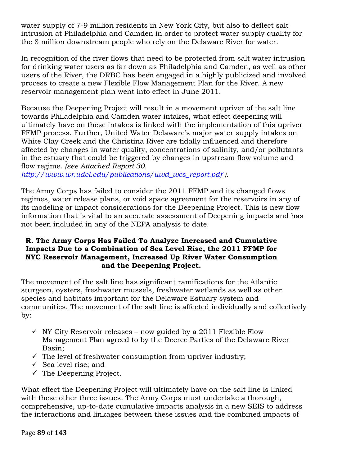water supply of 7-9 million residents in New York City, but also to deflect salt intrusion at Philadelphia and Camden in order to protect water supply quality for the 8 million downstream people who rely on the Delaware River for water.

In recognition of the river flows that need to be protected from salt water intrusion for drinking water users as far down as Philadelphia and Camden, as well as other users of the River, the DRBC has been engaged in a highly publicized and involved process to create a new Flexible Flow Management Plan for the River. A new reservoir management plan went into effect in June 2011.

Because the Deepening Project will result in a movement upriver of the salt line towards Philadelphia and Camden water intakes, what effect deepening will ultimately have on these intakes is linked with the implementation of this upriver FFMP process. Further, United Water Delaware's major water supply intakes on White Clay Creek and the Christina River are tidally influenced and therefore affected by changes in water quality, concentrations of salinity, and/or pollutants in the estuary that could be triggered by changes in upstream flow volume and flow regime. *(see Attached Report 30,* 

*http://www.wr.udel.edu/publications/uwd\_wcs\_report.pdf ).*

The Army Corps has failed to consider the 2011 FFMP and its changed flows regimes, water release plans, or void space agreement for the reservoirs in any of its modeling or impact considerations for the Deepening Project. This is new flow information that is vital to an accurate assessment of Deepening impacts and has not been included in any of the NEPA analysis to date.

## **R. The Army Corps Has Failed To Analyze Increased and Cumulative Impacts Due to a Combination of Sea Level Rise, the 2011 FFMP for NYC Reservoir Management, Increased Up River Water Consumption and the Deepening Project.**

The movement of the salt line has significant ramifications for the Atlantic sturgeon, oysters, freshwater mussels, freshwater wetlands as well as other species and habitats important for the Delaware Estuary system and communities. The movement of the salt line is affected individually and collectively by:

- $\checkmark$  NY City Reservoir releases now guided by a 2011 Flexible Flow Management Plan agreed to by the Decree Parties of the Delaware River Basin;
- $\checkmark$  The level of freshwater consumption from upriver industry;
- $\checkmark$  Sea level rise; and
- $\checkmark$  The Deepening Project.

What effect the Deepening Project will ultimately have on the salt line is linked with these other three issues. The Army Corps must undertake a thorough, comprehensive, up-to-date cumulative impacts analysis in a new SEIS to address the interactions and linkages between these issues and the combined impacts of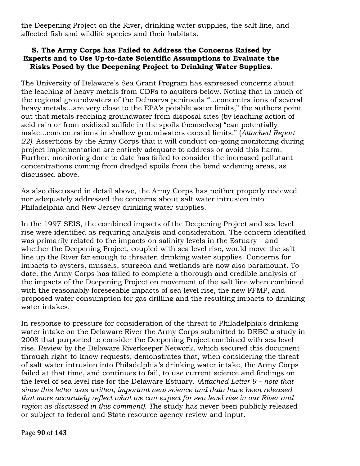the Deepening Project on the River, drinking water supplies, the salt line, and affected fish and wildlife species and their habitats.

### **S. The Army Corps has Failed to Address the Concerns Raised by Experts and to Use Up-to-date Scientific Assumptions to Evaluate the Risks Posed by the Deepening Project to Drinking Water Supplies.**

The University of Delaware's Sea Grant Program has expressed concerns about the leaching of heavy metals from CDFs to aquifers below. Noting that in much of the regional groundwaters of the Delmarva peninsula "...concentrations of several heavy metals...are very close to the EPA's potable water limits," the authors point out that metals reaching groundwater from disposal sites (by leaching action of acid rain or from oxidized sulfide in the spoils themselves) "can potentially make...concentrations in shallow groundwaters exceed limits." (*Attached Report 22).* Assertions by the Army Corps that it will conduct on-going monitoring during project implementation are entirely adequate to address or avoid this harm. Further, monitoring done to date has failed to consider the increased pollutant concentrations coming from dredged spoils from the bend widening areas, as discussed above.

As also discussed in detail above, the Army Corps has neither properly reviewed nor adequately addressed the concerns about salt water intrusion into Philadelphia and New Jersey drinking water supplies.

In the 1997 SEIS, the combined impacts of the Deepening Project and sea level rise were identified as requiring analysis and consideration. The concern identified was primarily related to the impacts on salinity levels in the Estuary – and whether the Deepening Project, coupled with sea level rise, would move the salt line up the River far enough to threaten drinking water supplies. Concerns for impacts to oysters, mussels, sturgeon and wetlands are now also paramount. To date, the Army Corps has failed to complete a thorough and credible analysis of the impacts of the Deepening Project on movement of the salt line when combined with the reasonably foreseeable impacts of sea level rise, the new FFMP, and proposed water consumption for gas drilling and the resulting impacts to drinking water intakes.

In response to pressure for consideration of the threat to Philadelphia's drinking water intake on the Delaware River the Army Corps submitted to DRBC a study in 2008 that purported to consider the Deepening Project combined with sea level rise. Review by the Delaware Riverkeeper Network, which secured this document through right-to-know requests, demonstrates that, when considering the threat of salt water intrusion into Philadelphia's drinking water intake, the Army Corps failed at that time, and continues to fail, to use current science and findings on the level of sea level rise for the Delaware Estuary. *(Attached Letter 9 – note that since this letter was written, important new science and data have been released that more accurately reflect what we can expect for sea level rise in our River and region as discussed in this comment). T*he study has never been publicly released or subject to federal and State resource agency review and input.

Page!**90** of!**143**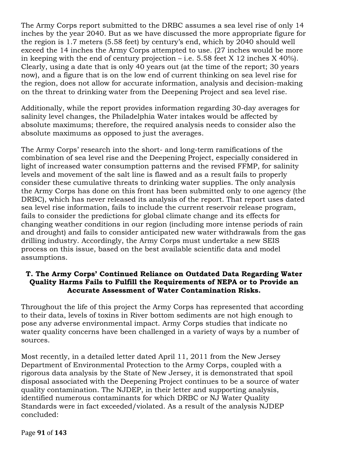The Army Corps report submitted to the DRBC assumes a sea level rise of only 14 inches by the year 2040. But as we have discussed the more appropriate figure for the region is 1.7 meters (5.58 feet) by century's end, which by 2040 should well exceed the 14 inches the Army Corps attempted to use. (27 inches would be more in keeping with the end of century projection  $-$  i.e. 5.58 feet X 12 inches X 40%). Clearly, using a date that is only 40 years out (at the time of the report; 30 years now), and a figure that is on the low end of current thinking on sea level rise for the region, does not allow for accurate information, analysis and decision-making on the threat to drinking water from the Deepening Project and sea level rise.

Additionally, while the report provides information regarding 30-day averages for salinity level changes, the Philadelphia Water intakes would be affected by absolute maximums; therefore, the required analysis needs to consider also the absolute maximums as opposed to just the averages.

The Army Corps' research into the short- and long-term ramifications of the combination of sea level rise and the Deepening Project, especially considered in light of increased water consumption patterns and the revised FFMP, for salinity levels and movement of the salt line is flawed and as a result fails to properly consider these cumulative threats to drinking water supplies. The only analysis the Army Corps has done on this front has been submitted only to one agency (the DRBC), which has never released its analysis of the report. That report uses dated sea level rise information, fails to include the current reservoir release program, fails to consider the predictions for global climate change and its effects for changing weather conditions in our region (including more intense periods of rain and drought) and fails to consider anticipated new water withdrawals from the gas drilling industry. Accordingly, the Army Corps must undertake a new SEIS process on this issue, based on the best available scientific data and model assumptions.

# **T. The Army Corps' Continued Reliance on Outdated Data Regarding Water Quality Harms Fails to Fulfill the Requirements of NEPA or to Provide an Accurate Assessment of Water Contamination Risks.**

Throughout the life of this project the Army Corps has represented that according to their data, levels of toxins in River bottom sediments are not high enough to pose any adverse environmental impact. Army Corps studies that indicate no water quality concerns have been challenged in a variety of ways by a number of sources.

Most recently, in a detailed letter dated April 11, 2011 from the New Jersey Department of Environmental Protection to the Army Corps, coupled with a rigorous data analysis by the State of New Jersey, it is demonstrated that spoil disposal associated with the Deepening Project continues to be a source of water quality contamination. The NJDEP, in their letter and supporting analysis, identified numerous contaminants for which DRBC or NJ Water Quality Standards were in fact exceeded/violated. As a result of the analysis NJDEP concluded: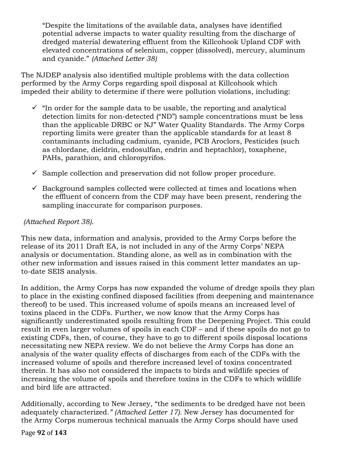"Despite the limitations of the available data, analyses have identified potential adverse impacts to water quality resulting from the discharge of dredged material dewatering effluent from the Killcohook Upland CDF with elevated concentrations of selenium, copper (dissolved), mercury, aluminum and cyanide." *(Attached Letter 38)*

The NJDEP analysis also identified multiple problems with the data collection performed by the Army Corps regarding spoil disposal at Killcohook which impeded their ability to determine if there were pollution violations, including:

- $\checkmark$  "In order for the sample data to be usable, the reporting and analytical detection limits for non-detected ("ND") sample concentrations must be less than the applicable DRBC or NJ" Water Quality Standards. The Army Corps reporting limits were greater than the applicable standards for at least 8 contaminants including cadmium, cyanide, PCB Aroclors, Pesticides (such as chlordane, dieldrin, endosulfan, endrin and heptachlor), toxaphene, PAHs, parathion, and chloropyrifos.
- $\checkmark$  Sample collection and preservation did not follow proper procedure.
- $\checkmark$  Background samples collected were collected at times and locations when the effluent of concern from the CDF may have been present, rendering the sampling inaccurate for comparison purposes.

# *(Attached Report 38).*

This new data, information and analysis, provided to the Army Corps before the release of its 2011 Draft EA, is not included in any of the Army Corps' NEPA analysis or documentation. Standing alone, as well as in combination with the other new information and issues raised in this comment letter mandates an upto-date SEIS analysis.

In addition, the Army Corps has now expanded the volume of dredge spoils they plan to place in the existing confined disposed facilities (from deepening and maintenance thereof) to be used. This increased volume of spoils means an increased level of toxins placed in the CDFs. Further, we now know that the Army Corps has significantly underestimated spoils resulting from the Deepening Project. This could result in even larger volumes of spoils in each CDF – and if these spoils do not go to existing CDFs, then, of course, they have to go to different spoils disposal locations necessitating new NEPA review. We do not believe the Army Corps has done an analysis of the water quality effects of discharges from each of the CDFs with the increased volume of spoils and therefore increased level of toxins concentrated therein. It has also not considered the impacts to birds and wildlife species of increasing the volume of spoils and therefore toxins in the CDFs to which wildlife and bird life are attracted.

Additionally, according to New Jersey, "the sediments to be dredged have not been adequately characterized*." (Attached Letter 17).* New Jersey has documented for the Army Corps numerous technical manuals the Army Corps should have used

Page!**92** of!**143**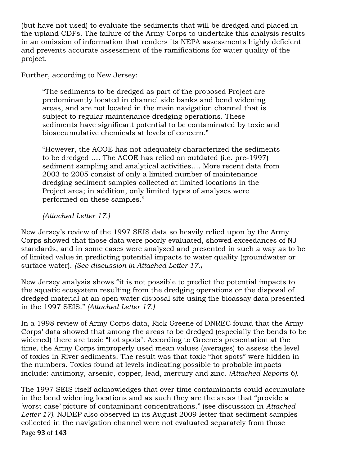(but have not used) to evaluate the sediments that will be dredged and placed in the upland CDFs. The failure of the Army Corps to undertake this analysis results in an omission of information that renders its NEPA assessments highly deficient and prevents accurate assessment of the ramifications for water quality of the project.

Further, according to New Jersey:

"The sediments to be dredged as part of the proposed Project are predominantly located in channel side banks and bend widening areas, and are not located in the main navigation channel that is subject to regular maintenance dredging operations. These sediments have significant potential to be contaminated by toxic and bioaccumulative chemicals at levels of concern."

"However, the ACOE has not adequately characterized the sediments to be dredged …. The ACOE has relied on outdated (i.e. pre-1997) sediment sampling and analytical activities…. More recent data from 2003 to 2005 consist of only a limited number of maintenance dredging sediment samples collected at limited locations in the Project area; in addition, only limited types of analyses were performed on these samples."

*(Attached Letter 17.)*

New Jersey's review of the 1997 SEIS data so heavily relied upon by the Army Corps showed that those data were poorly evaluated, showed exceedances of NJ standards, and in some cases were analyzed and presented in such a way as to be of limited value in predicting potential impacts to water quality (groundwater or surface water). *(See discussion in Attached Letter 17.)*

New Jersey analysis shows "it is not possible to predict the potential impacts to the aquatic ecosystem resulting from the dredging operations or the disposal of dredged material at an open water disposal site using the bioassay data presented in the 1997 SEIS." *(Attached Letter 17.)*

In a 1998 review of Army Corps data, Rick Greene of DNREC found that the Army Corps' data showed that among the areas to be dredged (especially the bends to be widened) there are toxic "hot spots". According to Greene's presentation at the time, the Army Corps improperly used mean values (averages) to assess the level of toxics in River sediments. The result was that toxic "hot spots" were hidden in the numbers. Toxics found at levels indicating possible to probable impacts include: antimony, arsenic, copper, lead, mercury and zinc. *(Attached Reports 6).*

Page!**93** of!**143** The 1997 SEIS itself acknowledges that over time contaminants could accumulate in the bend widening locations and as such they are the areas that "provide a 'worst case' picture of contaminant concentrations." (see discussion in *Attached Letter 17).* NJDEP also observed in its August 2009 letter that sediment samples collected in the navigation channel were not evaluated separately from those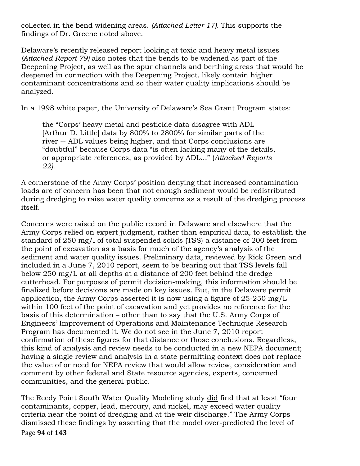collected in the bend widening areas. *(Attached Letter 17).* This supports the findings of Dr. Greene noted above.

Delaware's recently released report looking at toxic and heavy metal issues *(Attached Report 79)* also notes that the bends to be widened as part of the Deepening Project, as well as the spur channels and berthing areas that would be deepened in connection with the Deepening Project, likely contain higher contaminant concentrations and so their water quality implications should be analyzed.

In a 1998 white paper, the University of Delaware's Sea Grant Program states:

the "Corps' heavy metal and pesticide data disagree with ADL [Arthur D. Little] data by 800% to 2800% for similar parts of the river -- ADL values being higher, and that Corps conclusions are "doubtful" because Corps data "is often lacking many of the details, or appropriate references, as provided by ADL..." (*Attached Reports 22).* 

A cornerstone of the Army Corps' position denying that increased contamination loads are of concern has been that not enough sediment would be redistributed during dredging to raise water quality concerns as a result of the dredging process itself.

Concerns were raised on the public record in Delaware and elsewhere that the Army Corps relied on expert judgment, rather than empirical data, to establish the standard of 250 mg/l of total suspended solids (TSS) a distance of 200 feet from the point of excavation as a basis for much of the agency's analysis of the sediment and water quality issues. Preliminary data, reviewed by Rick Green and included in a June 7, 2010 report, seem to be bearing out that TSS levels fall below 250 mg/L at all depths at a distance of 200 feet behind the dredge cutterhead. For purposes of permit decision-making, this information should be finalized before decisions are made on key issues. But, in the Delaware permit application, the Army Corps asserted it is now using a figure of 25-250 mg/L within 100 feet of the point of excavation and yet provides no reference for the basis of this determination – other than to say that the U.S. Army Corps of Engineers' Improvement of Operations and Maintenance Technique Research Program has documented it. We do not see in the June 7, 2010 report confirmation of these figures for that distance or those conclusions. Regardless, this kind of analysis and review needs to be conducted in a new NEPA document; having a single review and analysis in a state permitting context does not replace the value of or need for NEPA review that would allow review, consideration and comment by other federal and State resource agencies, experts, concerned communities, and the general public.

Page!**94** of!**143** The Reedy Point South Water Quality Modeling study did find that at least "four contaminants, copper, lead, mercury, and nickel, may exceed water quality criteria near the point of dredging and at the weir discharge." The Army Corps dismissed these findings by asserting that the model over-predicted the level of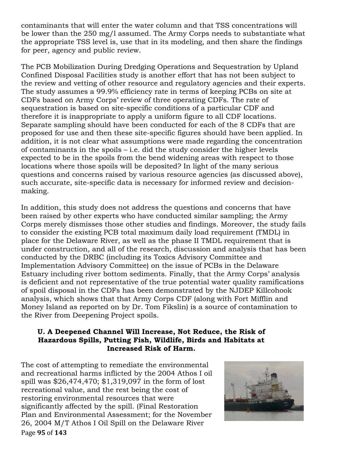contaminants that will enter the water column and that TSS concentrations will be lower than the 250 mg/l assumed. The Army Corps needs to substantiate what the appropriate TSS level is, use that in its modeling, and then share the findings for peer, agency and public review.

The PCB Mobilization During Dredging Operations and Sequestration by Upland Confined Disposal Facilities study is another effort that has not been subject to the review and vetting of other resource and regulatory agencies and their experts. The study assumes a 99.9% efficiency rate in terms of keeping PCBs on site at CDFs based on Army Corps' review of three operating CDFs. The rate of sequestration is based on site-specific conditions of a particular CDF and therefore it is inappropriate to apply a uniform figure to all CDF locations. Separate sampling should have been conducted for each of the 8 CDFs that are proposed for use and then these site-specific figures should have been applied. In addition, it is not clear what assumptions were made regarding the concentration of contaminants in the spoils – i.e. did the study consider the higher levels expected to be in the spoils from the bend widening areas with respect to those locations where those spoils will be deposited? In light of the many serious questions and concerns raised by various resource agencies (as discussed above), such accurate, site-specific data is necessary for informed review and decisionmaking.

In addition, this study does not address the questions and concerns that have been raised by other experts who have conducted similar sampling; the Army Corps merely dismisses those other studies and findings. Moreover, the study fails to consider the existing PCB total maximum daily load requirement (TMDL) in place for the Delaware River, as well as the phase II TMDL requirement that is under construction, and all of the research, discussion and analysis that has been conducted by the DRBC (including its Toxics Advisory Committee and Implementation Advisory Committee) on the issue of PCBs in the Delaware Estuary including river bottom sediments. Finally, that the Army Corps' analysis is deficient and not representative of the true potential water quality ramifications of spoil disposal in the CDFs has been demonstrated by the NJDEP Killcohook analysis, which shows that that Army Corps CDF (along with Fort Mifflin and Money Island as reported on by Dr. Tom Fikslin) is a source of contamination to the River from Deepening Project spoils.

# **U. A Deepened Channel Will Increase, Not Reduce, the Risk of Hazardous Spills, Putting Fish, Wildlife, Birds and Habitats at Increased Risk of Harm.**

Page!**95** of!**143** The cost of attempting to remediate the environmental and recreational harms inflicted by the 2004 Athos I oil spill was \$26,474,470; \$1,319,097 in the form of lost recreational value, and the rest being the cost of restoring environmental resources that were significantly affected by the spill. (Final Restoration Plan and Environmental Assessment; for the November 26, 2004 M/T Athos I Oil Spill on the Delaware River

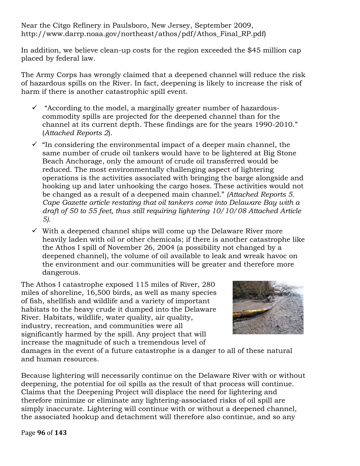Near the Citgo Refinery in Paulsboro, New Jersey, September 2009, http://www.darrp.noaa.gov/northeast/athos/pdf/Athos\_Final\_RP.pdf)

In addition, we believe clean-up costs for the region exceeded the \$45 million cap placed by federal law.

The Army Corps has wrongly claimed that a deepened channel will reduce the risk of hazardous spills on the River. In fact, deepening is likely to increase the risk of harm if there is another catastrophic spill event.

- $\checkmark$  "According to the model, a marginally greater number of hazardouscommodity spills are projected for the deepened channel than for the channel at its current depth. These findings are for the years 1990-2010." (*Attached Reports 2*).
- $\checkmark$  "In considering the environmental impact of a deeper main channel, the same number of crude oil tankers would have to be lightered at Big Stone Beach Anchorage, only the amount of crude oil transferred would be reduced. The most environmentally challenging aspect of lightering operations is the activities associated with bringing the barge alongside and hooking up and later unhooking the cargo hoses. These activities would not be changed as a result of a deepened main channel." *(Attached Reports 5. Cape Gazette article restating that oil tankers come into Delaware Bay with a draft of 50 to 55 feet, thus still requiring lightering 10/10/08 Attached Article 5).*
- $\checkmark$  With a deepened channel ships will come up the Delaware River more heavily laden with oil or other chemicals; if there is another catastrophe like the Athos I spill of November 26, 2004 (a possibility not changed by a deepened channel), the volume of oil available to leak and wreak havoc on the environment and our communities will be greater and therefore more dangerous.

The Athos I catastrophe exposed 115 miles of River, 280 miles of shoreline, 16,500 birds, as well as many species of fish, shellfish and wildlife and a variety of important habitats to the heavy crude it dumped into the Delaware River. Habitats, wildlife, water quality, air quality, industry, recreation, and communities were all significantly harmed by the spill. Any project that will increase the magnitude of such a tremendous level of



damages in the event of a future catastrophe is a danger to all of these natural and human resources.

Because lightering will necessarily continue on the Delaware River with or without deepening, the potential for oil spills as the result of that process will continue. Claims that the Deepening Project will displace the need for lightering and therefore minimize or eliminate any lightering-associated risks of oil spill are simply inaccurate. Lightering will continue with or without a deepened channel, the associated hookup and detachment will therefore also continue, and so any

Page!**96** of!**143**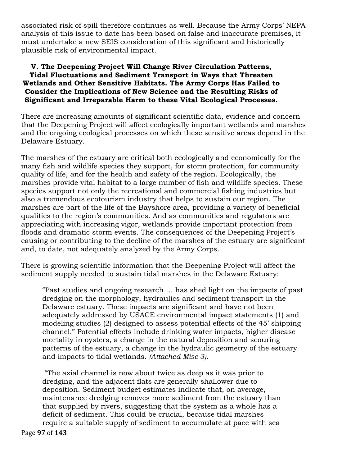associated risk of spill therefore continues as well. Because the Army Corps' NEPA analysis of this issue to date has been based on false and inaccurate premises, it must undertake a new SEIS consideration of this significant and historically plausible risk of environmental impact.

### **V. The Deepening Project Will Change River Circulation Patterns, Tidal Fluctuations and Sediment Transport in Ways that Threaten Wetlands and Other Sensitive Habitats. The Army Corps Has Failed to Consider the Implications of New Science and the Resulting Risks of Significant and Irreparable Harm to these Vital Ecological Processes.**

There are increasing amounts of significant scientific data, evidence and concern that the Deepening Project will affect ecologically important wetlands and marshes and the ongoing ecological processes on which these sensitive areas depend in the Delaware Estuary.

The marshes of the estuary are critical both ecologically and economically for the many fish and wildlife species they support, for storm protection, for community quality of life, and for the health and safety of the region. Ecologically, the marshes provide vital habitat to a large number of fish and wildlife species. These species support not only the recreational and commercial fishing industries but also a tremendous ecotourism industry that helps to sustain our region. The marshes are part of the life of the Bayshore area, providing a variety of beneficial qualities to the region's communities. And as communities and regulators are appreciating with increasing vigor, wetlands provide important protection from floods and dramatic storm events. The consequences of the Deepening Project's causing or contributing to the decline of the marshes of the estuary are significant and, to date, not adequately analyzed by the Army Corps.

There is growing scientific information that the Deepening Project will affect the sediment supply needed to sustain tidal marshes in the Delaware Estuary:

"Past studies and ongoing research … has shed light on the impacts of past dredging on the morphology, hydraulics and sediment transport in the Delaware estuary. These impacts are significant and have not been adequately addressed by USACE environmental impact statements (1) and modeling studies (2) designed to assess potential effects of the 45' shipping channel." Potential effects include drinking water impacts, higher disease mortality in oysters, a change in the natural deposition and scouring patterns of the estuary, a change in the hydraulic geometry of the estuary and impacts to tidal wetlands. *(Attached Misc 3).*

"The axial channel is now about twice as deep as it was prior to dredging, and the adjacent flats are generally shallower due to deposition. Sediment budget estimates indicate that, on average, maintenance dredging removes more sediment from the estuary than that supplied by rivers, suggesting that the system as a whole has a deficit of sediment. This could be crucial, because tidal marshes require a suitable supply of sediment to accumulate at pace with sea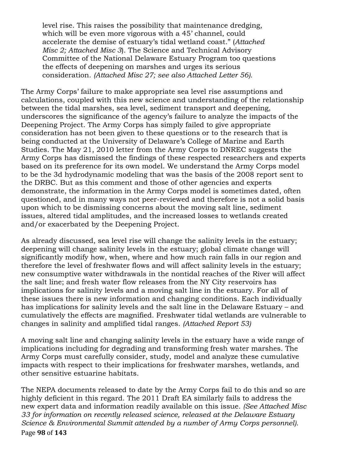level rise. This raises the possibility that maintenance dredging, which will be even more vigorous with a 45' channel, could accelerate the demise of estuary's tidal wetland coast." (*Attached Misc 2; Attached Misc 3*). The Science and Technical Advisory Committee of the National Delaware Estuary Program too questions the effects of deepening on marshes and urges its serious consideration. *(Attached Misc 27; see also Attached Letter 56).*

The Army Corps' failure to make appropriate sea level rise assumptions and calculations, coupled with this new science and understanding of the relationship between the tidal marshes, sea level, sediment transport and deepening, underscores the significance of the agency's failure to analyze the impacts of the Deepening Project. The Army Corps has simply failed to give appropriate consideration has not been given to these questions or to the research that is being conducted at the University of Delaware's College of Marine and Earth Studies. The May 21, 2010 letter from the Army Corps to DNREC suggests the Army Corps has dismissed the findings of these respected researchers and experts based on its preference for its own model. We understand the Army Corps model to be the 3d hydrodynamic modeling that was the basis of the 2008 report sent to the DRBC. But as this comment and those of other agencies and experts demonstrate, the information in the Army Corps model is sometimes dated, often questioned, and in many ways not peer-reviewed and therefore is not a solid basis upon which to be dismissing concerns about the moving salt line, sediment issues, altered tidal amplitudes, and the increased losses to wetlands created and/or exacerbated by the Deepening Project.

As already discussed, sea level rise will change the salinity levels in the estuary; deepening will change salinity levels in the estuary; global climate change will significantly modify how, when, where and how much rain falls in our region and therefore the level of freshwater flows and will affect salinity levels in the estuary; new consumptive water withdrawals in the nontidal reaches of the River will affect the salt line; and fresh water flow releases from the NY City reservoirs has implications for salinity levels and a moving salt line in the estuary. For all of these issues there is new information and changing conditions. Each individually has implications for salinity levels and the salt line in the Delaware Estuary – and cumulatively the effects are magnified. Freshwater tidal wetlands are vulnerable to changes in salinity and amplified tidal ranges. *(Attached Report 53)*

A moving salt line and changing salinity levels in the estuary have a wide range of implications including for degrading and transforming fresh water marshes. The Army Corps must carefully consider, study, model and analyze these cumulative impacts with respect to their implications for freshwater marshes, wetlands, and other sensitive estuarine habitats.

Page!**98** of!**143** The NEPA documents released to date by the Army Corps fail to do this and so are highly deficient in this regard. The 2011 Draft EA similarly fails to address the new expert data and information readily available on this issue. *(See Attached Misc 33 for information on recently released science, released at the Delaware Estuary Science & Environmental Summit attended by a number of Army Corps personnel).*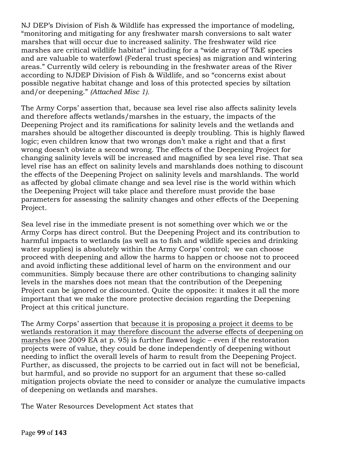NJ DEP's Division of Fish & Wildlife has expressed the importance of modeling, "monitoring and mitigating for any freshwater marsh conversions to salt water marshes that will occur due to increased salinity. The freshwater wild rice marshes are critical wildlife habitat" including for a "wide array of T&E species and are valuable to waterfowl (Federal trust species) as migration and wintering areas." Currently wild celery is rebounding in the freshwater areas of the River according to NJDEP Division of Fish & Wildlife, and so "concerns exist about possible negative habitat change and loss of this protected species by siltation and/or deepening." *(Attached Misc 1).*

The Army Corps' assertion that, because sea level rise also affects salinity levels and therefore affects wetlands/marshes in the estuary, the impacts of the Deepening Project and its ramifications for salinity levels and the wetlands and marshes should be altogether discounted is deeply troubling. This is highly flawed logic; even children know that two wrongs don't make a right and that a first wrong doesn't obviate a second wrong. The effects of the Deepening Project for changing salinity levels will be increased and magnified by sea level rise. That sea level rise has an effect on salinity levels and marshlands does nothing to discount the effects of the Deepening Project on salinity levels and marshlands. The world as affected by global climate change and sea level rise is the world within which the Deepening Project will take place and therefore must provide the base parameters for assessing the salinity changes and other effects of the Deepening Project.

Sea level rise in the immediate present is not something over which we or the Army Corps has direct control. But the Deepening Project and its contribution to harmful impacts to wetlands (as well as to fish and wildlife species and drinking water supplies) is absolutely within the Army Corps' control; we can choose proceed with deepening and allow the harms to happen or choose not to proceed and avoid inflicting these additional level of harm on the environment and our communities. Simply because there are other contributions to changing salinity levels in the marshes does not mean that the contribution of the Deepening Project can be ignored or discounted. Quite the opposite: it makes it all the more important that we make the more protective decision regarding the Deepening Project at this critical juncture.

The Army Corps' assertion that because it is proposing a project it deems to be wetlands restoration it may therefore discount the adverse effects of deepening on marshes (see 2009 EA at p. 95) is further flawed logic – even if the restoration projects were of value, they could be done independently of deepening without needing to inflict the overall levels of harm to result from the Deepening Project. Further, as discussed, the projects to be carried out in fact will not be beneficial, but harmful, and so provide no support for an argument that these so-called mitigation projects obviate the need to consider or analyze the cumulative impacts of deepening on wetlands and marshes.

The Water Resources Development Act states that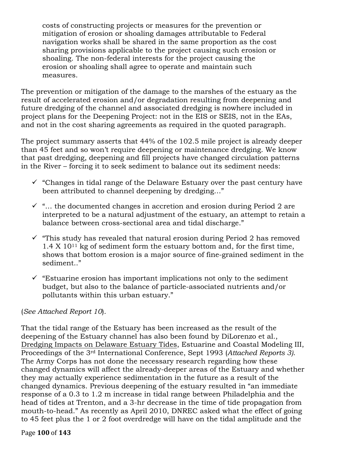costs of constructing projects or measures for the prevention or mitigation of erosion or shoaling damages attributable to Federal navigation works shall be shared in the same proportion as the cost sharing provisions applicable to the project causing such erosion or shoaling. The non-federal interests for the project causing the erosion or shoaling shall agree to operate and maintain such measures.

The prevention or mitigation of the damage to the marshes of the estuary as the result of accelerated erosion and/or degradation resulting from deepening and future dredging of the channel and associated dredging is nowhere included in project plans for the Deepening Project: not in the EIS or SEIS, not in the EAs, and not in the cost sharing agreements as required in the quoted paragraph.

The project summary asserts that 44% of the 102.5 mile project is already deeper than 45 feet and so won't require deepening or maintenance dredging. We know that past dredging, deepening and fill projects have changed circulation patterns in the River – forcing it to seek sediment to balance out its sediment needs:

- $\checkmark$  "Changes in tidal range of the Delaware Estuary over the past century have been attributed to channel deepening by dredging…"
- $\checkmark$  "... the documented changes in accretion and erosion during Period 2 are interpreted to be a natural adjustment of the estuary, an attempt to retain a balance between cross-sectional area and tidal discharge."
- $\checkmark$  "This study has revealed that natural erosion during Period 2 has removed  $1.4 \times 10^{11}$  kg of sediment form the estuary bottom and, for the first time, shows that bottom erosion is a major source of fine-grained sediment in the sediment.."
- $\checkmark$  "Estuarine erosion has important implications not only to the sediment budget, but also to the balance of particle-associated nutrients and/or pollutants within this urban estuary."

# (*See Attached Report 10*).

That the tidal range of the Estuary has been increased as the result of the deepening of the Estuary channel has also been found by DiLorenzo et al., Dredging Impacts on Delaware Estuary Tides, Estuarine and Coastal Modeling III, Proceedings of the 3rd International Conference, Sept 1993 (*Attached Reports 3)*. The Army Corps has not done the necessary research regarding how these changed dynamics will affect the already-deeper areas of the Estuary and whether they may actually experience sedimentation in the future as a result of the changed dynamics. Previous deepening of the estuary resulted in "an immediate response of a 0.3 to 1.2 m increase in tidal range between Philadelphia and the head of tides at Trenton, and a 3-hr decrease in the time of tide propagation from mouth-to-head." As recently as April 2010, DNREC asked what the effect of going to 45 feet plus the 1 or 2 foot overdredge will have on the tidal amplitude and the

#### Page **100** of **143**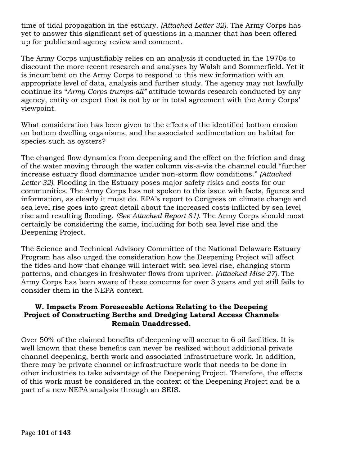time of tidal propagation in the estuary. *(Attached Letter 32).* The Army Corps has yet to answer this significant set of questions in a manner that has been offered up for public and agency review and comment.

The Army Corps unjustifiably relies on an analysis it conducted in the 1970s to discount the more recent research and analyses by Walsh and Sommerfield. Yet it is incumbent on the Army Corps to respond to this new information with an appropriate level of data, analysis and further study. The agency may not lawfully continue its "*Army Corps-trumps-all"* attitude towards research conducted by any agency, entity or expert that is not by or in total agreement with the Army Corps' viewpoint.

What consideration has been given to the effects of the identified bottom erosion on bottom dwelling organisms, and the associated sedimentation on habitat for species such as oysters?

The changed flow dynamics from deepening and the effect on the friction and drag of the water moving through the water column vis-a-vis the channel could "further increase estuary flood dominance under non-storm flow conditions." *(Attached Letter 32).* Flooding in the Estuary poses major safety risks and costs for our communities. The Army Corps has not spoken to this issue with facts, figures and information, as clearly it must do. EPA's report to Congress on climate change and sea level rise goes into great detail about the increased costs inflicted by sea level rise and resulting flooding. *(See Attached Report 81)*. The Army Corps should most certainly be considering the same, including for both sea level rise and the Deepening Project.

The Science and Technical Advisory Committee of the National Delaware Estuary Program has also urged the consideration how the Deepening Project will affect the tides and how that change will interact with sea level rise, changing storm patterns, and changes in freshwater flows from upriver. *(Attached Misc 27).* The Army Corps has been aware of these concerns for over 3 years and yet still fails to consider them in the NEPA context.

## **W. Impacts From Foreseeable Actions Relating to the Deepeing Project of Constructing Berths and Dredging Lateral Access Channels Remain Unaddressed.**

Over 50% of the claimed benefits of deepening will accrue to 6 oil facilities. It is well known that these benefits can never be realized without additional private channel deepening, berth work and associated infrastructure work. In addition, there may be private channel or infrastructure work that needs to be done in other industries to take advantage of the Deepening Project. Therefore, the effects of this work must be considered in the context of the Deepening Project and be a part of a new NEPA analysis through an SEIS.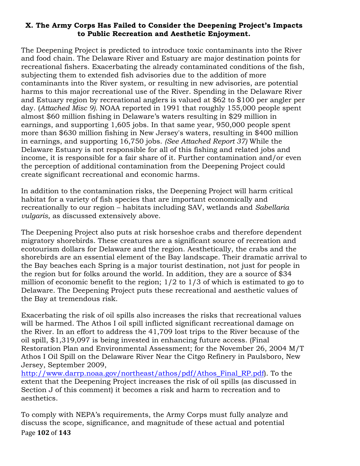## **X. The Army Corps Has Failed to Consider the Deepening Project's Impacts to Public Recreation and Aesthetic Enjoyment.**

The Deepening Project is predicted to introduce toxic contaminants into the River and food chain. The Delaware River and Estuary are major destination points for recreational fishers. Exacerbating the already contaminated conditions of the fish, subjecting them to extended fish advisories due to the addition of more contaminants into the River system, or resulting in new advisories, are potential harms to this major recreational use of the River. Spending in the Delaware River and Estuary region by recreational anglers is valued at \$62 to \$100 per angler per day. (*Attached Misc 9).* NOAA reported in 1991 that roughly 155,000 people spent almost \$60 million fishing in Delaware's waters resulting in \$29 million in earnings, and supporting 1,605 jobs. In that same year, 950,000 people spent more than \$630 million fishing in New Jersey's waters, resulting in \$400 million in earnings, and supporting 16,750 jobs. *(See Attached Report 37)* While the Delaware Estuary is not responsible for all of this fishing and related jobs and income, it is responsible for a fair share of it. Further contamination and/or even the perception of additional contamination from the Deepening Project could create significant recreational and economic harms.

In addition to the contamination risks, the Deepening Project will harm critical habitat for a variety of fish species that are important economically and recreationally to our region – habitats including SAV, wetlands and *Sabellaria vulgaris*, as discussed extensively above.

The Deepening Project also puts at risk horseshoe crabs and therefore dependent migratory shorebirds. These creatures are a significant source of recreation and ecotourism dollars for Delaware and the region. Aesthetically, the crabs and the shorebirds are an essential element of the Bay landscape. Their dramatic arrival to the Bay beaches each Spring is a major tourist destination, not just for people in the region but for folks around the world. In addition, they are a source of \$34 million of economic benefit to the region; 1/2 to 1/3 of which is estimated to go to Delaware. The Deepening Project puts these recreational and aesthetic values of the Bay at tremendous risk.

Exacerbating the risk of oil spills also increases the risks that recreational values will be harmed. The Athos I oil spill inflicted significant recreational damage on the River. In an effort to address the 41,709 lost trips to the River because of the oil spill, \$1,319,097 is being invested in enhancing future access. (Final Restoration Plan and Environmental Assessment; for the November 26, 2004 M/T Athos I Oil Spill on the Delaware River Near the Citgo Refinery in Paulsboro, New Jersey, September 2009,

http://www.darrp.noaa.gov/northeast/athos/pdf/Athos\_Final\_RP.pdf). To the extent that the Deepening Project increases the risk of oil spills (as discussed in Section J of this comment) it becomes a risk and harm to recreation and to aesthetics.

Page **102** of **143** To comply with NEPA's requirements, the Army Corps must fully analyze and discuss the scope, significance, and magnitude of these actual and potential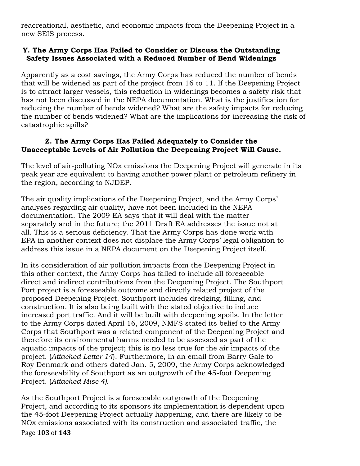reacreational, aesthetic, and economic impacts from the Deepening Project in a new SEIS process.

## **Y. The Army Corps Has Failed to Consider or Discuss the Outstanding Safety Issues Associated with a Reduced Number of Bend Widenings**

Apparently as a cost savings, the Army Corps has reduced the number of bends that will be widened as part of the project from 16 to 11. If the Deepening Project is to attract larger vessels, this reduction in widenings becomes a safety risk that has not been discussed in the NEPA documentation. What is the justification for reducing the number of bends widened? What are the safety impacts for reducing the number of bends widened? What are the implications for increasing the risk of catastrophic spills?

## **Z. The Army Corps Has Failed Adequately to Consider the Unacceptable Levels of Air Pollution the Deepening Project Will Cause.**

The level of air-polluting NOx emissions the Deepening Project will generate in its peak year are equivalent to having another power plant or petroleum refinery in the region, according to NJDEP.

The air quality implications of the Deepening Project, and the Army Corps' analyses regarding air quality, have not been included in the NEPA documentation. The 2009 EA says that it will deal with the matter separately and in the future; the 2011 Draft EA addresses the issue not at all. This is a serious deficiency. That the Army Corps has done work with EPA in another context does not displace the Army Corps' legal obligation to address this issue in a NEPA document on the Deepening Project itself.

In its consideration of air pollution impacts from the Deepening Project in this other context, the Army Corps has failed to include all foreseeable direct and indirect contributions from the Deepening Project. The Southport Port project is a foreseeable outcome and directly related project of the proposed Deepening Project. Southport includes dredging, filling, and construction. It is also being built with the stated objective to induce increased port traffic. And it will be built with deepening spoils. In the letter to the Army Corps dated April 16, 2009, NMFS stated its belief to the Army Corps that Southport was a related component of the Deepening Project and therefore its environmental harms needed to be assessed as part of the aquatic impacts of the project; this is no less true for the air impacts of the project. (*Attached Letter 14*). Furthermore, in an email from Barry Gale to Roy Denmark and others dated Jan. 5, 2009, the Army Corps acknowledged the foreseeability of Southport as an outgrowth of the 45-foot Deepening Project. (*Attached Misc 4).*

Page **103** of **143** As the Southport Project is a foreseeable outgrowth of the Deepening Project, and according to its sponsors its implementation is dependent upon the 45-foot Deepening Project actually happening, and there are likely to be NOx emissions associated with its construction and associated traffic, the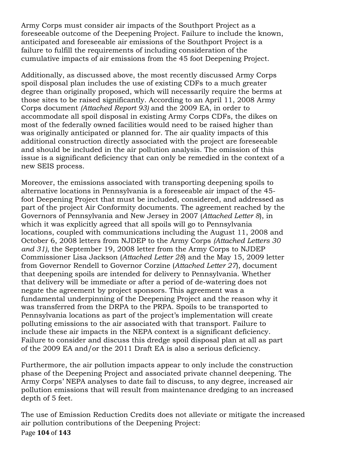Army Corps must consider air impacts of the Southport Project as a foreseeable outcome of the Deepening Project. Failure to include the known, anticipated and foreseeable air emissions of the Southport Project is a failure to fulfill the requirements of including consideration of the cumulative impacts of air emissions from the 45 foot Deepening Project.

Additionally, as discussed above, the most recently discussed Army Corps spoil disposal plan includes the use of existing CDFs to a much greater degree than originally proposed, which will necessarily require the berms at those sites to be raised significantly. According to an April 11, 2008 Army Corps document *(Attached Report 93)* and the 2009 EA, in order to accommodate all spoil disposal in existing Army Corps CDFs, the dikes on most of the federally owned facilities would need to be raised higher than was originally anticipated or planned for. The air quality impacts of this additional construction directly associated with the project are foreseeable and should be included in the air pollution analysis. The omission of this issue is a significant deficiency that can only be remedied in the context of a new SEIS process.

Moreover, the emissions associated with transporting deepening spoils to alternative locations in Pennsylvania is a foreseeable air impact of the 45 foot Deepening Project that must be included, considered, and addressed as part of the project Air Conformity documents. The agreement reached by the Governors of Pennsylvania and New Jersey in 2007 (*Attached Letter 8*), in which it was explicitly agreed that all spoils will go to Pennsylvania locations, coupled with communications including the August 11, 2008 and October 6, 2008 letters from NJDEP to the Army Corps *(Attached Letters 30 and 31)*, the September 19, 2008 letter from the Army Corps to NJDEP Commissioner Lisa Jackson (*Attached Letter 28*) and the May 15, 2009 letter from Governor Rendell to Governor Corzine (*Attached Letter 27*), document that deepening spoils are intended for delivery to Pennsylvania. Whether that delivery will be immediate or after a period of de-watering does not negate the agreement by project sponsors. This agreement was a fundamental underpinning of the Deepening Project and the reason why it was transferred from the DRPA to the PRPA. Spoils to be transported to Pennsylvania locations as part of the project's implementation will create polluting emissions to the air associated with that transport. Failure to include these air impacts in the NEPA context is a significant deficiency. Failure to consider and discuss this dredge spoil disposal plan at all as part of the 2009 EA and/or the 2011 Draft EA is also a serious deficiency.

Furthermore, the air pollution impacts appear to only include the construction phase of the Deepening Project and associated private channel deepening. The Army Corps' NEPA analyses to date fail to discuss, to any degree, increased air pollution emissions that will result from maintenance dredging to an increased depth of 5 feet.

Page **104** of **143** The use of Emission Reduction Credits does not alleviate or mitigate the increased air pollution contributions of the Deepening Project: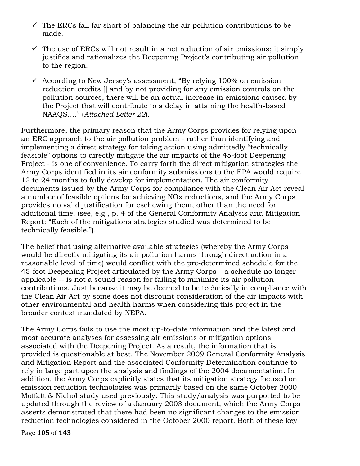- $\checkmark$  The ERCs fall far short of balancing the air pollution contributions to be made.
- $\checkmark$  The use of ERCs will not result in a net reduction of air emissions; it simply justifies and rationalizes the Deepening Project's contributing air pollution to the region.
- $\checkmark$  According to New Jersey's assessment, "By relying 100% on emission reduction credits [] and by not providing for any emission controls on the pollution sources, there will be an actual increase in emissions caused by the Project that will contribute to a delay in attaining the health-based NAAQS…." (*Attached Letter 22*).

Furthermore, the primary reason that the Army Corps provides for relying upon an ERC approach to the air pollution problem - rather than identifying and implementing a direct strategy for taking action using admittedly "technically feasible" options to directly mitigate the air impacts of the 45-foot Deepening Project - is one of convenience. To carry forth the direct mitigation strategies the Army Corps identified in its air conformity submissions to the EPA would require 12 to 24 months to fully develop for implementation. The air conformity documents issued by the Army Corps for compliance with the Clean Air Act reveal a number of feasible options for achieving NOx reductions, and the Army Corps provides no valid justification for eschewing them, other than the need for additional time. (see, e.g., p. 4 of the General Conformity Analysis and Mitigation Report: "Each of the mitigations strategies studied was determined to be technically feasible.").

The belief that using alternative available strategies (whereby the Army Corps would be directly mitigating its air pollution harms through direct action in a reasonable level of time) would conflict with the pre-determined schedule for the 45-foot Deepening Project articulated by the Army Corps – a schedule no longer applicable -- is not a sound reason for failing to minimize its air pollution contributions. Just because it may be deemed to be technically in compliance with the Clean Air Act by some does not discount consideration of the air impacts with other environmental and health harms when considering this project in the broader context mandated by NEPA.

The Army Corps fails to use the most up-to-date information and the latest and most accurate analyses for assessing air emissions or mitigation options associated with the Deepening Project. As a result, the information that is provided is questionable at best. The November 2009 General Conformity Analysis and Mitigation Report and the associated Conformity Determination continue to rely in large part upon the analysis and findings of the 2004 documentation. In addition, the Army Corps explicitly states that its mitigation strategy focused on emission reduction technologies was primarily based on the same October 2000 Moffatt & Nichol study used previously. This study/analysis was purported to be updated through the review of a January 2003 document, which the Army Corps asserts demonstrated that there had been no significant changes to the emission reduction technologies considered in the October 2000 report. Both of these key

Page **105** of **143**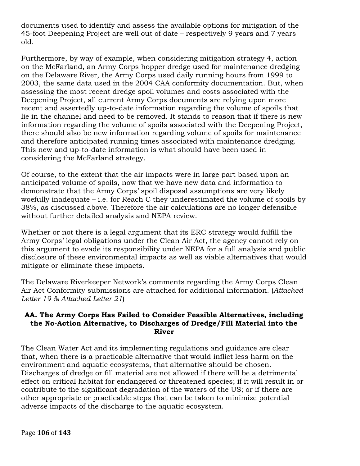documents used to identify and assess the available options for mitigation of the 45-foot Deepening Project are well out of date – respectively 9 years and 7 years old.

Furthermore, by way of example, when considering mitigation strategy 4, action on the McFarland, an Army Corps hopper dredge used for maintenance dredging on the Delaware River, the Army Corps used daily running hours from 1999 to 2003, the same data used in the 2004 CAA conformity documentation. But, when assessing the most recent dredge spoil volumes and costs associated with the Deepening Project, all current Army Corps documents are relying upon more recent and assertedly up-to-date information regarding the volume of spoils that lie in the channel and need to be removed. It stands to reason that if there is new information regarding the volume of spoils associated with the Deepening Project, there should also be new information regarding volume of spoils for maintenance and therefore anticipated running times associated with maintenance dredging. This new and up-to-date information is what should have been used in considering the McFarland strategy.

Of course, to the extent that the air impacts were in large part based upon an anticipated volume of spoils, now that we have new data and information to demonstrate that the Army Corps' spoil disposal assumptions are very likely woefully inadequate – i.e. for Reach C they underestimated the volume of spoils by 38%, as discussed above. Therefore the air calculations are no longer defensible without further detailed analysis and NEPA review.

Whether or not there is a legal argument that its ERC strategy would fulfill the Army Corps' legal obligations under the Clean Air Act, the agency cannot rely on this argument to evade its responsibility under NEPA for a full analysis and public disclosure of these environmental impacts as well as viable alternatives that would mitigate or eliminate these impacts.

The Delaware Riverkeeper Network's comments regarding the Army Corps Clean Air Act Conformity submissions are attached for additional information. (*Attached Letter 19 & Attached Letter 21*)

### **AA. The Army Corps Has Failed to Consider Feasible Alternatives, including the No-Action Alternative, to Discharges of Dredge/Fill Material into the River**

The Clean Water Act and its implementing regulations and guidance are clear that, when there is a practicable alternative that would inflict less harm on the environment and aquatic ecosystems, that alternative should be chosen. Discharges of dredge or fill material are not allowed if there will be a detrimental effect on critical habitat for endangered or threatened species; if it will result in or contribute to the significant degradation of the waters of the US; or if there are other appropriate or practicable steps that can be taken to minimize potential adverse impacts of the discharge to the aquatic ecosystem.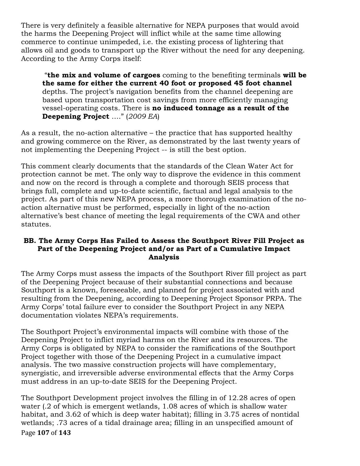There is very definitely a feasible alternative for NEPA purposes that would avoid the harms the Deepening Project will inflict while at the same time allowing commerce to continue unimpeded, i.e. the existing process of lightering that allows oil and goods to transport up the River without the need for any deepening. According to the Army Corps itself:

"**the mix and volume of cargoes** coming to the benefiting terminals **will be the same for either the current 40 foot or proposed 45 foot channel** depths. The project's navigation benefits from the channel deepening are based upon transportation cost savings from more efficiently managing vessel-operating costs. There is **no induced tonnage as a result of the Deepening Project** …." (*2009 EA*)

As a result, the no-action alternative – the practice that has supported healthy and growing commerce on the River, as demonstrated by the last twenty years of not implementing the Deepening Project -- is still the best option.

This comment clearly documents that the standards of the Clean Water Act for protection cannot be met. The only way to disprove the evidence in this comment and now on the record is through a complete and thorough SEIS process that brings full, complete and up-to-date scientific, factual and legal analysis to the project. As part of this new NEPA process, a more thorough examination of the noaction alternative must be performed, especially in light of the no-action alternative's best chance of meeting the legal requirements of the CWA and other statutes.

### **BB. The Army Corps Has Failed to Assess the Southport River Fill Project as Part of the Deepening Project and/or as Part of a Cumulative Impact Analysis**

The Army Corps must assess the impacts of the Southport River fill project as part of the Deepening Project because of their substantial connections and because Southport is a known, foreseeable, and planned for project associated with and resulting from the Deepening, according to Deepening Project Sponsor PRPA. The Army Corps' total failure ever to consider the Southport Project in any NEPA documentation violates NEPA's requirements.

The Southport Project's environmental impacts will combine with those of the Deepening Project to inflict myriad harms on the River and its resources. The Army Corps is obligated by NEPA to consider the ramifications of the Southport Project together with those of the Deepening Project in a cumulative impact analysis. The two massive construction projects will have complementary, synergistic, and irreversible adverse environmental effects that the Army Corps must address in an up-to-date SEIS for the Deepening Project.

Page **107** of **143** The Southport Development project involves the filling in of 12.28 acres of open water (.2 of which is emergent wetlands, 1.08 acres of which is shallow water habitat, and 3.62 of which is deep water habitat); filling in 3.75 acres of nontidal wetlands; .73 acres of a tidal drainage area; filling in an unspecified amount of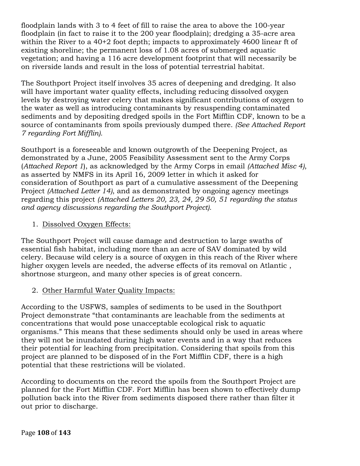floodplain lands with 3 to 4 feet of fill to raise the area to above the 100-year floodplain (in fact to raise it to the 200 year floodplain); dredging a 35-acre area within the River to a 40+2 foot depth; impacts to approximately 4600 linear ft of existing shoreline; the permanent loss of 1.08 acres of submerged aquatic vegetation; and having a 116 acre development footprint that will necessarily be on riverside lands and result in the loss of potential terrestrial habitat.

The Southport Project itself involves 35 acres of deepening and dredging. It also will have important water quality effects, including reducing dissolved oxygen levels by destroying water celery that makes significant contributions of oxygen to the water as well as introducing contaminants by resuspending contaminated sediments and by depositing dredged spoils in the Fort Mifflin CDF, known to be a source of contaminants from spoils previously dumped there. *(See Attached Report 7 regarding Fort Mifflin).*

Southport is a foreseeable and known outgrowth of the Deepening Project, as demonstrated by a June, 2005 Feasibility Assessment sent to the Army Corps (*Attached Report 1*), as acknowledged by the Army Corps in email *(Attached Misc 4)*, as asserted by NMFS in its April 16, 2009 letter in which it asked for consideration of Southport as part of a cumulative assessment of the Deepening Project *(Attached Letter 14)*, and as demonstrated by ongoing agency meetings regarding this project *(Attached Letters 20, 23, 24, 29 50, 51 regarding the status and agency discussions regarding the Southport Project).*

# 1. Dissolved Oxygen Effects:

The Southport Project will cause damage and destruction to large swaths of essential fish habitat, including more than an acre of SAV dominated by wild celery. Because wild celery is a source of oxygen in this reach of the River where higher oxygen levels are needed, the adverse effects of its removal on Atlantic , shortnose sturgeon, and many other species is of great concern.

# 2. Other Harmful Water Quality Impacts:

According to the USFWS, samples of sediments to be used in the Southport Project demonstrate "that contaminants are leachable from the sediments at concentrations that would pose unacceptable ecological risk to aquatic organisms." This means that these sediments should only be used in areas where they will not be inundated during high water events and in a way that reduces their potential for leaching from precipitation. Considering that spoils from this project are planned to be disposed of in the Fort Mifflin CDF, there is a high potential that these restrictions will be violated.

According to documents on the record the spoils from the Southport Project are planned for the Fort Mifflin CDF. Fort Mifflin has been shown to effectively dump pollution back into the River from sediments disposed there rather than filter it out prior to discharge.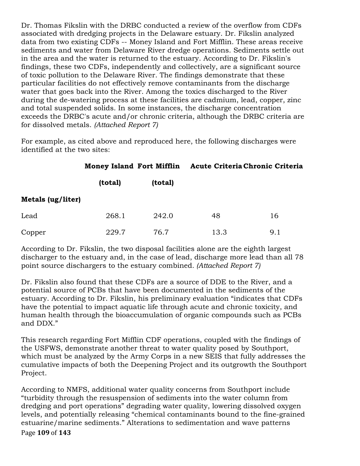Dr. Thomas Fikslin with the DRBC conducted a review of the overflow from CDFs associated with dredging projects in the Delaware estuary. Dr. Fikslin analyzed data from two existing CDFs -- Money Island and Fort Mifflin. These areas receive sediments and water from Delaware River dredge operations. Sediments settle out in the area and the water is returned to the estuary. According to Dr. Fikslin's findings, these two CDFs, independently and collectively, are a significant source of toxic pollution to the Delaware River. The findings demonstrate that these particular facilities do not effectively remove contaminants from the discharge water that goes back into the River. Among the toxics discharged to the River during the de-watering process at these facilities are cadmium, lead, copper, zinc and total suspended solids. In some instances, the discharge concentration exceeds the DRBC's acute and/or chronic criteria, although the DRBC criteria are for dissolved metals. *(Attached Report 7)*

For example, as cited above and reproduced here, the following discharges were identified at the two sites:

|                   | <b>Money Island Fort Mifflin</b> |         | Acute Criteria Chronic Criteria |     |
|-------------------|----------------------------------|---------|---------------------------------|-----|
|                   | (total)                          | (total) |                                 |     |
| Metals (ug/liter) |                                  |         |                                 |     |
| Lead              | 268.1                            | 242.0   | 48                              | 16  |
| Copper            | 229.7                            | 76.7    | 13.3                            | 9.1 |

According to Dr. Fikslin, the two disposal facilities alone are the eighth largest discharger to the estuary and, in the case of lead, discharge more lead than all 78 point source dischargers to the estuary combined*. (Attached Report 7)*

Dr. Fikslin also found that these CDFs are a source of DDE to the River, and a potential source of PCBs that have been documented in the sediments of the estuary. According to Dr. Fikslin, his preliminary evaluation "indicates that CDFs have the potential to impact aquatic life through acute and chronic toxicity, and human health through the bioaccumulation of organic compounds such as PCBs and DDX."

This research regarding Fort Mifflin CDF operations, coupled with the findings of the USFWS, demonstrate another threat to water quality posed by Southport, which must be analyzed by the Army Corps in a new SEIS that fully addresses the cumulative impacts of both the Deepening Project and its outgrowth the Southport Project.

Page **109** of **143** According to NMFS, additional water quality concerns from Southport include "turbidity through the resuspension of sediments into the water column from dredging and port operations" degrading water quality, lowering dissolved oxygen levels, and potentially releasing "chemical contaminants bound to the fine-grained estuarine/marine sediments." Alterations to sedimentation and wave patterns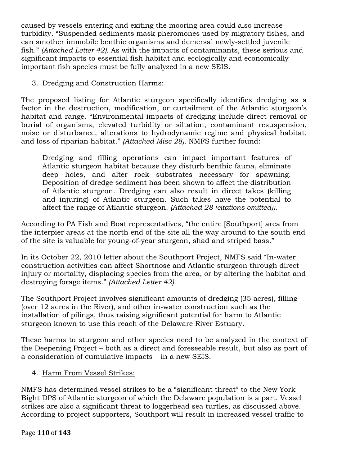caused by vessels entering and exiting the mooring area could also increase turbidity. "Suspended sediments mask pheromones used by migratory fishes, and can smother immobile benthic organisms and demersal newly-settled juvenile fish." *(Attached Letter 42).* As with the impacts of contaminants, these serious and significant impacts to essential fish habitat and ecologically and economically important fish species must be fully analyzed in a new SEIS.

## 3. Dredging and Construction Harms:

The proposed listing for Atlantic sturgeon specifically identifies dredging as a factor in the destruction, modification, or curtailment of the Atlantic sturgeon's habitat and range. "Environmental impacts of dredging include direct removal or burial of organisms, elevated turbidity or siltation, contaminant resuspension, noise or disturbance, alterations to hydrodynamic regime and physical habitat, and loss of riparian habitat." *(Attached Misc 28).* NMFS further found:

Dredging and filling operations can impact important features of Atlantic sturgeon habitat because they disturb benthic fauna, eliminate deep holes, and alter rock substrates necessary for spawning. Deposition of dredge sediment has been shown to affect the distribution of Atlantic sturgeon. Dredging can also result in direct takes (killing and injuring) of Atlantic sturgeon. Such takes have the potential to affect the range of Atlantic sturgeon. *(Attached 28 (citations omitted)).*

According to PA Fish and Boat representatives, "the entire [Southport] area from the interpier areas at the north end of the site all the way around to the south end of the site is valuable for young-of-year sturgeon, shad and striped bass."

In its October 22, 2010 letter about the Southport Project, NMFS said "In-water construction activities can affect Shortnose and Atlantic sturgeon through direct injury or mortality, displacing species from the area, or by altering the habitat and destroying forage items." *(Attached Letter 42).*

The Southport Project involves significant amounts of dredging (35 acres), filling (over 12 acres in the River), and other in-water construction such as the installation of pilings, thus raising significant potential for harm to Atlantic sturgeon known to use this reach of the Delaware River Estuary.

These harms to sturgeon and other species need to be analyzed in the context of the Deepening Project – both as a direct and foreseeable result, but also as part of a consideration of cumulative impacts – in a new SEIS.

# 4. Harm From Vessel Strikes:

NMFS has determined vessel strikes to be a "significant threat" to the New York Bight DPS of Atlantic sturgeon of which the Delaware population is a part. Vessel strikes are also a significant threat to loggerhead sea turtles, as discussed above. According to project supporters, Southport will result in increased vessel traffic to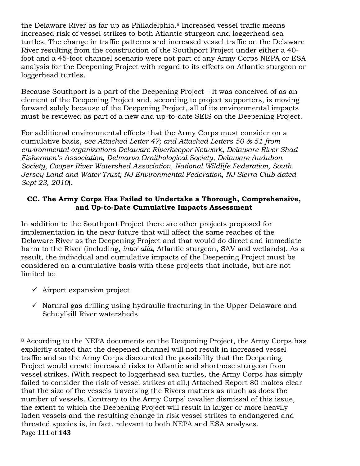the Delaware River as far up as Philadelphia.<sup>8</sup> Increased vessel traffic means increased risk of vessel strikes to both Atlantic sturgeon and loggerhead sea turtles. The change in traffic patterns and increased vessel traffic on the Delaware River resulting from the construction of the Southport Project under either a 40 foot and a 45-foot channel scenario were not part of any Army Corps NEPA or ESA analysis for the Deepening Project with regard to its effects on Atlantic sturgeon or loggerhead turtles.

Because Southport is a part of the Deepening Project – it was conceived of as an element of the Deepening Project and, according to project supporters, is moving forward solely because of the Deepening Project, all of its environmental impacts must be reviewed as part of a new and up-to-date SEIS on the Deepening Project.

For additional environmental effects that the Army Corps must consider on a cumulative basis, *see Attached Letter 47; and Attached Letters 50 & 51 from environmental organizations Delaware Riverkeeper Network, Delaware River Shad Fishermen's Association, Delmarva Ornithological Society, Delaware Audubon Society, Cooper River Watershed Association, National Wildlife Federation, South Jersey Land and Water Trust, NJ Environmental Federation, NJ Sierra Club dated Sept 23, 2010*).

# **CC. The Army Corps Has Failed to Undertake a Thorough, Comprehensive, and Up-to-Date Cumulative Impacts Assessment**

In addition to the Southport Project there are other projects proposed for implementation in the near future that will affect the same reaches of the Delaware River as the Deepening Project and that would do direct and immediate harm to the River (including, *inter alia*, Atlantic sturgeon, SAV and wetlands). As a result, the individual and cumulative impacts of the Deepening Project must be considered on a cumulative basis with these projects that include, but are not limited to:

- $\checkmark$  Airport expansion project
- $\checkmark$  Natural gas drilling using hydraulic fracturing in the Upper Delaware and Schuylkill River watersheds

Page **111** of **143** !!!!!!!!!!!!!!!!!!!!!!!!!!!!!!!!!!!!!!!!!!!!!!!!!!!!!!! <sup>8</sup> According to the NEPA documents on the Deepening Project, the Army Corps has explicitly stated that the deepened channel will not result in increased vessel traffic and so the Army Corps discounted the possibility that the Deepening Project would create increased risks to Atlantic and shortnose sturgeon from vessel strikes. (With respect to loggerhead sea turtles, the Army Corps has simply failed to consider the risk of vessel strikes at all.) Attached Report 80 makes clear that the size of the vessels traversing the Rivers matters as much as does the number of vessels. Contrary to the Army Corps' cavalier dismissal of this issue, the extent to which the Deepening Project will result in larger or more heavily laden vessels and the resulting change in risk vessel strikes to endangered and threated species is, in fact, relevant to both NEPA and ESA analyses.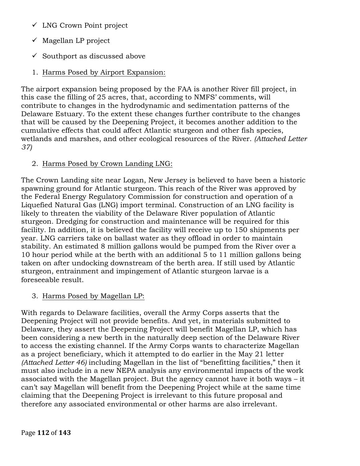- $\checkmark$  LNG Crown Point project
- $\checkmark$  Magellan LP project
- $\checkmark$  Southport as discussed above
- 1. Harms Posed by Airport Expansion:

The airport expansion being proposed by the FAA is another River fill project, in this case the filling of 25 acres, that, according to NMFS' comments, will contribute to changes in the hydrodynamic and sedimentation patterns of the Delaware Estuary. To the extent these changes further contribute to the changes that will be caused by the Deepening Project, it becomes another addition to the cumulative effects that could affect Atlantic sturgeon and other fish species, wetlands and marshes, and other ecological resources of the River. *(Attached Letter 37)*

# 2. Harms Posed by Crown Landing LNG:

The Crown Landing site near Logan, New Jersey is believed to have been a historic spawning ground for Atlantic sturgeon. This reach of the River was approved by the Federal Energy Regulatory Commission for construction and operation of a Liquefied Natural Gas (LNG) import terminal. Construction of an LNG facility is likely to threaten the viability of the Delaware River population of Atlantic sturgeon. Dredging for construction and maintenance will be required for this facility. In addition, it is believed the facility will receive up to 150 shipments per year. LNG carriers take on ballast water as they offload in order to maintain stability. An estimated 8 million gallons would be pumped from the River over a 10 hour period while at the berth with an additional 5 to 11 million gallons being taken on after undocking downstream of the berth area. If still used by Atlantic sturgeon, entrainment and impingement of Atlantic sturgeon larvae is a foreseeable result.

# 3. Harms Posed by Magellan LP:

With regards to Delaware facilities, overall the Army Corps asserts that the Deepening Project will not provide benefits. And yet, in materials submitted to Delaware, they assert the Deepening Project will benefit Magellan LP, which has been considering a new berth in the naturally deep section of the Delaware River to access the existing channel. If the Army Corps wants to characterize Magellan as a project beneficiary, which it attempted to do earlier in the May 21 letter *(Attached Letter 46)* including Magellan in the list of "benefitting facilities," then it must also include in a new NEPA analysis any environmental impacts of the work associated with the Magellan project. But the agency cannot have it both ways – it can't say Magellan will benefit from the Deepening Project while at the same time claiming that the Deepening Project is irrelevant to this future proposal and therefore any associated environmental or other harms are also irrelevant.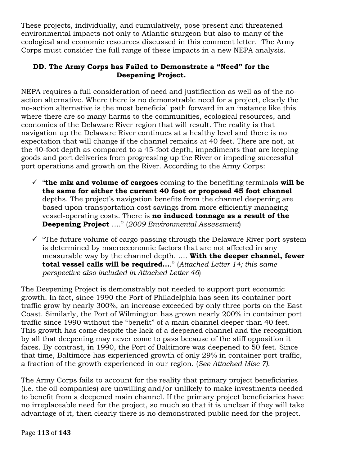These projects, individually, and cumulatively, pose present and threatened environmental impacts not only to Atlantic sturgeon but also to many of the ecological and economic resources discussed in this comment letter. The Army Corps must consider the full range of these impacts in a new NEPA analysis.

# **DD. The Army Corps has Failed to Demonstrate a "Need" for the Deepening Project.**

NEPA requires a full consideration of need and justification as well as of the noaction alternative. Where there is no demonstrable need for a project, clearly the no-action alternative is the most beneficial path forward in an instance like this where there are so many harms to the communities, ecological resources, and economics of the Delaware River region that will result. The reality is that navigation up the Delaware River continues at a healthy level and there is no expectation that will change if the channel remains at 40 feet. There are not, at the 40-foot depth as compared to a 45-foot depth, impediments that are keeping goods and port deliveries from progressing up the River or impeding successful port operations and growth on the River. According to the Army Corps:

- $\checkmark$  "the mix and volume of cargoes coming to the benefiting terminals will be **the same for either the current 40 foot or proposed 45 foot channel** depths. The project's navigation benefits from the channel deepening are based upon transportation cost savings from more efficiently managing vessel-operating costs. There is **no induced tonnage as a result of the Deepening Project** …." (*2009 Environmental Assessment*)
- $\checkmark$  "The future volume of cargo passing through the Delaware River port system is determined by macroeconomic factors that are not affected in any measurable way by the channel depth. …. **With the deeper channel, fewer total vessel calls will be required…**." (*Attached Letter 14; this same perspective also included in Attached Letter 46*)

The Deepening Project is demonstrably not needed to support port economic growth. In fact, since 1990 the Port of Philadelphia has seen its container port traffic grow by nearly 300%, an increase exceeded by only three ports on the East Coast. Similarly, the Port of Wilmington has grown nearly 200% in container port traffic since 1990 without the "benefit" of a main channel deeper than 40 feet. This growth has come despite the lack of a deepened channel and the recognition by all that deepening may never come to pass because of the stiff opposition it faces. By contrast, in 1990, the Port of Baltimore was deepened to 50 feet. Since that time, Baltimore has experienced growth of only 29% in container port traffic, a fraction of the growth experienced in our region. (*See Attached Misc 7).*

The Army Corps fails to account for the reality that primary project beneficiaries (i.e. the oil companies) are unwilling and/or unlikely to make investments needed to benefit from a deepened main channel. If the primary project beneficiaries have no irreplaceable need for the project, so much so that it is unclear if they will take advantage of it, then clearly there is no demonstrated public need for the project.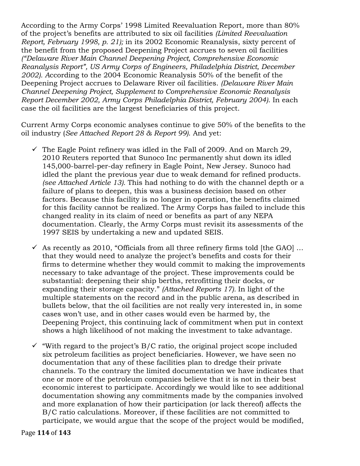According to the Army Corps' 1998 Limited Reevaluation Report, more than 80% of the project's benefits are attributed to six oil facilities *(Limited Reevaluation Report, February 1998, p. 21);* in its 2002 Economic Reanalysis, sixty percent of the benefit from the proposed Deepening Project accrues to seven oil facilities *("Delaware River Main Channel Deepening Project, Comprehensive Economic Reanalysis Report", US Army Corps of Engineers, Philadelphia District, December 2002). A*ccording to the 2004 Economic Reanalysis 50% of the benefit of the Deepening Project accrues to Delaware River oil facilities. *(Delaware River Main Channel Deepening Project, Supplement to Comprehensive Economic Reanalysis Report December 2002, Army Corps Philadelphia District, February 2004)*. In each case the oil facilities are the largest beneficiaries of this project.

Current Army Corps economic analyses continue to give 50% of the benefits to the oil industry (*See Attached Report 28 & Report 99)*. And yet:

- $\checkmark$  The Eagle Point refinery was idled in the Fall of 2009. And on March 29, 2010 Reuters reported that Sunoco Inc permanently shut down its idled 145,000-barrel-per-day refinery in Eagle Point, New Jersey. Sunoco had idled the plant the previous year due to weak demand for refined products. *(see Attached Article 13).* This had nothing to do with the channel depth or a failure of plans to deepen, this was a business decision based on other factors. Because this facility is no longer in operation, the benefits claimed for this facility cannot be realized. The Army Corps has failed to include this changed reality in its claim of need or benefits as part of any NEPA documentation. Clearly, the Army Corps must revisit its assessments of the 1997 SEIS by undertaking a new and updated SEIS.
- $\checkmark$  As recently as 2010, "Officials from all three refinery firms told [the GAO] ... that they would need to analyze the project's benefits and costs for their firms to determine whether they would commit to making the improvements necessary to take advantage of the project. These improvements could be substantial: deepening their ship berths, retrofitting their docks, or expanding their storage capacity." *(Attached Reports 17).* In light of the multiple statements on the record and in the public arena, as described in bullets below, that the oil facilities are not really very interested in, in some cases won't use, and in other cases would even be harmed by, the Deepening Project, this continuing lack of commitment when put in context shows a high likelihood of not making the investment to take advantage.
- $\checkmark$  "With regard to the project's B/C ratio, the original project scope included six petroleum facilities as project beneficiaries. However, we have seen no documentation that any of these facilities plan to dredge their private channels. To the contrary the limited documentation we have indicates that one or more of the petroleum companies believe that it is not in their best economic interest to participate. Accordingly we would like to see additional documentation showing any commitments made by the companies involved and more explanation of how their participation (or lack thereof) affects the B/C ratio calculations. Moreover, if these facilities are not committed to participate, we would argue that the scope of the project would be modified,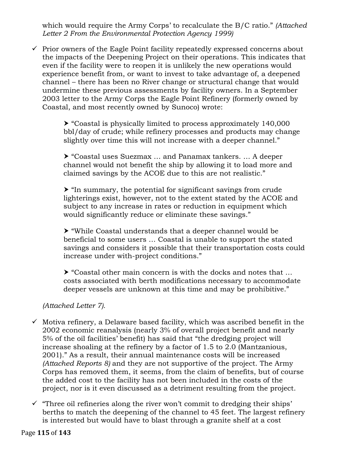which would require the Army Corps' to recalculate the B/C ratio." *(Attached Letter 2 From the Environmental Protection Agency 1999)* 

 $\checkmark$  Prior owners of the Eagle Point facility repeatedly expressed concerns about the impacts of the Deepening Project on their operations. This indicates that even if the facility were to reopen it is unlikely the new operations would experience benefit from, or want to invest to take advantage of, a deepened channel – there has been no River change or structural change that would undermine these previous assessments by facility owners. In a September 2003 letter to the Army Corps the Eagle Point Refinery (formerly owned by Coastal, and most recently owned by Sunoco) wrote:

> $\triangleright$  "Coastal is physically limited to process approximately 140,000 bbl/day of crude; while refinery processes and products may change slightly over time this will not increase with a deeper channel."

! "Coastal uses Suezmax … and Panamax tankers. … A deeper channel would not benefit the ship by allowing it to load more and claimed savings by the ACOE due to this are not realistic."

 $\triangleright$  "In summary, the potential for significant savings from crude lighterings exist, however, not to the extent stated by the ACOE and subject to any increase in rates or reduction in equipment which would significantly reduce or eliminate these savings."

 $\triangleright$  "While Coastal understands that a deeper channel would be beneficial to some users … Coastal is unable to support the stated savings and considers it possible that their transportation costs could increase under with-project conditions."

 $\triangleright$  "Coastal other main concern is with the docks and notes that ... costs associated with berth modifications necessary to accommodate deeper vessels are unknown at this time and may be prohibitive."

# *(Attached Letter 7).*

- $\checkmark$  Motiva refinery, a Delaware based facility, which was ascribed benefit in the 2002 economic reanalysis (nearly 3% of overall project benefit and nearly 5% of the oil facilities' benefit) has said that "the dredging project will increase shoaling at the refinery by a factor of 1.5 to 2.0 (Mantzanious, 2001)." As a result, their annual maintenance costs will be increased *(Attached Reports 8)* and they are not supportive of the project. The Army Corps has removed them, it seems, from the claim of benefits, but of course the added cost to the facility has not been included in the costs of the project, nor is it even discussed as a detriment resulting from the project.
- $\checkmark$  "Three oil refineries along the river won't commit to dredging their ships' berths to match the deepening of the channel to 45 feet. The largest refinery is interested but would have to blast through a granite shelf at a cost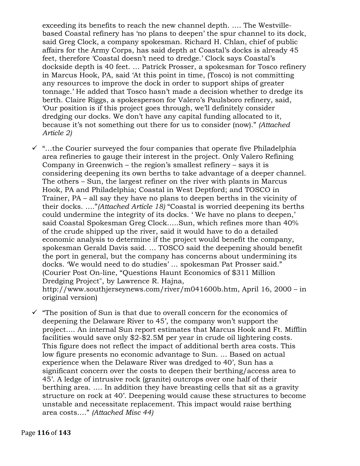exceeding its benefits to reach the new channel depth. …. The Westvillebased Coastal refinery has 'no plans to deepen' the spur channel to its dock, said Greg Clock, a company spokesman. Richard H. Chlan, chief of public affairs for the Army Corps, has said depth at Coastal's docks is already 45 feet, therefore 'Coastal doesn't need to dredge.' Clock says Coastal's dockside depth is 40 feet. … Patrick Prosser, a spokesman for Tosco refinery in Marcus Hook, PA, said 'At this point in time, (Tosco) is not committing any resources to improve the dock in order to support ships of greater tonnage.' He added that Tosco hasn't made a decision whether to dredge its berth. Claire Riggs, a spokesperson for Valero's Paulsboro refinery, said, 'Our position is if this project goes through, we'll definitely consider dredging our docks. We don't have any capital funding allocated to it, because it's not something out there for us to consider (now)." *(Attached Article 2)* 

 $\checkmark$  "...the Courier surveyed the four companies that operate five Philadelphia area refineries to gauge their interest in the project. Only Valero Refining Company in Greenwich – the region's smallest refinery – says it is considering deepening its own berths to take advantage of a deeper channel. The others – Sun, the largest refiner on the river with plants in Marcus Hook, PA and Philadelphia; Coastal in West Deptford; and TOSCO in Trainer, PA – all say they have no plans to deepen berths in the vicinity of their docks. …."*(Attached Article 18)* "Coastal is worried deepening its berths could undermine the integrity of its docks. ' We have no plans to deepen,' said Coastal Spokesman Greg Clock…..Sun, which refines more than 40% of the crude shipped up the river, said it would have to do a detailed economic analysis to determine if the project would benefit the company, spokesman Gerald Davis said. … TOSCO said the deepening should benefit the port in general, but the company has concerns about undermining its docks. 'We would need to do studies' … spokesman Pat Prosser said." (Courier Post On-line, "Questions Haunt Economics of \$311 Million Dredging Project", by Lawrence R. Hajna, http://www.southjerseynews.com/river/m041600b.htm, April 16, 2000 – in

original version)

 $\checkmark$  "The position of Sun is that due to overall concern for the economics of deepening the Delaware River to 45', the company won't support the project…. An internal Sun report estimates that Marcus Hook and Ft. Mifflin facilities would save only \$2-\$2.5M per year in crude oil lightering costs. This figure does not reflect the impact of additional berth area costs. This low figure presents no economic advantage to Sun. … Based on actual experience when the Delaware River was dredged to 40', Sun has a significant concern over the costs to deepen their berthing/access area to 45'. A ledge of intrusive rock (granite) outcrops over one half of their berthing area. …. In addition they have breasting cells that sit as a gravity structure on rock at 40'. Deepening would cause these structures to become unstable and necessitate replacement. This impact would raise berthing area costs…." *(Attached Misc 44)*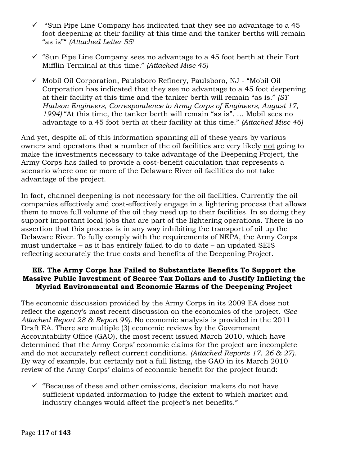- $\checkmark$  "Sun Pipe Line Company has indicated that they see no advantage to a 45 foot deepening at their facility at this time and the tanker berths will remain "as is"" *(Attached Letter 55)*
- $\checkmark$  "Sun Pipe Line Company sees no advantage to a 45 foot berth at their Fort Mifflin Terminal at this time." *(Attached Misc 45)*
- $\checkmark$  Mobil Oil Corporation, Paulsboro Refinery, Paulsboro, NJ "Mobil Oil" Corporation has indicated that they see no advantage to a 45 foot deepening at their facility at this time and the tanker berth will remain "as is." *(ST Hudson Engineers, Correspondence to Army Corps of Engineers, August 17, 1994)* "At this time, the tanker berth will remain "as is". … Mobil sees no advantage to a 45 foot berth at their facility at this time." *(Attached Misc 46)*

And yet, despite all of this information spanning all of these years by various owners and operators that a number of the oil facilities are very likely not going to make the investments necessary to take advantage of the Deepening Project, the Army Corps has failed to provide a cost-benefit calculation that represents a scenario where one or more of the Delaware River oil facilities do not take advantage of the project.

In fact, channel deepening is not necessary for the oil facilities. Currently the oil companies effectively and cost-effectively engage in a lightering process that allows them to move full volume of the oil they need up to their facilities. In so doing they support important local jobs that are part of the lightering operations. There is no assertion that this process is in any way inhibiting the transport of oil up the Delaware River. To fully comply with the requirements of NEPA, the Army Corps must undertake – as it has entirely failed to do to date – an updated SEIS reflecting accurately the true costs and benefits of the Deepening Project.

#### **EE. The Army Corps has Failed to Substantiate Benefits To Support the Massive Public Investment of Scarce Tax Dollars and to Justify Inflicting the Myriad Environmental and Economic Harms of the Deepening Project**

The economic discussion provided by the Army Corps in its 2009 EA does not reflect the agency's most recent discussion on the economics of the project. *(See Attached Report 28 & Report 99).* No economic analysis is provided in the 2011 Draft EA. There are multiple (3) economic reviews by the Government Accountability Office (GAO), the most recent issued March 2010, which have determined that the Army Corps' economic claims for the project are incomplete and do not accurately reflect current conditions. *(Attached Reports 17, 26 & 27).* By way of example, but certainly not a full listing, the GAO in its March 2010 review of the Army Corps' claims of economic benefit for the project found:

 $\checkmark$  "Because of these and other omissions, decision makers do not have sufficient updated information to judge the extent to which market and industry changes would affect the project's net benefits."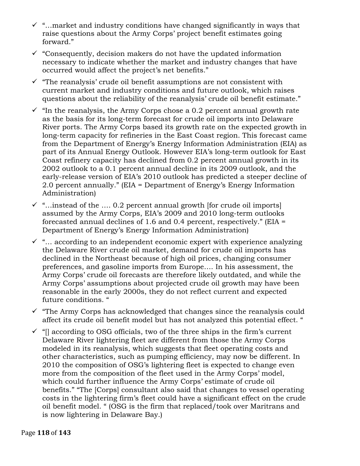- $\checkmark$  "...market and industry conditions have changed significantly in ways that raise questions about the Army Corps' project benefit estimates going forward."
- $\checkmark$  "Consequently, decision makers do not have the updated information necessary to indicate whether the market and industry changes that have occurred would affect the project's net benefits."
- $\checkmark$  "The reanalysis' crude oil benefit assumptions are not consistent with current market and industry conditions and future outlook, which raises questions about the reliability of the reanalysis' crude oil benefit estimate."
- $\checkmark$  "In the reanalysis, the Army Corps chose a 0.2 percent annual growth rate as the basis for its long-term forecast for crude oil imports into Delaware River ports. The Army Corps based its growth rate on the expected growth in long-term capacity for refineries in the East Coast region. This forecast came from the Department of Energy's Energy Information Administration (EIA) as part of its Annual Energy Outlook. However EIA's long-term outlook for East Coast refinery capacity has declined from 0.2 percent annual growth in its 2002 outlook to a 0.1 percent annual decline in its 2009 outlook, and the early-release version of EIA's 2010 outlook has predicted a steeper decline of 2.0 percent annually." (EIA = Department of Energy's Energy Information Administration)
- $\checkmark$  "...instead of the .... 0.2 percent annual growth [for crude oil imports] assumed by the Army Corps, EIA's 2009 and 2010 long-term outlooks forecasted annual declines of 1.6 and 0.4 percent, respectively." (EIA = Department of Energy's Energy Information Administration)
- $\checkmark$  "... according to an independent economic expert with experience analyzing the Delaware River crude oil market, demand for crude oil imports has declined in the Northeast because of high oil prices, changing consumer preferences, and gasoline imports from Europe…. In his assessment, the Army Corps' crude oil forecasts are therefore likely outdated, and while the Army Corps' assumptions about projected crude oil growth may have been reasonable in the early 2000s, they do not reflect current and expected future conditions. "
- $\checkmark$  "The Army Corps has acknowledged that changes since the reanalysis could affect its crude oil benefit model but has not analyzed this potential effect. "
- $\checkmark$  "[] according to OSG officials, two of the three ships in the firm's current Delaware River lightering fleet are different from those the Army Corps modeled in its reanalysis, which suggests that fleet operating costs and other characteristics, such as pumping efficiency, may now be different. In 2010 the composition of OSG's lightering fleet is expected to change even more from the composition of the fleet used in the Army Corps' model, which could further influence the Army Corps' estimate of crude oil benefits." "The [Corps] consultant also said that changes to vessel operating costs in the lightering firm's fleet could have a significant effect on the crude oil benefit model. " (OSG is the firm that replaced/took over Maritrans and is now lightering in Delaware Bay.)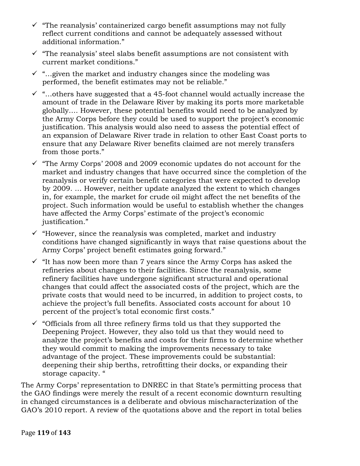- $\checkmark$  "The reanalysis' containerized cargo benefit assumptions may not fully reflect current conditions and cannot be adequately assessed without additional information."
- $\checkmark$  "The reanalysis' steel slabs benefit assumptions are not consistent with current market conditions."
- $\checkmark$  "... given the market and industry changes since the modeling was performed, the benefit estimates may not be reliable."
- $\checkmark$  "...others have suggested that a 45-foot channel would actually increase the amount of trade in the Delaware River by making its ports more marketable globally…. However, these potential benefits would need to be analyzed by the Army Corps before they could be used to support the project's economic justification. This analysis would also need to assess the potential effect of an expansion of Delaware River trade in relation to other East Coast ports to ensure that any Delaware River benefits claimed are not merely transfers from those ports."
- $\checkmark$  "The Army Corps' 2008 and 2009 economic updates do not account for the market and industry changes that have occurred since the completion of the reanalysis or verify certain benefit categories that were expected to develop by 2009. … However, neither update analyzed the extent to which changes in, for example, the market for crude oil might affect the net benefits of the project. Such information would be useful to establish whether the changes have affected the Army Corps' estimate of the project's economic justification."
- $\checkmark$  "However, since the reanalysis was completed, market and industry conditions have changed significantly in ways that raise questions about the Army Corps' project benefit estimates going forward."
- $\checkmark$  "It has now been more than 7 years since the Army Corps has asked the refineries about changes to their facilities. Since the reanalysis, some refinery facilities have undergone significant structural and operational changes that could affect the associated costs of the project, which are the private costs that would need to be incurred, in addition to project costs, to achieve the project's full benefits. Associated costs account for about 10 percent of the project's total economic first costs."
- $\checkmark$  "Officials from all three refinery firms told us that they supported the Deepening Project. However, they also told us that they would need to analyze the project's benefits and costs for their firms to determine whether they would commit to making the improvements necessary to take advantage of the project. These improvements could be substantial: deepening their ship berths, retrofitting their docks, or expanding their storage capacity. "

The Army Corps' representation to DNREC in that State's permitting process that the GAO findings were merely the result of a recent economic downturn resulting in changed circumstances is a deliberate and obvious mischaracterization of the GAO's 2010 report. A review of the quotations above and the report in total belies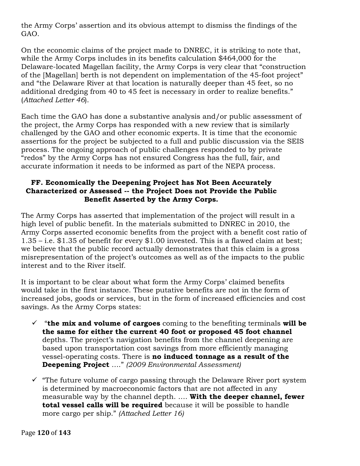the Army Corps' assertion and its obvious attempt to dismiss the findings of the GAO.

On the economic claims of the project made to DNREC, it is striking to note that, while the Army Corps includes in its benefits calculation \$464,000 for the Delaware-located Magellan facility, the Army Corps is very clear that "construction of the [Magellan] berth is not dependent on implementation of the 45-foot project" and "the Delaware River at that location is naturally deeper than 45 feet, so no additional dredging from 40 to 45 feet is necessary in order to realize benefits." (*Attached Letter 46*).

Each time the GAO has done a substantive analysis and/or public assessment of the project, the Army Corps has responded with a new review that is similarly challenged by the GAO and other economic experts. It is time that the economic assertions for the project be subjected to a full and public discussion via the SEIS process. The ongoing approach of public challenges responded to by private "redos" by the Army Corps has not ensured Congress has the full, fair, and accurate information it needs to be informed as part of the NEPA process.

### **FF. Economically the Deepening Project has Not Been Accurately Characterized or Assessed -- the Project Does not Provide the Public Benefit Asserted by the Army Corps.**

The Army Corps has asserted that implementation of the project will result in a high level of public benefit. In the materials submitted to DNREC in 2010, the Army Corps asserted economic benefits from the project with a benefit cost ratio of 1.35 – i.e. \$1.35 of benefit for every \$1.00 invested. This is a flawed claim at best; we believe that the public record actually demonstrates that this claim is a gross misrepresentation of the project's outcomes as well as of the impacts to the public interest and to the River itself.

It is important to be clear about what form the Army Corps' claimed benefits would take in the first instance. These putative benefits are not in the form of increased jobs, goods or services, but in the form of increased efficiencies and cost savings. As the Army Corps states:

- $\checkmark$  "the mix and volume of cargoes coming to the benefiting terminals will be **the same for either the current 40 foot or proposed 45 foot channel** depths. The project's navigation benefits from the channel deepening are based upon transportation cost savings from more efficiently managing vessel-operating costs. There is **no induced tonnage as a result of the Deepening Project** …." *(2009 Environmental Assessment)*
- $\checkmark$  "The future volume of cargo passing through the Delaware River port system is determined by macroeconomic factors that are not affected in any measurable way by the channel depth. …. **With the deeper channel, fewer total vessel calls will be required** because it will be possible to handle more cargo per ship." *(Attached Letter 16)*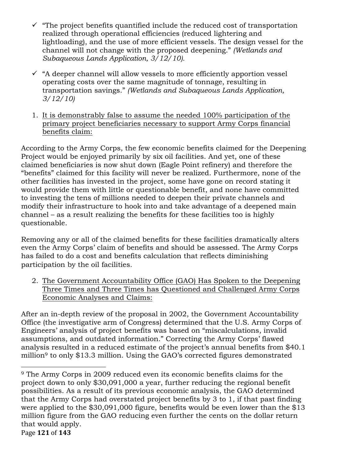- $\checkmark$  "The project benefits quantified include the reduced cost of transportation realized through operational efficiencies (reduced lightering and lightloading), and the use of more efficient vessels. The design vessel for the channel will not change with the proposed deepening." *(Wetlands and Subaqueous Lands Application, 3/12/10).*
- $\checkmark$  "A deeper channel will allow vessels to more efficiently apportion vessel operating costs over the same magnitude of tonnage, resulting in transportation savings." *(Wetlands and Subaqueous Lands Application, 3/12/10)*
- 1. It is demonstrably false to assume the needed 100% participation of the primary project beneficiaries necessary to support Army Corps financial benefits claim:

According to the Army Corps, the few economic benefits claimed for the Deepening Project would be enjoyed primarily by six oil facilities. And yet, one of these claimed beneficiaries is now shut down (Eagle Point refinery) and therefore the "benefits" claimed for this facility will never be realized. Furthermore, none of the other facilities has invested in the project, some have gone on record stating it would provide them with little or questionable benefit, and none have committed to investing the tens of millions needed to deepen their private channels and modify their infrastructure to hook into and take advantage of a deepened main channel – as a result realizing the benefits for these facilities too is highly questionable.

Removing any or all of the claimed benefits for these facilities dramatically alters even the Army Corps' claim of benefits and should be assessed. The Army Corps has failed to do a cost and benefits calculation that reflects diminishing participation by the oil facilities.

2. The Government Accountability Office (GAO) Has Spoken to the Deepening Three Times and Three Times has Questioned and Challenged Army Corps Economic Analyses and Claims:

After an in-depth review of the proposal in 2002, the Government Accountability Office (the investigative arm of Congress) determined that the U.S. Army Corps of Engineers' analysis of project benefits was based on "miscalculations, invalid assumptions, and outdated information." Correcting the Army Corps' flawed analysis resulted in a reduced estimate of the project's annual benefits from \$40.1 million9 to only \$13.3 million. Using the GAO's corrected figures demonstrated

!!!!!!!!!!!!!!!!!!!!!!!!!!!!!!!!!!!!!!!!!!!!!!!!!!!!!!!

Page **121** of **143** <sup>9</sup> The Army Corps in 2009 reduced even its economic benefits claims for the project down to only \$30,091,000 a year, further reducing the regional benefit possibilities. As a result of its previous economic analysis, the GAO determined that the Army Corps had overstated project benefits by 3 to 1, if that past finding were applied to the \$30,091,000 figure, benefits would be even lower than the \$13 million figure from the GAO reducing even further the cents on the dollar return that would apply.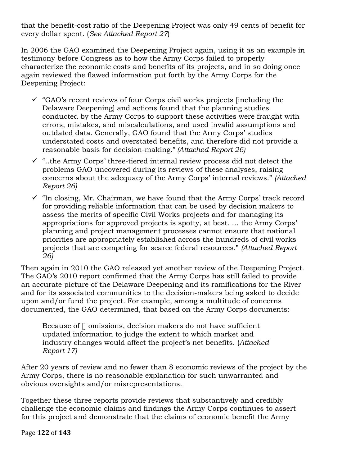that the benefit-cost ratio of the Deepening Project was only 49 cents of benefit for every dollar spent. (*See Attached Report 27*)

In 2006 the GAO examined the Deepening Project again, using it as an example in testimony before Congress as to how the Army Corps failed to properly characterize the economic costs and benefits of its projects, and in so doing once again reviewed the flawed information put forth by the Army Corps for the Deepening Project:

- $\checkmark$  "GAO's recent reviews of four Corps civil works projects [including the Delaware Deepening] and actions found that the planning studies conducted by the Army Corps to support these activities were fraught with errors, mistakes, and miscalculations, and used invalid assumptions and outdated data. Generally, GAO found that the Army Corps' studies understated costs and overstated benefits, and therefore did not provide a reasonable basis for decision-making." *(Attached Report 26)*
- $\checkmark$  "..the Army Corps' three-tiered internal review process did not detect the problems GAO uncovered during its reviews of these analyses, raising concerns about the adequacy of the Army Corps' internal reviews." *(Attached Report 26)*
- $\checkmark$  "In closing, Mr. Chairman, we have found that the Army Corps' track record for providing reliable information that can be used by decision makers to assess the merits of specific Civil Works projects and for managing its appropriations for approved projects is spotty, at best. … the Army Corps' planning and project management processes cannot ensure that national priorities are appropriately established across the hundreds of civil works projects that are competing for scarce federal resources." *(Attached Report 26)*

Then again in 2010 the GAO released yet another review of the Deepening Project. The GAO's 2010 report confirmed that the Army Corps has still failed to provide an accurate picture of the Delaware Deepening and its ramifications for the River and for its associated communities to the decision-makers being asked to decide upon and/or fund the project. For example, among a multitude of concerns documented, the GAO determined, that based on the Army Corps documents:

Because of [] omissions, decision makers do not have sufficient updated information to judge the extent to which market and industry changes would affect the project's net benefits. (*Attached Report 17)*

After 20 years of review and no fewer than 8 economic reviews of the project by the Army Corps, there is no reasonable explanation for such unwarranted and obvious oversights and/or misrepresentations.

Together these three reports provide reviews that substantively and credibly challenge the economic claims and findings the Army Corps continues to assert for this project and demonstrate that the claims of economic benefit the Army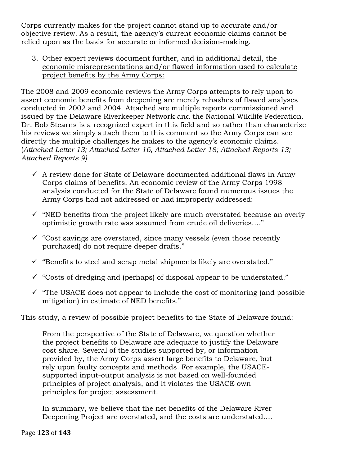Corps currently makes for the project cannot stand up to accurate and/or objective review. As a result, the agency's current economic claims cannot be relied upon as the basis for accurate or informed decision-making.

3. Other expert reviews document further, and in additional detail, the economic misrepresentations and/or flawed information used to calculate project benefits by the Army Corps:

The 2008 and 2009 economic reviews the Army Corps attempts to rely upon to assert economic benefits from deepening are merely rehashes of flawed analyses conducted in 2002 and 2004. Attached are multiple reports commissioned and issued by the Delaware Riverkeeper Network and the National Wildlife Federation. Dr. Bob Stearns is a recognized expert in this field and so rather than characterize his reviews we simply attach them to this comment so the Army Corps can see directly the multiple challenges he makes to the agency's economic claims. (*Attached Letter 13; Attached Letter 16, Attached Letter 18; Attached Reports 13; Attached Reports 9)*

- $\checkmark$  A review done for State of Delaware documented additional flaws in Army Corps claims of benefits. An economic review of the Army Corps 1998 analysis conducted for the State of Delaware found numerous issues the Army Corps had not addressed or had improperly addressed:
- $\checkmark$  "NED benefits from the project likely are much overstated because an overly optimistic growth rate was assumed from crude oil deliveries…."
- $\checkmark$  "Cost savings are overstated, since many vessels (even those recently purchased) do not require deeper drafts."
- $\checkmark$  "Benefits to steel and scrap metal shipments likely are overstated."
- $\checkmark$  "Costs of dredging and (perhaps) of disposal appear to be understated."
- $\checkmark$  "The USACE does not appear to include the cost of monitoring (and possible mitigation) in estimate of NED benefits."

This study, a review of possible project benefits to the State of Delaware found:

From the perspective of the State of Delaware, we question whether the project benefits to Delaware are adequate to justify the Delaware cost share. Several of the studies supported by, or information provided by, the Army Corps assert large benefits to Delaware, but rely upon faulty concepts and methods. For example, the USACEsupported input-output analysis is not based on well-founded principles of project analysis, and it violates the USACE own principles for project assessment.

In summary, we believe that the net benefits of the Delaware River Deepening Project are overstated, and the costs are understated….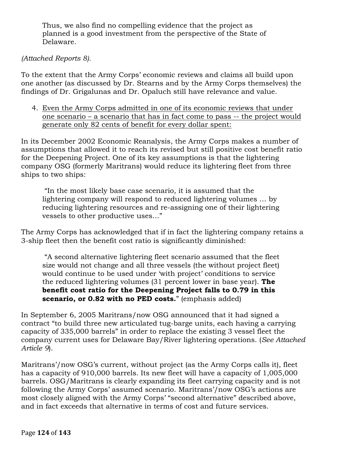Thus, we also find no compelling evidence that the project as planned is a good investment from the perspective of the State of Delaware.

#### *(Attached Reports 8).*

To the extent that the Army Corps' economic reviews and claims all build upon one another (as discussed by Dr. Stearns and by the Army Corps themselves) the findings of Dr. Grigalunas and Dr. Opaluch still have relevance and value.

4. Even the Army Corps admitted in one of its economic reviews that under one scenario – a scenario that has in fact come to pass -- the project would generate only 82 cents of benefit for every dollar spent:

In its December 2002 Economic Reanalysis, the Army Corps makes a number of assumptions that allowed it to reach its revised but still positive cost benefit ratio for the Deepening Project. One of its key assumptions is that the lightering company OSG (formerly Maritrans) would reduce its lightering fleet from three ships to two ships:

"In the most likely base case scenario, it is assumed that the lightering company will respond to reduced lightering volumes … by reducing lightering resources and re-assigning one of their lightering vessels to other productive uses…"

The Army Corps has acknowledged that if in fact the lightering company retains a 3-ship fleet then the benefit cost ratio is significantly diminished:

"A second alternative lightering fleet scenario assumed that the fleet size would not change and all three vessels (the without project fleet) would continue to be used under 'with project' conditions to service the reduced lightering volumes (31 percent lower in base year). **The benefit cost ratio for the Deepening Project falls to 0.79 in this scenario, or 0.82 with no PED costs.**" (emphasis added)

In September 6, 2005 Maritrans/now OSG announced that it had signed a contract "to build three new articulated tug-barge units, each having a carrying capacity of 335,000 barrels" in order to replace the existing 3 vessel fleet the company current uses for Delaware Bay/River lightering operations. (*See Attached Article 9*).

Maritrans'/now OSG's current, without project (as the Army Corps calls it), fleet has a capacity of 910,000 barrels. Its new fleet will have a capacity of 1,005,000 barrels. OSG/Maritrans is clearly expanding its fleet carrying capacity and is not following the Army Corps' assumed scenario. Maritrans'/now OSG's actions are most closely aligned with the Army Corps' "second alternative" described above, and in fact exceeds that alternative in terms of cost and future services.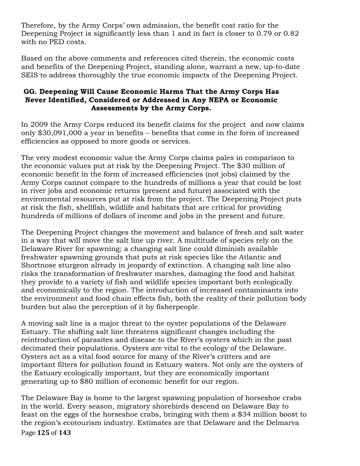Therefore, by the Army Corps' own admission, the benefit cost ratio for the Deepening Project is significantly less than 1 and in fact is closer to 0.79 or 0.82 with no PED costs.

Based on the above comments and references cited therein, the economic costs and benefits of the Deepening Project, standing alone, warrant a new, up-to-date SEIS to address thoroughly the true economic impacts of the Deepening Project.

## **GG. Deepening Will Cause Economic Harms That the Army Corps Has Never Identified, Considered or Addressed in Any NEPA or Economic Assessments by the Army Corps.**

In 2009 the Army Corps reduced its benefit claims for the project and now claims only \$30,091,000 a year in benefits – benefits that come in the form of increased efficiencies as opposed to more goods or services.

The very modest economic value the Army Corps claims pales in comparison to the economic values put at risk by the Deepening Project. The \$30 million of economic benefit in the form of increased efficiencies (not jobs) claimed by the Army Corps cannot compare to the hundreds of millions a year that could be lost in river jobs and economic returns (present and future) associated with the environmental resources put at risk from the project. The Deepening Project puts at risk the fish, shellfish, wildlife and habitats that are critical for providing hundreds of millions of dollars of income and jobs in the present and future.

The Deepening Project changes the movement and balance of fresh and salt water in a way that will move the salt line up river. A multitude of species rely on the Delaware River for spawning; a changing salt line could diminish available freshwater spawning grounds that puts at risk species like the Atlantic and Shortnose sturgeon already in jeopardy of extinction. A changing salt line also risks the transformation of freshwater marshes, damaging the food and habitat they provide to a variety of fish and wildlife species important both ecologically and economically to the region. The introduction of increased contaminants into the environment and food chain effects fish, both the reality of their pollution body burden but also the perception of it by fisherpeople.

A moving salt line is a major threat to the oyster populations of the Delaware Estuary. The shifting salt line threatens significant changes including the reintroduction of parasites and disease to the River's oysters which in the past decimated their populations. Oysters are vital to the ecology of the Delaware. Oysters act as a vital food source for many of the River's critters and are important filters for pollution found in Estuary waters. Not only are the oysters of the Estuary ecologically important, but they are economically important generating up to \$80 million of economic benefit for our region.

Page **125** of **143** The Delaware Bay is home to the largest spawning population of horseshoe crabs in the world. Every season, migratory shorebirds descend on Delaware Bay to feast on the eggs of the horseshoe crabs, bringing with them a \$34 million boost to the region's ecotourism industry. Estimates are that Delaware and the Delmarva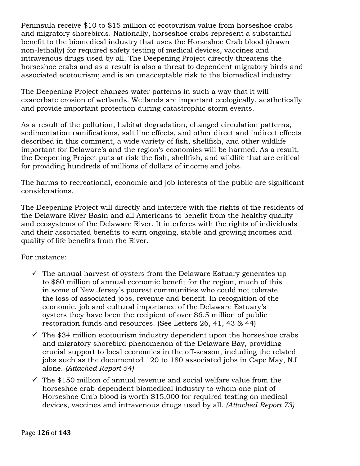Peninsula receive \$10 to \$15 million of ecotourism value from horseshoe crabs and migratory shorebirds. Nationally, horseshoe crabs represent a substantial benefit to the biomedical industry that uses the Horseshoe Crab blood (drawn non-lethally) for required safety testing of medical devices, vaccines and intravenous drugs used by all. The Deepening Project directly threatens the horseshoe crabs and as a result is also a threat to dependent migratory birds and associated ecotourism; and is an unacceptable risk to the biomedical industry.

The Deepening Project changes water patterns in such a way that it will exacerbate erosion of wetlands. Wetlands are important ecologically, aesthetically and provide important protection during catastrophic storm events.

As a result of the pollution, habitat degradation, changed circulation patterns, sedimentation ramifications, salt line effects, and other direct and indirect effects described in this comment, a wide variety of fish, shellfish, and other wildlife important for Delaware's and the region's economies will be harmed. As a result, the Deepening Project puts at risk the fish, shellfish, and wildlife that are critical for providing hundreds of millions of dollars of income and jobs.

The harms to recreational, economic and job interests of the public are significant considerations.

The Deepening Project will directly and interfere with the rights of the residents of the Delaware River Basin and all Americans to benefit from the healthy quality and ecosystems of the Delaware River. It interferes with the rights of individuals and their associated benefits to earn ongoing, stable and growing incomes and quality of life benefits from the River.

For instance:

- $\checkmark$  The annual harvest of oysters from the Delaware Estuary generates up to \$80 million of annual economic benefit for the region, much of this in some of New Jersey's poorest communities who could not tolerate the loss of associated jobs, revenue and benefit. In recognition of the economic, job and cultural importance of the Delaware Estuary's oysters they have been the recipient of over \$6.5 million of public restoration funds and resources. (See Letters 26, 41, 43 & 44)
- $\checkmark$  The \$34 million ecotourism industry dependent upon the horseshoe crabs and migratory shorebird phenomenon of the Delaware Bay, providing crucial support to local economies in the off-season, including the related jobs such as the documented 120 to 180 associated jobs in Cape May, NJ alone. *(Attached Report 54)*
- $\checkmark$  The \$150 million of annual revenue and social welfare value from the horseshoe crab-dependent biomedical industry to whom one pint of Horseshoe Crab blood is worth \$15,000 for required testing on medical devices, vaccines and intravenous drugs used by all. *(Attached Report 73)*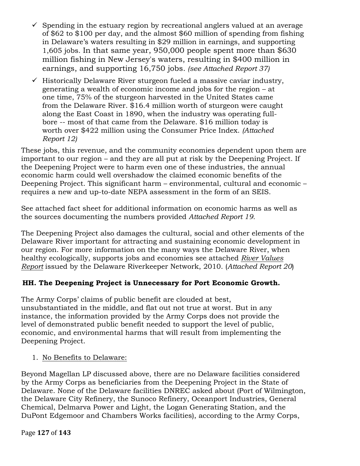- $\checkmark$  Spending in the estuary region by recreational anglers valued at an average of \$62 to \$100 per day, and the almost \$60 million of spending from fishing in Delaware's waters resulting in \$29 million in earnings, and supporting 1,605 jobs. In that same year, 950,000 people spent more than \$630 million fishing in New Jersey's waters, resulting in \$400 million in earnings, and supporting 16,750 jobs*. (see Attached Report 37)*
- $\checkmark$  Historically Delaware River sturgeon fueled a massive caviar industry, generating a wealth of economic income and jobs for the region – at one time, 75% of the sturgeon harvested in the United States came from the Delaware River. \$16.4 million worth of sturgeon were caught along the East Coast in 1890, when the industry was operating fullbore -- most of that came from the Delaware. \$16 million today is worth over \$422 million using the Consumer Price Index. *(Attached Report 12)*

These jobs, this revenue, and the community economies dependent upon them are important to our region – and they are all put at risk by the Deepening Project. If the Deepening Project were to harm even one of these industries, the annual economic harm could well overshadow the claimed economic benefits of the Deepening Project. This significant harm – environmental, cultural and economic – requires a new and up-to-date NEPA assessment in the form of an SEIS.

See attached fact sheet for additional information on economic harms as well as the sources documenting the numbers provided *Attached Report 19.*

The Deepening Project also damages the cultural, social and other elements of the Delaware River important for attracting and sustaining economic development in our region. For more information on the many ways the Delaware River, when healthy ecologically, supports jobs and economies see attached *River Values Report* issued by the Delaware Riverkeeper Network, 2010. (*Attached Report 20*)

# **HH. The Deepening Project is Unnecessary for Port Economic Growth.**

The Army Corps' claims of public benefit are clouded at best, unsubstantiated in the middle, and flat out not true at worst. But in any instance, the information provided by the Army Corps does not provide the level of demonstrated public benefit needed to support the level of public, economic, and environmental harms that will result from implementing the Deepening Project.

1. No Benefits to Delaware:

Beyond Magellan LP discussed above, there are no Delaware facilities considered by the Army Corps as beneficiaries from the Deepening Project in the State of Delaware. None of the Delaware facilities DNREC asked about (Port of Wilmington, the Delaware City Refinery, the Sunoco Refinery, Oceanport Industries, General Chemical, Delmarva Power and Light, the Logan Generating Station, and the DuPont Edgemoor and Chambers Works facilities), according to the Army Corps,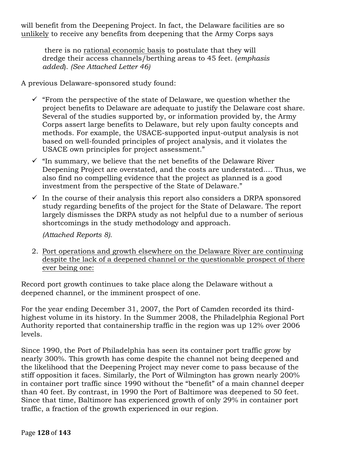will benefit from the Deepening Project. In fact, the Delaware facilities are so unlikely to receive any benefits from deepening that the Army Corps says

there is no rational economic basis to postulate that they will dredge their access channels/berthing areas to 45 feet. (*emphasis added*). *(See Attached Letter 46)*

A previous Delaware-sponsored study found:

- $\checkmark$  "From the perspective of the state of Delaware, we question whether the project benefits to Delaware are adequate to justify the Delaware cost share. Several of the studies supported by, or information provided by, the Army Corps assert large benefits to Delaware, but rely upon faulty concepts and methods. For example, the USACE-supported input-output analysis is not based on well-founded principles of project analysis, and it violates the USACE own principles for project assessment."
- $\checkmark$  "In summary, we believe that the net benefits of the Delaware River Deepening Project are overstated, and the costs are understated…. Thus, we also find no compelling evidence that the project as planned is a good investment from the perspective of the State of Delaware."
- $\checkmark$  In the course of their analysis this report also considers a DRPA sponsored study regarding benefits of the project for the State of Delaware. The report largely dismisses the DRPA study as not helpful due to a number of serious shortcomings in the study methodology and approach.

*(Attached Reports 8).*

2. Port operations and growth elsewhere on the Delaware River are continuing despite the lack of a deepened channel or the questionable prospect of there ever being one:

Record port growth continues to take place along the Delaware without a deepened channel, or the imminent prospect of one.

For the year ending December 31, 2007, the Port of Camden recorded its thirdhighest volume in its history. In the Summer 2008, the Philadelphia Regional Port Authority reported that containership traffic in the region was up 12% over 2006 levels.

Since 1990, the Port of Philadelphia has seen its container port traffic grow by nearly 300%. This growth has come despite the channel not being deepened and the likelihood that the Deepening Project may never come to pass because of the stiff opposition it faces. Similarly, the Port of Wilmington has grown nearly 200% in container port traffic since 1990 without the "benefit" of a main channel deeper than 40 feet. By contrast, in 1990 the Port of Baltimore was deepened to 50 feet. Since that time, Baltimore has experienced growth of only 29% in container port traffic, a fraction of the growth experienced in our region.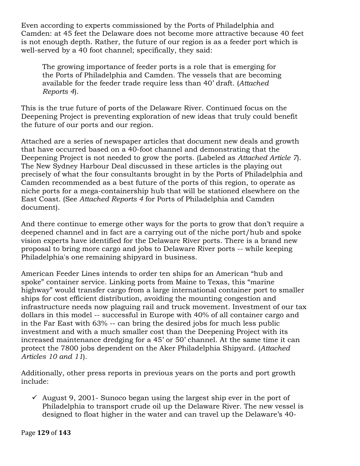Even according to experts commissioned by the Ports of Philadelphia and Camden: at 45 feet the Delaware does not become more attractive because 40 feet is not enough depth. Rather, the future of our region is as a feeder port which is well-served by a 40 foot channel; specifically, they said:

The growing importance of feeder ports is a role that is emerging for the Ports of Philadelphia and Camden. The vessels that are becoming available for the feeder trade require less than 40' draft. (*Attached Reports 4*).

This is the true future of ports of the Delaware River. Continued focus on the Deepening Project is preventing exploration of new ideas that truly could benefit the future of our ports and our region.

Attached are a series of newspaper articles that document new deals and growth that have occurred based on a 40-foot channel and demonstrating that the Deepening Project is not needed to grow the ports. (Labeled as *Attached Article 7*). The New Sydney Harbour Deal discussed in these articles is the playing out precisely of what the four consultants brought in by the Ports of Philadelphia and Camden recommended as a best future of the ports of this region, to operate as niche ports for a mega-containership hub that will be stationed elsewhere on the East Coast. (See *Attached Reports 4* for Ports of Philadelphia and Camden document).

And there continue to emerge other ways for the ports to grow that don't require a deepened channel and in fact are a carrying out of the niche port/hub and spoke vision experts have identified for the Delaware River ports. There is a brand new proposal to bring more cargo and jobs to Delaware River ports -- while keeping Philadelphia's one remaining shipyard in business.

American Feeder Lines intends to order ten ships for an American "hub and spoke" container service. Linking ports from Maine to Texas, this "marine highway" would transfer cargo from a large international container port to smaller ships for cost efficient distribution, avoiding the mounting congestion and infrastructure needs now plaguing rail and truck movement. Investment of our tax dollars in this model -- successful in Europe with 40% of all container cargo and in the Far East with 63% -- can bring the desired jobs for much less public investment and with a much smaller cost than the Deepening Project with its increased maintenance dredging for a 45' or 50' channel. At the same time it can protect the 7800 jobs dependent on the Aker Philadelphia Shipyard. (*Attached Articles 10 and 11*).

Additionally, other press reports in previous years on the ports and port growth include:

 $\checkmark$  August 9, 2001- Sunoco began using the largest ship ever in the port of Philadelphia to transport crude oil up the Delaware River. The new vessel is designed to float higher in the water and can travel up the Delaware's 40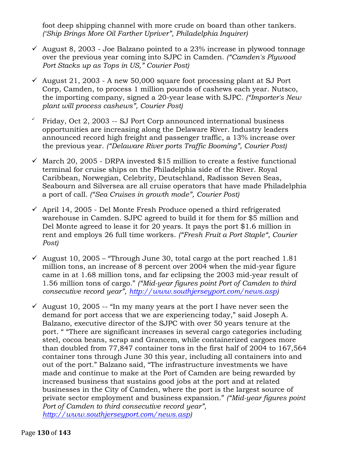foot deep shipping channel with more crude on board than other tankers. *('Ship Brings More Oil Farther Upriver", Philadelphia Inquirer)* 

- $\checkmark$  August 8, 2003 Joe Balzano pointed to a 23% increase in plywood tonnage over the previous year coming into SJPC in Camden. *("Camden's Plywood Port Stacks up as Tops in US," Courier Post)*
- $\checkmark$  August 21, 2003 A new 50,000 square foot processing plant at SJ Port Corp, Camden, to process 1 million pounds of cashews each year. Nutsco, the importing company, signed a 20-year lease with SJPC*. ("Importer's New plant will process cashews", Courier Post)*
- ! Friday, Oct 2, 2003 -- SJ Port Corp announced international business opportunities are increasing along the Delaware River. Industry leaders announced record high freight and passenger traffic, a 13% increase over the previous year. *("Delaware River ports Traffic Booming", Courier Post)*
- $\checkmark$  March 20, 2005 DRPA invested \$15 million to create a festive functional terminal for cruise ships on the Philadelphia side of the River. Royal Caribbean, Norwegian, Celebrity, Deutschland, Radisson Seven Seas, Seabourn and Silversea are all cruise operators that have made Philadelphia a port of call*. ("Sea Cruises in growth mode", Courier Post)*
- $\checkmark$  April 14, 2005 Del Monte Fresh Produce opened a third refrigerated warehouse in Camden. SJPC agreed to build it for them for \$5 million and Del Monte agreed to lease it for 20 years. It pays the port \$1.6 million in rent and employs 26 full time workers. *("Fresh Fruit a Port Staple", Courier Post)*
- $\checkmark$  August 10, 2005 "Through June 30, total cargo at the port reached 1.81 million tons, an increase of 8 percent over 2004 when the mid-year figure came in at 1.68 million tons, and far eclipsing the 2003 mid-year result of 1.56 million tons of cargo." *("Mid-year figures point Port of Camden to third consecutive record year", http://www.southjerseyport.com/news.asp)*
- August 10, 2005 -- "In my many years at the port I have never seen the demand for port access that we are experiencing today," said Joseph A. Balzano, executive director of the SJPC with over 50 years tenure at the port. " "There are significant increases in several cargo categories including steel, cocoa beans, scrap and Grancem, while containerized cargoes more than doubled from 77,847 container tons in the first half of 2004 to 167,564 container tons through June 30 this year, including all containers into and out of the port." Balzano said, "The infrastructure investments we have made and continue to make at the Port of Camden are being rewarded by increased business that sustains good jobs at the port and at related businesses in the City of Camden, where the port is the largest source of private sector employment and business expansion." *("Mid-year figures point Port of Camden to third consecutive record year", http://www.southjerseyport.com/news.asp)*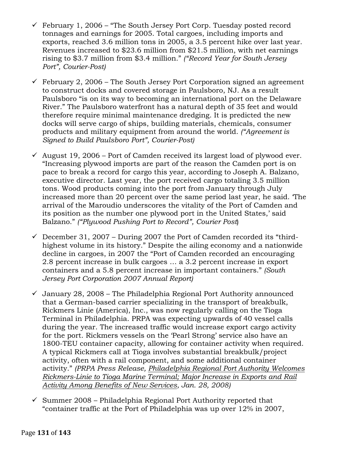- $\checkmark$  February 1, 2006 "The South Jersey Port Corp. Tuesday posted record tonnages and earnings for 2005. Total cargoes, including imports and exports, reached 3.6 million tons in 2005, a 3.5 percent hike over last year. Revenues increased to \$23.6 million from \$21.5 million, with net earnings rising to \$3.7 million from \$3.4 million." *("Record Year for South Jersey Port", Courier-Post)*
- $\checkmark$  February 2, 2006 The South Jersey Port Corporation signed an agreement to construct docks and covered storage in Paulsboro, NJ. As a result Paulsboro "is on its way to becoming an international port on the Delaware River." The Paulsboro waterfront has a natural depth of 35 feet and would therefore require minimal maintenance dredging. It is predicted the new docks will serve cargo of ships, building materials, chemicals, consumer products and military equipment from around the world. *("Agreement is Signed to Build Paulsboro Port", Courier-Post)*
- $\checkmark$  August 19, 2006 Port of Camden received its largest load of plywood ever. "Increasing plywood imports are part of the reason the Camden port is on pace to break a record for cargo this year, according to Joseph A. Balzano, executive director. Last year, the port received cargo totaling 3.5 million tons. Wood products coming into the port from January through July increased more than 20 percent over the same period last year, he said. 'The arrival of the Maroudio underscores the vitality of the Port of Camden and its position as the number one plywood port in the United States,' said Balzano." *("Plywood Pushing Port to Record", Courier Post*)
- $\checkmark$  December 31, 2007 During 2007 the Port of Camden recorded its "thirdhighest volume in its history." Despite the ailing economy and a nationwide decline in cargoes, in 2007 the "Port of Camden recorded an encouraging 2.8 percent increase in bulk cargoes … a 3.2 percent increase in export containers and a 5.8 percent increase in important containers." *(South Jersey Port Corporation 2007 Annual Report)*
- $\checkmark$  January 28, 2008 The Philadelphia Regional Port Authority announced that a German-based carrier specializing in the transport of breakbulk, Rickmers Linie (America), Inc., was now regularly calling on the Tioga Terminal in Philadelphia. PRPA was expecting upwards of 40 vessel calls during the year. The increased traffic would increase export cargo activity for the port. Rickmers vessels on the 'Pearl Strong' service also have an 1800-TEU container capacity, allowing for container activity when required. A typical Rickmers call at Tioga involves substantial breakbulk/project activity, often with a rail component, and some additional container activity." *(PRPA Press Release, Philadelphia Regional Port Authority Welcomes Rickmers-Linie to Tioga Marine Terminal; Major Increase in Exports and Rail Activity Among Benefits of New Services, Jan. 28, 2008)*
- $\checkmark$  Summer 2008 Philadelphia Regional Port Authority reported that "container traffic at the Port of Philadelphia was up over 12% in 2007,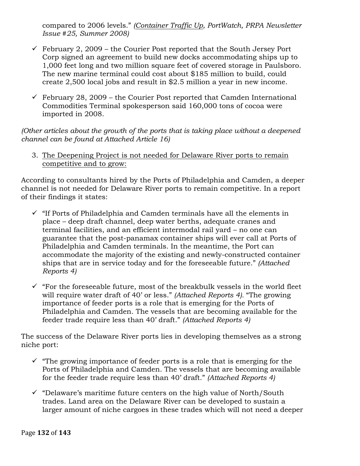compared to 2006 levels." *(Container Traffic Up, PortWatch, PRPA Newsletter Issue #25, Summer 2008)*

- $\checkmark$  February 2, 2009 the Courier Post reported that the South Jersey Port Corp signed an agreement to build new docks accommodating ships up to 1,000 feet long and two million square feet of covered storage in Paulsboro. The new marine terminal could cost about \$185 million to build, could create 2,500 local jobs and result in \$2.5 million a year in new income.
- $\checkmark$  February 28, 2009 the Courier Post reported that Camden International Commodities Terminal spokesperson said 160,000 tons of cocoa were imported in 2008.

*(Other articles about the growth of the ports that is taking place without a deepened channel can be found at Attached Article 16)*

3. The Deepening Project is not needed for Delaware River ports to remain competitive and to grow:

According to consultants hired by the Ports of Philadelphia and Camden, a deeper channel is not needed for Delaware River ports to remain competitive. In a report of their findings it states:

- $\checkmark$  "If Ports of Philadelphia and Camden terminals have all the elements in place – deep draft channel, deep water berths, adequate cranes and terminal facilities, and an efficient intermodal rail yard – no one can guarantee that the post-panamax container ships will ever call at Ports of Philadelphia and Camden terminals. In the meantime, the Port can accommodate the majority of the existing and newly-constructed container ships that are in service today and for the foreseeable future." *(Attached Reports 4)*
- $\checkmark$  "For the foreseeable future, most of the breakbulk vessels in the world fleet will require water draft of 40' or less." *(Attached Reports 4).* "The growing importance of feeder ports is a role that is emerging for the Ports of Philadelphia and Camden. The vessels that are becoming available for the feeder trade require less than 40' draft." *(Attached Reports 4)*

The success of the Delaware River ports lies in developing themselves as a strong niche port:

- $\checkmark$  "The growing importance of feeder ports is a role that is emerging for the Ports of Philadelphia and Camden. The vessels that are becoming available for the feeder trade require less than 40' draft." *(Attached Reports 4)*
- $\checkmark$  "Delaware's maritime future centers on the high value of North/South trades. Land area on the Delaware River can be developed to sustain a larger amount of niche cargoes in these trades which will not need a deeper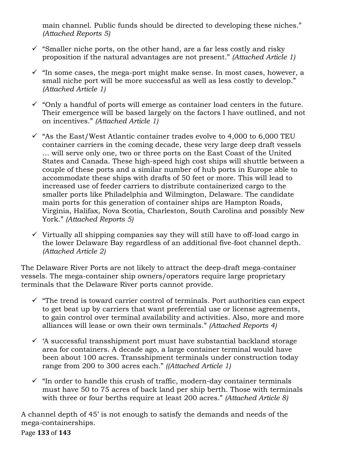main channel. Public funds should be directed to developing these niches." *(Attached Reports 5)*

- $\checkmark$  "Smaller niche ports, on the other hand, are a far less costly and risky proposition if the natural advantages are not present." *(Attached Article 1)*
- $\checkmark$  "In some cases, the mega-port might make sense. In most cases, however, a small niche port will be more successful as well as less costly to develop." *(Attached Article 1)*
- $\checkmark$  "Only a handful of ports will emerge as container load centers in the future. Their emergence will be based largely on the factors I have outlined, and not on incentives." *(Attached Article 1)*
- $\checkmark$  "As the East/West Atlantic container trades evolve to 4,000 to 6,000 TEU container carriers in the coming decade, these very large deep draft vessels … will serve only one, two or three ports on the East Coast of the United States and Canada. These high-speed high cost ships will shuttle between a couple of these ports and a similar number of hub ports in Europe able to accommodate these ships with drafts of 50 feet or more. This will lead to increased use of feeder carriers to distribute containerized cargo to the smaller ports like Philadelphia and Wilmington, Delaware. The candidate main ports for this generation of container ships are Hampton Roads, Virginia, Halifax, Nova Scotia, Charleston, South Carolina and possibly New York." *(Attached Reports 5)*
- $\checkmark$  Virtually all shipping companies say they will still have to off-load cargo in the lower Delaware Bay regardless of an additional five-foot channel depth. *(Attached Article 2)*

The Delaware River Ports are not likely to attract the deep-draft mega-container vessels. The mega-container ship owners/operators require large proprietary terminals that the Delaware River ports cannot provide.

- $\checkmark$  "The trend is toward carrier control of terminals. Port authorities can expect to get beat up by carriers that want preferential use or license agreements, to gain control over terminal availability and activities. Also, more and more alliances will lease or own their own terminals." *(Attached Reports 4)*
- $\checkmark$  'A successful transshipment port must have substantial backland storage area for containers. A decade ago, a large container terminal would have been about 100 acres. Transshipment terminals under construction today range from 200 to 300 acres each." *((Attached Article 1)*
- $\checkmark$  "In order to handle this crush of traffic, modern-day container terminals must have 50 to 75 acres of back land per ship berth. Those with terminals with three or four berths require at least 200 acres." *(Attached Article 8)*

Page **133** of **143** A channel depth of 45' is not enough to satisfy the demands and needs of the mega-containerships.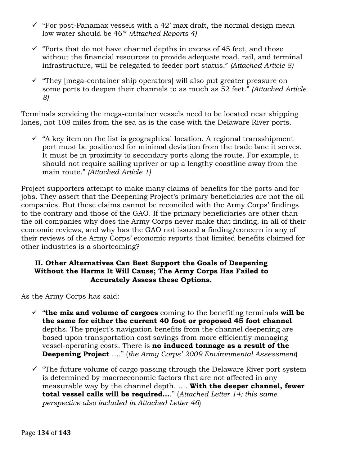- $\checkmark$  "For post-Panamax vessels with a 42' max draft, the normal design mean low water should be 46'" *(Attached Reports 4)*
- $\checkmark$  "Ports that do not have channel depths in excess of 45 feet, and those without the financial resources to provide adequate road, rail, and terminal infrastructure, will be relegated to feeder port status." *(Attached Article 8)*
- $\checkmark$  "They [mega-container ship operators] will also put greater pressure on some ports to deepen their channels to as much as 52 feet." *(Attached Article 8)*

Terminals servicing the mega-container vessels need to be located near shipping lanes, not 108 miles from the sea as is the case with the Delaware River ports.

 $\checkmark$  "A key item on the list is geographical location. A regional transshipment port must be positioned for minimal deviation from the trade lane it serves. It must be in proximity to secondary ports along the route. For example, it should not require sailing upriver or up a lengthy coastline away from the main route." *(Attached Article 1)* 

Project supporters attempt to make many claims of benefits for the ports and for jobs. They assert that the Deepening Project's primary beneficiaries are not the oil companies. But these claims cannot be reconciled with the Army Corps' findings to the contrary and those of the GAO. If the primary beneficiaries are other than the oil companies why does the Army Corps never make that finding, in all of their economic reviews, and why has the GAO not issued a finding/concern in any of their reviews of the Army Corps' economic reports that limited benefits claimed for other industries is a shortcoming?

### **II. Other Alternatives Can Best Support the Goals of Deepening Without the Harms It Will Cause; The Army Corps Has Failed to Accurately Assess these Options.**

As the Army Corps has said:

- $\checkmark$  "the mix and volume of cargoes coming to the benefiting terminals will be **the same for either the current 40 foot or proposed 45 foot channel** depths. The project's navigation benefits from the channel deepening are based upon transportation cost savings from more efficiently managing vessel-operating costs. There is **no induced tonnage as a result of the Deepening Project** …." (*the Army Corps' 2009 Environmental Assessment*)
- $\checkmark$  "The future volume of cargo passing through the Delaware River port system is determined by macroeconomic factors that are not affected in any measurable way by the channel depth. …. **With the deeper channel, fewer total vessel calls will be required…**." (*Attached Letter 14; this same perspective also included in Attached Letter 46*)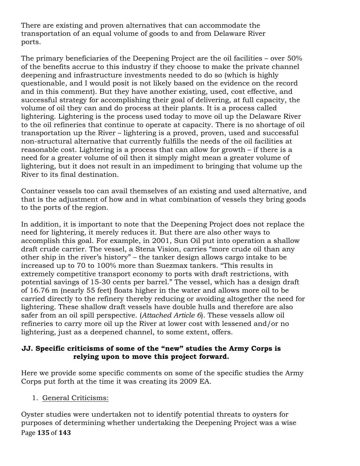There are existing and proven alternatives that can accommodate the transportation of an equal volume of goods to and from Delaware River ports.

The primary beneficiaries of the Deepening Project are the oil facilities – over 50% of the benefits accrue to this industry if they choose to make the private channel deepening and infrastructure investments needed to do so (which is highly questionable, and I would posit is not likely based on the evidence on the record and in this comment). But they have another existing, used, cost effective, and successful strategy for accomplishing their goal of delivering, at full capacity, the volume of oil they can and do process at their plants. It is a process called lightering. Lightering is the process used today to move oil up the Delaware River to the oil refineries that continue to operate at capacity. There is no shortage of oil transportation up the River – lightering is a proved, proven, used and successful non-structural alternative that currently fulfills the needs of the oil facilities at reasonable cost. Lightering is a process that can allow for growth – if there is a need for a greater volume of oil then it simply might mean a greater volume of lightering, but it does not result in an impediment to bringing that volume up the River to its final destination.

Container vessels too can avail themselves of an existing and used alternative, and that is the adjustment of how and in what combination of vessels they bring goods to the ports of the region.

In addition, it is important to note that the Deepening Project does not replace the need for lightering, it merely reduces it. But there are also other ways to accomplish this goal. For example, in 2001, Sun Oil put into operation a shallow draft crude carrier. The vessel, a Stena Vision, carries "more crude oil than any other ship in the river's history" – the tanker design allows cargo intake to be increased up to 70 to 100% more than Suezmax tankers. "This results in extremely competitive transport economy to ports with draft restrictions, with potential savings of 15-30 cents per barrel." The vessel, which has a design draft of 16.76 m (nearly 55 feet) floats higher in the water and allows more oil to be carried directly to the refinery thereby reducing or avoiding altogether the need for lightering. These shallow draft vessels have double hulls and therefore are also safer from an oil spill perspective. (*Attached Article 6*). These vessels allow oil refineries to carry more oil up the River at lower cost with lessened and/or no lightering, just as a deepened channel, to some extent, offers.

## **JJ. Specific criticisms of some of the "new" studies the Army Corps is relying upon to move this project forward.**

Here we provide some specific comments on some of the specific studies the Army Corps put forth at the time it was creating its 2009 EA.

1. General Criticisms:

Page **135** of **143** Oyster studies were undertaken not to identify potential threats to oysters for purposes of determining whether undertaking the Deepening Project was a wise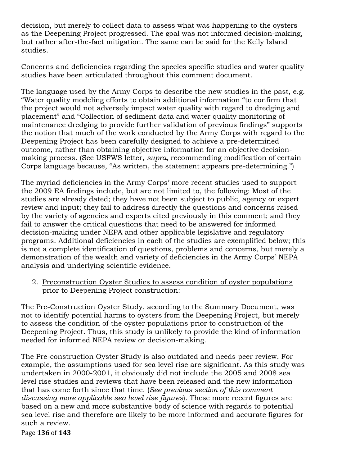decision, but merely to collect data to assess what was happening to the oysters as the Deepening Project progressed. The goal was not informed decision-making, but rather after-the-fact mitigation. The same can be said for the Kelly Island studies.

Concerns and deficiencies regarding the species specific studies and water quality studies have been articulated throughout this comment document.

The language used by the Army Corps to describe the new studies in the past, e.g. "Water quality modeling efforts to obtain additional information "to confirm that the project would not adversely impact water quality with regard to dredging and placement" and "Collection of sediment data and water quality monitoring of maintenance dredging to provide further validation of previous findings" supports the notion that much of the work conducted by the Army Corps with regard to the Deepening Project has been carefully designed to achieve a pre-determined outcome, rather than obtaining objective information for an objective decisionmaking process. (See USFWS letter, *supra,* recommending modification of certain Corps language because, "As written, the statement appears pre-determining.")

The myriad deficiencies in the Army Corps' more recent studies used to support the 2009 EA findings include, but are not limited to, the following: Most of the studies are already dated; they have not been subject to public, agency or expert review and input; they fail to address directly the questions and concerns raised by the variety of agencies and experts cited previously in this comment; and they fail to answer the critical questions that need to be answered for informed decision-making under NEPA and other applicable legislative and regulatory programs. Additional deficiencies in each of the studies are exemplified below; this is not a complete identification of questions, problems and concerns, but merely a demonstration of the wealth and variety of deficiencies in the Army Corps' NEPA analysis and underlying scientific evidence.

2. Preconstruction Oyster Studies to assess condition of oyster populations prior to Deepening Project construction:

The Pre-Construction Oyster Study, according to the Summary Document, was not to identify potential harms to oysters from the Deepening Project, but merely to assess the condition of the oyster populations prior to construction of the Deepening Project. Thus, this study is unlikely to provide the kind of information needed for informed NEPA review or decision-making.

The Pre-construction Oyster Study is also outdated and needs peer review. For example, the assumptions used for sea level rise are significant. As this study was undertaken in 2000-2001, it obviously did not include the 2005 and 2008 sea level rise studies and reviews that have been released and the new information that has come forth since that time. (*See previous section of this comment discussing more applicable sea level rise figures*). These more recent figures are based on a new and more substantive body of science with regards to potential sea level rise and therefore are likely to be more informed and accurate figures for such a review.

Page **136** of **143**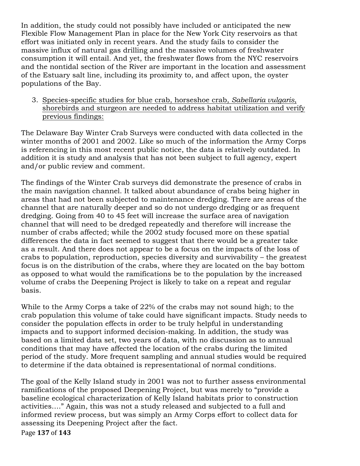In addition, the study could not possibly have included or anticipated the new Flexible Flow Management Plan in place for the New York City reservoirs as that effort was initiated only in recent years. And the study fails to consider the massive influx of natural gas drilling and the massive volumes of freshwater consumption it will entail. And yet, the freshwater flows from the NYC reservoirs and the nontidal section of the River are important in the location and assessment of the Estuary salt line, including its proximity to, and affect upon, the oyster populations of the Bay.

3. Species-specific studies for blue crab, horseshoe crab, *Sabellaria vulgaris*, shorebirds and sturgeon are needed to address habitat utilization and verify previous findings:

The Delaware Bay Winter Crab Surveys were conducted with data collected in the winter months of 2001 and 2002. Like so much of the information the Army Corps is referencing in this most recent public notice, the data is relatively outdated. In addition it is study and analysis that has not been subject to full agency, expert and/or public review and comment.

The findings of the Winter Crab surveys did demonstrate the presence of crabs in the main navigation channel. It talked about abundance of crabs being higher in areas that had not been subjected to maintenance dredging. There are areas of the channel that are naturally deeper and so do not undergo dredging or as frequent dredging. Going from 40 to 45 feet will increase the surface area of navigation channel that will need to be dredged repeatedly and therefore will increase the number of crabs affected; while the 2002 study focused more on these spatial differences the data in fact seemed to suggest that there would be a greater take as a result. And there does not appear to be a focus on the impacts of the loss of crabs to population, reproduction, species diversity and survivability – the greatest focus is on the distribution of the crabs, where they are located on the bay bottom as opposed to what would the ramifications be to the population by the increased volume of crabs the Deepening Project is likely to take on a repeat and regular basis.

While to the Army Corps a take of 22% of the crabs may not sound high; to the crab population this volume of take could have significant impacts. Study needs to consider the population effects in order to be truly helpful in understanding impacts and to support informed decision-making. In addition, the study was based on a limited data set, two years of data, with no discussion as to annual conditions that may have affected the location of the crabs during the limited period of the study. More frequent sampling and annual studies would be required to determine if the data obtained is representational of normal conditions.

The goal of the Kelly Island study in 2001 was not to further assess environmental ramifications of the proposed Deepening Project, but was merely to "provide a baseline ecological characterization of Kelly Island habitats prior to construction activities…." Again, this was not a study released and subjected to a full and informed review process, but was simply an Army Corps effort to collect data for assessing its Deepening Project after the fact.

Page!**137** of!**143**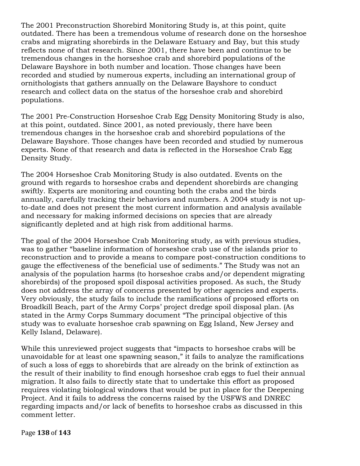The 2001 Preconstruction Shorebird Monitoring Study is, at this point, quite outdated. There has been a tremendous volume of research done on the horseshoe crabs and migrating shorebirds in the Delaware Estuary and Bay, but this study reflects none of that research. Since 2001, there have been and continue to be tremendous changes in the horseshoe crab and shorebird populations of the Delaware Bayshore in both number and location. Those changes have been recorded and studied by numerous experts, including an international group of ornithologists that gathers annually on the Delaware Bayshore to conduct research and collect data on the status of the horseshoe crab and shorebird populations.

The 2001 Pre-Construction Horseshoe Crab Egg Density Monitoring Study is also, at this point, outdated. Since 2001, as noted previously, there have been tremendous changes in the horseshoe crab and shorebird populations of the Delaware Bayshore. Those changes have been recorded and studied by numerous experts. None of that research and data is reflected in the Horseshoe Crab Egg Density Study.

The 2004 Horseshoe Crab Monitoring Study is also outdated. Events on the ground with regards to horseshoe crabs and dependent shorebirds are changing swiftly. Experts are monitoring and counting both the crabs and the birds annually, carefully tracking their behaviors and numbers. A 2004 study is not upto-date and does not present the most current information and analysis available and necessary for making informed decisions on species that are already significantly depleted and at high risk from additional harms.

The goal of the 2004 Horseshoe Crab Monitoring study, as with previous studies, was to gather "baseline information of horseshoe crab use of the islands prior to reconstruction and to provide a means to compare post-construction conditions to gauge the effectiveness of the beneficial use of sediments." The Study was not an analysis of the population harms (to horseshoe crabs and/or dependent migrating shorebirds) of the proposed spoil disposal activities proposed. As such, the Study does not address the array of concerns presented by other agencies and experts. Very obviously, the study fails to include the ramifications of proposed efforts on Broadkill Beach, part of the Army Corps' project dredge spoil disposal plan. (As stated in the Army Corps Summary document "The principal objective of this study was to evaluate horseshoe crab spawning on Egg Island, New Jersey and Kelly Island, Delaware).

While this unreviewed project suggests that "impacts to horseshoe crabs will be unavoidable for at least one spawning season," it fails to analyze the ramifications of such a loss of eggs to shorebirds that are already on the brink of extinction as the result of their inability to find enough horseshoe crab eggs to fuel their annual migration. It also fails to directly state that to undertake this effort as proposed requires violating biological windows that would be put in place for the Deepening Project. And it fails to address the concerns raised by the USFWS and DNREC regarding impacts and/or lack of benefits to horseshoe crabs as discussed in this comment letter.

Page!**138** of!**143**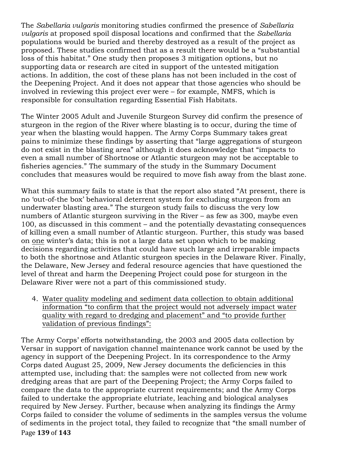The *Sabellaria vulgaris* monitoring studies confirmed the presence of *Sabellaria vulgaris* at proposed spoil disposal locations and confirmed that the *Sabellaria* populations would be buried and thereby destroyed as a result of the project as proposed. These studies confirmed that as a result there would be a "substantial loss of this habitat." One study then proposes 3 mitigation options, but no supporting data or research are cited in support of the untested mitigation actions. In addition, the cost of these plans has not been included in the cost of the Deepening Project. And it does not appear that those agencies who should be involved in reviewing this project ever were – for example, NMFS, which is responsible for consultation regarding Essential Fish Habitats.

The Winter 2005 Adult and Juvenile Sturgeon Survey did confirm the presence of sturgeon in the region of the River where blasting is to occur, during the time of year when the blasting would happen. The Army Corps Summary takes great pains to minimize these findings by asserting that "large aggregations of sturgeon do not exist in the blasting area" although it does acknowledge that "impacts to even a small number of Shortnose or Atlantic sturgeon may not be acceptable to fisheries agencies." The summary of the study in the Summary Document concludes that measures would be required to move fish away from the blast zone.

What this summary fails to state is that the report also stated "At present, there is no 'out-of-the box' behavioral deterrent system for excluding sturgeon from an underwater blasting area." The sturgeon study fails to discuss the very low numbers of Atlantic sturgeon surviving in the River – as few as 300, maybe even 100, as discussed in this comment – and the potentially devastating consequences of killing even a small number of Atlantic sturgeon. Further, this study was based on one winter's data; this is not a large data set upon which to be making decisions regarding activities that could have such large and irreparable impacts to both the shortnose and Atlantic sturgeon species in the Delaware River. Finally, the Delaware, New Jersey and federal resource agencies that have questioned the level of threat and harm the Deepening Project could pose for sturgeon in the Delaware River were not a part of this commissioned study.

4. Water quality modeling and sediment data collection to obtain additional information "to confirm that the project would not adversely impact water quality with regard to dredging and placement" and "to provide further validation of previous findings":

Page!**139** of!**143** The Army Corps' efforts notwithstanding, the 2003 and 2005 data collection by Versar in support of navigation channel maintenance work cannot be used by the agency in support of the Deepening Project. In its correspondence to the Army Corps dated August 25, 2009, New Jersey documents the deficiencies in this attempted use, including that: the samples were not collected from new work dredging areas that are part of the Deepening Project; the Army Corps failed to compare the data to the appropriate current requirements; and the Army Corps failed to undertake the appropriate elutriate, leaching and biological analyses required by New Jersey. Further, because when analyzing its findings the Army Corps failed to consider the volume of sediments in the samples versus the volume of sediments in the project total, they failed to recognize that "the small number of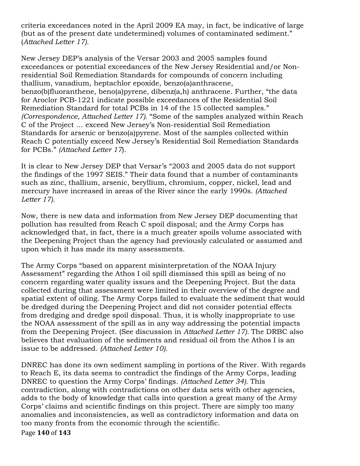criteria exceedances noted in the April 2009 EA may, in fact, be indicative of large (but as of the present date undetermined) volumes of contaminated sediment." (*Attached Letter 17).*

New Jersey DEP's analysis of the Versar 2003 and 2005 samples found exceedances or potential exceedances of the New Jersey Residential and/or Nonresidential Soil Remediation Standards for compounds of concern including thallium, vanadium, heptachlor epoxide, benzo(a)anthracene, benzo(b)fluoranthene, beno(a)pyrene, dibenz(a,h) anthracene. Further, "the data for Aroclor PCB-1221 indicate possible exceedances of the Residential Soil Remediation Standard for total PCBs in 14 of the 15 collected samples." *(Correspondence, Attached Letter 17).* "Some of the samples analyzed within Reach C of the Project … exceed New Jersey's Non-residential Soil Remediation Standards for arsenic or benzo(a)pyrene. Most of the samples collected within Reach C potentially exceed New Jersey's Residential Soil Remediation Standards for PCBs." *(Attached Letter 17*).

It is clear to New Jersey DEP that Versar's "2003 and 2005 data do not support the findings of the 1997 SEIS." Their data found that a number of contaminants such as zinc, thallium, arsenic, beryllium, chromium, copper, nickel, lead and mercury have increased in areas of the River since the early 1990s. *(Attached Letter 17).*

Now, there is new data and information from New Jersey DEP documenting that pollution has resulted from Reach C spoil disposal; and the Army Corps has acknowledged that, in fact, there is a much greater spoils volume associated with the Deepening Project than the agency had previously calculated or assumed and upon which it has made its many assessments.

The Army Corps "based on apparent misinterpretation of the NOAA Injury Assessment" regarding the Athos I oil spill dismissed this spill as being of no concern regarding water quality issues and the Deepening Project. But the data collected during that assessment were limited in their overview of the degree and spatial extent of oiling. The Army Corps failed to evaluate the sediment that would be dredged during the Deepening Project and did not consider potential effects from dredging and dredge spoil disposal. Thus, it is wholly inappropriate to use the NOAA assessment of the spill as in any way addressing the potential impacts from the Deepening Project. (See discussion in *Attached Letter 17).* The DRBC also believes that evaluation of the sediments and residual oil from the Athos I is an issue to be addressed. *(Attached Letter 10).*

Page **140** of **143** DNREC has done its own sediment sampling in portions of the River. With regards to Reach E, its data seems to contradict the findings of the Army Corps, leading DNREC to question the Army Corps' findings. *(Attached Letter 34).* This contradiction, along with contradictions on other data sets with other agencies, adds to the body of knowledge that calls into question a great many of the Army Corps' claims and scientific findings on this project. There are simply too many anomalies and inconsistencies, as well as contradictory information and data on too many fronts from the economic through the scientific.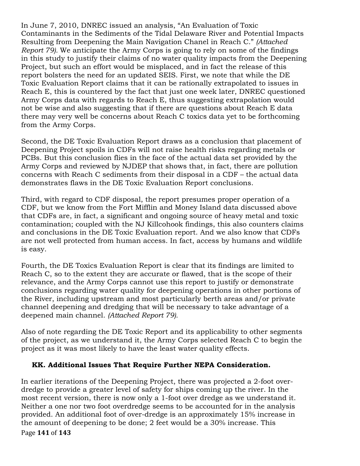In June 7, 2010, DNREC issued an analysis, "An Evaluation of Toxic Contaminants in the Sediments of the Tidal Delaware River and Potential Impacts Resulting from Deepening the Main Navigation Chanel in Reach C." *(Attached Report 79).* We anticipate the Army Corps is going to rely on some of the findings in this study to justify their claims of no water quality impacts from the Deepening Project, but such an effort would be misplaced, and in fact the release of this report bolsters the need for an updated SEIS. First, we note that while the DE Toxic Evaluation Report claims that it can be rationally extrapolated to issues in Reach E, this is countered by the fact that just one week later, DNREC questioned Army Corps data with regards to Reach E, thus suggesting extrapolation would not be wise and also suggesting that if there are questions about Reach E data there may very well be concerns about Reach C toxics data yet to be forthcoming from the Army Corps.

Second, the DE Toxic Evaluation Report draws as a conclusion that placement of Deepening Project spoils in CDFs will not raise health risks regarding metals or PCBs. But this conclusion flies in the face of the actual data set provided by the Army Corps and reviewed by NJDEP that shows that, in fact, there are pollution concerns with Reach C sediments from their disposal in a CDF – the actual data demonstrates flaws in the DE Toxic Evaluation Report conclusions.

Third, with regard to CDF disposal, the report presumes proper operation of a CDF, but we know from the Fort Mifflin and Money Island data discussed above that CDFs are, in fact, a significant and ongoing source of heavy metal and toxic contamination; coupled with the NJ Killcohook findings, this also counters claims and conclusions in the DE Toxic Evaluation report. And we also know that CDFs are not well protected from human access. In fact, access by humans and wildlife is easy.

Fourth, the DE Toxics Evaluation Report is clear that its findings are limited to Reach C, so to the extent they are accurate or flawed, that is the scope of their relevance, and the Army Corps cannot use this report to justify or demonstrate conclusions regarding water quality for deepening operations in other portions of the River, including upstream and most particularly berth areas and/or private channel deepening and dredging that will be necessary to take advantage of a deepened main channel. *(Attached Report 79).*

Also of note regarding the DE Toxic Report and its applicability to other segments of the project, as we understand it, the Army Corps selected Reach C to begin the project as it was most likely to have the least water quality effects.

# **KK. Additional Issues That Require Further NEPA Consideration.**

Page **141** of **143** In earlier iterations of the Deepening Project, there was projected a 2-foot overdredge to provide a greater level of safety for ships coming up the river. In the most recent version, there is now only a 1-foot over dredge as we understand it. Neither a one nor two foot overdredge seems to be accounted for in the analysis provided. An additional foot of over-dredge is an approximately 15% increase in the amount of deepening to be done; 2 feet would be a 30% increase. This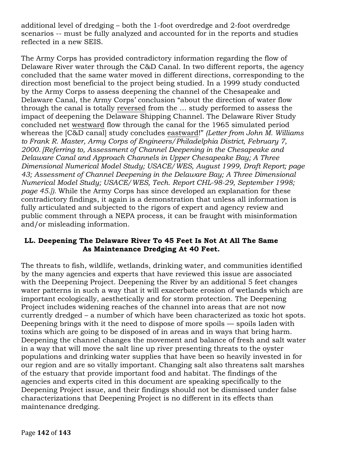additional level of dredging – both the 1-foot overdredge and 2-foot overdredge scenarios -- must be fully analyzed and accounted for in the reports and studies reflected in a new SEIS.

The Army Corps has provided contradictory information regarding the flow of Delaware River water through the C&D Canal. In two different reports, the agency concluded that the same water moved in different directions, corresponding to the direction most beneficial to the project being studied. In a 1999 study conducted by the Army Corps to assess deepening the channel of the Chesapeake and Delaware Canal, the Army Corps' conclusion "about the direction of water flow through the canal is totally reversed from the … study performed to assess the impact of deepening the Delaware Shipping Channel. The Delaware River Study concluded net westward flow through the canal for the 1965 simulated period whereas the [C&D canal] study concludes eastward!" *(Letter from John M. Williams to Frank R. Master, Army Corps of Engineers/Philadelphia District, February 7, 2000. [Referring to, Assessment of Channel Deepening in the Chesapeake and Delaware Canal and Approach Channels in Upper Chesapeake Bay; A Three Dimensional Numerical Model Study; USACE/WES, August 1999, Draft Report; page 43; Assessment of Channel Deepening in the Delaware Bay; A Three Dimensional Numerical Model Study; USACE/WES, Tech. Report CHL-98-29, September 1998; page 45.]).* While the Army Corps has since developed an explanation for these contradictory findings, it again is a demonstration that unless all information is fully articulated and subjected to the rigors of expert and agency review and public comment through a NEPA process, it can be fraught with misinformation and/or misleading information.

## **LL. Deepening The Delaware River To 45 Feet Is Not At All The Same As Maintenance Dredging At 40 Feet.**

The threats to fish, wildlife, wetlands, drinking water, and communities identified by the many agencies and experts that have reviewed this issue are associated with the Deepening Project. Deepening the River by an additional 5 feet changes water patterns in such a way that it will exacerbate erosion of wetlands which are important ecologically, aesthetically and for storm protection. The Deepening Project includes widening reaches of the channel into areas that are not now currently dredged – a number of which have been characterized as toxic hot spots. Deepening brings with it the need to dispose of more spoils — spoils laden with toxins which are going to be disposed of in areas and in ways that bring harm. Deepening the channel changes the movement and balance of fresh and salt water in a way that will move the salt line up river presenting threats to the oyster populations and drinking water supplies that have been so heavily invested in for our region and are so vitally important. Changing salt also threatens salt marshes of the estuary that provide important food and habitat. The findings of the agencies and experts cited in this document are speaking specifically to the Deepening Project issue, and their findings should not be dismissed under false characterizations that Deepening Project is no different in its effects than maintenance dredging.